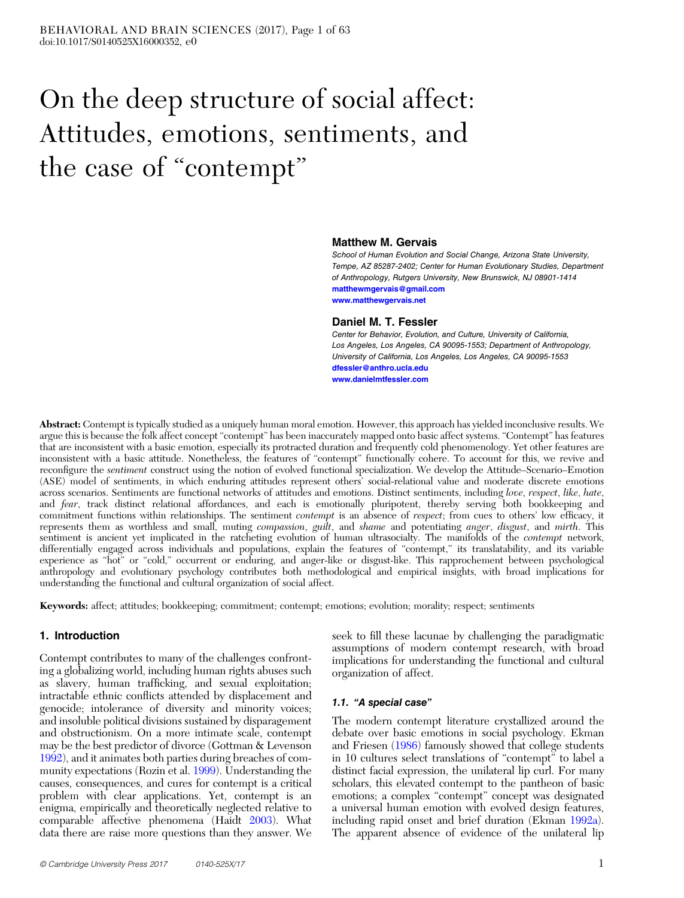# On the deep structure of social affect: Attitudes, emotions, sentiments, and the case of "contempt"

#### Matthew M. Gervais

School of Human Evolution and Social Change, Arizona State University, Tempe, AZ 85287-2402; Center for Human Evolutionary Studies, Department of Anthropology, Rutgers University, New Brunswick, NJ 08901-1414 [matthewmgervais@gmail.com](mailto:matthewmgervais@gmail.com) [www.matthewgervais.net](http://www.matthewgervais.net)

### Daniel M. T. Fessler

Center for Behavior, Evolution, and Culture, University of California, Los Angeles, Los Angeles, CA 90095-1553; Department of Anthropology, University of California, Los Angeles, Los Angeles, CA 90095-1553 [dfessler@anthro.ucla.edu](mailto:dfessler@anthro.ucla.edu) [www.danielmtfessler.com](http://www.danielmtfessler.com)

Abstract: Contempt is typically studied as a uniquely human moral emotion. However, this approach has yielded inconclusive results. We argue this is because the folk affect concept "contempt" has been inaccurately mapped onto basic affect systems. "Contempt" has features that are inconsistent with a basic emotion, especially its protracted duration and frequently cold phenomenology. Yet other features are inconsistent with a basic attitude. Nonetheless, the features of "contempt" functionally cohere. To account for this, we revive and reconfigure the sentiment construct using the notion of evolved functional specialization. We develop the Attitude–Scenario–Emotion (ASE) model of sentiments, in which enduring attitudes represent others' social-relational value and moderate discrete emotions across scenarios. Sentiments are functional networks of attitudes and emotions. Distinct sentiments, including love, respect, like, hate, and fear, track distinct relational affordances, and each is emotionally pluripotent, thereby serving both bookkeeping and commitment functions within relationships. The sentiment contempt is an absence of respect; from cues to others' low efficacy, it represents them as worthless and small, muting *compassion*, *guilt*, and *shame* and potentiating *anger*, *disgust*, and *mirth*. This sentiment is ancient yet implicated in the ratcheting evolution of human ultrasocialty. The manifolds of the *contempt* network, differentially engaged across individuals and populations, explain the features of "contempt," its translatability, and its variable experience as "hot" or "cold," occurrent or enduring, and anger-like or disgust-like. This rapprochement between psychological anthropology and evolutionary psychology contributes both methodological and empirical insights, with broad implications for understanding the functional and cultural organization of social affect.

Keywords: affect; attitudes; bookkeeping; commitment; contempt; emotions; evolution; morality; respect; sentiments

## 1. Introduction

Contempt contributes to many of the challenges confronting a globalizing world, including human rights abuses such as slavery, human trafficking, and sexual exploitation; intractable ethnic conflicts attended by displacement and genocide; intolerance of diversity and minority voices; and insoluble political divisions sustained by disparagement and obstructionism. On a more intimate scale, contempt may be the best predictor of divorce (Gottman & Levenson [1992\)](#page-55-0), and it animates both parties during breaches of community expectations (Rozin et al. [1999](#page-59-0)). Understanding the causes, consequences, and cures for contempt is a critical problem with clear applications. Yet, contempt is an enigma, empirically and theoretically neglected relative to comparable affective phenomena (Haidt [2003](#page-55-0)). What data there are raise more questions than they answer. We

implications for understanding the functional and cultural organization of affect. 1.1. "A special case"

seek to fill these lacunae by challenging the paradigmatic assumptions of modern contempt research, with broad

The modern contempt literature crystallized around the debate over basic emotions in social psychology. Ekman and Friesen [\(1986](#page-53-0)) famously showed that college students in 10 cultures select translations of "contempt" to label a distinct facial expression, the unilateral lip curl. For many scholars, this elevated contempt to the pantheon of basic emotions; a complex "contempt" concept was designated a universal human emotion with evolved design features, including rapid onset and brief duration (Ekman [1992a](#page-53-0)). The apparent absence of evidence of the unilateral lip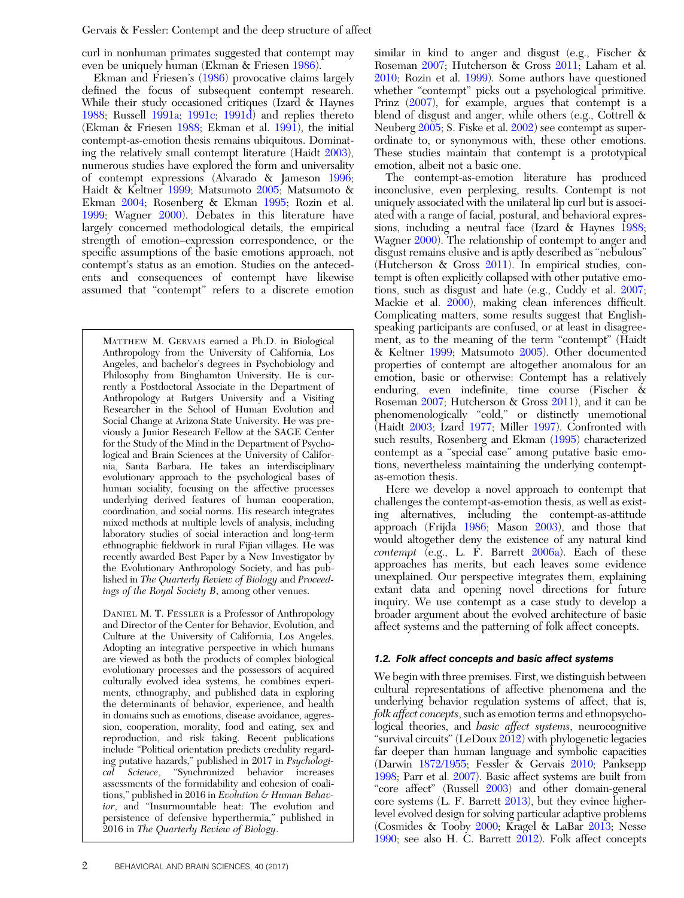<span id="page-1-0"></span>curl in nonhuman primates suggested that contempt may even be uniquely human (Ekman & Friesen [1986](#page-53-0)).

Ekman and Friesen's [\(1986](#page-53-0)) provocative claims largely defined the focus of subsequent contempt research. While their study occasioned critiques (Izard & Haynes [1988](#page-56-0); Russell [1991a](#page-59-0); [1991c;](#page-59-0) [1991d](#page-59-0)) and replies thereto (Ekman & Friesen [1988](#page-53-0); Ekman et al. [1991](#page-53-0)), the initial contempt-as-emotion thesis remains ubiquitous. Dominating the relatively small contempt literature (Haidt [2003\)](#page-55-0), numerous studies have explored the form and universality of contempt expressions (Alvarado & Jameson [1996;](#page-50-0) Haidt & Keltner [1999;](#page-55-0) Matsumoto [2005](#page-57-0); Matsumoto & Ekman [2004](#page-57-0); Rosenberg & Ekman [1995;](#page-59-0) Rozin et al. [1999](#page-59-0); Wagner [2000](#page-61-0)). Debates in this literature have largely concerned methodological details, the empirical strength of emotion–expression correspondence, or the specific assumptions of the basic emotions approach, not contempt's status as an emotion. Studies on the antecedents and consequences of contempt have likewise assumed that "contempt" refers to a discrete emotion

MATTHEW M. GERVAIS earned a Ph.D. in Biological Anthropology from the University of California, Los Angeles, and bachelor's degrees in Psychobiology and Philosophy from Binghamton University. He is currently a Postdoctoral Associate in the Department of Anthropology at Rutgers University and a Visiting Researcher in the School of Human Evolution and Social Change at Arizona State University. He was previously a Junior Research Fellow at the SAGE Center for the Study of the Mind in the Department of Psychological and Brain Sciences at the University of California, Santa Barbara. He takes an interdisciplinary evolutionary approach to the psychological bases of human sociality, focusing on the affective processes underlying derived features of human cooperation, coordination, and social norms. His research integrates mixed methods at multiple levels of analysis, including laboratory studies of social interaction and long-term ethnographic fieldwork in rural Fijian villages. He was recently awarded Best Paper by a New Investigator by the Evolutionary Anthropology Society, and has published in The Quarterly Review of Biology and Proceedings of the Royal Society B, among other venues.

DANIEL M. T. FESSLER is a Professor of Anthropology and Director of the Center for Behavior, Evolution, and Culture at the University of California, Los Angeles. Adopting an integrative perspective in which humans are viewed as both the products of complex biological evolutionary processes and the possessors of acquired culturally evolved idea systems, he combines experiments, ethnography, and published data in exploring the determinants of behavior, experience, and health in domains such as emotions, disease avoidance, aggression, cooperation, morality, food and eating, sex and reproduction, and risk taking. Recent publications include "Political orientation predicts credulity regarding putative hazards," published in 2017 in Psychologi-<br>cal Science, "Synchronized behavior increases "Synchronized behavior increases assessments of the formidability and cohesion of coalitions," published in 2016 in Evolution  $\psi$  Human Behavior, and "Insurmountable heat: The evolution and persistence of defensive hyperthermia," published in 2016 in The Quarterly Review of Biology.

similar in kind to anger and disgust (e.g., Fischer & Roseman [2007](#page-54-0); Hutcherson & Gross [2011](#page-56-0); Laham et al. [2010](#page-56-0); Rozin et al. [1999](#page-59-0)). Some authors have questioned whether "contempt" picks out a psychological primitive. Prinz [\(2007](#page-58-0)), for example, argues that contempt is a blend of disgust and anger, while others (e.g., Cottrell & Neuberg [2005](#page-52-0); S. Fiske et al. [2002\)](#page-54-0) see contempt as superordinate to, or synonymous with, these other emotions. These studies maintain that contempt is a prototypical emotion, albeit not a basic one.

The contempt-as-emotion literature has produced inconclusive, even perplexing, results. Contempt is not uniquely associated with the unilateral lip curl but is associated with a range of facial, postural, and behavioral expressions, including a neutral face (Izard & Haynes [1988;](#page-56-0) Wagner [2000\)](#page-61-0). The relationship of contempt to anger and disgust remains elusive and is aptly described as "nebulous" (Hutcherson & Gross [2011](#page-56-0)). In empirical studies, contempt is often explicitly collapsed with other putative emotions, such as disgust and hate (e.g., Cuddy et al. [2007;](#page-53-0) Mackie et al. [2000](#page-57-0)), making clean inferences difficult. Complicating matters, some results suggest that Englishspeaking participants are confused, or at least in disagreement, as to the meaning of the term "contempt" (Haidt & Keltner [1999](#page-55-0); Matsumoto [2005\)](#page-57-0). Other documented properties of contempt are altogether anomalous for an emotion, basic or otherwise: Contempt has a relatively enduring, even indefinite, time course (Fischer & Roseman [2007;](#page-54-0) Hutcherson & Gross [2011\)](#page-56-0), and it can be phenomenologically "cold," or distinctly unemotional (Haidt [2003](#page-55-0); Izard [1977;](#page-56-0) Miller [1997](#page-58-0)). Confronted with such results, Rosenberg and Ekman [\(1995](#page-59-0)) characterized contempt as a "special case" among putative basic emotions, nevertheless maintaining the underlying contemptas-emotion thesis.

Here we develop a novel approach to contempt that challenges the contempt-as-emotion thesis, as well as existing alternatives, including the contempt-as-attitude approach (Frijda [1986](#page-54-0); Mason [2003](#page-57-0)), and those that would altogether deny the existence of any natural kind contempt (e.g., L. F. Barrett [2006a\)](#page-51-0). Each of these approaches has merits, but each leaves some evidence unexplained. Our perspective integrates them, explaining extant data and opening novel directions for future inquiry. We use contempt as a case study to develop a broader argument about the evolved architecture of basic affect systems and the patterning of folk affect concepts.

### 1.2. Folk affect concepts and basic affect systems

We begin with three premises. First, we distinguish between cultural representations of affective phenomena and the underlying behavior regulation systems of affect, that is, folk *affect concepts*, such as emotion terms and ethnopsychological theories, and basic affect systems, neurocognitive "survival circuits" (LeDoux [2012](#page-56-0)) with phylogenetic legacies far deeper than human language and symbolic capacities (Darwin [1872/1955](#page-53-0); Fessler & Gervais [2010](#page-54-0); Panksepp [1998;](#page-58-0) Parr et al. [2007\)](#page-58-0). Basic affect systems are built from "core affect" (Russell [2003](#page-59-0)) and other domain-general core systems (L. F. Barrett [2013](#page-51-0)), but they evince higherlevel evolved design for solving particular adaptive problems (Cosmides & Tooby [2000](#page-52-0); Kragel & LaBar [2013;](#page-56-0) Nesse [1990;](#page-58-0) see also H. C. Barrett [2012](#page-51-0)). Folk affect concepts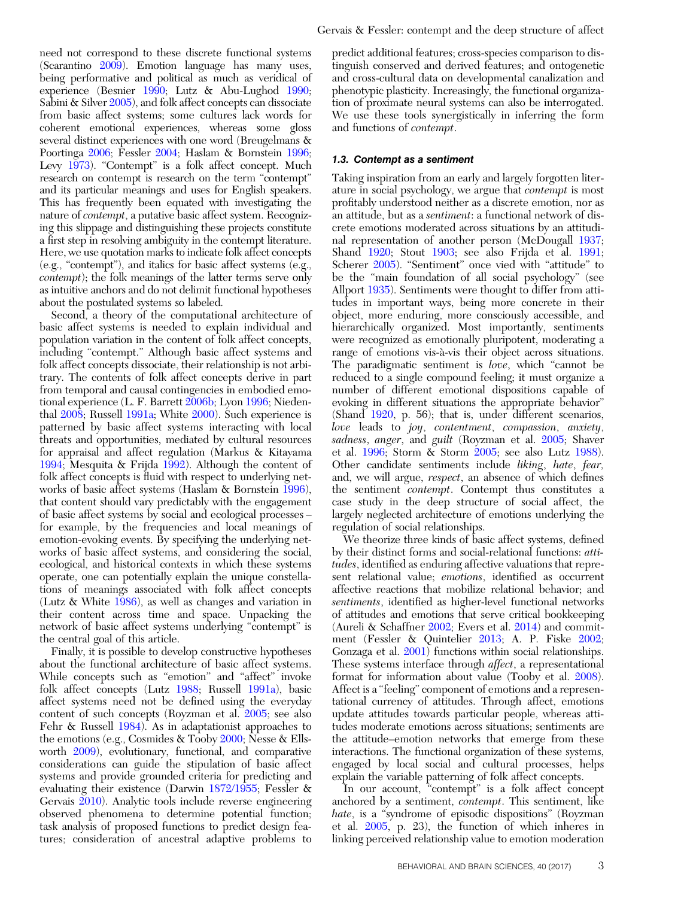need not correspond to these discrete functional systems (Scarantino [2009\)](#page-59-0). Emotion language has many uses, being performative and political as much as veridical of experience (Besnier [1990;](#page-51-0) Lutz & Abu-Lughod [1990](#page-57-0); Sabini & Silver [2005](#page-59-0)), and folk affect concepts can dissociate from basic affect systems; some cultures lack words for coherent emotional experiences, whereas some gloss several distinct experiences with one word (Breugelmans & Poortinga [2006](#page-52-0); Fessler [2004;](#page-54-0) Haslam & Bornstein [1996](#page-55-0); Levy [1973](#page-57-0)). "Contempt" is a folk affect concept. Much research on contempt is research on the term "contempt" and its particular meanings and uses for English speakers. This has frequently been equated with investigating the nature of *contempt*, a putative basic affect system. Recognizing this slippage and distinguishing these projects constitute a first step in resolving ambiguity in the contempt literature. Here, we use quotation marks to indicate folk affect concepts (e.g., "contempt"), and italics for basic affect systems (e.g., contempt); the folk meanings of the latter terms serve only as intuitive anchors and do not delimit functional hypotheses about the postulated systems so labeled.

Second, a theory of the computational architecture of basic affect systems is needed to explain individual and population variation in the content of folk affect concepts, including "contempt." Although basic affect systems and folk affect concepts dissociate, their relationship is not arbitrary. The contents of folk affect concepts derive in part from temporal and causal contingencies in embodied emotional experience (L. F. Barrett [2006b;](#page-51-0) Lyon [1996;](#page-57-0) Niedenthal [2008](#page-58-0); Russell [1991a;](#page-59-0) White [2000](#page-61-0)). Such experience is patterned by basic affect systems interacting with local threats and opportunities, mediated by cultural resources for appraisal and affect regulation (Markus & Kitayama [1994;](#page-57-0) Mesquita & Frijda [1992\)](#page-58-0). Although the content of folk affect concepts is fluid with respect to underlying networks of basic affect systems (Haslam & Bornstein [1996](#page-55-0)), that content should vary predictably with the engagement of basic affect systems by social and ecological processes – for example, by the frequencies and local meanings of emotion-evoking events. By specifying the underlying networks of basic affect systems, and considering the social, ecological, and historical contexts in which these systems operate, one can potentially explain the unique constellations of meanings associated with folk affect concepts (Lutz & White [1986\)](#page-57-0), as well as changes and variation in their content across time and space. Unpacking the network of basic affect systems underlying "contempt" is the central goal of this article.

Finally, it is possible to develop constructive hypotheses about the functional architecture of basic affect systems. While concepts such as "emotion" and "affect" invoke folk affect concepts (Lutz [1988](#page-57-0); Russell [1991a](#page-59-0)), basic affect systems need not be defined using the everyday content of such concepts (Royzman et al. [2005;](#page-59-0) see also Fehr & Russell [1984](#page-54-0)). As in adaptationist approaches to the emotions (e.g., Cosmides & Tooby [2000](#page-52-0); Nesse & Ellsworth [2009\)](#page-58-0), evolutionary, functional, and comparative considerations can guide the stipulation of basic affect systems and provide grounded criteria for predicting and evaluating their existence (Darwin [1872/1955;](#page-53-0) Fessler & Gervais [2010\)](#page-54-0). Analytic tools include reverse engineering observed phenomena to determine potential function; task analysis of proposed functions to predict design features; consideration of ancestral adaptive problems to

predict additional features; cross-species comparison to distinguish conserved and derived features; and ontogenetic and cross-cultural data on developmental canalization and phenotypic plasticity. Increasingly, the functional organization of proximate neural systems can also be interrogated. We use these tools synergistically in inferring the form and functions of contempt.

## 1.3. Contempt as a sentiment

Taking inspiration from an early and largely forgotten literature in social psychology, we argue that contempt is most profitably understood neither as a discrete emotion, nor as an attitude, but as a sentiment: a functional network of discrete emotions moderated across situations by an attitudinal representation of another person (McDougall [1937](#page-57-0); Shand [1920;](#page-59-0) Stout [1903](#page-60-0); see also Frijda et al. [1991](#page-54-0); Scherer [2005](#page-59-0)). "Sentiment" once vied with "attitude" to be the "main foundation of all social psychology" (see Allport [1935](#page-50-0)). Sentiments were thought to differ from attitudes in important ways, being more concrete in their object, more enduring, more consciously accessible, and hierarchically organized. Most importantly, sentiments were recognized as emotionally pluripotent, moderating a range of emotions vis-à-vis their object across situations. The paradigmatic sentiment is *love*, which "cannot be reduced to a single compound feeling; it must organize a number of different emotional dispositions capable of evoking in different situations the appropriate behavior" (Shand [1920,](#page-59-0) p. 56); that is, under different scenarios, love leads to joy, contentment, compassion, anxiety, sadness, anger, and guilt (Royzman et al. [2005;](#page-59-0) Shaver et al. [1996;](#page-59-0) Storm & Storm [2005](#page-60-0); see also Lutz [1988](#page-57-0)). Other candidate sentiments include liking, hate, fear, and, we will argue, respect, an absence of which defines the sentiment *contempt*. Contempt thus constitutes a case study in the deep structure of social affect, the largely neglected architecture of emotions underlying the regulation of social relationships.

We theorize three kinds of basic affect systems, defined by their distinct forms and social-relational functions: attitudes, identified as enduring affective valuations that represent relational value; emotions, identified as occurrent affective reactions that mobilize relational behavior; and sentiments, identified as higher-level functional networks of attitudes and emotions that serve critical bookkeeping (Aureli & Schaffner [2002;](#page-51-0) Evers et al. [2014\)](#page-53-0) and commitment (Fessler & Quintelier [2013;](#page-54-0) A. P. Fiske [2002](#page-54-0); Gonzaga et al. [2001](#page-54-0)) functions within social relationships. These systems interface through affect, a representational format for information about value (Tooby et al. [2008](#page-61-0)). Affect is a "feeling" component of emotions and a representational currency of attitudes. Through affect, emotions update attitudes towards particular people, whereas attitudes moderate emotions across situations; sentiments are the attitude–emotion networks that emerge from these interactions. The functional organization of these systems, engaged by local social and cultural processes, helps explain the variable patterning of folk affect concepts.

In our account, "contempt" is a folk affect concept anchored by a sentiment, contempt. This sentiment, like hate, is a "syndrome of episodic dispositions" (Royzman et al. [2005](#page-59-0), p. 23), the function of which inheres in linking perceived relationship value to emotion moderation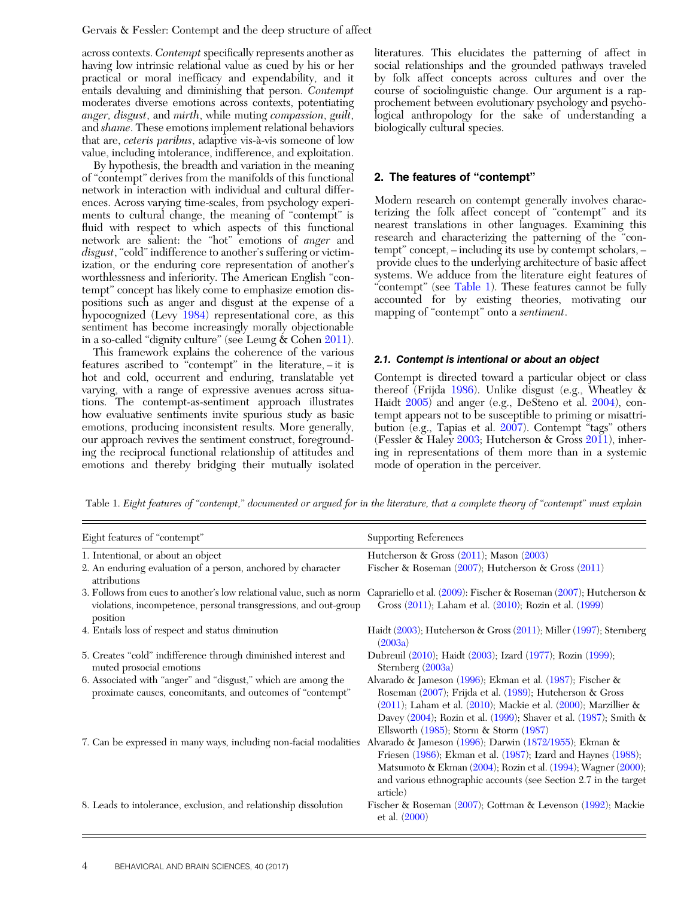<span id="page-3-0"></span>across contexts. Contempt specifically represents another as having low intrinsic relational value as cued by his or her practical or moral inefficacy and expendability, and it entails devaluing and diminishing that person. Contempt moderates diverse emotions across contexts, potentiating anger, disgust, and mirth, while muting compassion, guilt, and shame. These emotions implement relational behaviors that are, ceteris paribus, adaptive vis-à-vis someone of low value, including intolerance, indifference, and exploitation.

By hypothesis, the breadth and variation in the meaning of "contempt" derives from the manifolds of this functional network in interaction with individual and cultural differences. Across varying time-scales, from psychology experiments to cultural change, the meaning of "contempt" is fluid with respect to which aspects of this functional network are salient: the "hot" emotions of anger and disgust, "cold" indifference to another's suffering or victimization, or the enduring core representation of another's worthlessness and inferiority. The American English "contempt" concept has likely come to emphasize emotion dispositions such as anger and disgust at the expense of a hypocognized (Levy [1984](#page-57-0)) representational core, as this sentiment has become increasingly morally objectionable in a so-called "dignity culture" (see Leung & Cohen [2011\)](#page-57-0).

This framework explains the coherence of the various features ascribed to "contempt" in the literature, – it is hot and cold, occurrent and enduring, translatable yet varying, with a range of expressive avenues across situations. The contempt-as-sentiment approach illustrates how evaluative sentiments invite spurious study as basic emotions, producing inconsistent results. More generally, our approach revives the sentiment construct, foregrounding the reciprocal functional relationship of attitudes and emotions and thereby bridging their mutually isolated literatures. This elucidates the patterning of affect in social relationships and the grounded pathways traveled by folk affect concepts across cultures and over the course of sociolinguistic change. Our argument is a rapprochement between evolutionary psychology and psychological anthropology for the sake of understanding a biologically cultural species.

## 2. The features of "contempt"

Modern research on contempt generally involves characterizing the folk affect concept of "contempt" and its nearest translations in other languages. Examining this research and characterizing the patterning of the "contempt" concept, – including its use by contempt scholars, – provide clues to the underlying architecture of basic affect systems. We adduce from the literature eight features of "contempt" (see Table 1). These features cannot be fully accounted for by existing theories, motivating our mapping of "contempt" onto a sentiment.

#### 2.1. Contempt is intentional or about an object

Contempt is directed toward a particular object or class thereof (Frijda [1986\)](#page-54-0). Unlike disgust (e.g., Wheatley & Haidt [2005\)](#page-61-0) and anger (e.g., DeSteno et al. [2004](#page-53-0)), contempt appears not to be susceptible to priming or misattribution (e.g., Tapias et al. [2007](#page-61-0)). Contempt "tags" others (Fessler & Haley [2003](#page-54-0); Hutcherson & Gross [2011\)](#page-56-0), inhering in representations of them more than in a systemic mode of operation in the perceiver.

Table 1. Eight features of "contempt," documented or argued for in the literature, that a complete theory of "contempt" must explain

| Eight features of "contempt"                                                                                                                         | <b>Supporting References</b>                                                                                                                                                                                                                                                                                         |
|------------------------------------------------------------------------------------------------------------------------------------------------------|----------------------------------------------------------------------------------------------------------------------------------------------------------------------------------------------------------------------------------------------------------------------------------------------------------------------|
| 1. Intentional, or about an object                                                                                                                   | Hutcherson & Gross $(2011)$ ; Mason $(2003)$                                                                                                                                                                                                                                                                         |
| 2. An enduring evaluation of a person, anchored by character<br>attributions                                                                         | Fischer & Roseman $(2007)$ ; Hutcherson & Gross $(2011)$                                                                                                                                                                                                                                                             |
| 3. Follows from cues to another's low relational value, such as norm<br>violations, incompetence, personal transgressions, and out-group<br>position | Caprariello et al. (2009): Fischer & Roseman (2007); Hutcherson &<br>Gross (2011); Laham et al. (2010); Rozin et al. (1999)                                                                                                                                                                                          |
| 4. Entails loss of respect and status diminution                                                                                                     | Haidt (2003); Hutcherson & Gross (2011); Miller (1997); Sternberg<br>(2003a)                                                                                                                                                                                                                                         |
| 5. Creates "cold" indifference through diminished interest and<br>muted prosocial emotions                                                           | Dubreuil (2010); Haidt (2003); Izard (1977); Rozin (1999);<br>Sternberg (2003a)                                                                                                                                                                                                                                      |
| 6. Associated with "anger" and "disgust," which are among the<br>proximate causes, concomitants, and outcomes of "contempt"                          | Alvarado & Jameson (1996); Ekman et al. (1987); Fischer &<br>Roseman (2007); Frijda et al. (1989); Hutcherson & Gross<br>$(2011)$ ; Laham et al. $(2010)$ ; Mackie et al. $(2000)$ ; Marzillier &<br>Davey (2004); Rozin et al. (1999); Shaver et al. (1987); Smith &<br>Ellsworth $(1985)$ ; Storm & Storm $(1987)$ |
| 7. Can be expressed in many ways, including non-facial modalities                                                                                    | Alvarado & Jameson (1996); Darwin (1872/1955); Ekman &<br>Friesen (1986); Ekman et al. (1987); Izard and Haynes (1988);<br>Matsumoto & Ekman (2004); Rozin et al. (1994); Wagner (2000);<br>and various ethnographic accounts (see Section 2.7 in the target<br>article)                                             |
| 8. Leads to intolerance, exclusion, and relationship dissolution                                                                                     | Fischer & Roseman (2007); Gottman & Levenson (1992); Mackie<br>et al. $(2000)$                                                                                                                                                                                                                                       |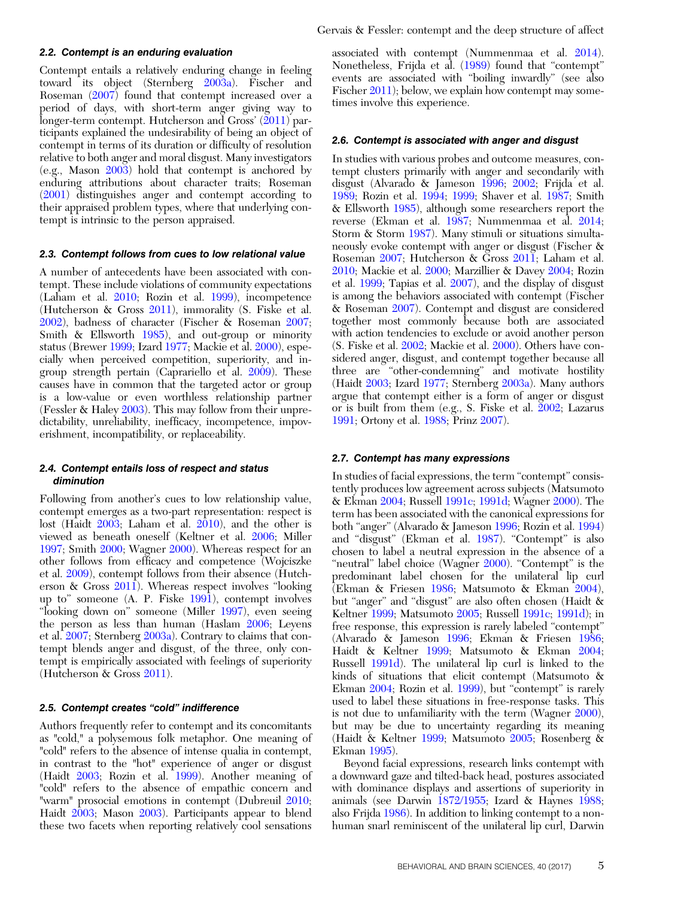#### 2.2. Contempt is an enduring evaluation

Contempt entails a relatively enduring change in feeling toward its object (Sternberg [2003a](#page-60-0)). Fischer and Roseman [\(2007](#page-54-0)) found that contempt increased over a period of days, with short-term anger giving way to longer-term contempt. Hutcherson and Gross' [\(2011](#page-56-0)) participants explained the undesirability of being an object of contempt in terms of its duration or difficulty of resolution relative to both anger and moral disgust. Many investigators (e.g., Mason [2003](#page-57-0)) hold that contempt is anchored by enduring attributions about character traits; Roseman [\(2001](#page-59-0)) distinguishes anger and contempt according to their appraised problem types, where that underlying contempt is intrinsic to the person appraised.

#### 2.3. Contempt follows from cues to low relational value

A number of antecedents have been associated with contempt. These include violations of community expectations (Laham et al. [2010;](#page-56-0) Rozin et al. [1999\)](#page-59-0), incompetence (Hutcherson & Gross [2011\)](#page-56-0), immorality (S. Fiske et al. [2002\)](#page-54-0), badness of character (Fischer & Roseman [2007](#page-54-0); Smith & Ellsworth [1985](#page-60-0)), and out-group or minority status (Brewer [1999;](#page-52-0) Izard [1977](#page-56-0); Mackie et al. [2000](#page-57-0)), especially when perceived competition, superiority, and ingroup strength pertain (Caprariello et al. [2009](#page-52-0)). These causes have in common that the targeted actor or group is a low-value or even worthless relationship partner (Fessler & Haley [2003](#page-54-0)). This may follow from their unpredictability, unreliability, inefficacy, incompetence, impoverishment, incompatibility, or replaceability.

## 2.4. Contempt entails loss of respect and status diminution

Following from another's cues to low relationship value, contempt emerges as a two-part representation: respect is lost (Haidt [2003;](#page-55-0) Laham et al. [2010\)](#page-56-0), and the other is viewed as beneath oneself (Keltner et al. [2006](#page-56-0); Miller [1997;](#page-58-0) Smith [2000](#page-60-0); Wagner [2000](#page-61-0)). Whereas respect for an other follows from efficacy and competence (Wojciszke et al. [2009](#page-61-0)), contempt follows from their absence (Hutcherson & Gross [2011\)](#page-56-0). Whereas respect involves "looking up to" someone (A. P. Fiske [1991](#page-54-0)), contempt involves "looking down on" someone (Miller [1997](#page-58-0)), even seeing the person as less than human (Haslam [2006;](#page-55-0) Leyens et al. [2007;](#page-57-0) Sternberg [2003a](#page-60-0)). Contrary to claims that contempt blends anger and disgust, of the three, only contempt is empirically associated with feelings of superiority (Hutcherson & Gross [2011\)](#page-56-0).

#### 2.5. Contempt creates "cold" indifference

Authors frequently refer to contempt and its concomitants as "cold," a polysemous folk metaphor. One meaning of "cold" refers to the absence of intense qualia in contempt, in contrast to the "hot" experience of anger or disgust (Haidt [2003;](#page-55-0) Rozin et al. [1999\)](#page-59-0). Another meaning of "cold" refers to the absence of empathic concern and "warm" prosocial emotions in contempt (Dubreuil [2010](#page-53-0); Haidt [2003](#page-55-0); Mason [2003\)](#page-57-0). Participants appear to blend these two facets when reporting relatively cool sensations associated with contempt (Nummenmaa et al. [2014](#page-58-0)). Nonetheless, Frijda et al. [\(1989](#page-54-0)) found that "contempt" events are associated with "boiling inwardly" (see also Fischer [2011](#page-54-0)); below, we explain how contempt may sometimes involve this experience.

#### 2.6. Contempt is associated with anger and disgust

In studies with various probes and outcome measures, contempt clusters primarily with anger and secondarily with disgust (Alvarado & Jameson [1996](#page-50-0); [2002](#page-50-0); Frijda et al. [1989](#page-54-0); Rozin et al. [1994](#page-59-0); [1999;](#page-59-0) Shaver et al. [1987](#page-59-0); Smith & Ellsworth [1985\)](#page-60-0), although some researchers report the reverse (Ekman et al. [1987;](#page-53-0) Nummenmaa et al. [2014](#page-58-0); Storm & Storm [1987](#page-60-0)). Many stimuli or situations simultaneously evoke contempt with anger or disgust (Fischer & Roseman [2007;](#page-54-0) Hutcherson & Gross [2011;](#page-56-0) Laham et al. [2010;](#page-56-0) Mackie et al. [2000](#page-57-0); Marzillier & Davey [2004;](#page-57-0) Rozin et al. [1999](#page-59-0); Tapias et al. [2007](#page-61-0)), and the display of disgust is among the behaviors associated with contempt (Fischer & Roseman [2007](#page-54-0)). Contempt and disgust are considered together most commonly because both are associated with action tendencies to exclude or avoid another person (S. Fiske et al. [2002](#page-54-0); Mackie et al. [2000\)](#page-57-0). Others have considered anger, disgust, and contempt together because all three are "other-condemning" and motivate hostility (Haidt [2003;](#page-55-0) Izard [1977](#page-56-0); Sternberg [2003a](#page-60-0)). Many authors argue that contempt either is a form of anger or disgust or is built from them (e.g., S. Fiske et al. [2002;](#page-54-0) Lazarus [1991;](#page-56-0) Ortony et al. [1988;](#page-58-0) Prinz [2007\)](#page-58-0).

#### 2.7. Contempt has many expressions

In studies of facial expressions, the term "contempt" consistently produces low agreement across subjects (Matsumoto & Ekman [2004;](#page-57-0) Russell [1991c](#page-59-0); [1991d;](#page-59-0) Wagner [2000](#page-61-0)). The term has been associated with the canonical expressions for both "anger" (Alvarado & Jameson [1996](#page-50-0); Rozin et al. [1994\)](#page-59-0) and "disgust" (Ekman et al. [1987](#page-53-0)). "Contempt" is also chosen to label a neutral expression in the absence of a "neutral" label choice (Wagner [2000\)](#page-61-0). "Contempt" is the predominant label chosen for the unilateral lip curl (Ekman & Friesen [1986](#page-53-0); Matsumoto & Ekman [2004](#page-57-0)), but "anger" and "disgust" are also often chosen (Haidt & Keltner [1999](#page-55-0); Matsumoto [2005;](#page-57-0) Russell [1991c](#page-59-0); [1991d](#page-59-0)); in free response, this expression is rarely labeled "contempt" (Alvarado & Jameson [1996](#page-50-0); Ekman & Friesen [1986](#page-53-0); Haidt & Keltner [1999](#page-55-0); Matsumoto & Ekman [2004](#page-57-0); Russell [1991d\)](#page-59-0). The unilateral lip curl is linked to the kinds of situations that elicit contempt (Matsumoto & Ekman [2004](#page-57-0); Rozin et al. [1999](#page-59-0)), but "contempt" is rarely used to label these situations in free-response tasks. This is not due to unfamiliarity with the term (Wagner [2000](#page-61-0)), but may be due to uncertainty regarding its meaning (Haidt & Keltner [1999;](#page-55-0) Matsumoto [2005;](#page-57-0) Rosenberg & Ekman [1995\)](#page-59-0).

Beyond facial expressions, research links contempt with a downward gaze and tilted-back head, postures associated with dominance displays and assertions of superiority in animals (see Darwin [1872/1955;](#page-53-0) Izard & Haynes [1988](#page-56-0); also Frijda [1986](#page-54-0)). In addition to linking contempt to a nonhuman snarl reminiscent of the unilateral lip curl, Darwin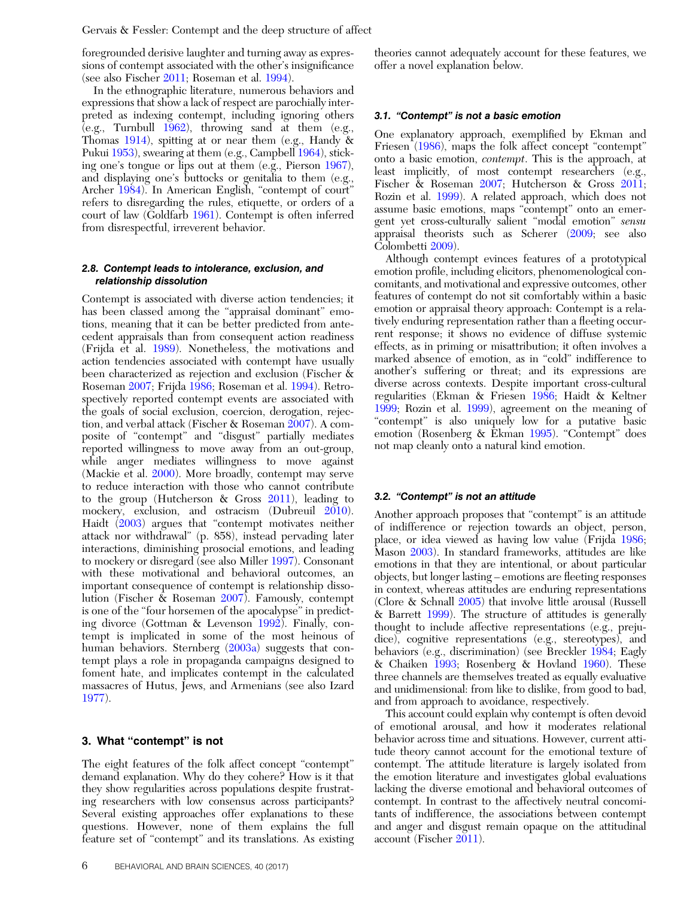foregrounded derisive laughter and turning away as expressions of contempt associated with the other's insignificance (see also Fischer [2011](#page-54-0); Roseman et al. [1994\)](#page-59-0).

In the ethnographic literature, numerous behaviors and expressions that show a lack of respect are parochially interpreted as indexing contempt, including ignoring others (e.g., Turnbull  $1962$ ), throwing sand at them (e.g., Thomas [1914](#page-61-0)), spitting at or near them (e.g., Handy & Pukui [1953](#page-55-0)), swearing at them (e.g., Campbell [1964\)](#page-52-0), sticking one's tongue or lips out at them (e.g., Pierson [1967\)](#page-58-0), and displaying one's buttocks or genitalia to them (e.g., Archer [1984](#page-51-0)). In American English, "contempt of court" refers to disregarding the rules, etiquette, or orders of a court of law (Goldfarb [1961\)](#page-54-0). Contempt is often inferred from disrespectful, irreverent behavior.

## 2.8. Contempt leads to intolerance, exclusion, and relationship dissolution

Contempt is associated with diverse action tendencies; it has been classed among the "appraisal dominant" emotions, meaning that it can be better predicted from antecedent appraisals than from consequent action readiness (Frijda et al. [1989\)](#page-54-0). Nonetheless, the motivations and action tendencies associated with contempt have usually been characterized as rejection and exclusion (Fischer & Roseman [2007;](#page-54-0) Frijda [1986](#page-54-0); Roseman et al. [1994\)](#page-59-0). Retrospectively reported contempt events are associated with the goals of social exclusion, coercion, derogation, rejection, and verbal attack (Fischer & Roseman [2007\)](#page-54-0). A composite of "contempt" and "disgust" partially mediates reported willingness to move away from an out-group, while anger mediates willingness to move against (Mackie et al. [2000](#page-57-0)). More broadly, contempt may serve to reduce interaction with those who cannot contribute to the group (Hutcherson & Gross [2011\)](#page-56-0), leading to mockery, exclusion, and ostracism (Dubreuil [2010](#page-53-0)). Haidt ([2003](#page-55-0)) argues that "contempt motivates neither attack nor withdrawal" (p. 858), instead pervading later interactions, diminishing prosocial emotions, and leading to mockery or disregard (see also Miller [1997](#page-58-0)). Consonant with these motivational and behavioral outcomes, an important consequence of contempt is relationship dissolution (Fischer & Roseman [2007](#page-54-0)). Famously, contempt is one of the "four horsemen of the apocalypse" in predicting divorce (Gottman & Levenson [1992\)](#page-55-0). Finally, contempt is implicated in some of the most heinous of human behaviors. Sternberg ([2003a](#page-60-0)) suggests that contempt plays a role in propaganda campaigns designed to foment hate, and implicates contempt in the calculated massacres of Hutus, Jews, and Armenians (see also Izard [1977](#page-56-0)).

## 3. What "contempt" is not

The eight features of the folk affect concept "contempt" demand explanation. Why do they cohere? How is it that they show regularities across populations despite frustrating researchers with low consensus across participants? Several existing approaches offer explanations to these questions. However, none of them explains the full feature set of "contempt" and its translations. As existing

theories cannot adequately account for these features, we offer a novel explanation below.

#### 3.1. "Contempt" is not a basic emotion

One explanatory approach, exemplified by Ekman and Friesen ([1986\)](#page-53-0), maps the folk affect concept "contempt" onto a basic emotion, contempt. This is the approach, at least implicitly, of most contempt researchers (e.g., Fischer & Roseman [2007](#page-54-0); Hutcherson & Gross [2011;](#page-56-0) Rozin et al. [1999](#page-59-0)). A related approach, which does not assume basic emotions, maps "contempt" onto an emergent yet cross-culturally salient "modal emotion" sensu appraisal theorists such as Scherer ([2009;](#page-59-0) see also Colombetti [2009\)](#page-52-0).

Although contempt evinces features of a prototypical emotion profile, including elicitors, phenomenological concomitants, and motivational and expressive outcomes, other features of contempt do not sit comfortably within a basic emotion or appraisal theory approach: Contempt is a relatively enduring representation rather than a fleeting occurrent response; it shows no evidence of diffuse systemic effects, as in priming or misattribution; it often involves a marked absence of emotion, as in "cold" indifference to another's suffering or threat; and its expressions are diverse across contexts. Despite important cross-cultural regularities (Ekman & Friesen [1986](#page-53-0); Haidt & Keltner [1999](#page-55-0); Rozin et al. [1999\)](#page-59-0), agreement on the meaning of "contempt" is also uniquely low for a putative basic emotion (Rosenberg & Ekman [1995](#page-59-0)). "Contempt" does not map cleanly onto a natural kind emotion.

#### 3.2. "Contempt" is not an attitude

Another approach proposes that "contempt" is an attitude of indifference or rejection towards an object, person, place, or idea viewed as having low value (Frijda [1986;](#page-54-0) Mason [2003\)](#page-57-0). In standard frameworks, attitudes are like emotions in that they are intentional, or about particular objects, but longer lasting – emotions are fleeting responses in context, whereas attitudes are enduring representations (Clore & Schnall [2005](#page-52-0)) that involve little arousal (Russell & Barrett [1999\)](#page-59-0). The structure of attitudes is generally thought to include affective representations (e.g., prejudice), cognitive representations (e.g., stereotypes), and behaviors (e.g., discrimination) (see Breckler [1984](#page-52-0); Eagly & Chaiken [1993;](#page-53-0) Rosenberg & Hovland [1960](#page-59-0)). These three channels are themselves treated as equally evaluative and unidimensional: from like to dislike, from good to bad, and from approach to avoidance, respectively.

This account could explain why contempt is often devoid of emotional arousal, and how it moderates relational behavior across time and situations. However, current attitude theory cannot account for the emotional texture of contempt. The attitude literature is largely isolated from the emotion literature and investigates global evaluations lacking the diverse emotional and behavioral outcomes of contempt. In contrast to the affectively neutral concomitants of indifference, the associations between contempt and anger and disgust remain opaque on the attitudinal account (Fischer [2011](#page-54-0)).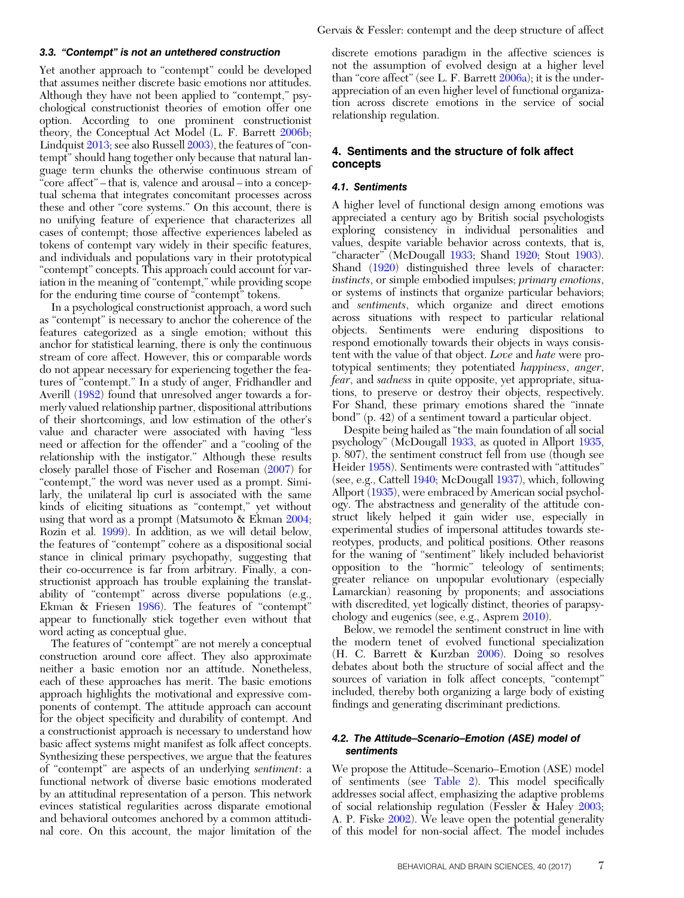#### 3.3. "Contempt" is not an untethered construction

Yet another approach to "contempt" could be developed that assumes neither discrete basic emotions nor attitudes. Although they have not been applied to "contempt," psychological constructionist theories of emotion offer one option. According to one prominent constructionist theory, the Conceptual Act Model (L. F. Barrett [2006b](#page-51-0); Lindquist [2013;](#page-57-0) see also Russell [2003](#page-59-0)), the features of "contempt" should hang together only because that natural language term chunks the otherwise continuous stream of "core affect" – that is, valence and arousal – into a conceptual schema that integrates concomitant processes across these and other "core systems." On this account, there is no unifying feature of experience that characterizes all cases of contempt; those affective experiences labeled as tokens of contempt vary widely in their specific features, and individuals and populations vary in their prototypical "contempt" concepts. This approach could account for variation in the meaning of "contempt," while providing scope for the enduring time course of "contempt" tokens.

In a psychological constructionist approach, a word such as "contempt" is necessary to anchor the coherence of the features categorized as a single emotion; without this anchor for statistical learning, there is only the continuous stream of core affect. However, this or comparable words do not appear necessary for experiencing together the features of "contempt." In a study of anger, Fridhandler and Averill [\(1982](#page-54-0)) found that unresolved anger towards a formerly valued relationship partner, dispositional attributions of their shortcomings, and low estimation of the other's value and character were associated with having "less need or affection for the offender" and a "cooling of the relationship with the instigator." Although these results closely parallel those of Fischer and Roseman [\(2007](#page-54-0)) for "contempt," the word was never used as a prompt. Similarly, the unilateral lip curl is associated with the same kinds of eliciting situations as "contempt," yet without using that word as a prompt (Matsumoto & Ekman [2004](#page-57-0); Rozin et al. [1999](#page-59-0)). In addition, as we will detail below, the features of "contempt" cohere as a dispositional social stance in clinical primary psychopathy, suggesting that their co-occurrence is far from arbitrary. Finally, a constructionist approach has trouble explaining the translatability of "contempt" across diverse populations (e.g., Ekman & Friesen [1986](#page-53-0)). The features of "contempt" appear to functionally stick together even without that word acting as conceptual glue.

The features of "contempt" are not merely a conceptual construction around core affect. They also approximate neither a basic emotion nor an attitude. Nonetheless, each of these approaches has merit. The basic emotions approach highlights the motivational and expressive components of contempt. The attitude approach can account for the object specificity and durability of contempt. And a constructionist approach is necessary to understand how basic affect systems might manifest as folk affect concepts. Synthesizing these perspectives, we argue that the features of "contempt" are aspects of an underlying sentiment: a functional network of diverse basic emotions moderated by an attitudinal representation of a person. This network evinces statistical regularities across disparate emotional and behavioral outcomes anchored by a common attitudinal core. On this account, the major limitation of the discrete emotions paradigm in the affective sciences is not the assumption of evolved design at a higher level than "core affect" (see L. F. Barrett [2006a\)](#page-51-0); it is the underappreciation of an even higher level of functional organization across discrete emotions in the service of social relationship regulation.

## 4. Sentiments and the structure of folk affect concepts

#### 4.1. Sentiments

A higher level of functional design among emotions was appreciated a century ago by British social psychologists exploring consistency in individual personalities and values, despite variable behavior across contexts, that is, "character" (McDougall [1933](#page-57-0); Shand [1920](#page-59-0); Stout [1903](#page-60-0)). Shand ([1920\)](#page-59-0) distinguished three levels of character: instincts, or simple embodied impulses; *primary emotions*, or systems of instincts that organize particular behaviors; and sentiments, which organize and direct emotions across situations with respect to particular relational objects. Sentiments were enduring dispositions to respond emotionally towards their objects in ways consistent with the value of that object. Love and hate were prototypical sentiments; they potentiated happiness, anger, fear, and sadness in quite opposite, yet appropriate, situations, to preserve or destroy their objects, respectively. For Shand, these primary emotions shared the "innate bond" (p. 42) of a sentiment toward a particular object.

Despite being hailed as "the main foundation of all social psychology" (McDougall [1933,](#page-57-0) as quoted in Allport [1935](#page-50-0), p. 807), the sentiment construct fell from use (though see Heider [1958\)](#page-55-0). Sentiments were contrasted with "attitudes" (see, e.g., Cattell [1940](#page-52-0); McDougall [1937\)](#page-57-0), which, following Allport [\(1935](#page-50-0)), were embraced by American social psychology. The abstractness and generality of the attitude construct likely helped it gain wider use, especially in experimental studies of impersonal attitudes towards stereotypes, products, and political positions. Other reasons for the waning of "sentiment" likely included behaviorist opposition to the "hormic" teleology of sentiments; greater reliance on unpopular evolutionary (especially Lamarckian) reasoning  $\bar{b}y$  proponents; and associations with discredited, yet logically distinct, theories of parapsychology and eugenics (see, e.g., Asprem [2010](#page-51-0)).

Below, we remodel the sentiment construct in line with the modern tenet of evolved functional specialization (H. C. Barrett & Kurzban [2006\)](#page-51-0). Doing so resolves debates about both the structure of social affect and the sources of variation in folk affect concepts, "contempt" included, thereby both organizing a large body of existing findings and generating discriminant predictions.

#### 4.2. The Attitude–Scenario–Emotion (ASE) model of sentiments

We propose the Attitude–Scenario–Emotion (ASE) model of sentiments (see [Table 2\)](#page-7-0). This model specifically addresses social affect, emphasizing the adaptive problems of social relationship regulation (Fessler & Haley [2003](#page-54-0); A. P. Fiske [2002](#page-54-0)). We leave open the potential generality of this model for non-social affect. The model includes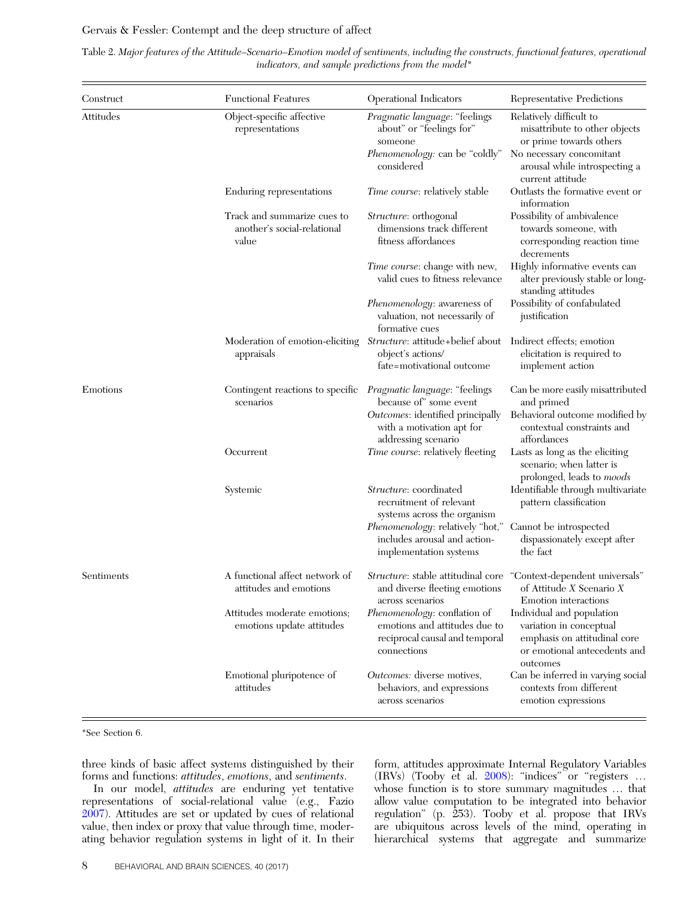## <span id="page-7-0"></span>Gervais & Fessler: Contempt and the deep structure of affect

| Construct  | <b>Functional Features</b>                                          | Operational Indicators                                                                                         | Representative Predictions                                                                                                       |  |
|------------|---------------------------------------------------------------------|----------------------------------------------------------------------------------------------------------------|----------------------------------------------------------------------------------------------------------------------------------|--|
| Attitudes  | Object-specific affective<br>representations                        | Pragmatic language: "feelings<br>about" or "feelings for"<br>someone                                           | Relatively difficult to<br>misattribute to other objects<br>or prime towards others                                              |  |
|            |                                                                     | Phenomenology: can be "coldly"<br>considered                                                                   | No necessary concomitant<br>arousal while introspecting a<br>current attitude                                                    |  |
|            | Enduring representations                                            | <i>Time course:</i> relatively stable                                                                          | Outlasts the formative event or<br>information                                                                                   |  |
|            | Track and summarize cues to<br>another's social-relational<br>value | <i>Structure:</i> orthogonal<br>dimensions track different<br>fitness affordances                              | Possibility of ambivalence<br>towards someone, with<br>corresponding reaction time<br>decrements                                 |  |
|            |                                                                     | Time course: change with new,<br>valid cues to fitness relevance                                               | Highly informative events can<br>alter previously stable or long-<br>standing attitudes                                          |  |
|            |                                                                     | <i>Phenomenology:</i> awareness of<br>valuation, not necessarily of<br>formative cues                          | Possibility of confabulated<br>justification                                                                                     |  |
|            | Moderation of emotion-eliciting<br>appraisals                       | Structure: attitude+belief about Indirect effects; emotion<br>object's actions/<br>fate=motivational outcome   | elicitation is required to<br>implement action                                                                                   |  |
| Emotions   | Contingent reactions to specific<br>scenarios                       | Pragmatic language: "feelings<br>because of" some event                                                        | Can be more easily misattributed<br>and primed                                                                                   |  |
|            |                                                                     | Outcomes: identified principally<br>with a motivation apt for<br>addressing scenario                           | Behavioral outcome modified by<br>contextual constraints and<br>affordances                                                      |  |
|            | Occurrent                                                           | Time course: relatively fleeting                                                                               | Lasts as long as the eliciting<br>scenario; when latter is<br>prolonged, leads to moods                                          |  |
|            | Systemic                                                            | Structure: coordinated<br>recruitment of relevant<br>systems across the organism                               | Identifiable through multivariate<br>pattern classification                                                                      |  |
|            |                                                                     | Phenomenology: relatively "hot,"<br>includes arousal and action-<br>implementation systems                     | Cannot be introspected<br>dispassionately except after<br>the fact                                                               |  |
| Sentiments | A functional affect network of<br>attitudes and emotions            | and diverse fleeting emotions<br>across scenarios                                                              | Structure: stable attitudinal core "Context-dependent universals"<br>of Attitude X Scenario X<br>Emotion interactions            |  |
|            | Attitudes moderate emotions;<br>emotions update attitudes           | Phenomenology: conflation of<br>emotions and attitudes due to<br>reciprocal causal and temporal<br>connections | Individual and population<br>variation in conceptual<br>emphasis on attitudinal core<br>or emotional antecedents and<br>outcomes |  |
|            | Emotional pluripotence of<br>attitudes                              | Outcomes: diverse motives,<br>behaviors, and expressions<br>across scenarios                                   | Can be inferred in varying social<br>contexts from different<br>emotion expressions                                              |  |

Table 2. Major features of the Attitude–Scenario–Emotion model of sentiments, including the constructs, functional features, operational indicators, and sample predictions from the model\*

\*See Section 6.

three kinds of basic affect systems distinguished by their forms and functions: attitudes, emotions, and sentiments.

In our model, attitudes are enduring yet tentative representations of social-relational value (e.g., Fazio [2007](#page-54-0)). Attitudes are set or updated by cues of relational value, then index or proxy that value through time, moderating behavior regulation systems in light of it. In their form, attitudes approximate Internal Regulatory Variables (IRVs) (Tooby et al. [2008](#page-61-0)): "indices" or "registers … whose function is to store summary magnitudes … that allow value computation to be integrated into behavior regulation" (p. 253). Tooby et al. propose that IRVs are ubiquitous across levels of the mind, operating in hierarchical systems that aggregate and summarize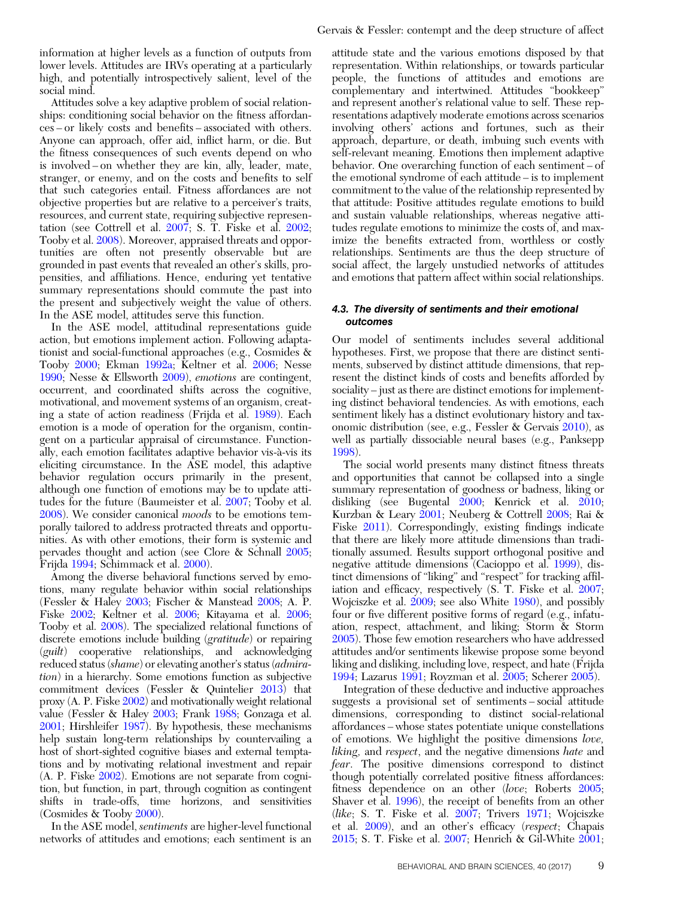information at higher levels as a function of outputs from lower levels. Attitudes are IRVs operating at a particularly high, and potentially introspectively salient, level of the social mind.

Attitudes solve a key adaptive problem of social relationships: conditioning social behavior on the fitness affordances – or likely costs and benefits – associated with others. Anyone can approach, offer aid, inflict harm, or die. But the fitness consequences of such events depend on who is involved – on whether they are kin, ally, leader, mate, stranger, or enemy, and on the costs and benefits to self that such categories entail. Fitness affordances are not objective properties but are relative to a perceiver's traits, resources, and current state, requiring subjective representation (see Cottrell et al.  $200\overline{7}$ ; S. T. Fiske et al.  $2002$ ; Tooby et al. [2008](#page-61-0)). Moreover, appraised threats and opportunities are often not presently observable but are grounded in past events that revealed an other's skills, propensities, and affiliations. Hence, enduring yet tentative summary representations should commute the past into the present and subjectively weight the value of others. In the ASE model, attitudes serve this function.

In the ASE model, attitudinal representations guide action, but emotions implement action. Following adaptationist and social-functional approaches (e.g., Cosmides & Tooby [2000;](#page-52-0) Ekman [1992a](#page-53-0); Keltner et al. [2006;](#page-56-0) Nesse [1990;](#page-58-0) Nesse & Ellsworth [2009](#page-58-0)), emotions are contingent, occurrent, and coordinated shifts across the cognitive, motivational, and movement systems of an organism, creating a state of action readiness (Frijda et al. [1989](#page-54-0)). Each emotion is a mode of operation for the organism, contingent on a particular appraisal of circumstance. Functionally, each emotion facilitates adaptive behavior vis-à-vis its eliciting circumstance. In the ASE model, this adaptive behavior regulation occurs primarily in the present, although one function of emotions may be to update attitudes for the future (Baumeister et al. [2007](#page-51-0); Tooby et al. [2008\)](#page-61-0). We consider canonical moods to be emotions temporally tailored to address protracted threats and opportunities. As with other emotions, their form is systemic and pervades thought and action (see Clore & Schnall [2005](#page-52-0); Frijda [1994;](#page-54-0) Schimmack et al. [2000\)](#page-59-0).

Among the diverse behavioral functions served by emotions, many regulate behavior within social relationships (Fessler & Haley [2003;](#page-54-0) Fischer & Manstead [2008;](#page-54-0) A. P. Fiske [2002;](#page-54-0) Keltner et al. [2006;](#page-56-0) Kitayama et al. [2006](#page-56-0); Tooby et al. [2008\)](#page-61-0). The specialized relational functions of discrete emotions include building (gratitude) or repairing (guilt) cooperative relationships, and acknowledging reduced status (shame) or elevating another's status (admiration) in a hierarchy. Some emotions function as subjective commitment devices (Fessler & Quintelier [2013\)](#page-54-0) that proxy (A. P. Fiske [2002\)](#page-54-0) and motivationally weight relational value (Fessler & Haley [2003;](#page-54-0) Frank [1988;](#page-54-0) Gonzaga et al. [2001;](#page-54-0) Hirshleifer [1987](#page-55-0)). By hypothesis, these mechanisms help sustain long-term relationships by countervailing a host of short-sighted cognitive biases and external temptations and by motivating relational investment and repair (A. P. Fiske [2002\)](#page-54-0). Emotions are not separate from cognition, but function, in part, through cognition as contingent shifts in trade-offs, time horizons, and sensitivities (Cosmides & Tooby [2000](#page-52-0)).

In the ASE model, sentiments are higher-level functional networks of attitudes and emotions; each sentiment is an

attitude state and the various emotions disposed by that representation. Within relationships, or towards particular people, the functions of attitudes and emotions are complementary and intertwined. Attitudes "bookkeep" and represent another's relational value to self. These representations adaptively moderate emotions across scenarios involving others' actions and fortunes, such as their approach, departure, or death, imbuing such events with self-relevant meaning. Emotions then implement adaptive behavior. One overarching function of each sentiment – of the emotional syndrome of each attitude – is to implement commitment to the value of the relationship represented by that attitude: Positive attitudes regulate emotions to build and sustain valuable relationships, whereas negative attitudes regulate emotions to minimize the costs of, and maximize the benefits extracted from, worthless or costly relationships. Sentiments are thus the deep structure of social affect, the largely unstudied networks of attitudes and emotions that pattern affect within social relationships.

## 4.3. The diversity of sentiments and their emotional outcomes

Our model of sentiments includes several additional hypotheses. First, we propose that there are distinct sentiments, subserved by distinct attitude dimensions, that represent the distinct kinds of costs and benefits afforded by sociality – just as there are distinct emotions for implementing distinct behavioral tendencies. As with emotions, each sentiment likely has a distinct evolutionary history and taxonomic distribution (see, e.g., Fessler & Gervais [2010](#page-54-0)), as well as partially dissociable neural bases (e.g., Panksepp [1998\)](#page-58-0).

The social world presents many distinct fitness threats and opportunities that cannot be collapsed into a single summary representation of goodness or badness, liking or disliking (see Bugental [2000](#page-52-0); Kenrick et al. [2010](#page-56-0); Kurzban & Leary [2001;](#page-56-0) Neuberg & Cottrell [2008](#page-58-0); Rai & Fiske [2011](#page-59-0)). Correspondingly, existing findings indicate that there are likely more attitude dimensions than traditionally assumed. Results support orthogonal positive and negative attitude dimensions (Cacioppo et al. [1999\)](#page-52-0), distinct dimensions of "liking" and "respect" for tracking affiliation and efficacy, respectively (S. T. Fiske et al. [2007](#page-54-0); Wojciszke et al. [2009](#page-61-0); see also White [1980\)](#page-61-0), and possibly four or five different positive forms of regard (e.g., infatuation, respect, attachment, and liking; Storm & Storm [2005\)](#page-60-0). Those few emotion researchers who have addressed attitudes and/or sentiments likewise propose some beyond liking and disliking, including love, respect, and hate (Frijda [1994;](#page-54-0) Lazarus [1991;](#page-56-0) Royzman et al. [2005;](#page-59-0) Scherer [2005\)](#page-59-0).

Integration of these deductive and inductive approaches suggests a provisional set of sentiments – social attitude dimensions, corresponding to distinct social-relational affordances – whose states potentiate unique constellations of emotions. We highlight the positive dimensions love, liking, and respect, and the negative dimensions hate and fear. The positive dimensions correspond to distinct though potentially correlated positive fitness affordances: fitness dependence on an other (love; Roberts [2005](#page-59-0); Shaver et al. [1996\)](#page-59-0), the receipt of benefits from an other (like; S. T. Fiske et al. [2007;](#page-54-0) Trivers [1971;](#page-61-0) Wojciszke et al. [2009](#page-61-0)), and an other's efficacy (respect; Chapais [2015](#page-52-0); S. T. Fiske et al. [2007;](#page-54-0) Henrich & Gil-White [2001](#page-55-0);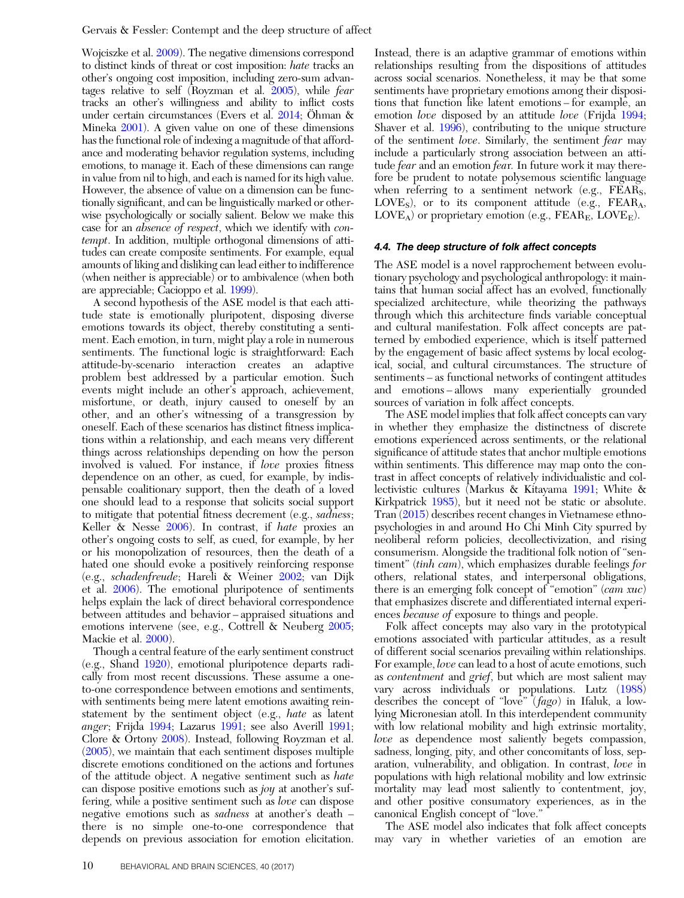Wojciszke et al. [2009\)](#page-61-0). The negative dimensions correspond to distinct kinds of threat or cost imposition: hate tracks an other's ongoing cost imposition, including zero-sum advantages relative to self (Royzman et al. [2005\)](#page-59-0), while fear tracks an other's willingness and ability to inflict costs under certain circumstances (Evers et al. [2014;](#page-53-0) Öhman & Mineka [2001](#page-58-0)). A given value on one of these dimensions has the functional role of indexing a magnitude of that affordance and moderating behavior regulation systems, including emotions, to manage it. Each of these dimensions can range in value from nil to high, and each is named for its high value. However, the absence of value on a dimension can be functionally significant, and can be linguistically marked or otherwise psychologically or socially salient. Below we make this case for an absence of respect, which we identify with contempt. In addition, multiple orthogonal dimensions of attitudes can create composite sentiments. For example, equal amounts of liking and disliking can lead either to indifference (when neither is appreciable) or to ambivalence (when both are appreciable; Cacioppo et al. [1999](#page-52-0)).

A second hypothesis of the ASE model is that each attitude state is emotionally pluripotent, disposing diverse emotions towards its object, thereby constituting a sentiment. Each emotion, in turn, might play a role in numerous sentiments. The functional logic is straightforward: Each attitude-by-scenario interaction creates an adaptive problem best addressed by a particular emotion. Such events might include an other's approach, achievement, misfortune, or death, injury caused to oneself by an other, and an other's witnessing of a transgression by oneself. Each of these scenarios has distinct fitness implications within a relationship, and each means very different things across relationships depending on how the person involved is valued. For instance, if love proxies fitness dependence on an other, as cued, for example, by indispensable coalitionary support, then the death of a loved one should lead to a response that solicits social support to mitigate that potential fitness decrement (e.g., sadness; Keller & Nesse [2006\)](#page-56-0). In contrast, if *hate* proxies an other's ongoing costs to self, as cued, for example, by her or his monopolization of resources, then the death of a hated one should evoke a positively reinforcing response (e.g., schadenfreude; Hareli & Weiner [2002](#page-55-0); van Dijk et al. [2006\)](#page-61-0). The emotional pluripotence of sentiments helps explain the lack of direct behavioral correspondence between attitudes and behavior – appraised situations and emotions intervene (see, e.g., Cottrell & Neuberg [2005;](#page-52-0) Mackie et al. [2000\)](#page-57-0).

Though a central feature of the early sentiment construct (e.g., Shand [1920](#page-59-0)), emotional pluripotence departs radically from most recent discussions. These assume a oneto-one correspondence between emotions and sentiments, with sentiments being mere latent emotions awaiting reinstatement by the sentiment object (e.g., hate as latent anger; Frijda [1994](#page-54-0); Lazarus [1991](#page-56-0); see also Averill [1991;](#page-51-0) Clore & Ortony [2008\)](#page-52-0). Instead, following Royzman et al. ([2005\)](#page-59-0), we maintain that each sentiment disposes multiple discrete emotions conditioned on the actions and fortunes of the attitude object. A negative sentiment such as hate can dispose positive emotions such as joy at another's suffering, while a positive sentiment such as love can dispose negative emotions such as sadness at another's death – there is no simple one-to-one correspondence that depends on previous association for emotion elicitation.

Instead, there is an adaptive grammar of emotions within relationships resulting from the dispositions of attitudes across social scenarios. Nonetheless, it may be that some sentiments have proprietary emotions among their dispositions that function like latent emotions – for example, an emotion *love* disposed by an attitude *love* (Frijda [1994;](#page-54-0) Shaver et al. [1996](#page-59-0)), contributing to the unique structure of the sentiment love. Similarly, the sentiment fear may include a particularly strong association between an attitude *fear* and an emotion *fear*. In future work it may therefore be prudent to notate polysemous scientific language when referring to a sentiment network (e.g., FEAR<sub>S</sub>, LOVE<sub>S</sub>), or to its component attitude (e.g., FEAR<sub>A</sub>,  $LOVE<sub>A</sub>$ ) or proprietary emotion (e.g.,  $FEAR<sub>E</sub>$ ,  $LOVE<sub>E</sub>$ ).

#### 4.4. The deep structure of folk affect concepts

The ASE model is a novel rapprochement between evolutionary psychology and psychological anthropology: it maintains that human social affect has an evolved, functionally specialized architecture, while theorizing the pathways through which this architecture finds variable conceptual and cultural manifestation. Folk affect concepts are patterned by embodied experience, which is itself patterned by the engagement of basic affect systems by local ecological, social, and cultural circumstances. The structure of sentiments – as functional networks of contingent attitudes and emotions – allows many experientially grounded sources of variation in folk affect concepts.

The ASE model implies that folk affect concepts can vary in whether they emphasize the distinctness of discrete emotions experienced across sentiments, or the relational significance of attitude states that anchor multiple emotions within sentiments. This difference may map onto the contrast in affect concepts of relatively individualistic and collectivistic cultures (Markus & Kitayama [1991](#page-57-0); White & Kirkpatrick [1985\)](#page-61-0), but it need not be static or absolute. Tran [\(2015](#page-61-0)) describes recent changes in Vietnamese ethnopsychologies in and around Ho Chi Minh City spurred by neoliberal reform policies, decollectivization, and rising consumerism. Alongside the traditional folk notion of "sentiment" (tinh cam), which emphasizes durable feelings for others, relational states, and interpersonal obligations, there is an emerging folk concept of "emotion" (cam xuc) that emphasizes discrete and differentiated internal experiences because of exposure to things and people.

Folk affect concepts may also vary in the prototypical emotions associated with particular attitudes, as a result of different social scenarios prevailing within relationships. For example, love can lead to a host of acute emotions, such as contentment and grief, but which are most salient may vary across individuals or populations. Lutz [\(1988](#page-57-0)) describes the concept of "love" (fago) in Ifaluk, a lowlying Micronesian atoll. In this interdependent community with low relational mobility and high extrinsic mortality, love as dependence most saliently begets compassion, sadness, longing, pity, and other concomitants of loss, separation, vulnerability, and obligation. In contrast, love in populations with high relational mobility and low extrinsic mortality may lead most saliently to contentment, joy, and other positive consumatory experiences, as in the canonical English concept of "love."

The ASE model also indicates that folk affect concepts may vary in whether varieties of an emotion are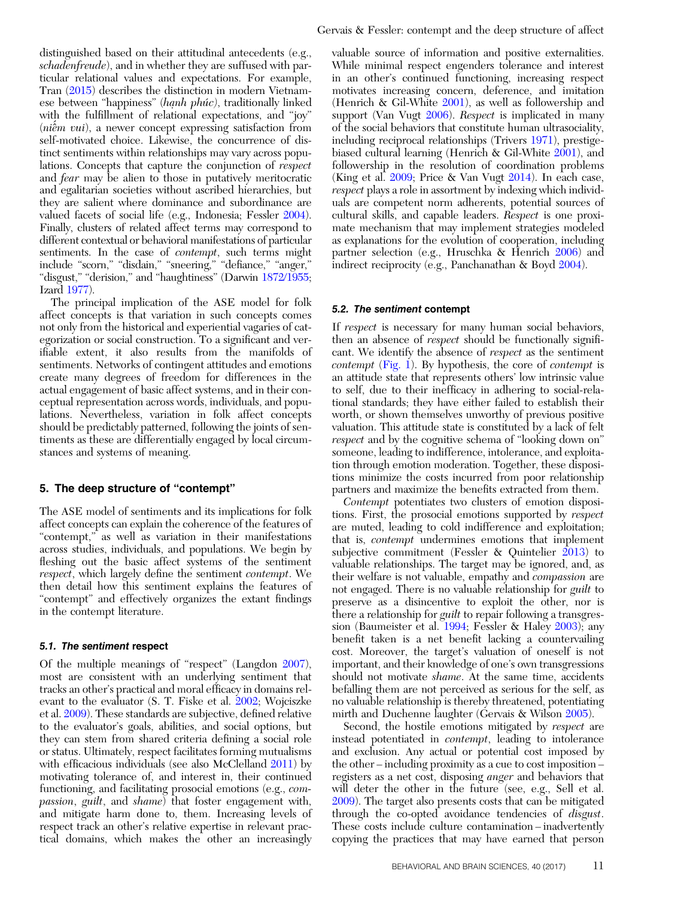distinguished based on their attitudinal antecedents (e.g., schadenfreude), and in whether they are suffused with particular relational values and expectations. For example, Tran ([2015](#page-61-0)) describes the distinction in modern Vietnamese between "happiness" (hanh phúc), traditionally linked with the fulfillment of relational expectations, and "joy"  $(ni\hat{e}m \text{ } vui)$ , a newer concept expressing satisfaction from self-motivated choice. Likewise, the concurrence of distinct sentiments within relationships may vary across populations. Concepts that capture the conjunction of respect and fear may be alien to those in putatively meritocratic and egalitarian societies without ascribed hierarchies, but they are salient where dominance and subordinance are valued facets of social life (e.g., Indonesia; Fessler [2004](#page-54-0)). Finally, clusters of related affect terms may correspond to different contextual or behavioral manifestations of particular sentiments. In the case of contempt, such terms might include "scorn," "disdain," "sneering," "defiance," "anger," "disgust," "derision," and "haughtiness" (Darwin [1872/1955](#page-53-0); Izard [1977](#page-56-0)).

The principal implication of the ASE model for folk affect concepts is that variation in such concepts comes not only from the historical and experiential vagaries of categorization or social construction. To a significant and verifiable extent, it also results from the manifolds of sentiments. Networks of contingent attitudes and emotions create many degrees of freedom for differences in the actual engagement of basic affect systems, and in their conceptual representation across words, individuals, and populations. Nevertheless, variation in folk affect concepts should be predictably patterned, following the joints of sentiments as these are differentially engaged by local circumstances and systems of meaning.

#### 5. The deep structure of "contempt"

The ASE model of sentiments and its implications for folk affect concepts can explain the coherence of the features of "contempt," as well as variation in their manifestations across studies, individuals, and populations. We begin by fleshing out the basic affect systems of the sentiment respect, which largely define the sentiment contempt. We then detail how this sentiment explains the features of "contempt" and effectively organizes the extant findings in the contempt literature.

#### 5.1. The sentiment respect

Of the multiple meanings of "respect" (Langdon [2007](#page-56-0)), most are consistent with an underlying sentiment that tracks an other's practical and moral efficacy in domains relevant to the evaluator (S. T. Fiske et al. [2002;](#page-54-0) Wojciszke et al. [2009](#page-61-0)). These standards are subjective, defined relative to the evaluator's goals, abilities, and social options, but they can stem from shared criteria defining a social role or status. Ultimately, respect facilitates forming mutualisms with efficacious individuals (see also McClelland [2011\)](#page-57-0) by motivating tolerance of, and interest in, their continued functioning, and facilitating prosocial emotions (e.g., compassion, guilt, and shame) that foster engagement with, and mitigate harm done to, them. Increasing levels of respect track an other's relative expertise in relevant practical domains, which makes the other an increasingly valuable source of information and positive externalities. While minimal respect engenders tolerance and interest in an other's continued functioning, increasing respect motivates increasing concern, deference, and imitation (Henrich & Gil-White [2001](#page-55-0)), as well as followership and support (Van Vugt [2006\)](#page-61-0). Respect is implicated in many of the social behaviors that constitute human ultrasociality, including reciprocal relationships (Trivers [1971](#page-61-0)), prestigebiased cultural learning (Henrich & Gil-White [2001\)](#page-55-0), and followership in the resolution of coordination problems (King et al. [2009;](#page-56-0) Price & Van Vugt [2014\)](#page-58-0). In each case, respect plays a role in assortment by indexing which individuals are competent norm adherents, potential sources of cultural skills, and capable leaders. Respect is one proximate mechanism that may implement strategies modeled as explanations for the evolution of cooperation, including partner selection (e.g., Hruschka & Henrich [2006\)](#page-55-0) and indirect reciprocity (e.g., Panchanathan & Boyd [2004\)](#page-58-0).

#### 5.2. The sentiment contempt

If respect is necessary for many human social behaviors, then an absence of *respect* should be functionally significant. We identify the absence of respect as the sentiment *contempt* ([Fig. 1](#page-11-0)). By hypothesis, the core of *contempt* is an attitude state that represents others' low intrinsic value to self, due to their inefficacy in adhering to social-relational standards; they have either failed to establish their worth, or shown themselves unworthy of previous positive valuation. This attitude state is constituted by a lack of felt respect and by the cognitive schema of "looking down on" someone, leading to indifference, intolerance, and exploitation through emotion moderation. Together, these dispositions minimize the costs incurred from poor relationship partners and maximize the benefits extracted from them.

Contempt potentiates two clusters of emotion dispositions. First, the prosocial emotions supported by respect are muted, leading to cold indifference and exploitation; that is, contempt undermines emotions that implement subjective commitment (Fessler & Quintelier [2013](#page-54-0)) to valuable relationships. The target may be ignored, and, as their welfare is not valuable, empathy and compassion are not engaged. There is no valuable relationship for *guilt* to preserve as a disincentive to exploit the other, nor is there a relationship for *guilt* to repair following a transgression (Baumeister et al. [1994](#page-51-0); Fessler & Haley [2003\)](#page-54-0); any benefit taken is a net benefit lacking a countervailing cost. Moreover, the target's valuation of oneself is not important, and their knowledge of one's own transgressions should not motivate shame. At the same time, accidents befalling them are not perceived as serious for the self, as no valuable relationship is thereby threatened, potentiating mirth and Duchenne laughter (Gervais & Wilson [2005\)](#page-54-0).

Second, the hostile emotions mitigated by respect are instead potentiated in contempt, leading to intolerance and exclusion. Any actual or potential cost imposed by the other – including proximity as a cue to cost imposition – registers as a net cost, disposing anger and behaviors that will deter the other in the future (see, e.g., Sell et al. [2009\)](#page-59-0). The target also presents costs that can be mitigated through the co-opted avoidance tendencies of disgust. These costs include culture contamination – inadvertently copying the practices that may have earned that person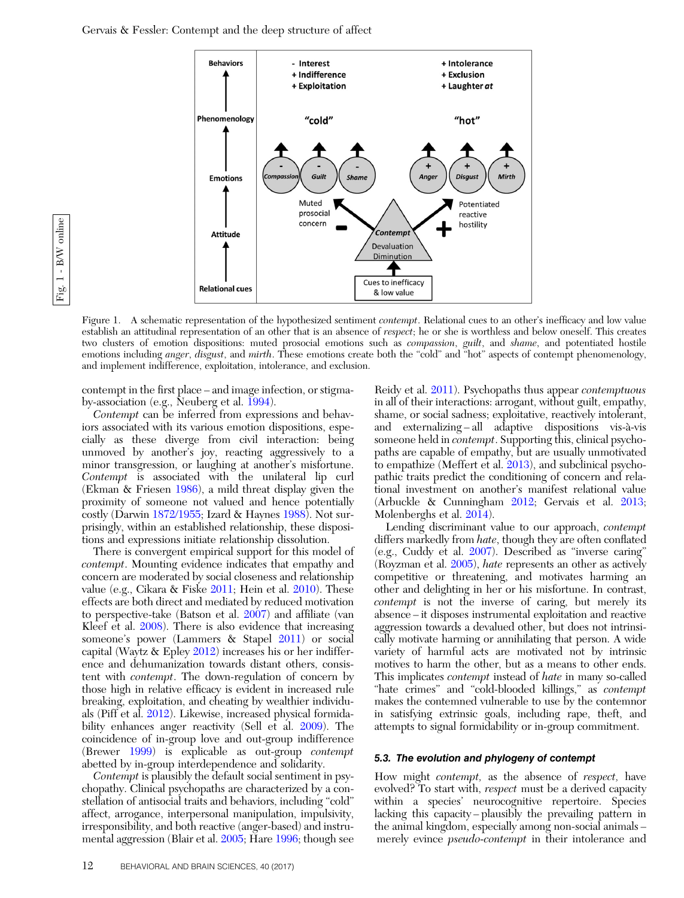<span id="page-11-0"></span>

Figure 1. A schematic representation of the hypothesized sentiment *contempt*. Relational cues to an other's inefficacy and low value establish an attitudinal representation of an other that is an absence of respect; he or she is worthless and below oneself. This creates two clusters of emotion dispositions: muted prosocial emotions such as *compassion*, guilt, and *shame*, and potentiated hostile emotions including *anger*, disgust, and mirth. These emotions create both the "cold" and "hot" aspects of contempt phenomenology, and implement indifference, exploitation, intolerance, and exclusion.

contempt in the first place – and image infection, or stigmaby-association (e.g., Neuberg et al. [1994](#page-58-0)).

Contempt can be inferred from expressions and behaviors associated with its various emotion dispositions, especially as these diverge from civil interaction: being unmoved by another's joy, reacting aggressively to a minor transgression, or laughing at another's misfortune. Contempt is associated with the unilateral lip curl (Ekman & Friesen [1986\)](#page-53-0), a mild threat display given the proximity of someone not valued and hence potentially costly (Darwin [1872/1955](#page-53-0); Izard & Haynes [1988\)](#page-56-0). Not surprisingly, within an established relationship, these dispositions and expressions initiate relationship dissolution.

There is convergent empirical support for this model of contempt. Mounting evidence indicates that empathy and concern are moderated by social closeness and relationship value (e.g., Cikara & Fiske [2011;](#page-52-0) Hein et al. [2010\)](#page-55-0). These effects are both direct and mediated by reduced motivation to perspective-take (Batson et al. [2007](#page-51-0)) and affiliate (van Kleef et al. [2008](#page-61-0)). There is also evidence that increasing someone's power (Lammers & Stapel [2011\)](#page-56-0) or social capital (Waytz & Epley [2012](#page-61-0)) increases his or her indifference and dehumanization towards distant others, consistent with contempt. The down-regulation of concern by those high in relative efficacy is evident in increased rule breaking, exploitation, and cheating by wealthier individuals (Piff et al. [2012\)](#page-58-0). Likewise, increased physical formidability enhances anger reactivity (Sell et al. [2009\)](#page-59-0). The coincidence of in-group love and out-group indifference (Brewer [1999](#page-52-0)) is explicable as out-group contempt abetted by in-group interdependence and solidarity.

Contempt is plausibly the default social sentiment in psychopathy. Clinical psychopaths are characterized by a constellation of antisocial traits and behaviors, including "cold" affect, arrogance, interpersonal manipulation, impulsivity, irresponsibility, and both reactive (anger-based) and instrumental aggression (Blair et al. [2005;](#page-51-0) Hare [1996;](#page-55-0) though see

12 BEHAVIORAL AND BRAIN SCIENCES, 40 (2017)

Reidy et al. [2011](#page-59-0)). Psychopaths thus appear contemptuous in all of their interactions: arrogant, without guilt, empathy, shame, or social sadness; exploitative, reactively intolerant, and externalizing – all adaptive dispositions vis-à-vis someone held in *contempt*. Supporting this, clinical psychopaths are capable of empathy, but are usually unmotivated to empathize (Meffert et al. [2013](#page-58-0)), and subclinical psychopathic traits predict the conditioning of concern and relational investment on another's manifest relational value (Arbuckle & Cunningham [2012](#page-51-0); Gervais et al. [2013;](#page-54-0) Molenberghs et al. [2014\)](#page-58-0).

Lending discriminant value to our approach, contempt differs markedly from *hate*, though they are often conflated (e.g., Cuddy et al. [2007\)](#page-53-0). Described as "inverse caring" (Royzman et al. [2005](#page-59-0)), hate represents an other as actively competitive or threatening, and motivates harming an other and delighting in her or his misfortune. In contrast, contempt is not the inverse of caring, but merely its absence – it disposes instrumental exploitation and reactive aggression towards a devalued other, but does not intrinsically motivate harming or annihilating that person. A wide variety of harmful acts are motivated not by intrinsic motives to harm the other, but as a means to other ends. This implicates *contempt* instead of *hate* in many so-called "hate crimes" and "cold-blooded killings," as contempt makes the contemned vulnerable to use by the contemnor in satisfying extrinsic goals, including rape, theft, and attempts to signal formidability or in-group commitment.

#### 5.3. The evolution and phylogeny of contempt

How might contempt, as the absence of respect, have evolved? To start with, respect must be a derived capacity within a species' neurocognitive repertoire. Species lacking this capacity – plausibly the prevailing pattern in the animal kingdom, especially among non-social animals – merely evince pseudo-contempt in their intolerance and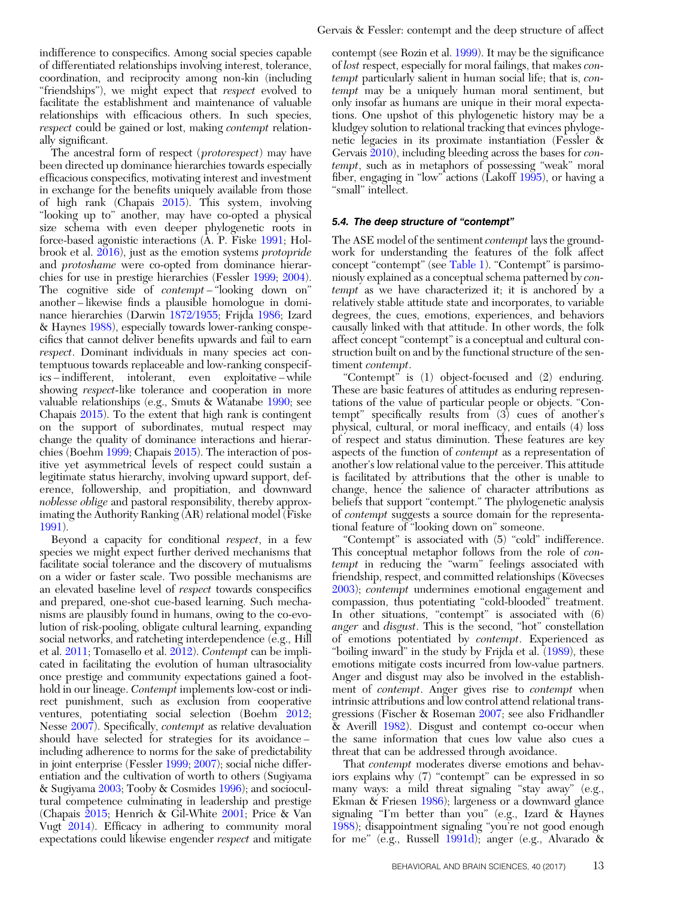indifference to conspecifics. Among social species capable of differentiated relationships involving interest, tolerance, coordination, and reciprocity among non-kin (including "friendships"), we might expect that respect evolved to facilitate the establishment and maintenance of valuable relationships with efficacious others. In such species, respect could be gained or lost, making *contempt* relationally significant.

The ancestral form of respect (protorespect) may have been directed up dominance hierarchies towards especially efficacious conspecifics, motivating interest and investment in exchange for the benefits uniquely available from those of high rank (Chapais [2015](#page-52-0)). This system, involving "looking up to" another, may have co-opted a physical size schema with even deeper phylogenetic roots in force-based agonistic interactions (A. P. Fiske [1991](#page-54-0); Holbrook et al. [2016\)](#page-55-0), just as the emotion systems protopride and protoshame were co-opted from dominance hierarchies for use in prestige hierarchies (Fessler [1999](#page-54-0); [2004](#page-54-0)). The cognitive side of *contempt* – "looking down on" another – likewise finds a plausible homologue in dominance hierarchies (Darwin [1872/1955](#page-53-0); Frijda [1986](#page-54-0); Izard & Haynes [1988\)](#page-56-0), especially towards lower-ranking conspecifics that cannot deliver benefits upwards and fail to earn respect. Dominant individuals in many species act contemptuous towards replaceable and low-ranking conspecifics – indifferent, intolerant, even exploitative – while showing *respect*-like tolerance and cooperation in more valuable relationships (e.g., Smuts & Watanabe [1990;](#page-60-0) see Chapais [2015\)](#page-52-0). To the extent that high rank is contingent on the support of subordinates, mutual respect may change the quality of dominance interactions and hierarchies (Boehm [1999;](#page-51-0) Chapais [2015\)](#page-52-0). The interaction of positive yet asymmetrical levels of respect could sustain a legitimate status hierarchy, involving upward support, deference, followership, and propitiation, and downward noblesse oblige and pastoral responsibility, thereby approximating the Authority Ranking (AR) relational model (Fiske [1991\)](#page-54-0).

Beyond a capacity for conditional respect, in a few species we might expect further derived mechanisms that facilitate social tolerance and the discovery of mutualisms on a wider or faster scale. Two possible mechanisms are an elevated baseline level of respect towards conspecifics and prepared, one-shot cue-based learning. Such mechanisms are plausibly found in humans, owing to the co-evolution of risk-pooling, obligate cultural learning, expanding social networks, and ratcheting interdependence (e.g., Hill et al. [2011](#page-55-0); Tomasello et al. [2012\)](#page-61-0). Contempt can be implicated in facilitating the evolution of human ultrasociality once prestige and community expectations gained a foothold in our lineage. Contempt implements low-cost or indirect punishment, such as exclusion from cooperative ventures, potentiating social selection (Boehm [2012](#page-51-0); Nesse [2007\)](#page-58-0). Specifically, contempt as relative devaluation should have selected for strategies for its avoidance – including adherence to norms for the sake of predictability in joint enterprise (Fessler [1999;](#page-54-0) [2007](#page-54-0)); social niche differentiation and the cultivation of worth to others (Sugiyama & Sugiyama [2003;](#page-60-0) Tooby & Cosmides [1996](#page-61-0)); and sociocultural competence culminating in leadership and prestige (Chapais [2015;](#page-52-0) Henrich & Gil-White [2001;](#page-55-0) Price & Van Vugt [2014](#page-58-0)). Efficacy in adhering to community moral expectations could likewise engender respect and mitigate

contempt (see Rozin et al. [1999](#page-59-0)). It may be the significance of lost respect, especially for moral failings, that makes contempt particularly salient in human social life; that is, contempt may be a uniquely human moral sentiment, but only insofar as humans are unique in their moral expectations. One upshot of this phylogenetic history may be a kludgey solution to relational tracking that evinces phylogenetic legacies in its proximate instantiation (Fessler & Gervais  $\overline{2010}$ , including bleeding across the bases for *con*tempt, such as in metaphors of possessing "weak" moral fiber, engaging in "low" actions (Lakoff [1995](#page-56-0)), or having a "small" intellect.

## 5.4. The deep structure of "contempt"

The ASE model of the sentiment *contempt* lays the groundwork for understanding the features of the folk affect concept "contempt" (see [Table 1\)](#page-3-0). "Contempt" is parsimoniously explained as a conceptual schema patterned by contempt as we have characterized it; it is anchored by a relatively stable attitude state and incorporates, to variable degrees, the cues, emotions, experiences, and behaviors causally linked with that attitude. In other words, the folk affect concept "contempt" is a conceptual and cultural construction built on and by the functional structure of the sentiment contempt.

"Contempt" is (1) object-focused and (2) enduring. These are basic features of attitudes as enduring representations of the value of particular people or objects. "Contempt" specifically results from (3) cues of another's physical, cultural, or moral inefficacy, and entails (4) loss of respect and status diminution. These features are key aspects of the function of contempt as a representation of another's low relational value to the perceiver. This attitude is facilitated by attributions that the other is unable to change, hence the salience of character attributions as beliefs that support "contempt." The phylogenetic analysis of contempt suggests a source domain for the representational feature of "looking down on" someone.

"Contempt" is associated with (5) "cold" indifference. This conceptual metaphor follows from the role of contempt in reducing the "warm" feelings associated with friendship, respect, and committed relationships (Kövecses [2003](#page-56-0)); contempt undermines emotional engagement and compassion, thus potentiating "cold-blooded" treatment. In other situations, "contempt" is associated with (6) anger and disgust. This is the second, "hot" constellation of emotions potentiated by contempt. Experienced as "boiling inward" in the study by Frijda et al. [\(1989](#page-54-0)), these emotions mitigate costs incurred from low-value partners. Anger and disgust may also be involved in the establishment of contempt. Anger gives rise to contempt when intrinsic attributions and low control attend relational transgressions (Fischer & Roseman [2007;](#page-54-0) see also Fridhandler & Averill [1982\)](#page-54-0). Disgust and contempt co-occur when the same information that cues low value also cues a threat that can be addressed through avoidance.

That contempt moderates diverse emotions and behaviors explains why (7) "contempt" can be expressed in so many ways: a mild threat signaling "stay away" (e.g., Ekman & Friesen [1986](#page-53-0)); largeness or a downward glance signaling "I'm better than you" (e.g., Izard & Haynes [1988](#page-56-0)); disappointment signaling "you're not good enough for me" (e.g., Russell [1991d](#page-59-0)); anger (e.g., Alvarado &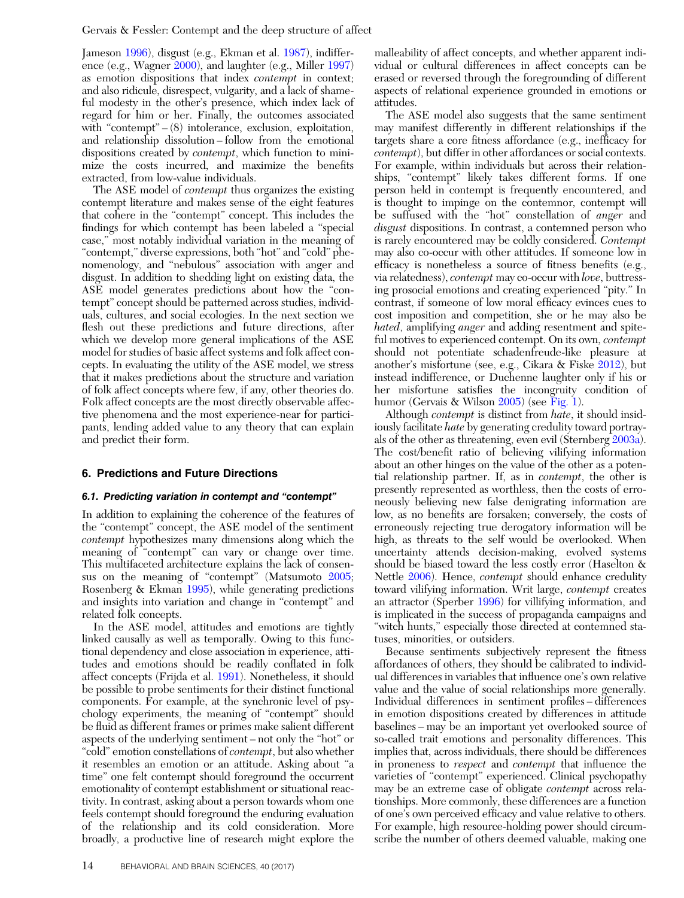Jameson [1996](#page-50-0)), disgust (e.g., Ekman et al. [1987\)](#page-53-0), indifference (e.g., Wagner [2000](#page-61-0)), and laughter (e.g., Miller [1997](#page-58-0)) as emotion dispositions that index contempt in context; and also ridicule, disrespect, vulgarity, and a lack of shameful modesty in the other's presence, which index lack of regard for him or her. Finally, the outcomes associated with "contempt" $-$ (8) intolerance, exclusion, exploitation, and relationship dissolution – follow from the emotional dispositions created by *contempt*, which function to minimize the costs incurred, and maximize the benefits extracted, from low-value individuals.

The ASE model of *contempt* thus organizes the existing contempt literature and makes sense of the eight features that cohere in the "contempt" concept. This includes the findings for which contempt has been labeled a "special case," most notably individual variation in the meaning of "contempt," diverse expressions, both "hot" and "cold" phenomenology, and "nebulous" association with anger and disgust. In addition to shedding light on existing data, the ASE model generates predictions about how the "contempt" concept should be patterned across studies, individuals, cultures, and social ecologies. In the next section we flesh out these predictions and future directions, after which we develop more general implications of the ASE model for studies of basic affect systems and folk affect concepts. In evaluating the utility of the ASE model, we stress that it makes predictions about the structure and variation of folk affect concepts where few, if any, other theories do. Folk affect concepts are the most directly observable affective phenomena and the most experience-near for participants, lending added value to any theory that can explain and predict their form.

## 6. Predictions and Future Directions

### 6.1. Predicting variation in contempt and "contempt"

In addition to explaining the coherence of the features of the "contempt" concept, the ASE model of the sentiment contempt hypothesizes many dimensions along which the meaning of "contempt" can vary or change over time. This multifaceted architecture explains the lack of consen-sus on the meaning of "contempt" (Matsumoto [2005;](#page-57-0) Rosenberg & Ekman [1995\)](#page-59-0), while generating predictions and insights into variation and change in "contempt" and related folk concepts.

In the ASE model, attitudes and emotions are tightly linked causally as well as temporally. Owing to this functional dependency and close association in experience, attitudes and emotions should be readily conflated in folk affect concepts (Frijda et al. [1991\)](#page-54-0). Nonetheless, it should be possible to probe sentiments for their distinct functional components. For example, at the synchronic level of psychology experiments, the meaning of "contempt" should be fluid as different frames or primes make salient different aspects of the underlying sentiment – not only the "hot" or "cold" emotion constellations of contempt, but also whether it resembles an emotion or an attitude. Asking about "a time" one felt contempt should foreground the occurrent emotionality of contempt establishment or situational reactivity. In contrast, asking about a person towards whom one feels contempt should foreground the enduring evaluation of the relationship and its cold consideration. More broadly, a productive line of research might explore the malleability of affect concepts, and whether apparent individual or cultural differences in affect concepts can be erased or reversed through the foregrounding of different aspects of relational experience grounded in emotions or attitudes.

The ASE model also suggests that the same sentiment may manifest differently in different relationships if the targets share a core fitness affordance (e.g., inefficacy for contempt), but differ in other affordances or social contexts. For example, within individuals but across their relationships, "contempt" likely takes different forms. If one person held in contempt is frequently encountered, and is thought to impinge on the contemnor, contempt will be suffused with the "hot" constellation of anger and disgust dispositions. In contrast, a contemned person who is rarely encountered may be coldly considered. Contempt may also co-occur with other attitudes. If someone low in efficacy is nonetheless a source of fitness benefits (e.g., via relatedness), contempt may co-occur with love, buttressing prosocial emotions and creating experienced "pity." In contrast, if someone of low moral efficacy evinces cues to cost imposition and competition, she or he may also be hated, amplifying anger and adding resentment and spiteful motives to experienced contempt. On its own, *contempt* should not potentiate schadenfreude-like pleasure at another's misfortune (see, e.g., Cikara & Fiske [2012\)](#page-52-0), but instead indifference, or Duchenne laughter only if his or her misfortune satisfies the incongruity condition of humor (Gervais & Wilson [2005\)](#page-54-0) (see [Fig. 1\)](#page-11-0).

Although *contempt* is distinct from *hate*, it should insidiously facilitate hate by generating credulity toward portrayals of the other as threatening, even evil (Sternberg [2003a\)](#page-60-0). The cost/benefit ratio of believing vilifying information about an other hinges on the value of the other as a potential relationship partner. If, as in contempt, the other is presently represented as worthless, then the costs of erroneously believing new false denigrating information are low, as no benefits are forsaken; conversely, the costs of erroneously rejecting true derogatory information will be high, as threats to the self would be overlooked. When uncertainty attends decision-making, evolved systems should be biased toward the less costly error (Haselton & Nettle [2006](#page-55-0)). Hence, contempt should enhance credulity toward vilifying information. Writ large, contempt creates an attractor (Sperber [1996](#page-60-0)) for villifying information, and is implicated in the success of propaganda campaigns and "witch hunts," especially those directed at contemned statuses, minorities, or outsiders.

Because sentiments subjectively represent the fitness affordances of others, they should be calibrated to individual differences in variables that influence one's own relative value and the value of social relationships more generally. Individual differences in sentiment profiles – differences in emotion dispositions created by differences in attitude baselines – may be an important yet overlooked source of so-called trait emotions and personality differences. This implies that, across individuals, there should be differences in proneness to respect and contempt that influence the varieties of "contempt" experienced. Clinical psychopathy may be an extreme case of obligate contempt across relationships. More commonly, these differences are a function of one's own perceived efficacy and value relative to others. For example, high resource-holding power should circumscribe the number of others deemed valuable, making one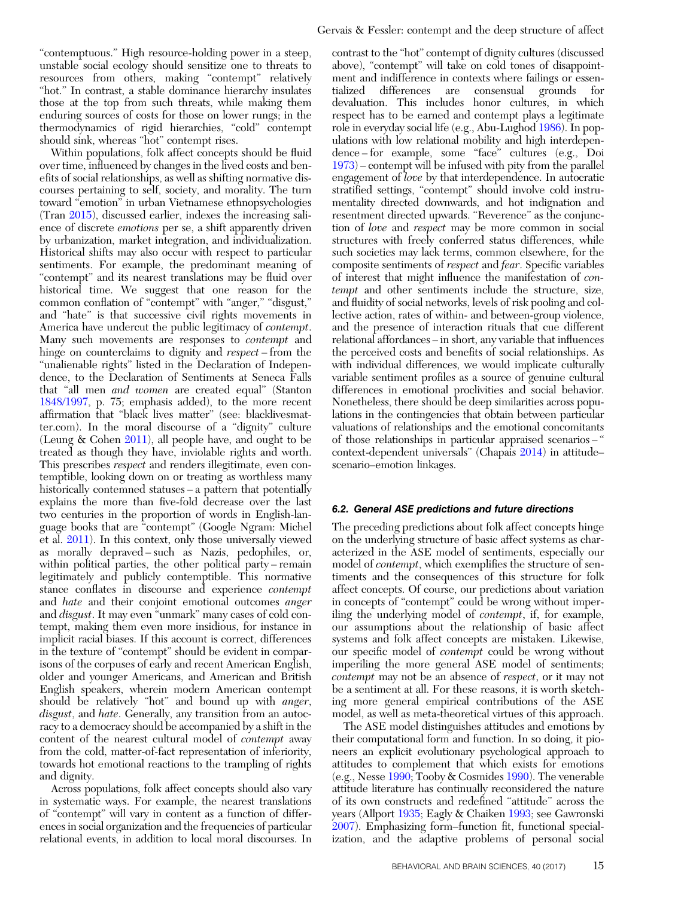"contemptuous." High resource-holding power in a steep, unstable social ecology should sensitize one to threats to resources from others, making "contempt" relatively "hot." In contrast, a stable dominance hierarchy insulates those at the top from such threats, while making them enduring sources of costs for those on lower rungs; in the thermodynamics of rigid hierarchies, "cold" contempt should sink, whereas "hot" contempt rises.

Within populations, folk affect concepts should be fluid over time, influenced by changes in the lived costs and benefits of social relationships, as well as shifting normative discourses pertaining to self, society, and morality. The turn toward "emotion" in urban Vietnamese ethnopsychologies (Tran [2015](#page-61-0)), discussed earlier, indexes the increasing salience of discrete emotions per se, a shift apparently driven by urbanization, market integration, and individualization. Historical shifts may also occur with respect to particular sentiments. For example, the predominant meaning of "contempt" and its nearest translations may be fluid over historical time. We suggest that one reason for the common conflation of "contempt" with "anger," "disgust," and "hate" is that successive civil rights movements in America have undercut the public legitimacy of contempt. Many such movements are responses to contempt and hinge on counterclaims to dignity and *respect* – from the "unalienable rights" listed in the Declaration of Independence, to the Declaration of Sentiments at Seneca Falls that "all men and women are created equal" (Stanton [1848/1997,](#page-60-0) p. 75; emphasis added), to the more recent affirmation that "black lives matter" (see: blacklivesmatter.com). In the moral discourse of a "dignity" culture (Leung & Cohen [2011](#page-57-0)), all people have, and ought to be treated as though they have, inviolable rights and worth. This prescribes respect and renders illegitimate, even contemptible, looking down on or treating as worthless many historically contemned statuses – a pattern that potentially explains the more than five-fold decrease over the last two centuries in the proportion of words in English-language books that are "contempt" (Google Ngram: Michel et al. [2011\)](#page-58-0). In this context, only those universally viewed as morally depraved – such as Nazis, pedophiles, or, within political parties, the other political party – remain legitimately and publicly contemptible. This normative stance conflates in discourse and experience contempt and hate and their conjoint emotional outcomes anger and disgust. It may even "unmark" many cases of cold contempt, making them even more insidious, for instance in implicit racial biases. If this account is correct, differences in the texture of "contempt" should be evident in comparisons of the corpuses of early and recent American English, older and younger Americans, and American and British English speakers, wherein modern American contempt should be relatively "hot" and bound up with anger, disgust, and hate. Generally, any transition from an autocracy to a democracy should be accompanied by a shift in the content of the nearest cultural model of contempt away from the cold, matter-of-fact representation of inferiority, towards hot emotional reactions to the trampling of rights and dignity.

Across populations, folk affect concepts should also vary in systematic ways. For example, the nearest translations of "contempt" will vary in content as a function of differences in social organization and the frequencies of particular relational events, in addition to local moral discourses. In

contrast to the "hot" contempt of dignity cultures (discussed above), "contempt" will take on cold tones of disappointment and indifference in contexts where failings or essentialized differences are consensual grounds for devaluation. This includes honor cultures, in which respect has to be earned and contempt plays a legitimate role in everyday social life (e.g., Abu-Lughod [1986\)](#page-50-0). In populations with low relational mobility and high interdependence – for example, some "face" cultures (e.g., Doi [1973\)](#page-53-0) – contempt will be infused with pity from the parallel engagement of *love* by that interdependence. In autocratic stratified settings, "contempt" should involve cold instrumentality directed downwards, and hot indignation and resentment directed upwards. "Reverence" as the conjunction of love and respect may be more common in social structures with freely conferred status differences, while such societies may lack terms, common elsewhere, for the composite sentiments of respect and fear. Specific variables of interest that might influence the manifestation of contempt and other sentiments include the structure, size, and fluidity of social networks, levels of risk pooling and collective action, rates of within- and between-group violence, and the presence of interaction rituals that cue different relational affordances – in short, any variable that influences the perceived costs and benefits of social relationships. As with individual differences, we would implicate culturally variable sentiment profiles as a source of genuine cultural differences in emotional proclivities and social behavior. Nonetheless, there should be deep similarities across populations in the contingencies that obtain between particular valuations of relationships and the emotional concomitants of those relationships in particular appraised scenarios – " context-dependent universals" (Chapais [2014\)](#page-52-0) in attitude– scenario–emotion linkages.

#### 6.2. General ASE predictions and future directions

The preceding predictions about folk affect concepts hinge on the underlying structure of basic affect systems as characterized in the ASE model of sentiments, especially our model of *contempt*, which exemplifies the structure of sentiments and the consequences of this structure for folk affect concepts. Of course, our predictions about variation in concepts of "contempt" could be wrong without imperiling the underlying model of contempt, if, for example, our assumptions about the relationship of basic affect systems and folk affect concepts are mistaken. Likewise, our specific model of contempt could be wrong without imperiling the more general ASE model of sentiments; contempt may not be an absence of respect, or it may not be a sentiment at all. For these reasons, it is worth sketching more general empirical contributions of the ASE model, as well as meta-theoretical virtues of this approach.

The ASE model distinguishes attitudes and emotions by their computational form and function. In so doing, it pioneers an explicit evolutionary psychological approach to attitudes to complement that which exists for emotions (e.g., Nesse [1990](#page-58-0); Tooby & Cosmides [1990\)](#page-61-0). The venerable attitude literature has continually reconsidered the nature of its own constructs and redefined "attitude" across the years (Allport [1935;](#page-50-0) Eagly & Chaiken [1993](#page-53-0); see Gawronski [2007\)](#page-54-0). Emphasizing form–function fit, functional specialization, and the adaptive problems of personal social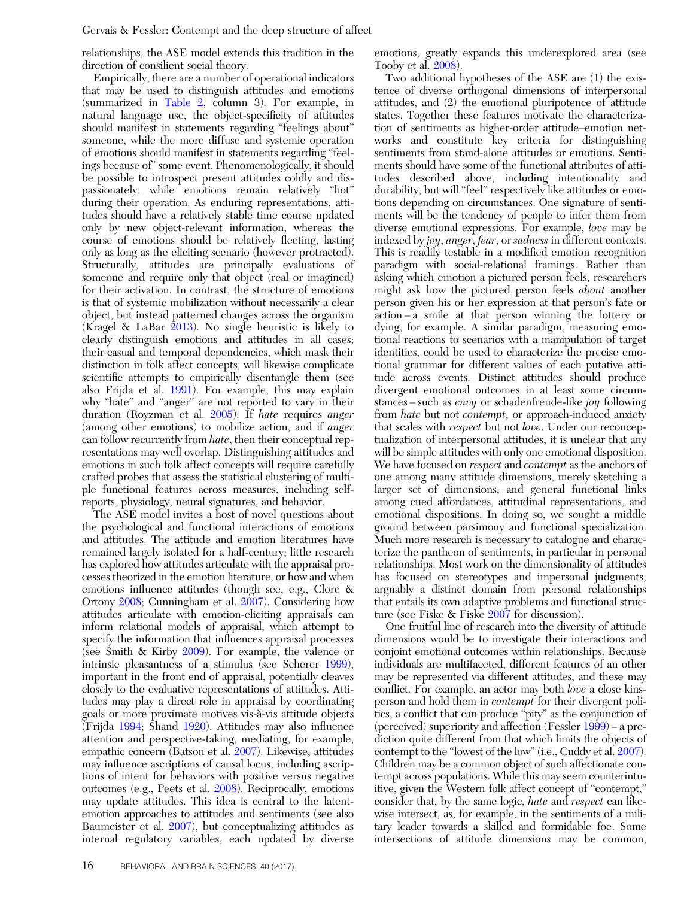relationships, the ASE model extends this tradition in the direction of consilient social theory.

Empirically, there are a number of operational indicators that may be used to distinguish attitudes and emotions (summarized in [Table 2](#page-7-0), column 3). For example, in natural language use, the object-specificity of attitudes should manifest in statements regarding "feelings about" someone, while the more diffuse and systemic operation of emotions should manifest in statements regarding "feelings because of" some event. Phenomenologically, it should be possible to introspect present attitudes coldly and dispassionately, while emotions remain relatively "hot" during their operation. As enduring representations, attitudes should have a relatively stable time course updated only by new object-relevant information, whereas the course of emotions should be relatively fleeting, lasting only as long as the eliciting scenario (however protracted). Structurally, attitudes are principally evaluations of someone and require only that object (real or imagined) for their activation. In contrast, the structure of emotions is that of systemic mobilization without necessarily a clear object, but instead patterned changes across the organism (Kragel & LaBar  $\overline{2013}$  $\overline{2013}$  $\overline{2013}$ ). No single heuristic is likely to clearly distinguish emotions and attitudes in all cases; their casual and temporal dependencies, which mask their distinction in folk affect concepts, will likewise complicate scientific attempts to empirically disentangle them (see also Frijda et al. [1991\)](#page-54-0). For example, this may explain why "hate" and "anger" are not reported to vary in their duration (Royzman et al. [2005](#page-59-0)): If hate requires anger (among other emotions) to mobilize action, and if anger can follow recurrently from hate, then their conceptual representations may well overlap. Distinguishing attitudes and emotions in such folk affect concepts will require carefully crafted probes that assess the statistical clustering of multiple functional features across measures, including selfreports, physiology, neural signatures, and behavior.

The ASE model invites a host of novel questions about the psychological and functional interactions of emotions and attitudes. The attitude and emotion literatures have remained largely isolated for a half-century; little research has explored how attitudes articulate with the appraisal processes theorized in the emotion literature, or how and when emotions influence attitudes (though see, e.g., Clore & Ortony [2008;](#page-52-0) Cunningham et al. [2007](#page-53-0)). Considering how attitudes articulate with emotion-eliciting appraisals can inform relational models of appraisal, which attempt to specify the information that influences appraisal processes (see Smith & Kirby [2009\)](#page-60-0). For example, the valence or intrinsic pleasantness of a stimulus (see Scherer [1999\)](#page-59-0), important in the front end of appraisal, potentially cleaves closely to the evaluative representations of attitudes. Attitudes may play a direct role in appraisal by coordinating goals or more proximate motives vis-à-vis attitude objects (Frijda [1994;](#page-54-0) Shand [1920\)](#page-59-0). Attitudes may also influence attention and perspective-taking, mediating, for example, empathic concern (Batson et al. [2007](#page-51-0)). Likewise, attitudes may influence ascriptions of causal locus, including ascriptions of intent for behaviors with positive versus negative outcomes (e.g., Peets et al. [2008\)](#page-58-0). Reciprocally, emotions may update attitudes. This idea is central to the latentemotion approaches to attitudes and sentiments (see also Baumeister et al. [2007](#page-51-0)), but conceptualizing attitudes as internal regulatory variables, each updated by diverse

emotions, greatly expands this underexplored area (see Tooby et al. [2008\)](#page-61-0).

Two additional hypotheses of the ASE are (1) the existence of diverse orthogonal dimensions of interpersonal attitudes, and (2) the emotional pluripotence of attitude states. Together these features motivate the characterization of sentiments as higher-order attitude–emotion networks and constitute key criteria for distinguishing sentiments from stand-alone attitudes or emotions. Sentiments should have some of the functional attributes of attitudes described above, including intentionality and durability, but will "feel" respectively like attitudes or emotions depending on circumstances. One signature of sentiments will be the tendency of people to infer them from diverse emotional expressions. For example, love may be indexed by joy, anger, fear, or sadness in different contexts. This is readily testable in a modified emotion recognition paradigm with social-relational framings. Rather than asking which emotion a pictured person feels, researchers might ask how the pictured person feels about another person given his or her expression at that person's fate or action – a smile at that person winning the lottery or dying, for example. A similar paradigm, measuring emotional reactions to scenarios with a manipulation of target identities, could be used to characterize the precise emotional grammar for different values of each putative attitude across events. Distinct attitudes should produce divergent emotional outcomes in at least some circumstances – such as envy or schadenfreude-like joy following from hate but not contempt, or approach-induced anxiety that scales with *respect* but not *love*. Under our reconceptualization of interpersonal attitudes, it is unclear that any will be simple attitudes with only one emotional disposition. We have focused on *respect* and *contempt* as the anchors of one among many attitude dimensions, merely sketching a larger set of dimensions, and general functional links among cued affordances, attitudinal representations, and emotional dispositions. In doing so, we sought a middle ground between parsimony and functional specialization. Much more research is necessary to catalogue and characterize the pantheon of sentiments, in particular in personal relationships. Most work on the dimensionality of attitudes has focused on stereotypes and impersonal judgments, arguably a distinct domain from personal relationships that entails its own adaptive problems and functional structure (see Fiske & Fiske [2007](#page-54-0) for discussion).

One fruitful line of research into the diversity of attitude dimensions would be to investigate their interactions and conjoint emotional outcomes within relationships. Because individuals are multifaceted, different features of an other may be represented via different attitudes, and these may conflict. For example, an actor may both love a close kinsperson and hold them in contempt for their divergent politics, a conflict that can produce "pity" as the conjunction of (perceived) superiority and affection (Fessler [1999](#page-54-0)) – a prediction quite different from that which limits the objects of contempt to the "lowest of the low" (i.e., Cuddy et al. [2007\)](#page-53-0). Children may be a common object of such affectionate contempt across populations. While this may seem counterintuitive, given the Western folk affect concept of "contempt," consider that, by the same logic, hate and respect can likewise intersect, as, for example, in the sentiments of a military leader towards a skilled and formidable foe. Some intersections of attitude dimensions may be common,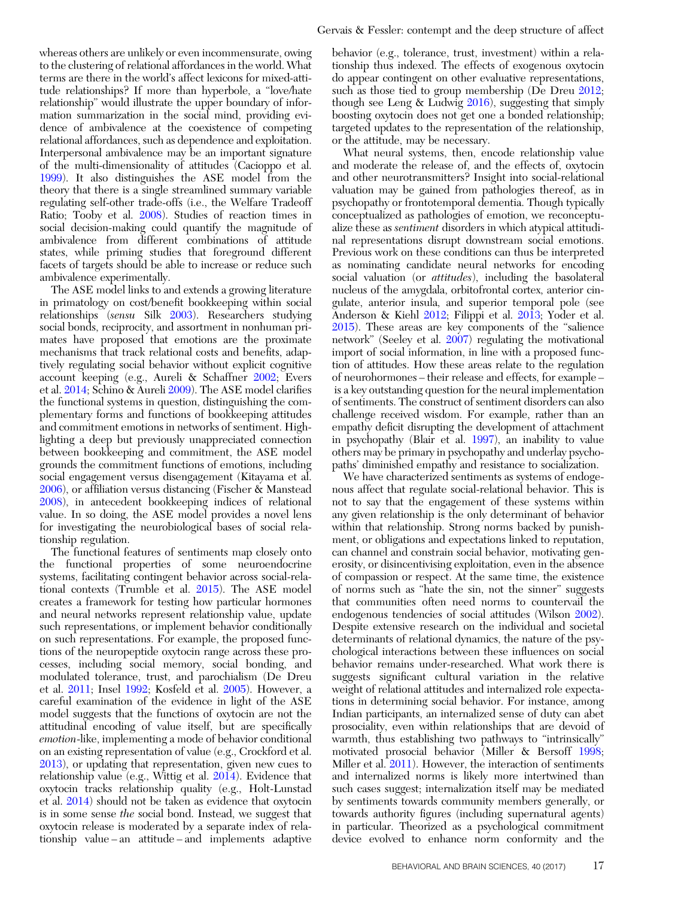whereas others are unlikely or even incommensurate, owing to the clustering of relational affordances in the world. What terms are there in the world's affect lexicons for mixed-attitude relationships? If more than hyperbole, a "love/hate relationship" would illustrate the upper boundary of information summarization in the social mind, providing evidence of ambivalence at the coexistence of competing relational affordances, such as dependence and exploitation. Interpersonal ambivalence may be an important signature of the multi-dimensionality of attitudes (Cacioppo et al. [1999\)](#page-52-0). It also distinguishes the ASE model from the theory that there is a single streamlined summary variable regulating self-other trade-offs (i.e., the Welfare Tradeoff Ratio; Tooby et al. [2008\)](#page-61-0). Studies of reaction times in social decision-making could quantify the magnitude of ambivalence from different combinations of attitude states, while priming studies that foreground different facets of targets should be able to increase or reduce such ambivalence experimentally.

The ASE model links to and extends a growing literature in primatology on cost/benefit bookkeeping within social relationships (sensu Silk [2003\)](#page-60-0). Researchers studying social bonds, reciprocity, and assortment in nonhuman primates have proposed that emotions are the proximate mechanisms that track relational costs and benefits, adaptively regulating social behavior without explicit cognitive account keeping (e.g., Aureli & Schaffner [2002;](#page-51-0) Evers et al. [2014;](#page-53-0) Schino & Aureli [2009](#page-59-0)). The ASE model clarifies the functional systems in question, distinguishing the complementary forms and functions of bookkeeping attitudes and commitment emotions in networks of sentiment. Highlighting a deep but previously unappreciated connection between bookkeeping and commitment, the ASE model grounds the commitment functions of emotions, including social engagement versus disengagement (Kitayama et al. [2006\)](#page-56-0), or affiliation versus distancing (Fischer & Manstead [2008\)](#page-54-0), in antecedent bookkeeping indices of relational value. In so doing, the ASE model provides a novel lens for investigating the neurobiological bases of social relationship regulation.

The functional features of sentiments map closely onto the functional properties of some neuroendocrine systems, facilitating contingent behavior across social-relational contexts (Trumble et al. [2015](#page-61-0)). The ASE model creates a framework for testing how particular hormones and neural networks represent relationship value, update such representations, or implement behavior conditionally on such representations. For example, the proposed functions of the neuropeptide oxytocin range across these processes, including social memory, social bonding, and modulated tolerance, trust, and parochialism (De Dreu et al. [2011](#page-53-0); Insel [1992](#page-56-0); Kosfeld et al. [2005](#page-56-0)). However, a careful examination of the evidence in light of the ASE model suggests that the functions of oxytocin are not the attitudinal encoding of value itself, but are specifically emotion-like, implementing a mode of behavior conditional on an existing representation of value (e.g., Crockford et al. [2013\)](#page-53-0), or updating that representation, given new cues to relationship value (e.g., Wittig et al. [2014](#page-61-0)). Evidence that oxytocin tracks relationship quality (e.g., Holt-Lunstad et al. [2014\)](#page-55-0) should not be taken as evidence that oxytocin is in some sense the social bond. Instead, we suggest that oxytocin release is moderated by a separate index of relationship value – an attitude – and implements adaptive

behavior (e.g., tolerance, trust, investment) within a relationship thus indexed. The effects of exogenous oxytocin do appear contingent on other evaluative representations, such as those tied to group membership (De Dreu  $2012$ ; though see Leng & Ludwig [2016\)](#page-57-0), suggesting that simply boosting oxytocin does not get one a bonded relationship; targeted updates to the representation of the relationship, or the attitude, may be necessary.

What neural systems, then, encode relationship value and moderate the release of, and the effects of, oxytocin and other neurotransmitters? Insight into social-relational valuation may be gained from pathologies thereof, as in psychopathy or frontotemporal dementia. Though typically conceptualized as pathologies of emotion, we reconceptualize these as sentiment disorders in which atypical attitudinal representations disrupt downstream social emotions. Previous work on these conditions can thus be interpreted as nominating candidate neural networks for encoding social valuation (or *attitudes*), including the basolateral nucleus of the amygdala, orbitofrontal cortex, anterior cingulate, anterior insula, and superior temporal pole (see Anderson & Kiehl [2012;](#page-51-0) Filippi et al. [2013;](#page-54-0) Yoder et al. [2015\)](#page-62-0). These areas are key components of the "salience network" (Seeley et al. [2007](#page-59-0)) regulating the motivational import of social information, in line with a proposed function of attitudes. How these areas relate to the regulation of neurohormones – their release and effects, for example – is a key outstanding question for the neural implementation of sentiments. The construct of sentiment disorders can also challenge received wisdom. For example, rather than an empathy deficit disrupting the development of attachment in psychopathy (Blair et al. [1997\)](#page-51-0), an inability to value others may be primary in psychopathy and underlay psychopaths' diminished empathy and resistance to socialization.

We have characterized sentiments as systems of endogenous affect that regulate social-relational behavior. This is not to say that the engagement of these systems within any given relationship is the only determinant of behavior within that relationship. Strong norms backed by punishment, or obligations and expectations linked to reputation, can channel and constrain social behavior, motivating generosity, or disincentivising exploitation, even in the absence of compassion or respect. At the same time, the existence of norms such as "hate the sin, not the sinner" suggests that communities often need norms to countervail the endogenous tendencies of social attitudes (Wilson [2002](#page-61-0)). Despite extensive research on the individual and societal determinants of relational dynamics, the nature of the psychological interactions between these influences on social behavior remains under-researched. What work there is suggests significant cultural variation in the relative weight of relational attitudes and internalized role expectations in determining social behavior. For instance, among Indian participants, an internalized sense of duty can abet prosociality, even within relationships that are devoid of warmth, thus establishing two pathways to "intrinsically" motivated prosocial behavior (Miller & Bersoff [1998](#page-58-0); Miller et al. [2011\)](#page-58-0). However, the interaction of sentiments and internalized norms is likely more intertwined than such cases suggest; internalization itself may be mediated by sentiments towards community members generally, or towards authority figures (including supernatural agents) in particular. Theorized as a psychological commitment device evolved to enhance norm conformity and the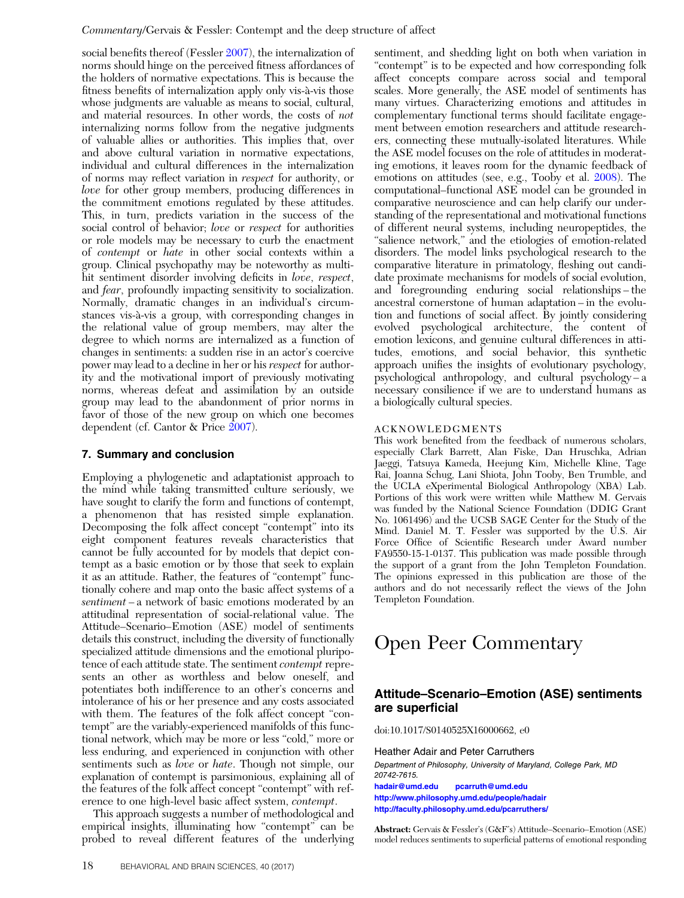social benefits thereof (Fessler [2007](#page-54-0)), the internalization of norms should hinge on the perceived fitness affordances of the holders of normative expectations. This is because the fitness benefits of internalization apply only vis-à-vis those whose judgments are valuable as means to social, cultural, and material resources. In other words, the costs of not internalizing norms follow from the negative judgments of valuable allies or authorities. This implies that, over and above cultural variation in normative expectations, individual and cultural differences in the internalization of norms may reflect variation in respect for authority, or love for other group members, producing differences in the commitment emotions regulated by these attitudes. This, in turn, predicts variation in the success of the social control of behavior; *love* or *respect* for authorities or role models may be necessary to curb the enactment of contempt or hate in other social contexts within a group. Clinical psychopathy may be noteworthy as multihit sentiment disorder involving deficits in *love*, *respect*, and *fear*, profoundly impacting sensitivity to socialization. Normally, dramatic changes in an individual's circumstances vis-à-vis a group, with corresponding changes in the relational value of group members, may alter the degree to which norms are internalized as a function of changes in sentiments: a sudden rise in an actor's coercive power may lead to a decline in her or his respect for authority and the motivational import of previously motivating norms, whereas defeat and assimilation by an outside group may lead to the abandonment of prior norms in favor of those of the new group on which one becomes dependent (cf. Cantor & Price [2007\)](#page-52-0).

## 7. Summary and conclusion

Employing a phylogenetic and adaptationist approach to the mind while taking transmitted culture seriously, we have sought to clarify the form and functions of contempt, a phenomenon that has resisted simple explanation. Decomposing the folk affect concept "contempt" into its eight component features reveals characteristics that cannot be fully accounted for by models that depict contempt as a basic emotion or by those that seek to explain it as an attitude. Rather, the features of "contempt" functionally cohere and map onto the basic affect systems of a sentiment – a network of basic emotions moderated by an attitudinal representation of social-relational value. The Attitude–Scenario–Emotion (ASE) model of sentiments details this construct, including the diversity of functionally specialized attitude dimensions and the emotional pluripotence of each attitude state. The sentiment contempt represents an other as worthless and below oneself, and potentiates both indifference to an other's concerns and intolerance of his or her presence and any costs associated with them. The features of the folk affect concept "contempt" are the variably-experienced manifolds of this functional network, which may be more or less "cold," more or less enduring, and experienced in conjunction with other sentiments such as *love* or *hate*. Though not simple, our explanation of contempt is parsimonious, explaining all of the features of the folk affect concept "contempt" with reference to one high-level basic affect system, *contempt*.

This approach suggests a number of methodological and empirical insights, illuminating how "contempt" can be probed to reveal different features of the underlying

sentiment, and shedding light on both when variation in "contempt" is to be expected and how corresponding folk affect concepts compare across social and temporal scales. More generally, the ASE model of sentiments has many virtues. Characterizing emotions and attitudes in complementary functional terms should facilitate engagement between emotion researchers and attitude researchers, connecting these mutually-isolated literatures. While the ASE model focuses on the role of attitudes in moderating emotions, it leaves room for the dynamic feedback of emotions on attitudes (see, e.g., Tooby et al. [2008](#page-61-0)). The computational–functional ASE model can be grounded in comparative neuroscience and can help clarify our understanding of the representational and motivational functions of different neural systems, including neuropeptides, the "salience network," and the etiologies of emotion-related disorders. The model links psychological research to the comparative literature in primatology, fleshing out candidate proximate mechanisms for models of social evolution, and foregrounding enduring social relationships – the ancestral cornerstone of human adaptation – in the evolution and functions of social affect. By jointly considering evolved psychological architecture, the content of emotion lexicons, and genuine cultural differences in attitudes, emotions, and social behavior, this synthetic approach unifies the insights of evolutionary psychology, psychological anthropology, and cultural psychology – a necessary consilience if we are to understand humans as a biologically cultural species.

## ACKNOWLEDGMENTS

This work benefited from the feedback of numerous scholars, especially Clark Barrett, Alan Fiske, Dan Hruschka, Adrian Jaeggi, Tatsuya Kameda, Heejung Kim, Michelle Kline, Tage Rai, Joanna Schug, Lani Shiota, John Tooby, Ben Trumble, and the UCLA eXperimental Biological Anthropology (XBA) Lab. Portions of this work were written while Matthew M. Gervais was funded by the National Science Foundation (DDIG Grant No. 1061496) and the UCSB SAGE Center for the Study of the Mind. Daniel M. T. Fessler was supported by the U.S. Air Force Office of Scientific Research under Award number FA9550-15-1-0137. This publication was made possible through the support of a grant from the John Templeton Foundation. The opinions expressed in this publication are those of the authors and do not necessarily reflect the views of the John Templeton Foundation.

## Open Peer Commentary

## Attitude–Scenario–Emotion (ASE) sentiments are superficial

doi:10.1017/S0140525X16000662, e0

Heather Adair and Peter Carruthers Department of Philosophy, University of Maryland, College Park, MD 20742-7615. [hadair@umd.edu](mailto:hadair@umd.edu) [pcarruth@umd.edu](mailto:pcarruth@umd.edu) <http://www.philosophy.umd.edu/people/hadair> <http://faculty.philosophy.umd.edu/pcarruthers/>

Abstract: Gervais & Fessler's (G&F's) Attitude–Scenario–Emotion (ASE) model reduces sentiments to superficial patterns of emotional responding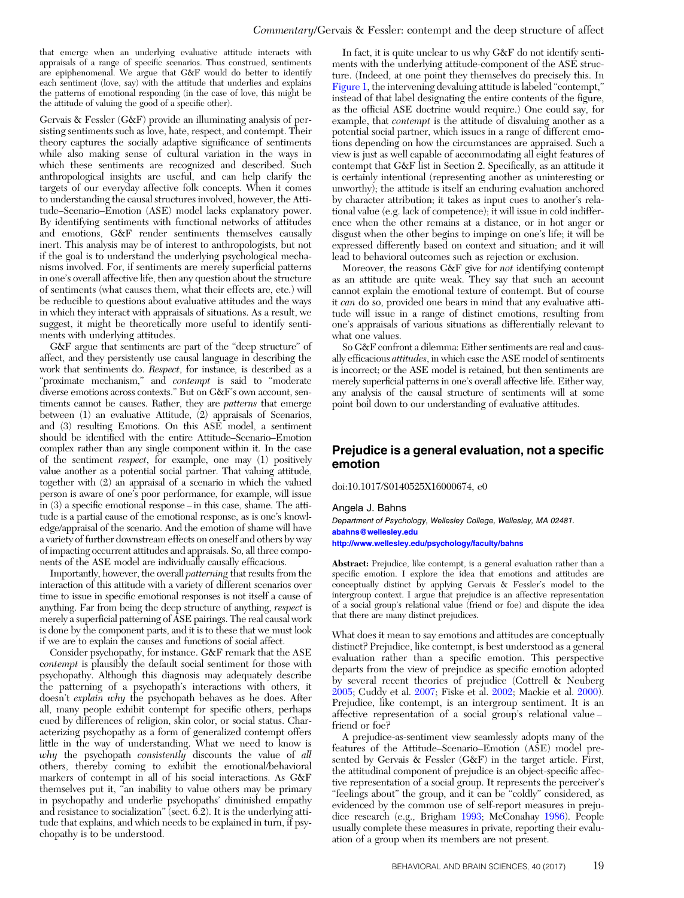that emerge when an underlying evaluative attitude interacts with appraisals of a range of specific scenarios. Thus construed, sentiments are epiphenomenal. We argue that G&F would do better to identify each sentiment (love, say) with the attitude that underlies and explains the patterns of emotional responding (in the case of love, this might be the attitude of valuing the good of a specific other).

Gervais & Fessler (G&F) provide an illuminating analysis of persisting sentiments such as love, hate, respect, and contempt. Their theory captures the socially adaptive significance of sentiments while also making sense of cultural variation in the ways in which these sentiments are recognized and described. Such anthropological insights are useful, and can help clarify the targets of our everyday affective folk concepts. When it comes to understanding the causal structures involved, however, the Attitude–Scenario–Emotion (ASE) model lacks explanatory power. By identifying sentiments with functional networks of attitudes and emotions, G&F render sentiments themselves causally inert. This analysis may be of interest to anthropologists, but not if the goal is to understand the underlying psychological mechanisms involved. For, if sentiments are merely superficial patterns in one's overall affective life, then any question about the structure of sentiments (what causes them, what their effects are, etc.) will be reducible to questions about evaluative attitudes and the ways in which they interact with appraisals of situations. As a result, we suggest, it might be theoretically more useful to identify sentiments with underlying attitudes.

G&F argue that sentiments are part of the "deep structure" of affect, and they persistently use causal language in describing the work that sentiments do. Respect, for instance, is described as a "proximate mechanism," and contempt is said to "moderate diverse emotions across contexts." But on G&F's own account, sentiments cannot be causes. Rather, they are *patterns* that emerge between (1) an evaluative Attitude, (2) appraisals of Scenarios, and (3) resulting Emotions. On this ASE model, a sentiment should be identified with the entire Attitude–Scenario–Emotion complex rather than any single component within it. In the case of the sentiment respect, for example, one may (1) positively value another as a potential social partner. That valuing attitude, together with (2) an appraisal of a scenario in which the valued person is aware of one's poor performance, for example, will issue in (3) a specific emotional response – in this case, shame. The attitude is a partial cause of the emotional response, as is one's knowledge/appraisal of the scenario. And the emotion of shame will have a variety of further downstream effects on oneself and others by way of impacting occurrent attitudes and appraisals. So, all three components of the ASE model are individually causally efficacious.

Importantly, however, the overall patterning that results from the interaction of this attitude with a variety of different scenarios over time to issue in specific emotional responses is not itself a cause of anything. Far from being the deep structure of anything, respect is merely a superficial patterning of ASE pairings. The real causal work is done by the component parts, and it is to these that we must look if we are to explain the causes and functions of social affect.

Consider psychopathy, for instance. G&F remark that the ASE contempt is plausibly the default social sentiment for those with psychopathy. Although this diagnosis may adequately describe the patterning of a psychopath's interactions with others, it doesn't explain why the psychopath behaves as he does. After all, many people exhibit contempt for specific others, perhaps cued by differences of religion, skin color, or social status. Characterizing psychopathy as a form of generalized contempt offers little in the way of understanding. What we need to know is why the psychopath *consistently* discounts the value of all others, thereby coming to exhibit the emotional/behavioral markers of contempt in all of his social interactions. As G&F themselves put it, "an inability to value others may be primary in psychopathy and underlie psychopaths' diminished empathy and resistance to socialization" (sect. 6.2). It is the underlying attitude that explains, and which needs to be explained in turn, if psychopathy is to be understood.

In fact, it is quite unclear to us why G&F do not identify sentiments with the underlying attitude-component of the ASE structure. (Indeed, at one point they themselves do precisely this. In [Figure 1](#page-11-0), the intervening devaluing attitude is labeled "contempt," instead of that label designating the entire contents of the figure, as the official ASE doctrine would require.) One could say, for example, that contempt is the attitude of disvaluing another as a potential social partner, which issues in a range of different emotions depending on how the circumstances are appraised. Such a view is just as well capable of accommodating all eight features of contempt that G&F list in Section 2. Specifically, as an attitude it is certainly intentional (representing another as uninteresting or unworthy); the attitude is itself an enduring evaluation anchored by character attribution; it takes as input cues to another's relational value (e.g. lack of competence); it will issue in cold indifference when the other remains at a distance, or in hot anger or disgust when the other begins to impinge on one's life; it will be expressed differently based on context and situation; and it will lead to behavioral outcomes such as rejection or exclusion.

Moreover, the reasons G&F give for not identifying contempt as an attitude are quite weak. They say that such an account cannot explain the emotional texture of contempt. But of course it can do so, provided one bears in mind that any evaluative attitude will issue in a range of distinct emotions, resulting from one's appraisals of various situations as differentially relevant to what one values.

So G&F confront a dilemma: Either sentiments are real and causally efficacious attitudes, in which case the ASE model of sentiments is incorrect; or the ASE model is retained, but then sentiments are merely superficial patterns in one's overall affective life. Either way, any analysis of the causal structure of sentiments will at some point boil down to our understanding of evaluative attitudes.

## Prejudice is a general evaluation, not a specific emotion

doi:10.1017/S0140525X16000674, e0

Angela J. Bahns

Department of Psychology, Wellesley College, Wellesley, MA 02481. [abahns@wellesley.edu](mailto:abahns@wellesley.edu)

<http://www.wellesley.edu/psychology/faculty/bahns>

Abstract: Prejudice, like contempt, is a general evaluation rather than a specific emotion. I explore the idea that emotions and attitudes are conceptually distinct by applying Gervais & Fessler's model to the intergroup context. I argue that prejudice is an affective representation of a social group's relational value (friend or foe) and dispute the idea that there are many distinct prejudices.

What does it mean to say emotions and attitudes are conceptually distinct? Prejudice, like contempt, is best understood as a general evaluation rather than a specific emotion. This perspective departs from the view of prejudice as specific emotion adopted by several recent theories of prejudice (Cottrell & Neuberg [2005](#page-52-0); Cuddy et al. [2007](#page-53-0); Fiske et al. [2002](#page-54-0); Mackie et al. [2000\)](#page-57-0). Prejudice, like contempt, is an intergroup sentiment. It is an affective representation of a social group's relational value – friend or foe?

A prejudice-as-sentiment view seamlessly adopts many of the features of the Attitude–Scenario–Emotion (ASE) model presented by Gervais & Fessler (G&F) in the target article. First, the attitudinal component of prejudice is an object-specific affective representation of a social group. It represents the perceiver's "feelings about" the group, and it can be "coldly" considered, as evidenced by the common use of self-report measures in prejudice research (e.g., Brigham [1993;](#page-52-0) McConahay [1986](#page-57-0)). People usually complete these measures in private, reporting their evaluation of a group when its members are not present.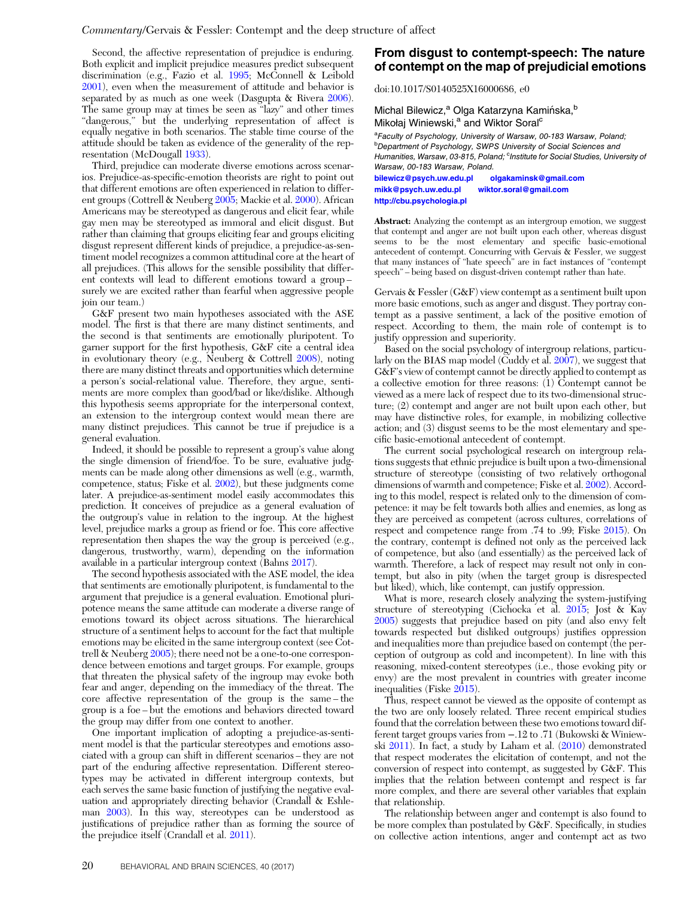Second, the affective representation of prejudice is enduring. Both explicit and implicit prejudice measures predict subsequent discrimination (e.g., Fazio et al. [1995;](#page-54-0) McConnell & Leibold [2001](#page-57-0)), even when the measurement of attitude and behavior is separated by as much as one week (Dasgupta & Rivera [2006](#page-53-0)). The same group may at times be seen as "lazy" and other times "dangerous," but the underlying representation of affect is equally negative in both scenarios. The stable time course of the attitude should be taken as evidence of the generality of the representation (McDougall [1933](#page-57-0)).

Third, prejudice can moderate diverse emotions across scenarios. Prejudice-as-specific-emotion theorists are right to point out that different emotions are often experienced in relation to different groups (Cottrell & Neuberg [2005;](#page-52-0) Mackie et al. [2000](#page-57-0)). African Americans may be stereotyped as dangerous and elicit fear, while gay men may be stereotyped as immoral and elicit disgust. But rather than claiming that groups eliciting fear and groups eliciting disgust represent different kinds of prejudice, a prejudice-as-sentiment model recognizes a common attitudinal core at the heart of all prejudices. (This allows for the sensible possibility that different contexts will lead to different emotions toward a group – surely we are excited rather than fearful when aggressive people join our team.)

G&F present two main hypotheses associated with the ASE model. The first is that there are many distinct sentiments, and the second is that sentiments are emotionally pluripotent. To garner support for the first hypothesis, G&F cite a central idea in evolutionary theory (e.g., Neuberg & Cottrell [2008\)](#page-58-0), noting there are many distinct threats and opportunities which determine a person's social-relational value. Therefore, they argue, sentiments are more complex than good/bad or like/dislike. Although this hypothesis seems appropriate for the interpersonal context, an extension to the intergroup context would mean there are many distinct prejudices. This cannot be true if prejudice is a general evaluation.

Indeed, it should be possible to represent a group's value along the single dimension of friend/foe. To be sure, evaluative judgments can be made along other dimensions as well (e.g., warmth, competence, status; Fiske et al. [2002](#page-54-0)), but these judgments come later. A prejudice-as-sentiment model easily accommodates this prediction. It conceives of prejudice as a general evaluation of the outgroup's value in relation to the ingroup. At the highest level, prejudice marks a group as friend or foe. This core affective representation then shapes the way the group is perceived (e.g., dangerous, trustworthy, warm), depending on the information available in a particular intergroup context (Bahns [2017\)](#page-51-0).

The second hypothesis associated with the ASE model, the idea that sentiments are emotionally pluripotent, is fundamental to the argument that prejudice is a general evaluation. Emotional pluripotence means the same attitude can moderate a diverse range of emotions toward its object across situations. The hierarchical structure of a sentiment helps to account for the fact that multiple emotions may be elicited in the same intergroup context (see Cottrell & Neuberg [2005\)](#page-52-0); there need not be a one-to-one correspondence between emotions and target groups. For example, groups that threaten the physical safety of the ingroup may evoke both fear and anger, depending on the immediacy of the threat. The core affective representation of the group is the same – the group is a foe – but the emotions and behaviors directed toward the group may differ from one context to another.

One important implication of adopting a prejudice-as-sentiment model is that the particular stereotypes and emotions associated with a group can shift in different scenarios – they are not part of the enduring affective representation. Different stereotypes may be activated in different intergroup contexts, but each serves the same basic function of justifying the negative evaluation and appropriately directing behavior (Crandall & Eshleman [2003\)](#page-53-0). In this way, stereotypes can be understood as justifications of prejudice rather than as forming the source of the prejudice itself (Crandall et al. [2011\)](#page-53-0).

## From disgust to contempt-speech: The nature of contempt on the map of prejudicial emotions

doi:10.1017/S0140525X16000686, e0

Michal Bilewicz,<sup>a</sup> Olga Katarzyna Kamińska,<sup>b</sup> Mikołaj Winiewski,<sup>a</sup> and Wiktor Soral<sup>c</sup>

<sup>a</sup>Faculty of Psychology, University of Warsaw, 00-183 Warsaw, Poland; <sup>b</sup>Department of Psychology, SWPS University of Social Sciences and Humanities, Warsaw, 03-815, Poland; <sup>c</sup>Institute for Social Studies, University of Warsaw, 00-183 Warsaw, Poland.

[bilewicz@psych.uw.edu.pl](mailto:bilewicz@psych.uw.edu.pl) [olgakaminsk@gmail.com](mailto:olgakaminsk@gmail.com) [mikk@psych.uw.edu.pl](mailto:mikk@psych.uw.edu.pl) [wiktor.soral@gmail.com](mailto:wiktor.soral@gmail.com) <http://cbu.psychologia.pl>

Abstract: Analyzing the contempt as an intergroup emotion, we suggest that contempt and anger are not built upon each other, whereas disgust seems to be the most elementary and specific basic-emotional antecedent of contempt. Concurring with Gervais & Fessler, we suggest that many instances of "hate speech" are in fact instances of "contempt speech" – being based on disgust-driven contempt rather than hate.

Gervais & Fessler (G&F) view contempt as a sentiment built upon more basic emotions, such as anger and disgust. They portray contempt as a passive sentiment, a lack of the positive emotion of respect. According to them, the main role of contempt is to justify oppression and superiority.

Based on the social psychology of intergroup relations, particularly on the BIAS map model (Cuddy et al. [2007\)](#page-53-0), we suggest that G&F's view of contempt cannot be directly applied to contempt as a collective emotion for three reasons: (1) Contempt cannot be viewed as a mere lack of respect due to its two-dimensional structure; (2) contempt and anger are not built upon each other, but may have distinctive roles, for example, in mobilizing collective action; and (3) disgust seems to be the most elementary and specific basic-emotional antecedent of contempt.

The current social psychological research on intergroup relations suggests that ethnic prejudice is built upon a two-dimensional structure of stereotype (consisting of two relatively orthogonal dimensions of warmth and competence; Fiske et al. [2002](#page-54-0)). According to this model, respect is related only to the dimension of competence: it may be felt towards both allies and enemies, as long as they are perceived as competent (across cultures, correlations of respect and competence range from .74 to .99; Fiske [2015\)](#page-54-0). On the contrary, contempt is defined not only as the perceived lack of competence, but also (and essentially) as the perceived lack of warmth. Therefore, a lack of respect may result not only in contempt, but also in pity (when the target group is disrespected but liked), which, like contempt, can justify oppression.

What is more, research closely analyzing the system-justifying structure of stereotyping (Cichocka et al. [2015;](#page-52-0) Jost & Kay [2005](#page-56-0)) suggests that prejudice based on pity (and also envy felt towards respected but disliked outgroups) justifies oppression and inequalities more than prejudice based on contempt (the perception of outgroup as cold and incompetent). In line with this reasoning, mixed-content stereotypes (i.e., those evoking pity or envy) are the most prevalent in countries with greater income inequalities (Fiske  $2015$ ).

Thus, respect cannot be viewed as the opposite of contempt as the two are only loosely related. Three recent empirical studies found that the correlation between these two emotions toward different target groups varies from −.12 to .71 (Bukowski & Winiewski [2011](#page-52-0)). In fact, a study by Laham et al. [\(2010](#page-56-0)) demonstrated that respect moderates the elicitation of contempt, and not the conversion of respect into contempt, as suggested by G&F. This implies that the relation between contempt and respect is far more complex, and there are several other variables that explain that relationship.

The relationship between anger and contempt is also found to be more complex than postulated by G&F. Specifically, in studies on collective action intentions, anger and contempt act as two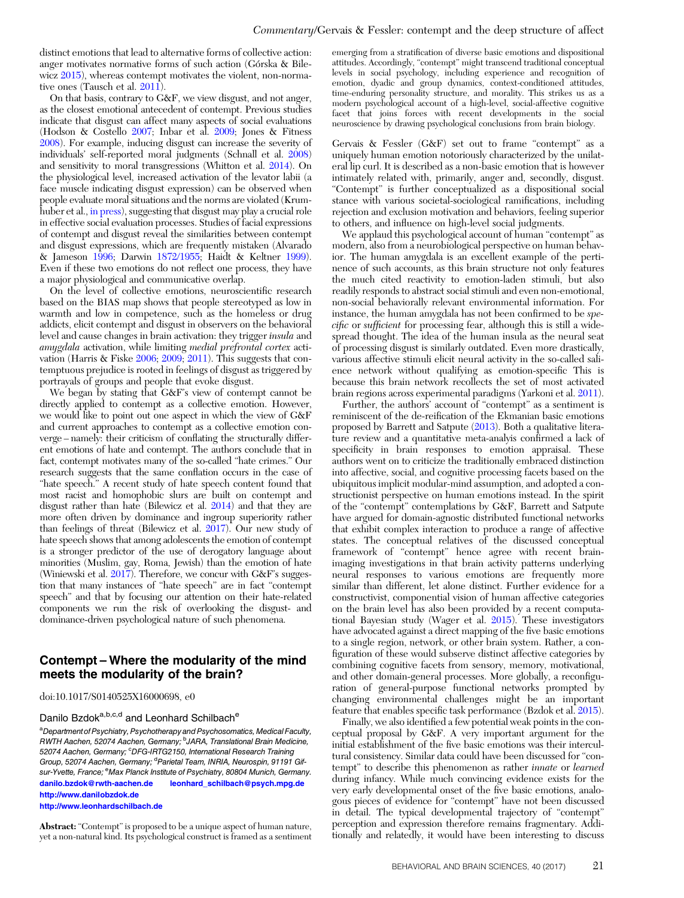distinct emotions that lead to alternative forms of collective action: anger motivates normative forms of such action (Górska & Bilewicz [2015\)](#page-55-0), whereas contempt motivates the violent, non-normative ones (Tausch et al. [2011](#page-61-0)).

On that basis, contrary to G&F, we view disgust, and not anger, as the closest emotional antecedent of contempt. Previous studies indicate that disgust can affect many aspects of social evaluations (Hodson & Costello [2007;](#page-55-0) Inbar et al. [2009;](#page-56-0) Jones & Fitness [2008\)](#page-56-0). For example, inducing disgust can increase the severity of individuals' self-reported moral judgments (Schnall et al. [2008](#page-59-0)) and sensitivity to moral transgressions (Whitton et al. [2014](#page-61-0)). On the physiological level, increased activation of the levator labii (a face muscle indicating disgust expression) can be observed when people evaluate moral situations and the norms are violated (Krumhuber et al., [in press\)](#page-56-0), suggesting that disgust may play a crucial role in effective social evaluation processes. Studies of facial expressions of contempt and disgust reveal the similarities between contempt and disgust expressions, which are frequently mistaken (Alvarado & Jameson [1996;](#page-50-0) Darwin [1872/1955](#page-53-0); Haidt & Keltner [1999\)](#page-55-0). Even if these two emotions do not reflect one process, they have a major physiological and communicative overlap.

On the level of collective emotions, neuroscientific research based on the BIAS map shows that people stereotyped as low in warmth and low in competence, such as the homeless or drug addicts, elicit contempt and disgust in observers on the behavioral level and cause changes in brain activation: they trigger insula and amygdala activation, while limiting medial prefrontal cortex activation (Harris & Fiske [2006;](#page-55-0) [2009;](#page-55-0) [2011](#page-55-0)). This suggests that contemptuous prejudice is rooted in feelings of disgust as triggered by portrayals of groups and people that evoke disgust.

We began by stating that G&F's view of contempt cannot be directly applied to contempt as a collective emotion. However, we would like to point out one aspect in which the view of G&F and current approaches to contempt as a collective emotion converge – namely: their criticism of conflating the structurally different emotions of hate and contempt. The authors conclude that in fact, contempt motivates many of the so-called "hate crimes." Our research suggests that the same conflation occurs in the case of "hate speech." A recent study of hate speech content found that most racist and homophobic slurs are built on contempt and disgust rather than hate (Bilewicz et al. [2014\)](#page-51-0) and that they are more often driven by dominance and ingroup superiority rather than feelings of threat (Bilewicz et al. [2017\)](#page-51-0). Our new study of hate speech shows that among adolescents the emotion of contempt is a stronger predictor of the use of derogatory language about minorities (Muslim, gay, Roma, Jewish) than the emotion of hate (Winiewski et al. [2017](#page-61-0)). Therefore, we concur with G&F's suggestion that many instances of "hate speech" are in fact "contempt speech" and that by focusing our attention on their hate-related components we run the risk of overlooking the disgust- and dominance-driven psychological nature of such phenomena.

## Contempt – Where the modularity of the mind meets the modularity of the brain?

doi:10.1017/S0140525X16000698, e0

## Danilo Bzdoka,b,c,d and Leonhard Schilbach<sup>e</sup>

<sup>a</sup>Department of Psychiatry, Psychotherapy and Psychosomatics, Medical Faculty, RWTH Aachen, 52074 Aachen, Germany; <sup>b</sup>JARA, Translational Brain Medicine, 52074 Aachen, Germany; °DFG-IRTG2150, International Research Training Group, 52074 Aachen, Germany; <sup>d</sup>Parietal Team, INRIA, Neurospin, 91191 Gifsur-Yvette, France; <sup>e</sup>Max Planck Institute of Psychiatry, 80804 Munich, Germany. [danilo.bzdok@rwth-aachen.de](mailto:danilo.bzdok@rwth-aachen.de) [leonhard\\_schilbach@psych.mpg.de](mailto:leonhard_schilbach@psych.mpg.de) <http://www.danilobzdok.de> <http://www.leonhardschilbach.de>

Abstract: "Contempt" is proposed to be a unique aspect of human nature, yet a non-natural kind. Its psychological construct is framed as a sentiment emerging from a stratification of diverse basic emotions and dispositional attitudes. Accordingly, "contempt" might transcend traditional conceptual levels in social psychology, including experience and recognition of emotion, dyadic and group dynamics, context-conditioned attitudes, time-enduring personality structure, and morality. This strikes us as a modern psychological account of a high-level, social-affective cognitive facet that joins forces with recent developments in the social neuroscience by drawing psychological conclusions from brain biology.

Gervais & Fessler (G&F) set out to frame "contempt" as a uniquely human emotion notoriously characterized by the unilateral lip curl. It is described as a non-basic emotion that is however intimately related with, primarily, anger and, secondly, disgust. "Contempt" is further conceptualized as a dispositional social stance with various societal-sociological ramifications, including rejection and exclusion motivation and behaviors, feeling superior to others, and influence on high-level social judgments.

We applaud this psychological account of human "contempt" as modern, also from a neurobiological perspective on human behavior. The human amygdala is an excellent example of the pertinence of such accounts, as this brain structure not only features the much cited reactivity to emotion-laden stimuli, but also readily responds to abstract social stimuli and even non-emotional, non-social behaviorally relevant environmental information. For instance, the human amygdala has not been confirmed to be specific or sufficient for processing fear, although this is still a widespread thought. The idea of the human insula as the neural seat of processing disgust is similarly outdated. Even more drastically, various affective stimuli elicit neural activity in the so-called salience network without qualifying as emotion-specific This is because this brain network recollects the set of most activated brain regions across experimental paradigms (Yarkoni et al. [2011\)](#page-62-0).

Further, the authors' account of "contempt" as a sentiment is reminiscent of the de-reification of the Ekmanian basic emotions proposed by Barrett and Satpute ([2013\)](#page-51-0). Both a qualitative literature review and a quantitative meta-analyis confirmed a lack of specificity in brain responses to emotion appraisal. These authors went on to criticize the traditionally embraced distinction into affective, social, and cognitive processing facets based on the ubiquitous implicit modular-mind assumption, and adopted a constructionist perspective on human emotions instead. In the spirit of the "contempt" contemplations by G&F, Barrett and Satpute have argued for domain-agnostic distributed functional networks that exhibit complex interaction to produce a range of affective states. The conceptual relatives of the discussed conceptual framework of "contempt" hence agree with recent brainimaging investigations in that brain activity patterns underlying neural responses to various emotions are frequently more similar than different, let alone distinct. Further evidence for a constructivist, componential vision of human affective categories on the brain level has also been provided by a recent computational Bayesian study (Wager et al. [2015](#page-61-0)). These investigators have advocated against a direct mapping of the five basic emotions to a single region, network, or other brain system. Rather, a configuration of these would subserve distinct affective categories by combining cognitive facets from sensory, memory, motivational, and other domain-general processes. More globally, a reconfiguration of general-purpose functional networks prompted by changing environmental challenges might be an important feature that enables specific task performance (Bzdok et al. [2015\)](#page-52-0).

Finally, we also identified a few potential weak points in the conceptual proposal by G&F. A very important argument for the initial establishment of the five basic emotions was their intercultural consistency. Similar data could have been discussed for "contempt" to describe this phenomenon as rather innate or learned during infancy. While much convincing evidence exists for the very early developmental onset of the five basic emotions, analogous pieces of evidence for "contempt" have not been discussed in detail. The typical developmental trajectory of "contempt" perception and expression therefore remains fragmentary. Additionally and relatedly, it would have been interesting to discuss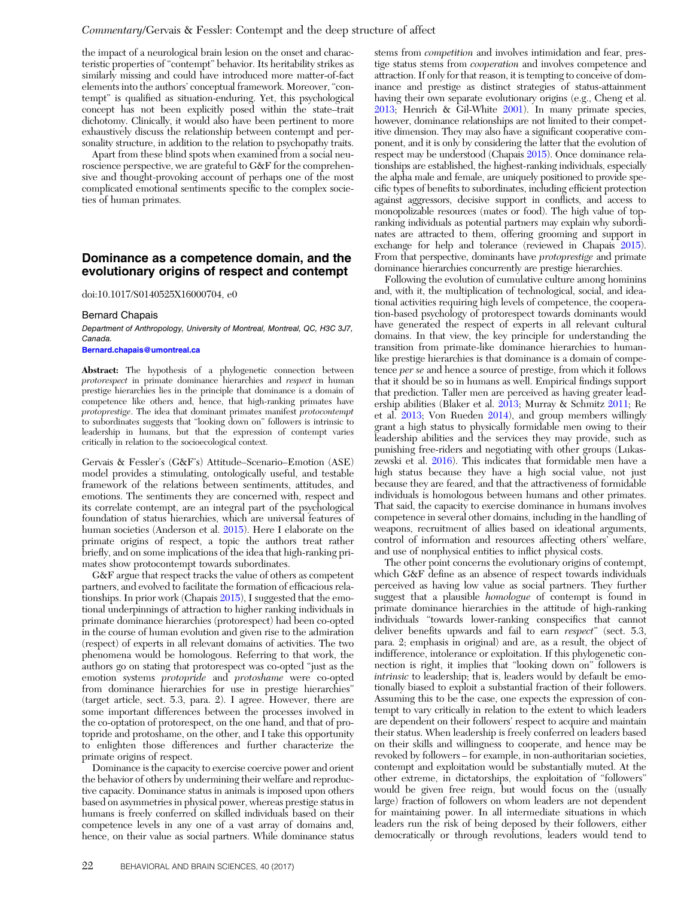the impact of a neurological brain lesion on the onset and characteristic properties of "contempt" behavior. Its heritability strikes as similarly missing and could have introduced more matter-of-fact elements into the authors' conceptual framework. Moreover, "contempt" is qualified as situation-enduring. Yet, this psychological concept has not been explicitly posed within the state–trait dichotomy. Clinically, it would also have been pertinent to more exhaustively discuss the relationship between contempt and personality structure, in addition to the relation to psychopathy traits.

Apart from these blind spots when examined from a social neuroscience perspective, we are grateful to G&F for the comprehensive and thought-provoking account of perhaps one of the most complicated emotional sentiments specific to the complex societies of human primates.

## Dominance as a competence domain, and the evolutionary origins of respect and contempt

doi:10.1017/S0140525X16000704, e0

#### Bernard Chapais

Department of Anthropology, University of Montreal, Montreal, QC, H3C 3J7, Canada.

[Bernard.chapais@umontreal.ca](mailto:Bernard.chapais@umontreal.ca)

Abstract: The hypothesis of a phylogenetic connection between protorespect in primate dominance hierarchies and respect in human prestige hierarchies lies in the principle that dominance is a domain of competence like others and, hence, that high-ranking primates have protoprestige. The idea that dominant primates manifest protocontempt to subordinates suggests that "looking down on" followers is intrinsic to leadership in humans, but that the expression of contempt varies critically in relation to the socioecological context.

Gervais & Fessler's (G&F's) Attitude–Scenario–Emotion (ASE) model provides a stimulating, ontologically useful, and testable framework of the relations between sentiments, attitudes, and emotions. The sentiments they are concerned with, respect and its correlate contempt, are an integral part of the psychological foundation of status hierarchies, which are universal features of human societies (Anderson et al. [2015\)](#page-51-0). Here I elaborate on the primate origins of respect, a topic the authors treat rather briefly, and on some implications of the idea that high-ranking primates show protocontempt towards subordinates.

G&F argue that respect tracks the value of others as competent partners, and evolved to facilitate the formation of efficacious relationships. In prior work (Chapais [2015](#page-52-0)), I suggested that the emotional underpinnings of attraction to higher ranking individuals in primate dominance hierarchies (protorespect) had been co-opted in the course of human evolution and given rise to the admiration (respect) of experts in all relevant domains of activities. The two phenomena would be homologous. Referring to that work, the authors go on stating that protorespect was co-opted "just as the emotion systems protopride and protoshame were co-opted from dominance hierarchies for use in prestige hierarchies" (target article, sect. 5.3, para. 2). I agree. However, there are some important differences between the processes involved in the co-optation of protorespect, on the one hand, and that of protopride and protoshame, on the other, and I take this opportunity to enlighten those differences and further characterize the primate origins of respect.

Dominance is the capacity to exercise coercive power and orient the behavior of others by undermining their welfare and reproductive capacity. Dominance status in animals is imposed upon others based on asymmetries in physical power, whereas prestige status in humans is freely conferred on skilled individuals based on their competence levels in any one of a vast array of domains and, hence, on their value as social partners. While dominance status

stems from competition and involves intimidation and fear, prestige status stems from cooperation and involves competence and attraction. If only for that reason, it is tempting to conceive of dominance and prestige as distinct strategies of status-attainment having their own separate evolutionary origins (e.g., Cheng et al. [2013](#page-52-0); Henrich & Gil-White [2001\)](#page-55-0). In many primate species, however, dominance relationships are not limited to their competitive dimension. They may also have a significant cooperative component, and it is only by considering the latter that the evolution of respect may be understood (Chapais [2015](#page-52-0)). Once dominance relationships are established, the highest-ranking individuals, especially the alpha male and female, are uniquely positioned to provide specific types of benefits to subordinates, including efficient protection against aggressors, decisive support in conflicts, and access to monopolizable resources (mates or food). The high value of topranking individuals as potential partners may explain why subordinates are attracted to them, offering grooming and support in exchange for help and tolerance (reviewed in Chapais [2015](#page-52-0)). From that perspective, dominants have protoprestige and primate dominance hierarchies concurrently are prestige hierarchies.

Following the evolution of cumulative culture among hominins and, with it, the multiplication of technological, social, and ideational activities requiring high levels of competence, the cooperation-based psychology of protorespect towards dominants would have generated the respect of experts in all relevant cultural domains. In that view, the key principle for understanding the transition from primate-like dominance hierarchies to humanlike prestige hierarchies is that dominance is a domain of competence per se and hence a source of prestige, from which it follows that it should be so in humans as well. Empirical findings support that prediction. Taller men are perceived as having greater leadership abilities (Blaker et al. [2013;](#page-51-0) Murray & Schmitz [2011](#page-58-0); Re et al. [2013](#page-59-0); Von Rueden [2014\)](#page-61-0), and group members willingly grant a high status to physically formidable men owing to their leadership abilities and the services they may provide, such as punishing free-riders and negotiating with other groups (Lukaszewski et al. [2016\)](#page-57-0). This indicates that formidable men have a high status because they have a high social value, not just because they are feared, and that the attractiveness of formidable individuals is homologous between humans and other primates. That said, the capacity to exercise dominance in humans involves competence in several other domains, including in the handling of weapons, recruitment of allies based on ideational arguments, control of information and resources affecting others' welfare, and use of nonphysical entities to inflict physical costs.

The other point concerns the evolutionary origins of contempt, which G&F define as an absence of respect towards individuals perceived as having low value as social partners. They further suggest that a plausible *homologue* of contempt is found in primate dominance hierarchies in the attitude of high-ranking individuals "towards lower-ranking conspecifics that cannot deliver benefits upwards and fail to earn *respect*" (sect. 5.3, para. 2; emphasis in original) and are, as a result, the object of indifference, intolerance or exploitation. If this phylogenetic connection is right, it implies that "looking down on" followers is intrinsic to leadership; that is, leaders would by default be emotionally biased to exploit a substantial fraction of their followers. Assuming this to be the case, one expects the expression of contempt to vary critically in relation to the extent to which leaders are dependent on their followers' respect to acquire and maintain their status. When leadership is freely conferred on leaders based on their skills and willingness to cooperate, and hence may be revoked by followers – for example, in non-authoritarian societies, contempt and exploitation would be substantially muted. At the other extreme, in dictatorships, the exploitation of "followers" would be given free reign, but would focus on the (usually large) fraction of followers on whom leaders are not dependent for maintaining power. In all intermediate situations in which leaders run the risk of being deposed by their followers, either democratically or through revolutions, leaders would tend to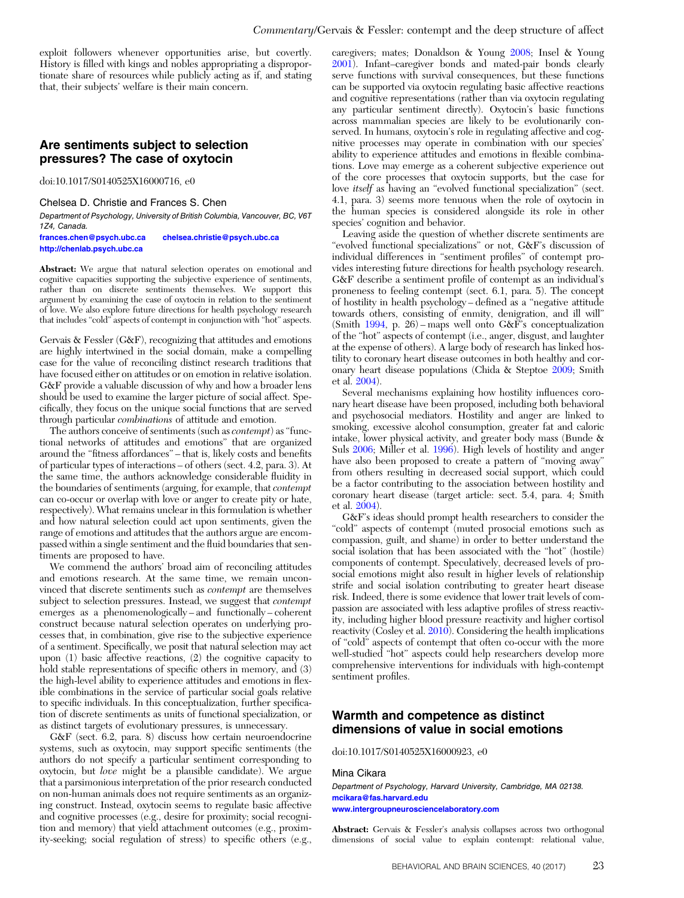exploit followers whenever opportunities arise, but covertly. History is filled with kings and nobles appropriating a disproportionate share of resources while publicly acting as if, and stating that, their subjects' welfare is their main concern.

## Are sentiments subject to selection pressures? The case of oxytocin

doi:10.1017/S0140525X16000716, e0

Chelsea D. Christie and Frances S. Chen

Department of Psychology, University of British Columbia, Vancouver, BC, V6T 1Z4, Canada.

[frances.chen@psych.ubc.ca](mailto:frances.chen@psych.ubc.ca) [chelsea.christie@psych.ubc.ca](mailto:chelsea.christie@psych.ubc.ca) <http://chenlab.psych.ubc.ca>

Abstract: We argue that natural selection operates on emotional and cognitive capacities supporting the subjective experience of sentiments, rather than on discrete sentiments themselves. We support this argument by examining the case of oxytocin in relation to the sentiment of love. We also explore future directions for health psychology research that includes "cold" aspects of contempt in conjunction with "hot" aspects.

Gervais & Fessler (G&F), recognizing that attitudes and emotions are highly intertwined in the social domain, make a compelling case for the value of reconciling distinct research traditions that have focused either on attitudes or on emotion in relative isolation. G&F provide a valuable discussion of why and how a broader lens should be used to examine the larger picture of social affect. Specifically, they focus on the unique social functions that are served through particular combinations of attitude and emotion.

The authors conceive of sentiments (such as *contempt*) as "functional networks of attitudes and emotions" that are organized around the "fitness affordances" – that is, likely costs and benefits of particular types of interactions – of others (sect. 4.2, para. 3). At the same time, the authors acknowledge considerable fluidity in the boundaries of sentiments (arguing, for example, that contempt can co-occur or overlap with love or anger to create pity or hate, respectively). What remains unclear in this formulation is whether and how natural selection could act upon sentiments, given the range of emotions and attitudes that the authors argue are encompassed within a single sentiment and the fluid boundaries that sentiments are proposed to have.

We commend the authors' broad aim of reconciling attitudes and emotions research. At the same time, we remain unconvinced that discrete sentiments such as contempt are themselves subject to selection pressures. Instead, we suggest that contempt emerges as a phenomenologically – and functionally – coherent construct because natural selection operates on underlying processes that, in combination, give rise to the subjective experience of a sentiment. Specifically, we posit that natural selection may act upon (1) basic affective reactions, (2) the cognitive capacity to hold stable representations of specific others in memory, and  $(3)$ the high-level ability to experience attitudes and emotions in flexible combinations in the service of particular social goals relative to specific individuals. In this conceptualization, further specification of discrete sentiments as units of functional specialization, or as distinct targets of evolutionary pressures, is unnecessary.

G&F (sect. 6.2, para. 8) discuss how certain neuroendocrine systems, such as oxytocin, may support specific sentiments (the authors do not specify a particular sentiment corresponding to oxytocin, but love might be a plausible candidate). We argue that a parsimonious interpretation of the prior research conducted on non-human animals does not require sentiments as an organizing construct. Instead, oxytocin seems to regulate basic affective and cognitive processes (e.g., desire for proximity; social recognition and memory) that yield attachment outcomes (e.g., proximity-seeking; social regulation of stress) to specific others (e.g.,

caregivers; mates; Donaldson & Young [2008](#page-53-0); Insel & Young [2001\)](#page-56-0). Infant–caregiver bonds and mated-pair bonds clearly serve functions with survival consequences, but these functions can be supported via oxytocin regulating basic affective reactions and cognitive representations (rather than via oxytocin regulating any particular sentiment directly). Oxytocin's basic functions across mammalian species are likely to be evolutionarily conserved. In humans, oxytocin's role in regulating affective and cognitive processes may operate in combination with our species' ability to experience attitudes and emotions in flexible combinations. Love may emerge as a coherent subjective experience out of the core processes that oxytocin supports, but the case for love itself as having an "evolved functional specialization" (sect. 4.1, para. 3) seems more tenuous when the role of oxytocin in the human species is considered alongside its role in other species' cognition and behavior.

Leaving aside the question of whether discrete sentiments are "evolved functional specializations" or not, G&F's discussion of individual differences in "sentiment profiles" of contempt provides interesting future directions for health psychology research. G&F describe a sentiment profile of contempt as an individual's proneness to feeling contempt (sect. 6.1, para. 5). The concept of hostility in health psychology – defined as a "negative attitude towards others, consisting of enmity, denigration, and ill will" (Smith [1994,](#page-60-0) p. 26) – maps well onto G&F's conceptualization of the "hot" aspects of contempt (i.e., anger, disgust, and laughter at the expense of others). A large body of research has linked hostility to coronary heart disease outcomes in both healthy and coronary heart disease populations (Chida & Steptoe [2009](#page-52-0); Smith et al. [2004\)](#page-60-0).

Several mechanisms explaining how hostility influences coronary heart disease have been proposed, including both behavioral and psychosocial mediators. Hostility and anger are linked to smoking, excessive alcohol consumption, greater fat and caloric intake, lower physical activity, and greater body mass (Bunde & Suls [2006](#page-52-0); Miller et al. [1996\)](#page-58-0). High levels of hostility and anger have also been proposed to create a pattern of "moving away" from others resulting in decreased social support, which could be a factor contributing to the association between hostility and coronary heart disease (target article: sect. 5.4, para. 4; Smith et al. [2004\)](#page-60-0).

G&F's ideas should prompt health researchers to consider the "cold" aspects of contempt (muted prosocial emotions such as compassion, guilt, and shame) in order to better understand the social isolation that has been associated with the "hot" (hostile) components of contempt. Speculatively, decreased levels of prosocial emotions might also result in higher levels of relationship strife and social isolation contributing to greater heart disease risk. Indeed, there is some evidence that lower trait levels of compassion are associated with less adaptive profiles of stress reactivity, including higher blood pressure reactivity and higher cortisol reactivity (Cosley et al. [2010\)](#page-52-0). Considering the health implications of "cold" aspects of contempt that often co-occur with the more well-studied "hot" aspects could help researchers develop more comprehensive interventions for individuals with high-contempt sentiment profiles.

## Warmth and competence as distinct dimensions of value in social emotions

doi:10.1017/S0140525X16000923, e0

#### Mina Cikara

Department of Psychology, Harvard University, Cambridge, MA 02138. [mcikara@fas.harvard.edu](mailto:mcikara@fas.harvard.edu) [www.intergroupneurosciencelaboratory.com](http://www.intergroupneurosciencelaboratory.com)

Abstract: Gervais & Fessler's analysis collapses across two orthogonal dimensions of social value to explain contempt: relational value,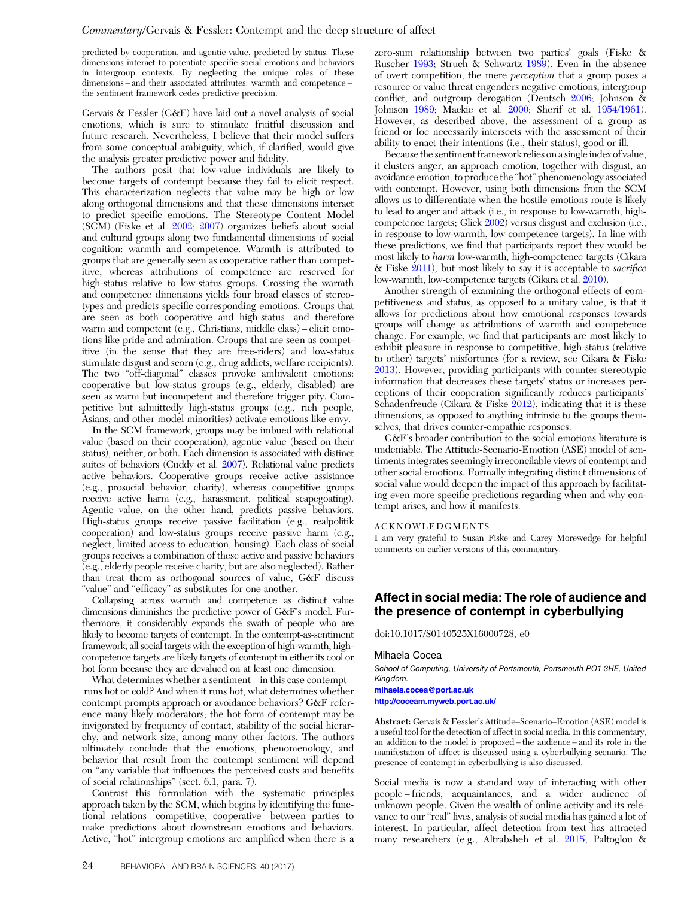predicted by cooperation, and agentic value, predicted by status. These dimensions interact to potentiate specific social emotions and behaviors in intergroup contexts. By neglecting the unique roles of these dimensions – and their associated attributes: warmth and competence – the sentiment framework cedes predictive precision.

Gervais & Fessler (G&F) have laid out a novel analysis of social emotions, which is sure to stimulate fruitful discussion and future research. Nevertheless, I believe that their model suffers from some conceptual ambiguity, which, if clarified, would give the analysis greater predictive power and fidelity.

The authors posit that low-value individuals are likely to become targets of contempt because they fail to elicit respect. This characterization neglects that value may be high or low along orthogonal dimensions and that these dimensions interact to predict specific emotions. The Stereotype Content Model (SCM) (Fiske et al. [2002;](#page-54-0) [2007](#page-54-0)) organizes beliefs about social and cultural groups along two fundamental dimensions of social cognition: warmth and competence. Warmth is attributed to groups that are generally seen as cooperative rather than competitive, whereas attributions of competence are reserved for high-status relative to low-status groups. Crossing the warmth and competence dimensions yields four broad classes of stereotypes and predicts specific corresponding emotions. Groups that are seen as both cooperative and high-status – and therefore warm and competent (e.g., Christians, middle class) – elicit emotions like pride and admiration. Groups that are seen as competitive (in the sense that they are free-riders) and low-status stimulate disgust and scorn (e.g., drug addicts, welfare recipients). The two "off-diagonal" classes provoke ambivalent emotions: cooperative but low-status groups (e.g., elderly, disabled) are seen as warm but incompetent and therefore trigger pity. Competitive but admittedly high-status groups (e.g., rich people, Asians, and other model minorities) activate emotions like envy.

In the SCM framework, groups may be imbued with relational value (based on their cooperation), agentic value (based on their status), neither, or both. Each dimension is associated with distinct suites of behaviors (Cuddy et al. [2007](#page-53-0)). Relational value predicts active behaviors. Cooperative groups receive active assistance (e.g., prosocial behavior, charity), whereas competitive groups receive active harm (e.g., harassment, political scapegoating). Agentic value, on the other hand, predicts passive behaviors. High-status groups receive passive facilitation (e.g., realpolitik cooperation) and low-status groups receive passive harm (e.g., neglect, limited access to education, housing). Each class of social groups receives a combination of these active and passive behaviors (e.g., elderly people receive charity, but are also neglected). Rather than treat them as orthogonal sources of value, G&F discuss "value" and "efficacy" as substitutes for one another.

Collapsing across warmth and competence as distinct value dimensions diminishes the predictive power of G&F's model. Furthermore, it considerably expands the swath of people who are likely to become targets of contempt. In the contempt-as-sentiment framework, all social targets with the exception of high-warmth, highcompetence targets are likely targets of contempt in either its cool or hot form because they are devalued on at least one dimension.

What determines whether a sentiment – in this case contempt – runs hot or cold? And when it runs hot, what determines whether contempt prompts approach or avoidance behaviors? G&F reference many likely moderators; the hot form of contempt may be invigorated by frequency of contact, stability of the social hierarchy, and network size, among many other factors. The authors ultimately conclude that the emotions, phenomenology, and behavior that result from the contempt sentiment will depend on "any variable that influences the perceived costs and benefits of social relationships" (sect. 6.1, para. 7).

Contrast this formulation with the systematic principles approach taken by the SCM, which begins by identifying the functional relations – competitive, cooperative – between parties to make predictions about downstream emotions and behaviors. Active, "hot" intergroup emotions are amplified when there is a

zero-sum relationship between two parties' goals (Fiske & Ruscher [1993;](#page-54-0) Struch & Schwartz [1989](#page-60-0)). Even in the absence of overt competition, the mere perception that a group poses a resource or value threat engenders negative emotions, intergroup conflict, and outgroup derogation (Deutsch [2006;](#page-53-0) Johnson & Johnson [1989](#page-56-0); Mackie et al. [2000](#page-57-0); Sherif et al. [1954/1961](#page-60-0)). However, as described above, the assessment of a group as friend or foe necessarily intersects with the assessment of their ability to enact their intentions (i.e., their status), good or ill.

Because the sentiment framework relies on a single index of value, it clusters anger, an approach emotion, together with disgust, an avoidance emotion, to produce the "hot" phenomenology associated with contempt. However, using both dimensions from the SCM allows us to differentiate when the hostile emotions route is likely to lead to anger and attack (i.e., in response to low-warmth, highcompetence targets; Glick [2002](#page-54-0)) versus disgust and exclusion (i.e., in response to low-warmth, low-competence targets). In line with these predictions, we find that participants report they would be most likely to harm low-warmth, high-competence targets (Cikara & Fiske [2011\)](#page-52-0), but most likely to say it is acceptable to sacrifice low-warmth, low-competence targets (Cikara et al. [2010](#page-52-0)).

Another strength of examining the orthogonal effects of competitiveness and status, as opposed to a unitary value, is that it allows for predictions about how emotional responses towards groups will change as attributions of warmth and competence change. For example, we find that participants are most likely to exhibit pleasure in response to competitive, high-status (relative to other) targets' misfortunes (for a review, see Cikara & Fiske [2013](#page-52-0)). However, providing participants with counter-stereotypic information that decreases these targets' status or increases perceptions of their cooperation significantly reduces participants' Schadenfreude (Cikara & Fiske  $2012$ ), indicating that it is these dimensions, as opposed to anything intrinsic to the groups themselves, that drives counter-empathic responses.

G&F's broader contribution to the social emotions literature is undeniable. The Attitude-Scenario-Emotion (ASE) model of sentiments integrates seemingly irreconcilable views of contempt and other social emotions. Formally integrating distinct dimensions of social value would deepen the impact of this approach by facilitating even more specific predictions regarding when and why contempt arises, and how it manifests.

#### ACKNOWLEDGMENTS

I am very grateful to Susan Fiske and Carey Morewedge for helpful comments on earlier versions of this commentary.

## Affect in social media: The role of audience and the presence of contempt in cyberbullying

doi:10.1017/S0140525X16000728, e0

#### Mihaela Cocea

School of Computing, University of Portsmouth, Portsmouth PO1 3HE, United Kingdom.

[mihaela.cocea@port.ac.uk](mailto:mihaela.cocea@port.ac.uk) <http://coceam.myweb.port.ac.uk/>

Abstract: Gervais & Fessler's Attitude–Scenario–Emotion (ASE) model is a useful tool for the detection of affect in social media. In this commentary, an addition to the model is proposed – the audience – and its role in the manifestation of affect is discussed using a cyberbullying scenario. The presence of contempt in cyberbullying is also discussed.

Social media is now a standard way of interacting with other people – friends, acquaintances, and a wider audience of unknown people. Given the wealth of online activity and its relevance to our "real" lives, analysis of social media has gained a lot of interest. In particular, affect detection from text has attracted many researchers (e.g., Altrabsheh et al. [2015](#page-50-0); Paltoglou &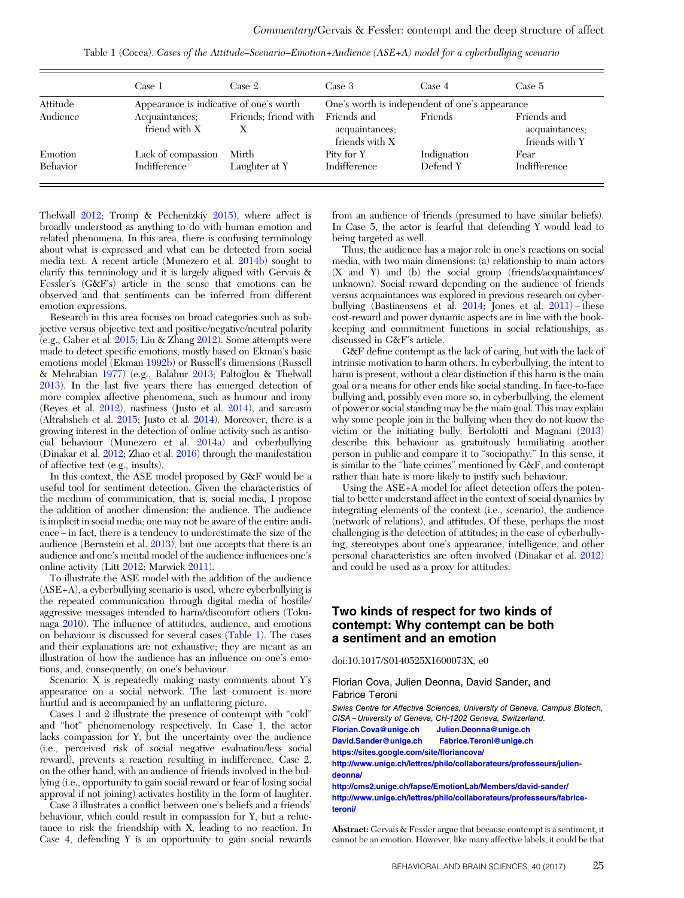Table 1 (Cocea). Cases of the Attitude–Scenario–Emotion+Audience (ASE+A) model for a cyberbullying scenario

|          | Case 1                                  | Case 2                    | Case 3                                          | Case 4      | Case 5                                          |
|----------|-----------------------------------------|---------------------------|-------------------------------------------------|-------------|-------------------------------------------------|
| Attitude | Appearance is indicative of one's worth |                           | One's worth is independent of one's appearance  |             |                                                 |
| Audience | Acquaintances;<br>friend with X         | Friends; friend with<br>Х | Friends and<br>acquaintances;<br>friends with X | Friends     | Friends and<br>acquaintances;<br>friends with Y |
| Emotion  | Lack of compassion                      | Mirth                     | Pity for Y                                      | Indignation | Fear                                            |
| Behavior | Indifference                            | Laughter at Y             | Indifference                                    | Defend Y    | Indifference                                    |

Thelwall [2012](#page-58-0); Tromp & Pechenizkiy [2015\)](#page-61-0), where affect is broadly understood as anything to do with human emotion and related phenomena. In this area, there is confusing terminology about what is expressed and what can be detected from social media text. A recent article (Munezero et al. [2014b](#page-58-0)) sought to clarify this terminology and it is largely aligned with Gervais & Fessler's (G&F's) article in the sense that emotions can be observed and that sentiments can be inferred from different emotion expressions.

Research in this area focuses on broad categories such as subjective versus objective text and positive/negative/neutral polarity (e.g., Gaber et al. [2015](#page-54-0); Liu & Zhang [2012\)](#page-57-0). Some attempts were made to detect specific emotions, mostly based on Ekman's basic emotions model (Ekman [1992b\)](#page-53-0) or Russell's dimensions (Russell & Mehrabian [1977\)](#page-59-0) (e.g., Balahur [2013;](#page-51-0) Paltoglou & Thelwall [2013\)](#page-58-0). In the last five years there has emerged detection of more complex affective phenomena, such as humour and irony (Reyes et al. [2012\)](#page-59-0), nastiness (Justo et al. [2014](#page-56-0)), and sarcasm (Altrabsheh et al. [2015](#page-50-0); Justo et al. [2014](#page-56-0)). Moreover, there is a growing interest in the detection of online activity such as antisocial behaviour (Munezero et al. [2014a\)](#page-58-0) and cyberbullying (Dinakar et al. [2012;](#page-53-0) Zhao et al. [2016](#page-62-0)) through the manifestation of affective text (e.g., insults).

In this context, the ASE model proposed by G&F would be a useful tool for sentiment detection. Given the characteristics of the medium of communication, that is, social media, I propose the addition of another dimension: the audience. The audience is implicit in social media; one may not be aware of the entire audience – in fact, there is a tendency to underestimate the size of the audience (Bernstein et al. [2013\)](#page-51-0), but one accepts that there is an audience and one's mental model of the audience influences one's online activity (Litt [2012](#page-57-0); Marwick [2011](#page-57-0)).

To illustrate the ASE model with the addition of the audience (ASE+A), a cyberbullying scenario is used, where cyberbullying is the repeated communication through digital media of hostile/ aggressive messages intended to harm/discomfort others (Tokunaga [2010](#page-61-0)). The influence of attitudes, audience, and emotions on behaviour is discussed for several cases [\(Table 1\)](#page-3-0). The cases and their explanations are not exhaustive; they are meant as an illustration of how the audience has an influence on one's emotions, and, consequently, on one's behaviour.

Scenario: X is repeatedly making nasty comments about Y's appearance on a social network. The last comment is more hurtful and is accompanied by an unflattering picture.

Cases 1 and 2 illustrate the presence of contempt with "cold" and "hot" phenomenology respectively. In Case 1, the actor lacks compassion for Y, but the uncertainty over the audience (i.e., perceived risk of social negative evaluation/less social reward), prevents a reaction resulting in indifference. Case 2, on the other hand, with an audience of friends involved in the bullying (i.e., opportunity to gain social reward or fear of losing social approval if not joining) activates hostility in the form of laughter.

Case 3 illustrates a conflict between one's beliefs and a friends' behaviour, which could result in compassion for Y, but a reluctance to risk the friendship with X, leading to no reaction. In Case 4, defending Y is an opportunity to gain social rewards

from an audience of friends (presumed to have similar beliefs). In Case 5, the actor is fearful that defending Y would lead to being targeted as well.

Thus, the audience has a major role in one's reactions on social media, with two main dimensions: (a) relationship to main actors (X and Y) and (b) the social group (friends/acquaintances/ unknown). Social reward depending on the audience of friends versus acquaintances was explored in previous research on cyber-bullying (Bastiaensens et al. [2014](#page-51-0); Jones et al. [2011\)](#page-56-0) – these cost-reward and power dynamic aspects are in line with the bookkeeping and commitment functions in social relationships, as discussed in G&F's article.

G&F define contempt as the lack of caring, but with the lack of intrinsic motivation to harm others. In cyberbullying, the intent to harm is present, without a clear distinction if this harm is the main goal or a means for other ends like social standing. In face-to-face bullying and, possibly even more so, in cyberbullying, the element of power or social standing may be the main goal. This may explain why some people join in the bullying when they do not know the victim or the initiating bully. Bertolotti and Magnani [\(2013](#page-51-0)) describe this behaviour as gratuitously humiliating another person in public and compare it to "sociopathy." In this sense, it is similar to the "hate crimes" mentioned by G&F, and contempt rather than hate is more likely to justify such behaviour.

Using the ASE+A model for affect detection offers the potential to better understand affect in the context of social dynamics by integrating elements of the context (i.e., scenario), the audience (network of relations), and attitudes. Of these, perhaps the most challenging is the detection of attitudes; in the case of cyberbullying, stereotypes about one's appearance, intelligence, and other personal characteristics are often involved (Dinakar et al. [2012](#page-53-0)) and could be used as a proxy for attitudes.

## Two kinds of respect for two kinds of contempt: Why contempt can be both a sentiment and an emotion

doi:10.1017/S0140525X1600073X, e0

Florian Cova, Julien Deonna, David Sander, and Fabrice Teroni

Swiss Centre for Affective Sciences, University of Geneva, Campus Biotech, CISA – University of Geneva, CH-1202 Geneva, Switzerland.

[Florian.Cova@unige.ch](mailto:Florian.Cova@unige.ch) [Julien.Deonna@unige.ch](mailto:Julien.Deonna@unige.ch) [David.Sander@unige.ch](mailto:David.Sander@unige.ch) [Fabrice.Teroni@unige.ch](mailto:Fabrice.Teroni@unige.ch) [https://sites.google.com/site/](https://sites.google.com/site/floriancova/)floriancova/ [http://www.unige.ch/lettres/philo/collaborateurs/professeurs/julien-](http://www.unige.ch/lettres/philo/collaborateurs/professeurs/julien-deonna/)

[deonna/](http://www.unige.ch/lettres/philo/collaborateurs/professeurs/julien-deonna/) <http://cms2.unige.ch/fapse/EmotionLab/Members/david-sander/>

[http://www.unige.ch/lettres/philo/collaborateurs/professeurs/fabrice](http://www.unige.ch/lettres/philo/collaborateurs/professeurs/fabrice-teroni/)[teroni/](http://www.unige.ch/lettres/philo/collaborateurs/professeurs/fabrice-teroni/)

Abstract: Gervais & Fessler argue that because contempt is a sentiment, it cannot be an emotion. However, like many affective labels, it could be that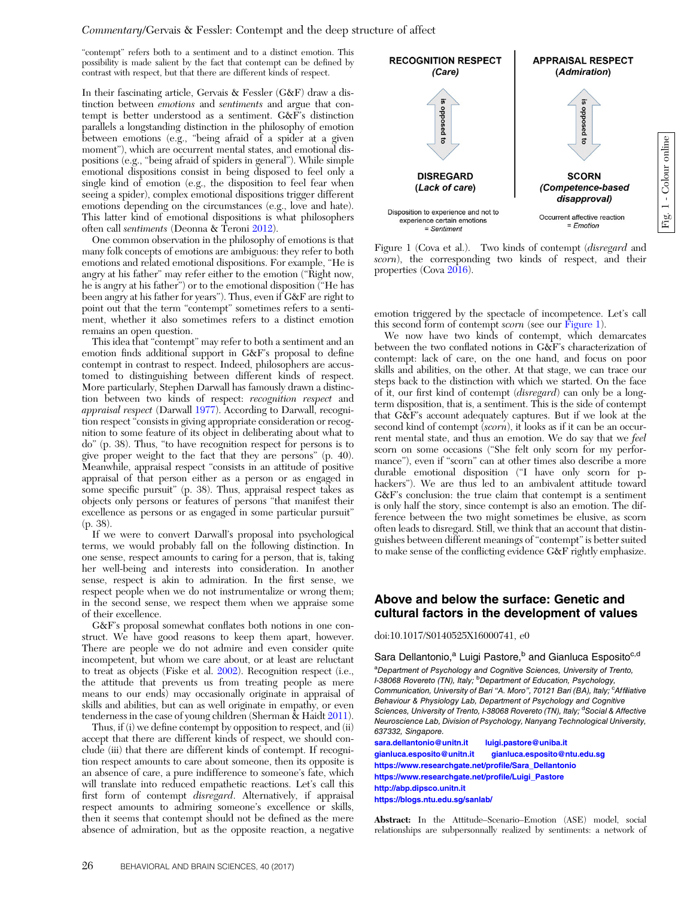"contempt" refers both to a sentiment and to a distinct emotion. This possibility is made salient by the fact that contempt can be defined by contrast with respect, but that there are different kinds of respect.

In their fascinating article, Gervais & Fessler (G&F) draw a distinction between emotions and sentiments and argue that contempt is better understood as a sentiment. G&F's distinction parallels a longstanding distinction in the philosophy of emotion between emotions (e.g., "being afraid of a spider at a given moment"), which are occurrent mental states, and emotional dispositions (e.g., "being afraid of spiders in general"). While simple emotional dispositions consist in being disposed to feel only a single kind of emotion (e.g., the disposition to feel fear when seeing a spider), complex emotional dispositions trigger different emotions depending on the circumstances (e.g., love and hate). This latter kind of emotional dispositions is what philosophers often call sentiments (Deonna & Teroni [2012\)](#page-53-0).

One common observation in the philosophy of emotions is that many folk concepts of emotions are ambiguous: they refer to both emotions and related emotional dispositions. For example, "He is angry at his father" may refer either to the emotion ("Right now, he is angry at his father") or to the emotional disposition ("He has been angry at his father for years"). Thus, even if G&F are right to point out that the term "contempt" sometimes refers to a sentiment, whether it also sometimes refers to a distinct emotion remains an open question.

This idea that "contempt" may refer to both a sentiment and an emotion finds additional support in G&F's proposal to define contempt in contrast to respect. Indeed, philosophers are accustomed to distinguishing between different kinds of respect. More particularly, Stephen Darwall has famously drawn a distinction between two kinds of respect: recognition respect and appraisal respect (Darwall [1977](#page-53-0)). According to Darwall, recognition respect "consists in giving appropriate consideration or recognition to some feature of its object in deliberating about what to do" (p. 38). Thus, "to have recognition respect for persons is to give proper weight to the fact that they are persons" (p. 40). Meanwhile, appraisal respect "consists in an attitude of positive appraisal of that person either as a person or as engaged in some specific pursuit" (p. 38). Thus, appraisal respect takes as objects only persons or features of persons "that manifest their excellence as persons or as engaged in some particular pursuit" (p. 38).

If we were to convert Darwall's proposal into psychological terms, we would probably fall on the following distinction. In one sense, respect amounts to caring for a person, that is, taking her well-being and interests into consideration. In another sense, respect is akin to admiration. In the first sense, we respect people when we do not instrumentalize or wrong them; in the second sense, we respect them when we appraise some of their excellence.

G&F's proposal somewhat conflates both notions in one construct. We have good reasons to keep them apart, however. There are people we do not admire and even consider quite incompetent, but whom we care about, or at least are reluctant to treat as objects (Fiske et al. [2002\)](#page-54-0). Recognition respect (i.e., the attitude that prevents us from treating people as mere means to our ends) may occasionally originate in appraisal of skills and abilities, but can as well originate in empathy, or even tenderness in the case of young children (Sherman & Haidt [2011](#page-60-0)).

Thus, if (i) we define contempt by opposition to respect, and (ii) accept that there are different kinds of respect, we should conclude (iii) that there are different kinds of contempt. If recognition respect amounts to care about someone, then its opposite is an absence of care, a pure indifference to someone's fate, which will translate into reduced empathetic reactions. Let's call this first form of contempt *disregard*. Alternatively, if appraisal respect amounts to admiring someone's excellence or skills, then it seems that contempt should not be defined as the mere absence of admiration, but as the opposite reaction, a negative



Figure 1 (Cova et al.). Two kinds of contempt (*disregard* and scorn), the corresponding two kinds of respect, and their properties (Cova [2016\)](#page-52-0).

emotion triggered by the spectacle of incompetence. Let's call this second form of contempt scorn (see our [Figure 1](#page-11-0)).

We now have two kinds of contempt, which demarcates between the two conflated notions in G&F's characterization of contempt: lack of care, on the one hand, and focus on poor skills and abilities, on the other. At that stage, we can trace our steps back to the distinction with which we started. On the face of it, our first kind of contempt (disregard) can only be a longterm disposition, that is, a sentiment. This is the side of contempt that G&F's account adequately captures. But if we look at the second kind of contempt (*scorn*), it looks as if it can be an occurrent mental state, and thus an emotion. We do say that we feel scorn on some occasions ("She felt only scorn for my performance"), even if "scorn" can at other times also describe a more durable emotional disposition ("I have only scorn for phackers"). We are thus led to an ambivalent attitude toward G&F's conclusion: the true claim that contempt is a sentiment is only half the story, since contempt is also an emotion. The difference between the two might sometimes be elusive, as scorn often leads to disregard. Still, we think that an account that distinguishes between different meanings of "contempt" is better suited to make sense of the conflicting evidence G&F rightly emphasize.

## Above and below the surface: Genetic and cultural factors in the development of values

doi:10.1017/S0140525X16000741, e0

Sara Dellantonio,<sup>a</sup> Luigi Pastore,<sup>b</sup> and Gianluca Esposito<sup>c,d</sup> <sup>a</sup>Department of Psychology and Cognitive Sciences, University of Trento, I-38068 Rovereto (TN), Italy; <sup>b</sup>Department of Education, Psychology, Communication, University of Bari "A. Moro", 70121 Bari (BA), Italy; <sup>c</sup>Affiliative Behaviour & Physiology Lab, Department of Psychology and Cognitive Sciences, University of Trento, I-38068 Rovereto (TN), Italy; <sup>d</sup>Social & Affective Neuroscience Lab, Division of Psychology, Nanyang Technological University, 637332, Singapore.

[sara.dellantonio@unitn.it](mailto:sara.dellantonio@unitn.it) [luigi.pastore@uniba.it](mailto:luigi.pastore@uniba.it) [gianluca.esposito@unitn.it](mailto:gianluca.esposito@unitn.it) [gianluca.esposito@ntu.edu.sg](mailto:gianluca.esposito@ntu.edu.sg) [https://www.researchgate.net/pro](https://www.researchgate.net/profile/Sara_Dellantonio)file/Sara\_Dellantonio [https://www.researchgate.net/pro](https://www.researchgate.net/profile/Luigi_Pastore)file/Luigi\_Pastore <http://abp.dipsco.unitn.it> <https://blogs.ntu.edu.sg/sanlab/>

Abstract: In the Attitude–Scenario–Emotion (ASE) model, social relationships are subpersonnally realized by sentiments: a network of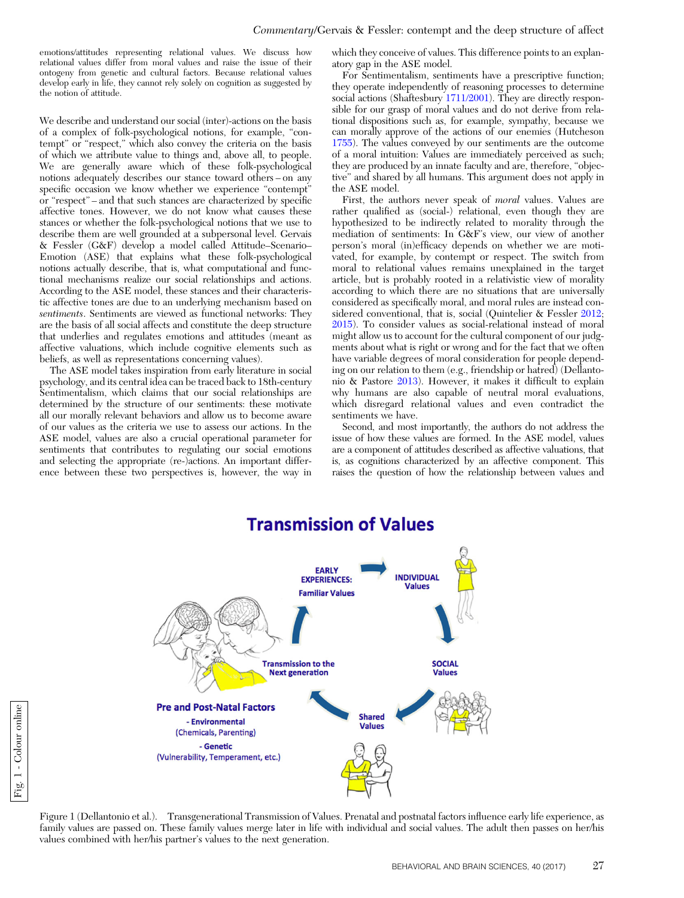emotions/attitudes representing relational values. We discuss how relational values differ from moral values and raise the issue of their ontogeny from genetic and cultural factors. Because relational values develop early in life, they cannot rely solely on cognition as suggested by the notion of attitude.

We describe and understand our social (inter)-actions on the basis of a complex of folk-psychological notions, for example, "contempt" or "respect," which also convey the criteria on the basis of which we attribute value to things and, above all, to people. We are generally aware which of these folk-psychological notions adequately describes our stance toward others – on any specific occasion we know whether we experience "contempt" or "respect" – and that such stances are characterized by specific affective tones. However, we do not know what causes these stances or whether the folk-psychological notions that we use to describe them are well grounded at a subpersonal level. Gervais & Fessler (G&F) develop a model called Attitude–Scenario– Emotion (ASE) that explains what these folk-psychological notions actually describe, that is, what computational and functional mechanisms realize our social relationships and actions. According to the ASE model, these stances and their characteristic affective tones are due to an underlying mechanism based on sentiments. Sentiments are viewed as functional networks: They are the basis of all social affects and constitute the deep structure that underlies and regulates emotions and attitudes (meant as affective valuations, which include cognitive elements such as beliefs, as well as representations concerning values).

The ASE model takes inspiration from early literature in social psychology, and its central idea can be traced back to 18th-century Sentimentalism, which claims that our social relationships are determined by the structure of our sentiments: these motivate all our morally relevant behaviors and allow us to become aware of our values as the criteria we use to assess our actions. In the ASE model, values are also a crucial operational parameter for sentiments that contributes to regulating our social emotions and selecting the appropriate (re-)actions. An important difference between these two perspectives is, however, the way in

which they conceive of values. This difference points to an explanatory gap in the ASE model.

For Sentimentalism, sentiments have a prescriptive function; they operate independently of reasoning processes to determine social actions (Shaftesbury [1711/2001](#page-59-0)). They are directly responsible for our grasp of moral values and do not derive from relational dispositions such as, for example, sympathy, because we can morally approve of the actions of our enemies (Hutcheson [1755\)](#page-56-0). The values conveyed by our sentiments are the outcome of a moral intuition: Values are immediately perceived as such; they are produced by an innate faculty and are, therefore, "objective" and shared by all humans. This argument does not apply in the ASE model.

First, the authors never speak of *moral* values. Values are rather qualified as (social-) relational, even though they are hypothesized to be indirectly related to morality through the mediation of sentiments: In G&F's view, our view of another person's moral (in)efficacy depends on whether we are motivated, for example, by contempt or respect. The switch from moral to relational values remains unexplained in the target article, but is probably rooted in a relativistic view of morality according to which there are no situations that are universally considered as specifically moral, and moral rules are instead con-sidered conventional, that is, social (Quintelier & Fessler [2012;](#page-58-0) [2015](#page-58-0)). To consider values as social-relational instead of moral might allow us to account for the cultural component of our judgments about what is right or wrong and for the fact that we often have variable degrees of moral consideration for people depending on our relation to them (e.g., friendship or hatred) (Dellantonio & Pastore [2013\)](#page-53-0). However, it makes it difficult to explain why humans are also capable of neutral moral evaluations, which disregard relational values and even contradict the sentiments we have.

Second, and most importantly, the authors do not address the issue of how these values are formed. In the ASE model, values are a component of attitudes described as affective valuations, that is, as cognitions characterized by an affective component. This raises the question of how the relationship between values and



**Transmission of Values** 

Figure 1 (Dellantonio et al.). Transgenerational Transmission of Values. Prenatal and postnatal factors influence early life experience, as family values are passed on. These family values merge later in life with individual and social values. The adult then passes on her/his values combined with her/his partner's values to the next generation.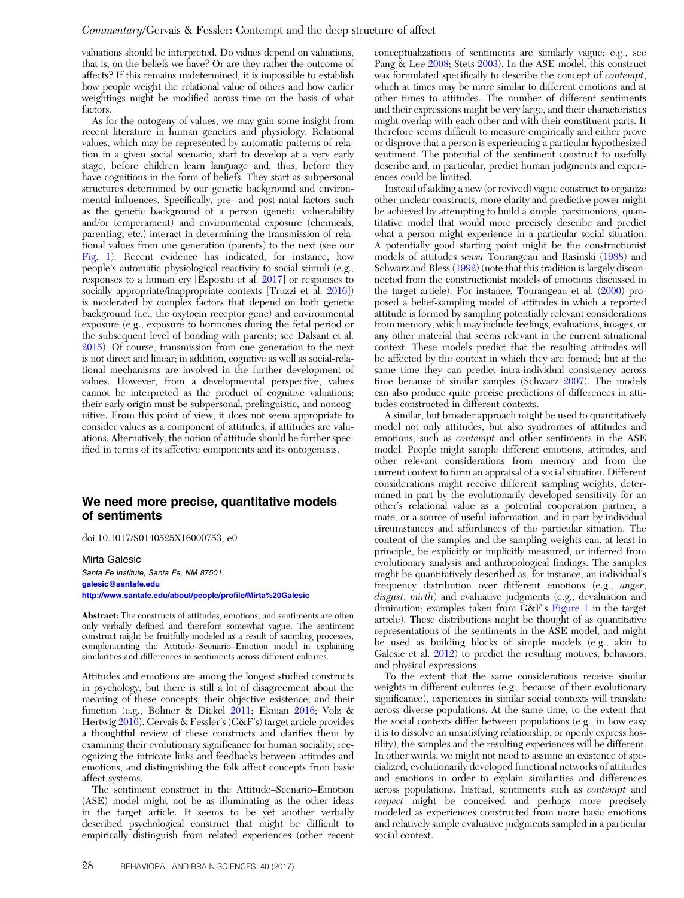valuations should be interpreted. Do values depend on valuations, that is, on the beliefs we have? Or are they rather the outcome of affects? If this remains undetermined, it is impossible to establish how people weight the relational value of others and how earlier weightings might be modified across time on the basis of what factors.

As for the ontogeny of values, we may gain some insight from recent literature in human genetics and physiology. Relational values, which may be represented by automatic patterns of relation in a given social scenario, start to develop at a very early stage, before children learn language and, thus, before they have cognitions in the form of beliefs. They start as subpersonal structures determined by our genetic background and environmental influences. Specifically, pre- and post-natal factors such as the genetic background of a person (genetic vulnerability and/or temperament) and environmental exposure (chemicals, parenting, etc.) interact in determining the transmission of relational values from one generation (parents) to the next (see our [Fig. 1\)](#page-11-0). Recent evidence has indicated, for instance, how people's automatic physiological reactivity to social stimuli (e.g., responses to a human cry [Esposito et al. [2017](#page-53-0)] or responses to socially appropriate/inappropriate contexts [Truzzi et al. [2016](#page-61-0)]) is moderated by complex factors that depend on both genetic background (i.e., the oxytocin receptor gene) and environmental exposure (e.g., exposure to hormones during the fetal period or the subsequent level of bonding with parents; see Dalsant et al. [2015](#page-53-0)). Of course, transmission from one generation to the next is not direct and linear; in addition, cognitive as well as social-relational mechanisms are involved in the further development of values. However, from a developmental perspective, values cannot be interpreted as the product of cognitive valuations; their early origin must be subpersonal, prelinguistic, and noncognitive. From this point of view, it does not seem appropriate to consider values as a component of attitudes, if attitudes are valuations. Alternatively, the notion of attitude should be further specified in terms of its affective components and its ontogenesis.

## We need more precise, quantitative models of sentiments

doi:10.1017/S0140525X16000753, e0

Mirta Galesic Santa Fe Institute, Santa Fe, NM 87501. [galesic@santafe.edu](mailto:galesic@santafe.edu) [http://www.santafe.edu/about/people/pro](http://www.santafe.edu/about/people/profile/Mirta%20Galesic)file/Mirta%20Galesic

Abstract: The constructs of attitudes, emotions, and sentiments are often only verbally defined and therefore somewhat vague. The sentiment construct might be fruitfully modeled as a result of sampling processes, complementing the Attitude–Scenario–Emotion model in explaining similarities and differences in sentiments across different cultures.

Attitudes and emotions are among the longest studied constructs in psychology, but there is still a lot of disagreement about the meaning of these concepts, their objective existence, and their function (e.g., Bohner & Dickel [2011](#page-51-0); Ekman [2016;](#page-53-0) Volz & Hertwig [2016](#page-61-0)). Gervais & Fessler's (G&F's) target article provides a thoughtful review of these constructs and clarifies them by examining their evolutionary significance for human sociality, recognizing the intricate links and feedbacks between attitudes and emotions, and distinguishing the folk affect concepts from basic affect systems.

The sentiment construct in the Attitude–Scenario–Emotion (ASE) model might not be as illuminating as the other ideas in the target article. It seems to be yet another verbally described psychological construct that might be difficult to empirically distinguish from related experiences (other recent

conceptualizations of sentiments are similarly vague; e.g., see Pang & Lee [2008;](#page-58-0) Stets [2003](#page-60-0)). In the ASE model, this construct was formulated specifically to describe the concept of contempt, which at times may be more similar to different emotions and at other times to attitudes. The number of different sentiments and their expressions might be very large, and their characteristics might overlap with each other and with their constituent parts. It therefore seems difficult to measure empirically and either prove or disprove that a person is experiencing a particular hypothesized sentiment. The potential of the sentiment construct to usefully describe and, in particular, predict human judgments and experiences could be limited.

Instead of adding a new (or revived) vague construct to organize other unclear constructs, more clarity and predictive power might be achieved by attempting to build a simple, parsimonious, quantitative model that would more precisely describe and predict what a person might experience in a particular social situation. A potentially good starting point might be the constructionist models of attitudes sensu Tourangeau and Rasinski [\(1988](#page-61-0)) and Schwarz and Bless ([1992\)](#page-59-0) (note that this tradition is largely disconnected from the constructionist models of emotions discussed in the target article). For instance, Tourangeau et al. [\(2000](#page-61-0)) proposed a belief-sampling model of attitudes in which a reported attitude is formed by sampling potentially relevant considerations from memory, which may include feelings, evaluations, images, or any other material that seems relevant in the current situational context. These models predict that the resulting attitudes will be affected by the context in which they are formed; but at the same time they can predict intra-individual consistency across time because of similar samples (Schwarz [2007](#page-59-0)). The models can also produce quite precise predictions of differences in attitudes constructed in different contexts.

A similar, but broader approach might be used to quantitatively model not only attitudes, but also syndromes of attitudes and emotions, such as contempt and other sentiments in the ASE model. People might sample different emotions, attitudes, and other relevant considerations from memory and from the current context to form an appraisal of a social situation. Different considerations might receive different sampling weights, determined in part by the evolutionarily developed sensitivity for an other's relational value as a potential cooperation partner, a mate, or a source of useful information, and in part by individual circumstances and affordances of the particular situation. The content of the samples and the sampling weights can, at least in principle, be explicitly or implicitly measured, or inferred from evolutionary analysis and anthropological findings. The samples might be quantitatively described as, for instance, an individual's frequency distribution over different emotions (e.g., anger, disgust, mirth) and evaluative judgments (e.g., devaluation and diminution; examples taken from G&F's [Figure 1](#page-11-0) in the target article). These distributions might be thought of as quantitative representations of the sentiments in the ASE model, and might be used as building blocks of simple models (e.g., akin to Galesic et al. [2012\)](#page-54-0) to predict the resulting motives, behaviors, and physical expressions.

To the extent that the same considerations receive similar weights in different cultures (e.g., because of their evolutionary significance), experiences in similar social contexts will translate across diverse populations. At the same time, to the extent that the social contexts differ between populations (e.g., in how easy it is to dissolve an unsatisfying relationship, or openly express hostility), the samples and the resulting experiences will be different. In other words, we might not need to assume an existence of specialized, evolutionarily developed functional networks of attitudes and emotions in order to explain similarities and differences across populations. Instead, sentiments such as contempt and respect might be conceived and perhaps more precisely modeled as experiences constructed from more basic emotions and relatively simple evaluative judgments sampled in a particular social context.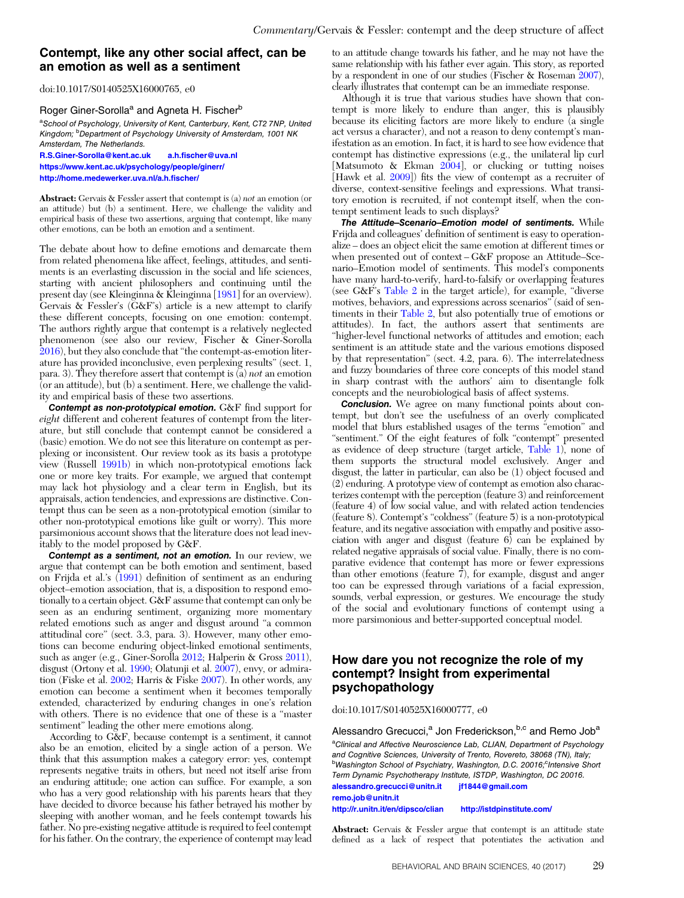## Contempt, like any other social affect, can be an emotion as well as a sentiment

doi:10.1017/S0140525X16000765, e0

Roger Giner-Sorolla<sup>a</sup> and Agneta H. Fischer<sup>b</sup>

<sup>a</sup>School of Psychology, University of Kent, Canterbury, Kent, CT2 7NP, United Kingdom; <sup>b</sup>Department of Psychology University of Amsterdam, 1001 NK Amsterdam, The Netherlands. [R.S.Giner-Sorolla@kent.ac.uk](mailto:R.S.Giner-Sorolla@kent.ac.uk) a.h.fi[scher@uva.nl](mailto:a.h.fischer@uva.nl) <https://www.kent.ac.uk/psychology/people/ginerr/> [http://home.medewerker.uva.nl/a.h.](http://home.medewerker.uva.nl/a.h.fischer/)fischer/

Abstract: Gervais & Fessler assert that contempt is (a) not an emotion (or an attitude) but (b) a sentiment. Here, we challenge the validity and empirical basis of these two assertions, arguing that contempt, like many other emotions, can be both an emotion and a sentiment.

The debate about how to define emotions and demarcate them from related phenomena like affect, feelings, attitudes, and sentiments is an everlasting discussion in the social and life sciences, starting with ancient philosophers and continuing until the present day (see Kleinginna & Kleinginna [\[1981](#page-56-0)] for an overview). Gervais & Fessler's (G&F's) article is a new attempt to clarify these different concepts, focusing on one emotion: contempt. The authors rightly argue that contempt is a relatively neglected phenomenon (see also our review, Fischer & Giner-Sorolla [2016\)](#page-54-0), but they also conclude that "the contempt-as-emotion literature has provided inconclusive, even perplexing results" (sect. 1, para. 3). They therefore assert that contempt is  $\overline{a}$  not an emotion (or an attitude), but (b) a sentiment. Here, we challenge the validity and empirical basis of these two assertions.

Contempt as non-prototypical emotion. G&F find support for eight different and coherent features of contempt from the literature, but still conclude that contempt cannot be considered a (basic) emotion. We do not see this literature on contempt as perplexing or inconsistent. Our review took as its basis a prototype view (Russell [1991b](#page-59-0)) in which non-prototypical emotions lack one or more key traits. For example, we argued that contempt may lack hot physiology and a clear term in English, but its appraisals, action tendencies, and expressions are distinctive. Contempt thus can be seen as a non-prototypical emotion (similar to other non-prototypical emotions like guilt or worry). This more parsimonious account shows that the literature does not lead inevitably to the model proposed by G&F.

Contempt as a sentiment, not an emotion. In our review, we argue that contempt can be both emotion and sentiment, based on Frijda et al.'s ([1991](#page-54-0)) definition of sentiment as an enduring object–emotion association, that is, a disposition to respond emotionally to a certain object. G&F assume that contempt can only be seen as an enduring sentiment, organizing more momentary related emotions such as anger and disgust around "a common attitudinal core" (sect. 3.3, para. 3). However, many other emotions can become enduring object-linked emotional sentiments, such as anger (e.g., Giner-Sorolla [2012](#page-54-0); Halperin & Gross [2011\)](#page-55-0), disgust (Ortony et al. [1990](#page-58-0); Olatunji et al. [2007](#page-58-0)), envy, or admiration (Fiske et al. [2002](#page-54-0); Harris & Fiske [2007](#page-55-0)). In other words, any emotion can become a sentiment when it becomes temporally extended, characterized by enduring changes in one's relation with others. There is no evidence that one of these is a "master sentiment" leading the other mere emotions along.

According to G&F, because contempt is a sentiment, it cannot also be an emotion, elicited by a single action of a person. We think that this assumption makes a category error: yes, contempt represents negative traits in others, but need not itself arise from an enduring attitude; one action can suffice. For example, a son who has a very good relationship with his parents hears that they have decided to divorce because his father betrayed his mother by sleeping with another woman, and he feels contempt towards his father. No pre-existing negative attitude is required to feel contempt for his father. On the contrary, the experience of contempt may lead

to an attitude change towards his father, and he may not have the same relationship with his father ever again. This story, as reported by a respondent in one of our studies (Fischer & Roseman [2007\)](#page-54-0), clearly illustrates that contempt can be an immediate response.

Although it is true that various studies have shown that contempt is more likely to endure than anger, this is plausibly because its eliciting factors are more likely to endure (a single act versus a character), and not a reason to deny contempt's manifestation as an emotion. In fact, it is hard to see how evidence that contempt has distinctive expressions (e.g., the unilateral lip curl [Matsumoto & Ekman [2004](#page-57-0)], or clucking or tutting noises [Hawk et al. [2009\]](#page-55-0)) fits the view of contempt as a recruiter of diverse, context-sensitive feelings and expressions. What transitory emotion is recruited, if not contempt itself, when the contempt sentiment leads to such displays?

The Attitude–Scenario–Emotion model of sentiments. While Frijda and colleagues' definition of sentiment is easy to operationalize – does an object elicit the same emotion at different times or when presented out of context – G&F propose an Attitude–Scenario–Emotion model of sentiments. This model's components have many hard-to-verify, hard-to-falsify or overlapping features (see G&F's [Table 2](#page-7-0) in the target article), for example, "diverse motives, behaviors, and expressions across scenarios" (said of sentiments in their [Table 2,](#page-7-0) but also potentially true of emotions or attitudes). In fact, the authors assert that sentiments are "higher-level functional networks of attitudes and emotion; each sentiment is an attitude state and the various emotions disposed by that representation" (sect. 4.2, para. 6). The interrelatedness and fuzzy boundaries of three core concepts of this model stand in sharp contrast with the authors' aim to disentangle folk concepts and the neurobiological basis of affect systems.

**Conclusion.** We agree on many functional points about contempt, but don't see the usefulness of an overly complicated model that blurs established usages of the terms "emotion" and "sentiment." Of the eight features of folk "contempt" presented as evidence of deep structure (target article, [Table 1\)](#page-3-0), none of them supports the structural model exclusively. Anger and disgust, the latter in particular, can also be (1) object focused and (2) enduring. A prototype view of contempt as emotion also characterizes contempt with the perception (feature 3) and reinforcement (feature 4) of low social value, and with related action tendencies (feature 8). Contempt's "coldness" (feature 5) is a non-prototypical feature, and its negative association with empathy and positive association with anger and disgust (feature 6) can be explained by related negative appraisals of social value. Finally, there is no comparative evidence that contempt has more or fewer expressions than other emotions (feature  $\bar{7}$ ), for example, disgust and anger too can be expressed through variations of a facial expression, sounds, verbal expression, or gestures. We encourage the study of the social and evolutionary functions of contempt using a more parsimonious and better-supported conceptual model.

## How dare you not recognize the role of my contempt? Insight from experimental psychopathology

doi:10.1017/S0140525X16000777, e0

Alessandro Grecucci,<sup>a</sup> Jon Frederickson,<sup>b,c</sup> and Remo Job<sup>a</sup> <sup>a</sup>Clinical and Affective Neuroscience Lab, CLIAN, Department of Psychology and Cognitive Sciences, University of Trento, Rovereto, 38068 (TN), Italy; <sup>b</sup>Washington School of Psychiatry, Washington, D.C. 20016;<sup>c</sup>Intensive Short Term Dynamic Psychotherapy Institute, ISTDP, Washington, DC 20016. [alessandro.grecucci@unitn.it](mailto:alessandro.grecucci@unitn.it) [jf1844@gmail.com](mailto:jf1844@gmail.com) [remo.job@unitn.it](mailto:remo.job@unitn.it)

#### <http://r.unitn.it/en/dipsco/clian><http://istdpinstitute.com/>

Abstract: Gervais & Fessler argue that contempt is an attitude state defined as a lack of respect that potentiates the activation and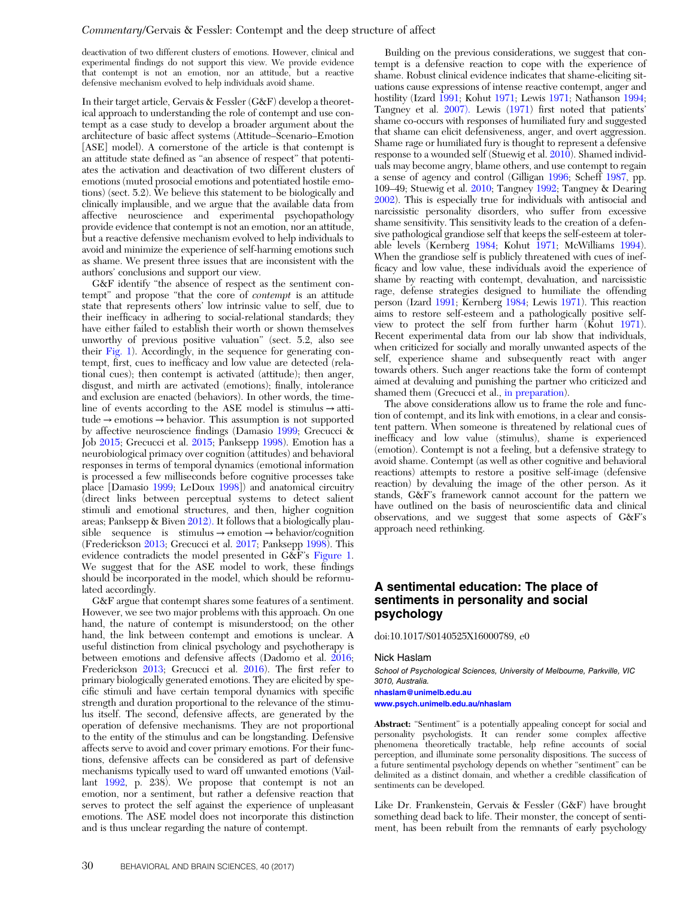deactivation of two different clusters of emotions. However, clinical and experimental findings do not support this view. We provide evidence that contempt is not an emotion, nor an attitude, but a reactive defensive mechanism evolved to help individuals avoid shame.

In their target article, Gervais & Fessler (G&F) develop a theoretical approach to understanding the role of contempt and use contempt as a case study to develop a broader argument about the architecture of basic affect systems (Attitude–Scenario–Emotion [ASE] model). A cornerstone of the article is that contempt is an attitude state defined as "an absence of respect" that potentiates the activation and deactivation of two different clusters of emotions (muted prosocial emotions and potentiated hostile emotions) (sect. 5.2). We believe this statement to be biologically and clinically implausible, and we argue that the available data from affective neuroscience and experimental psychopathology provide evidence that contempt is not an emotion, nor an attitude, but a reactive defensive mechanism evolved to help individuals to avoid and minimize the experience of self-harming emotions such as shame. We present three issues that are inconsistent with the authors' conclusions and support our view.

G&F identify "the absence of respect as the sentiment contempt" and propose "that the core of contempt is an attitude state that represents others' low intrinsic value to self, due to their inefficacy in adhering to social-relational standards; they have either failed to establish their worth or shown themselves unworthy of previous positive valuation" (sect. 5.2, also see their [Fig. 1](#page-11-0)). Accordingly, in the sequence for generating contempt, first, cues to inefficacy and low value are detected (relational cues); then contempt is activated (attitude); then anger, disgust, and mirth are activated (emotions); finally, intolerance and exclusion are enacted (behaviors). In other words, the timeline of events according to the ASE model is stimulus  $\rightarrow$  attitude → emotions → behavior. This assumption is not supported by affective neuroscience findings (Damasio [1999;](#page-53-0) Grecucci & Job [2015](#page-55-0); Grecucci et al. [2015](#page-55-0); Panksepp [1998\)](#page-58-0). Emotion has a neurobiological primacy over cognition (attitudes) and behavioral responses in terms of temporal dynamics (emotional information is processed a few milliseconds before cognitive processes take place [Damasio [1999;](#page-53-0) LeDoux [1998](#page-56-0)]) and anatomical circuitry (direct links between perceptual systems to detect salient stimuli and emotional structures, and then, higher cognition areas; Panksepp & Biven [2012\).](#page-58-0) It follows that a biologically plau $sible$  sequence is stimulus  $\rightarrow$  emotion  $\rightarrow$  behavior/cognition (Frederickson [2013;](#page-54-0) Grecucci et al. [2017](#page-55-0); Panksepp [1998](#page-58-0)). This evidence contradicts the model presented in G&F's [Figure 1.](#page-11-0) We suggest that for the ASE model to work, these findings should be incorporated in the model, which should be reformulated accordingly.

G&F argue that contempt shares some features of a sentiment. However, we see two major problems with this approach. On one hand, the nature of contempt is misunderstood; on the other hand, the link between contempt and emotions is unclear. A useful distinction from clinical psychology and psychotherapy is between emotions and defensive affects (Dadomo et al. [2016;](#page-53-0) Frederickson [2013](#page-54-0); Grecucci et al. [2016](#page-55-0)). The first refer to primary biologically generated emotions. They are elicited by specific stimuli and have certain temporal dynamics with specific strength and duration proportional to the relevance of the stimulus itself. The second, defensive affects, are generated by the operation of defensive mechanisms. They are not proportional to the entity of the stimulus and can be longstanding. Defensive affects serve to avoid and cover primary emotions. For their functions, defensive affects can be considered as part of defensive mechanisms typically used to ward off unwanted emotions (Vaillant [1992](#page-61-0), p. 238). We propose that contempt is not an emotion, nor a sentiment, but rather a defensive reaction that serves to protect the self against the experience of unpleasant emotions. The ASE model does not incorporate this distinction and is thus unclear regarding the nature of contempt.

Building on the previous considerations, we suggest that contempt is a defensive reaction to cope with the experience of shame. Robust clinical evidence indicates that shame-eliciting situations cause expressions of intense reactive contempt, anger and hostility (Izard [1991](#page-56-0); Kohut [1971](#page-56-0); Lewis [1971](#page-57-0); Nathanson [1994](#page-58-0); Tangney et al. [2007\).](#page-61-0) Lewis [\(1971](#page-57-0)) first noted that patients' shame co-occurs with responses of humiliated fury and suggested that shame can elicit defensiveness, anger, and overt aggression. Shame rage or humiliated fury is thought to represent a defensive response to a wounded self (Stuewig et al. [2010](#page-60-0)). Shamed individuals may become angry, blame others, and use contempt to regain a sense of agency and control (Gilligan [1996;](#page-54-0) Scheff [1987,](#page-59-0) pp. 109–49; Stuewig et al. [2010;](#page-60-0) Tangney [1992](#page-60-0); Tangney & Dearing [2002](#page-60-0)). This is especially true for individuals with antisocial and narcissistic personality disorders, who suffer from excessive shame sensitivity. This sensitivity leads to the creation of a defensive pathological grandiose self that keeps the self-esteem at tolerable levels (Kernberg [1984](#page-56-0); Kohut [1971;](#page-56-0) McWilliams [1994](#page-57-0)). When the grandiose self is publicly threatened with cues of inefficacy and low value, these individuals avoid the experience of shame by reacting with contempt, devaluation, and narcissistic rage, defense strategies designed to humiliate the offending person (Izard [1991;](#page-56-0) Kernberg [1984](#page-56-0); Lewis [1971\)](#page-57-0). This reaction aims to restore self-esteem and a pathologically positive selfview to protect the self from further harm (Kohut [1971](#page-56-0)). Recent experimental data from our lab show that individuals, when criticized for socially and morally unwanted aspects of the self, experience shame and subsequently react with anger towards others. Such anger reactions take the form of contempt aimed at devaluing and punishing the partner who criticized and shamed them (Grecucci et al., [in preparation\)](#page-55-0).

The above considerations allow us to frame the role and function of contempt, and its link with emotions, in a clear and consistent pattern. When someone is threatened by relational cues of inefficacy and low value (stimulus), shame is experienced (emotion). Contempt is not a feeling, but a defensive strategy to avoid shame. Contempt (as well as other cognitive and behavioral reactions) attempts to restore a positive self-image (defensive reaction) by devaluing the image of the other person. As it stands, G&F's framework cannot account for the pattern we have outlined on the basis of neuroscientific data and clinical observations, and we suggest that some aspects of G&F's approach need rethinking.

## A sentimental education: The place of sentiments in personality and social psychology

doi:10.1017/S0140525X16000789, e0

#### Nick Haslam

School of Psychological Sciences, University of Melbourne, Parkville, VIC 3010, Australia.

### [nhaslam@unimelb.edu.au](mailto:nhaslam@unimelb.edu.au)

[www.psych.unimelb.edu.au/nhaslam](http://www.psych.unimelb.edu.au/nhaslam)

Abstract: "Sentiment" is a potentially appealing concept for social and personality psychologists. It can render some complex affective phenomena theoretically tractable, help refine accounts of social perception, and illuminate some personality dispositions. The success of a future sentimental psychology depends on whether "sentiment" can be delimited as a distinct domain, and whether a credible classification of sentiments can be developed.

Like Dr. Frankenstein, Gervais & Fessler (G&F) have brought something dead back to life. Their monster, the concept of sentiment, has been rebuilt from the remnants of early psychology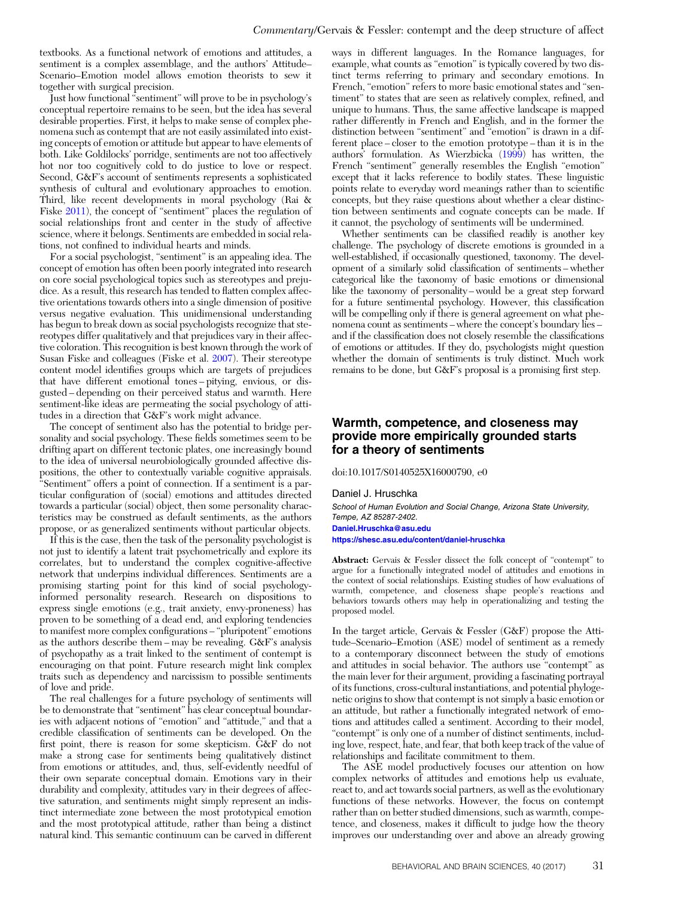textbooks. As a functional network of emotions and attitudes, a sentiment is a complex assemblage, and the authors' Attitude– Scenario–Emotion model allows emotion theorists to sew it together with surgical precision.

Just how functional "sentiment" will prove to be in psychology's conceptual repertoire remains to be seen, but the idea has several desirable properties. First, it helps to make sense of complex phenomena such as contempt that are not easily assimilated into existing concepts of emotion or attitude but appear to have elements of both. Like Goldilocks' porridge, sentiments are not too affectively hot nor too cognitively cold to do justice to love or respect. Second, G&F's account of sentiments represents a sophisticated synthesis of cultural and evolutionary approaches to emotion. Third, like recent developments in moral psychology (Rai & Fiske [2011\)](#page-59-0), the concept of "sentiment" places the regulation of social relationships front and center in the study of affective science, where it belongs. Sentiments are embedded in social relations, not confined to individual hearts and minds.

For a social psychologist, "sentiment" is an appealing idea. The concept of emotion has often been poorly integrated into research on core social psychological topics such as stereotypes and prejudice. As a result, this research has tended to flatten complex affective orientations towards others into a single dimension of positive versus negative evaluation. This unidimensional understanding has begun to break down as social psychologists recognize that stereotypes differ qualitatively and that prejudices vary in their affective coloration. This recognition is best known through the work of Susan Fiske and colleagues (Fiske et al. [2007](#page-54-0)). Their stereotype content model identifies groups which are targets of prejudices that have different emotional tones – pitying, envious, or disgusted – depending on their perceived status and warmth. Here sentiment-like ideas are permeating the social psychology of attitudes in a direction that G&F's work might advance.

The concept of sentiment also has the potential to bridge personality and social psychology. These fields sometimes seem to be drifting apart on different tectonic plates, one increasingly bound to the idea of universal neurobiologically grounded affective dispositions, the other to contextually variable cognitive appraisals. "Sentiment" offers a point of connection. If a sentiment is a particular configuration of (social) emotions and attitudes directed towards a particular (social) object, then some personality characteristics may be construed as default sentiments, as the authors propose, or as generalized sentiments without particular objects.

If this is the case, then the task of the personality psychologist is not just to identify a latent trait psychometrically and explore its correlates, but to understand the complex cognitive-affective network that underpins individual differences. Sentiments are a promising starting point for this kind of social psychologyinformed personality research. Research on dispositions to express single emotions (e.g., trait anxiety, envy-proneness) has proven to be something of a dead end, and exploring tendencies to manifest more complex configurations – "pluripotent" emotions as the authors describe them – may be revealing. G&F's analysis of psychopathy as a trait linked to the sentiment of contempt is encouraging on that point. Future research might link complex traits such as dependency and narcissism to possible sentiments of love and pride.

The real challenges for a future psychology of sentiments will be to demonstrate that "sentiment" has clear conceptual boundaries with adjacent notions of "emotion" and "attitude," and that a credible classification of sentiments can be developed. On the first point, there is reason for some skepticism. G&F do not make a strong case for sentiments being qualitatively distinct from emotions or attitudes, and, thus, self-evidently needful of their own separate conceptual domain. Emotions vary in their durability and complexity, attitudes vary in their degrees of affective saturation, and sentiments might simply represent an indistinct intermediate zone between the most prototypical emotion and the most prototypical attitude, rather than being a distinct natural kind. This semantic continuum can be carved in different

ways in different languages. In the Romance languages, for example, what counts as "emotion" is typically covered by two distinct terms referring to primary and secondary emotions. In French, "emotion" refers to more basic emotional states and "sentiment" to states that are seen as relatively complex, refined, and unique to humans. Thus, the same affective landscape is mapped rather differently in French and English, and in the former the distinction between "sentiment" and "emotion" is drawn in a different place – closer to the emotion prototype – than it is in the authors' formulation. As Wierzbicka [\(1999](#page-61-0)) has written, the French "sentiment" generally resembles the English "emotion" except that it lacks reference to bodily states. These linguistic points relate to everyday word meanings rather than to scientific concepts, but they raise questions about whether a clear distinction between sentiments and cognate concepts can be made. If it cannot, the psychology of sentiments will be undermined.

Whether sentiments can be classified readily is another key challenge. The psychology of discrete emotions is grounded in a well-established, if occasionally questioned, taxonomy. The development of a similarly solid classification of sentiments – whether categorical like the taxonomy of basic emotions or dimensional like the taxonomy of personality – would be a great step forward for a future sentimental psychology. However, this classification will be compelling only if there is general agreement on what phenomena count as sentiments – where the concept's boundary lies – and if the classification does not closely resemble the classifications of emotions or attitudes. If they do, psychologists might question whether the domain of sentiments is truly distinct. Much work remains to be done, but G&F's proposal is a promising first step.

## Warmth, competence, and closeness may provide more empirically grounded starts for a theory of sentiments

doi:10.1017/S0140525X16000790, e0

Daniel J. Hruschka

School of Human Evolution and Social Change, Arizona State University, Tempe, AZ 85287-2402. [Daniel.Hruschka@asu.edu](mailto:Daniel.Hruschka@asu.edu)

<https://shesc.asu.edu/content/daniel-hruschka>

Abstract: Gervais & Fessler dissect the folk concept of "contempt" to argue for a functionally integrated model of attitudes and emotions in the context of social relationships. Existing studies of how evaluations of warmth, competence, and closeness shape people's reactions and behaviors towards others may help in operationalizing and testing the proposed model.

In the target article, Gervais & Fessler (G&F) propose the Attitude–Scenario–Emotion (ASE) model of sentiment as a remedy to a contemporary disconnect between the study of emotions and attitudes in social behavior. The authors use "contempt" as the main lever for their argument, providing a fascinating portrayal of its functions, cross-cultural instantiations, and potential phylogenetic origins to show that contempt is not simply a basic emotion or an attitude, but rather a functionally integrated network of emotions and attitudes called a sentiment. According to their model, "contempt" is only one of a number of distinct sentiments, including love, respect, hate, and fear, that both keep track of the value of relationships and facilitate commitment to them.

The ASE model productively focuses our attention on how complex networks of attitudes and emotions help us evaluate, react to, and act towards social partners, as well as the evolutionary functions of these networks. However, the focus on contempt rather than on better studied dimensions, such as warmth, competence, and closeness, makes it difficult to judge how the theory improves our understanding over and above an already growing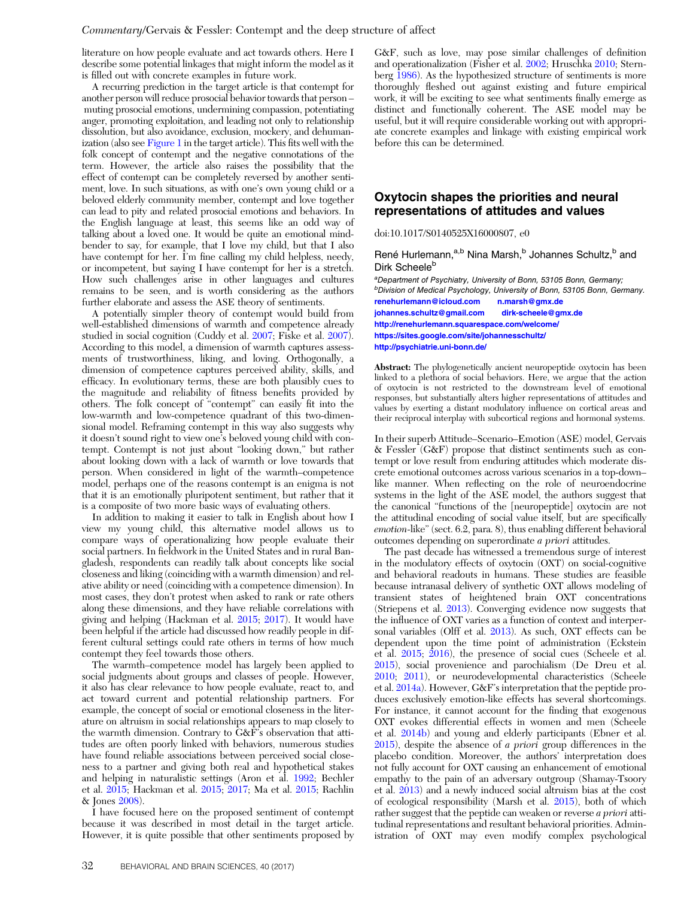literature on how people evaluate and act towards others. Here I describe some potential linkages that might inform the model as it is filled out with concrete examples in future work.

A recurring prediction in the target article is that contempt for another person will reduce prosocial behavior towards that person – muting prosocial emotions, undermining compassion, potentiating anger, promoting exploitation, and leading not only to relationship dissolution, but also avoidance, exclusion, mockery, and dehumanization (also see [Figure 1](#page-11-0) in the target article). This fits well with the folk concept of contempt and the negative connotations of the term. However, the article also raises the possibility that the effect of contempt can be completely reversed by another sentiment, love. In such situations, as with one's own young child or a beloved elderly community member, contempt and love together can lead to pity and related prosocial emotions and behaviors. In the English language at least, this seems like an odd way of talking about a loved one. It would be quite an emotional mindbender to say, for example, that I love my child, but that I also have contempt for her. I'm fine calling my child helpless, needy, or incompetent, but saying I have contempt for her is a stretch. How such challenges arise in other languages and cultures remains to be seen, and is worth considering as the authors further elaborate and assess the ASE theory of sentiments.

A potentially simpler theory of contempt would build from well-established dimensions of warmth and competence already studied in social cognition (Cuddy et al. [2007](#page-53-0); Fiske et al. [2007](#page-54-0)). According to this model, a dimension of warmth captures assessments of trustworthiness, liking, and loving. Orthogonally, a dimension of competence captures perceived ability, skills, and efficacy. In evolutionary terms, these are both plausibly cues to the magnitude and reliability of fitness benefits provided by others. The folk concept of "contempt" can easily fit into the low-warmth and low-competence quadrant of this two-dimensional model. Reframing contempt in this way also suggests why it doesn't sound right to view one's beloved young child with contempt. Contempt is not just about "looking down," but rather about looking down with a lack of warmth or love towards that person. When considered in light of the warmth–competence model, perhaps one of the reasons contempt is an enigma is not that it is an emotionally pluripotent sentiment, but rather that it is a composite of two more basic ways of evaluating others.

In addition to making it easier to talk in English about how I view my young child, this alternative model allows us to compare ways of operationalizing how people evaluate their social partners. In fieldwork in the United States and in rural Bangladesh, respondents can readily talk about concepts like social closeness and liking (coinciding with a warmth dimension) and relative ability or need (coinciding with a competence dimension). In most cases, they don't protest when asked to rank or rate others along these dimensions, and they have reliable correlations with giving and helping (Hackman et al. [2015;](#page-55-0) [2017](#page-55-0)). It would have been helpful if the article had discussed how readily people in different cultural settings could rate others in terms of how much contempt they feel towards those others.

The warmth–competence model has largely been applied to social judgments about groups and classes of people. However, it also has clear relevance to how people evaluate, react to, and act toward current and potential relationship partners. For example, the concept of social or emotional closeness in the literature on altruism in social relationships appears to map closely to the warmth dimension. Contrary to G&F's observation that attitudes are often poorly linked with behaviors, numerous studies have found reliable associations between perceived social closeness to a partner and giving both real and hypothetical stakes and helping in naturalistic settings (Aron et al. [1992;](#page-51-0) Bechler et al. [2015;](#page-51-0) Hackman et al. [2015](#page-55-0); [2017;](#page-55-0) Ma et al. [2015;](#page-57-0) Rachlin & Jones [2008\)](#page-59-0).

I have focused here on the proposed sentiment of contempt because it was described in most detail in the target article. However, it is quite possible that other sentiments proposed by

G&F, such as love, may pose similar challenges of definition and operationalization (Fisher et al. [2002;](#page-54-0) Hruschka [2010;](#page-55-0) Sternberg [1986\)](#page-60-0). As the hypothesized structure of sentiments is more thoroughly fleshed out against existing and future empirical work, it will be exciting to see what sentiments finally emerge as distinct and functionally coherent. The ASE model may be useful, but it will require considerable working out with appropriate concrete examples and linkage with existing empirical work before this can be determined.

## Oxytocin shapes the priorities and neural representations of attitudes and values

doi:10.1017/S0140525X16000807, e0

René Hurlemann,<sup>a,b</sup> Nina Marsh,<sup>b</sup> Johannes Schultz,<sup>b</sup> and Dirk Scheele<sup>b</sup>

<sup>a</sup>Department of Psychiatry, University of Bonn, 53105 Bonn, Germany; **bDivision of Medical Psychology, University of Bonn, 53105 Bonn, Germany.** [renehurlemann@icloud.com](mailto:renehurlemann@icloud.com) [n.marsh@gmx.de](mailto:n.marsh@gmx.de) [johannes.schultz@gmail.com](mailto:johannes.schultz@gmail.com) [dirk-scheele@gmx.de](mailto:dirk-scheele@gmx.de) <http://renehurlemann.squarespace.com/welcome/> <https://sites.google.com/site/johannesschultz/> <http://psychiatrie.uni-bonn.de/>

Abstract: The phylogenetically ancient neuropeptide oxytocin has been linked to a plethora of social behaviors. Here, we argue that the action of oxytocin is not restricted to the downstream level of emotional responses, but substantially alters higher representations of attitudes and values by exerting a distant modulatory influence on cortical areas and their reciprocal interplay with subcortical regions and hormonal systems.

In their superb Attitude–Scenario–Emotion (ASE) model, Gervais & Fessler (G&F) propose that distinct sentiments such as contempt or love result from enduring attitudes which moderate discrete emotional outcomes across various scenarios in a top-down– like manner. When reflecting on the role of neuroendocrine systems in the light of the ASE model, the authors suggest that the canonical "functions of the [neuropeptide] oxytocin are not the attitudinal encoding of social value itself, but are specifically emotion-like" (sect. 6.2, para. 8), thus enabling different behavioral outcomes depending on superordinate a priori attitudes.

The past decade has witnessed a tremendous surge of interest in the modulatory effects of oxytocin (OXT) on social-cognitive and behavioral readouts in humans. These studies are feasible because intranasal delivery of synthetic OXT allows modeling of transient states of heightened brain OXT concentrations (Striepens et al. [2013\)](#page-60-0). Converging evidence now suggests that the influence of OXT varies as a function of context and interpersonal variables (Olff et al. [2013\)](#page-58-0). As such, OXT effects can be dependent upon the time point of administration (Eckstein et al. [2015](#page-53-0); [2016](#page-53-0)), the presence of social cues (Scheele et al. [2015](#page-59-0)), social provenience and parochialism (De Dreu et al. [2010](#page-53-0); [2011](#page-53-0)), or neurodevelopmental characteristics (Scheele et al. [2014a](#page-59-0)). However, G&F's interpretation that the peptide produces exclusively emotion-like effects has several shortcomings. For instance, it cannot account for the finding that exogenous OXT evokes differential effects in women and men (Scheele et al. [2014b](#page-59-0)) and young and elderly participants (Ebner et al. [2015](#page-53-0)), despite the absence of a priori group differences in the placebo condition. Moreover, the authors' interpretation does not fully account for OXT causing an enhancement of emotional empathy to the pain of an adversary outgroup (Shamay-Tsoory et al. [2013](#page-59-0)) and a newly induced social altruism bias at the cost of ecological responsibility (Marsh et al. [2015\)](#page-57-0), both of which rather suggest that the peptide can weaken or reverse a priori attitudinal representations and resultant behavioral priorities. Administration of OXT may even modify complex psychological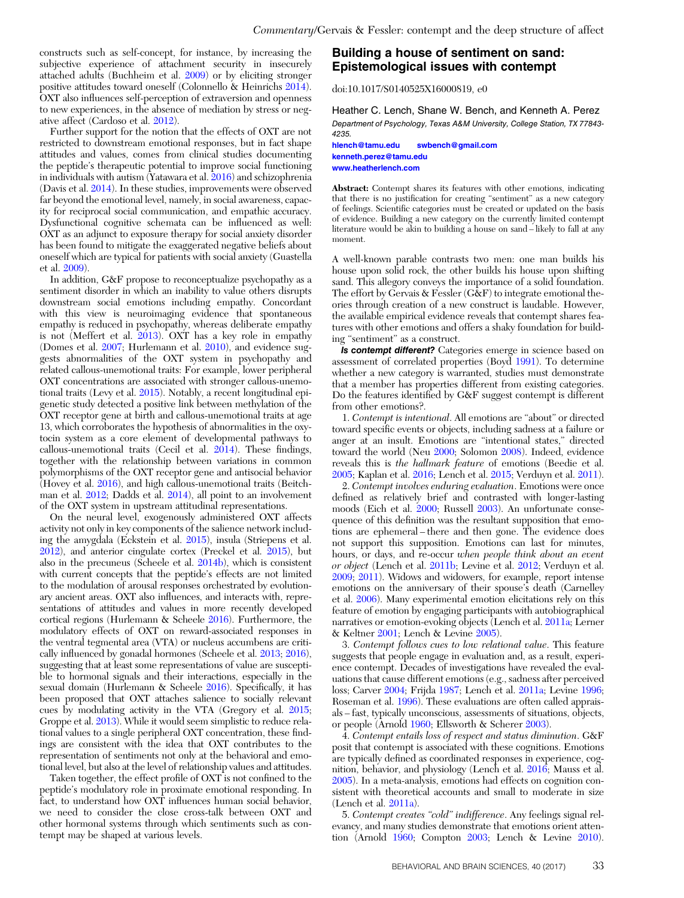constructs such as self-concept, for instance, by increasing the subjective experience of attachment security in insecurely attached adults (Buchheim et al. [2009](#page-52-0)) or by eliciting stronger positive attitudes toward oneself (Colonnello & Heinrichs [2014\)](#page-52-0). OXT also influences self-perception of extraversion and openness to new experiences, in the absence of mediation by stress or negative affect (Cardoso et al. [2012](#page-52-0)).

Further support for the notion that the effects of OXT are not restricted to downstream emotional responses, but in fact shape attitudes and values, comes from clinical studies documenting the peptide's therapeutic potential to improve social functioning in individuals with autism (Yatawara et al.  $2016$ ) and schizophrenia (Davis et al. [2014](#page-53-0)). In these studies, improvements were observed far beyond the emotional level, namely, in social awareness, capacity for reciprocal social communication, and empathic accuracy. Dysfunctional cognitive schemata can be influenced as well: OXT as an adjunct to exposure therapy for social anxiety disorder has been found to mitigate the exaggerated negative beliefs about oneself which are typical for patients with social anxiety (Guastella et al. [2009\)](#page-55-0).

In addition, G&F propose to reconceptualize psychopathy as a sentiment disorder in which an inability to value others disrupts downstream social emotions including empathy. Concordant with this view is neuroimaging evidence that spontaneous empathy is reduced in psychopathy, whereas deliberate empathy is not (Meffert et al. [2013\)](#page-58-0). OXT has a key role in empathy (Domes et al. [2007;](#page-53-0) Hurlemann et al. [2010\)](#page-55-0), and evidence suggests abnormalities of the OXT system in psychopathy and related callous-unemotional traits: For example, lower peripheral OXT concentrations are associated with stronger callous-unemotional traits (Levy et al. [2015\)](#page-57-0). Notably, a recent longitudinal epigenetic study detected a positive link between methylation of the OXT receptor gene at birth and callous-unemotional traits at age 13, which corroborates the hypothesis of abnormalities in the oxytocin system as a core element of developmental pathways to callous-unemotional traits (Cecil et al. [2014\)](#page-52-0). These findings, together with the relationship between variations in common polymorphisms of the OXT receptor gene and antisocial behavior (Hovey et al. [2016\)](#page-55-0), and high callous-unemotional traits (Beitchman et al. [2012;](#page-51-0) Dadds et al. [2014\)](#page-53-0), all point to an involvement of the OXT system in upstream attitudinal representations.

On the neural level, exogenously administered OXT affects activity not only in key components of the salience network including the amygdala (Eckstein et al. [2015](#page-53-0)), insula (Striepens et al. [2012\)](#page-60-0), and anterior cingulate cortex (Preckel et al. [2015](#page-58-0)), but also in the precuneus (Scheele et al. [2014b\)](#page-59-0), which is consistent with current concepts that the peptide's effects are not limited to the modulation of arousal responses orchestrated by evolutionary ancient areas. OXT also influences, and interacts with, representations of attitudes and values in more recently developed cortical regions (Hurlemann & Scheele [2016\)](#page-55-0). Furthermore, the modulatory effects of OXT on reward-associated responses in the ventral tegmental area (VTA) or nucleus accumbens are critically influenced by gonadal hormones (Scheele et al. [2013](#page-59-0); [2016\)](#page-59-0), suggesting that at least some representations of value are susceptible to hormonal signals and their interactions, especially in the sexual domain (Hurlemann & Scheele [2016\)](#page-55-0). Specifically, it has been proposed that OXT attaches salience to socially relevant cues by modulating activity in the VTA (Gregory et al. [2015;](#page-55-0) Groppe et al. [2013\)](#page-55-0). While it would seem simplistic to reduce relational values to a single peripheral OXT concentration, these findings are consistent with the idea that OXT contributes to the representation of sentiments not only at the behavioral and emotional level, but also at the level of relationship values and attitudes.

Taken together, the effect profile of OXT is not confined to the peptide's modulatory role in proximate emotional responding. In fact, to understand how OXT influences human social behavior, we need to consider the close cross-talk between OXT and other hormonal systems through which sentiments such as contempt may be shaped at various levels.

## Building a house of sentiment on sand: Epistemological issues with contempt

doi:10.1017/S0140525X16000819, e0

Heather C. Lench, Shane W. Bench, and Kenneth A. Perez Department of Psychology, Texas A&M University, College Station, TX 77843- 4235.

[hlench@tamu.edu](mailto:hlench@tamu.edu) [swbench@gmail.com](mailto:swbench@gmail.com) [kenneth.perez@tamu.edu](mailto:kenneth.perez@tamu.edu) [www.heatherlench.com](http://www.heatherlench.com)

Abstract: Contempt shares its features with other emotions, indicating that there is no justification for creating "sentiment" as a new category of feelings. Scientific categories must be created or updated on the basis of evidence. Building a new category on the currently limited contempt literature would be akin to building a house on sand – likely to fall at any moment.

A well-known parable contrasts two men: one man builds his house upon solid rock, the other builds his house upon shifting sand. This allegory conveys the importance of a solid foundation. The effort by Gervais & Fessler (G&F) to integrate emotional theories through creation of a new construct is laudable. However, the available empirical evidence reveals that contempt shares features with other emotions and offers a shaky foundation for building "sentiment" as a construct.

Is contempt different? Categories emerge in science based on assessment of correlated properties (Boyd [1991\)](#page-52-0). To determine whether a new category is warranted, studies must demonstrate that a member has properties different from existing categories. Do the features identified by G&F suggest contempt is different from other emotions?.

1. Contempt is intentional. All emotions are "about" or directed toward specific events or objects, including sadness at a failure or anger at an insult. Emotions are "intentional states," directed toward the world (Neu [2000;](#page-58-0) Solomon [2008](#page-60-0)). Indeed, evidence reveals this is the hallmark feature of emotions (Beedie et al. [2005;](#page-51-0) Kaplan et al. [2016](#page-56-0); Lench et al. [2015](#page-57-0); Verduyn et al. [2011\)](#page-61-0).

2. Contempt involves enduring evaluation. Emotions were once defined as relatively brief and contrasted with longer-lasting moods (Eich et al. [2000](#page-53-0); Russell [2003](#page-59-0)). An unfortunate consequence of this definition was the resultant supposition that emotions are ephemeral – there and then gone. The evidence does not support this supposition. Emotions can last for minutes, hours, or days, and re-occur when people think about an event or object (Lench et al. [2011b;](#page-57-0) Levine et al. [2012;](#page-57-0) Verduyn et al. [2009;](#page-61-0) [2011](#page-61-0)). Widows and widowers, for example, report intense emotions on the anniversary of their spouse's death (Carnelley et al. [2006](#page-52-0)). Many experimental emotion elicitations rely on this feature of emotion by engaging participants with autobiographical narratives or emotion-evoking objects (Lench et al. [2011a;](#page-57-0) Lerner & Keltner [2001](#page-57-0); Lench & Levine [2005\)](#page-57-0).

3. Contempt follows cues to low relational value. This feature suggests that people engage in evaluation and, as a result, experience contempt. Decades of investigations have revealed the evaluations that cause different emotions (e.g., sadness after perceived loss; Carver [2004](#page-52-0); Frijda [1987](#page-54-0); Lench et al. [2011a;](#page-57-0) Levine [1996;](#page-57-0) Roseman et al. [1996](#page-59-0)). These evaluations are often called appraisals – fast, typically unconscious, assessments of situations, objects, or people (Arnold [1960;](#page-51-0) Ellsworth & Scherer [2003\)](#page-53-0).

4. Contempt entails loss of respect and status diminution. G&F posit that contempt is associated with these cognitions. Emotions are typically defined as coordinated responses in experience, cognition, behavior, and physiology (Lench et al. [2016;](#page-57-0) Mauss et al. [2005\)](#page-57-0). In a meta-analysis, emotions had effects on cognition consistent with theoretical accounts and small to moderate in size (Lench et al. [2011a](#page-57-0)).

5. Contempt creates "cold" indifference. Any feelings signal relevancy, and many studies demonstrate that emotions orient attention (Arnold [1960](#page-51-0); Compton [2003](#page-52-0); Lench & Levine [2010\)](#page-57-0).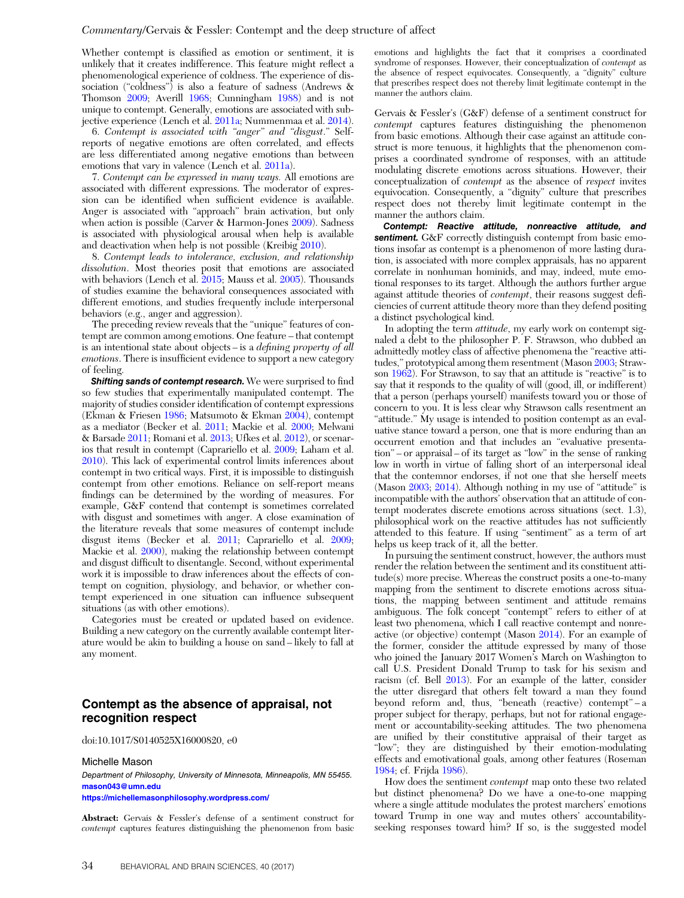Whether contempt is classified as emotion or sentiment, it is unlikely that it creates indifference. This feature might reflect a phenomenological experience of coldness. The experience of dissociation ("coldness") is also a feature of sadness (Andrews & Thomson [2009](#page-51-0); Averill [1968;](#page-51-0) Cunningham [1988](#page-53-0)) and is not unique to contempt. Generally, emotions are associated with subjective experience (Lench et al. [2011a;](#page-55-0) Nummenmaa et al. [2014](#page-58-0)).

6. Contempt is associated with "anger" and "disgust." Selfreports of negative emotions are often correlated, and effects are less differentiated among negative emotions than between emotions that vary in valence (Lench et al. [2011a](#page-57-0)).

7. Contempt can be expressed in many ways. All emotions are associated with different expressions. The moderator of expression can be identified when sufficient evidence is available. Anger is associated with "approach" brain activation, but only when action is possible (Carver & Harmon-Jones [2009](#page-52-0)). Sadness is associated with physiological arousal when help is available and deactivation when help is not possible (Kreibig [2010](#page-56-0)).

8. Contempt leads to intolerance, exclusion, and relationship dissolution. Most theories posit that emotions are associated with behaviors (Lench et al. [2015;](#page-57-0) Mauss et al. [2005\)](#page-57-0). Thousands of studies examine the behavioral consequences associated with different emotions, and studies frequently include interpersonal behaviors (e.g., anger and aggression).

The preceding review reveals that the "unique" features of contempt are common among emotions. One feature – that contempt is an intentional state about objects – is a *defining property of all* emotions. There is insufficient evidence to support a new category of feeling.

Shifting sands of contempt research. We were surprised to find so few studies that experimentally manipulated contempt. The majority of studies consider identification of contempt expressions (Ekman & Friesen [1986;](#page-53-0) Matsumoto & Ekman [2004](#page-57-0)), contempt as a mediator (Becker et al. [2011;](#page-51-0) Mackie et al. [2000;](#page-57-0) Melwani & Barsade [2011;](#page-58-0) Romani et al. [2013](#page-59-0); Ufkes et al. [2012\)](#page-61-0), or scenarios that result in contempt (Caprariello et al. [2009](#page-52-0); Laham et al. [2010](#page-56-0)). This lack of experimental control limits inferences about contempt in two critical ways. First, it is impossible to distinguish contempt from other emotions. Reliance on self-report means findings can be determined by the wording of measures. For example, G&F contend that contempt is sometimes correlated with disgust and sometimes with anger. A close examination of the literature reveals that some measures of contempt include disgust items (Becker et al. [2011;](#page-51-0) Caprariello et al. [2009;](#page-52-0) Mackie et al. [2000](#page-57-0)), making the relationship between contempt and disgust difficult to disentangle. Second, without experimental work it is impossible to draw inferences about the effects of contempt on cognition, physiology, and behavior, or whether contempt experienced in one situation can influence subsequent situations (as with other emotions).

Categories must be created or updated based on evidence. Building a new category on the currently available contempt literature would be akin to building a house on sand – likely to fall at any moment.

## Contempt as the absence of appraisal, not recognition respect

doi:10.1017/S0140525X16000820, e0

#### Michelle Mason

Department of Philosophy, University of Minnesota, Minneapolis, MN 55455. [mason043@umn.edu](mailto:mason043@umn.edu)

<https://michellemasonphilosophy.wordpress.com/>

Abstract: Gervais & Fessler's defense of a sentiment construct for contempt captures features distinguishing the phenomenon from basic emotions and highlights the fact that it comprises a coordinated syndrome of responses. However, their conceptualization of contempt as the absence of respect equivocates. Consequently, a "dignity" culture that prescribes respect does not thereby limit legitimate contempt in the manner the authors claim.

Gervais & Fessler's (G&F) defense of a sentiment construct for contempt captures features distinguishing the phenomenon from basic emotions. Although their case against an attitude construct is more tenuous, it highlights that the phenomenon comprises a coordinated syndrome of responses, with an attitude modulating discrete emotions across situations. However, their conceptualization of contempt as the absence of respect invites equivocation. Consequently, a "dignity" culture that prescribes respect does not thereby limit legitimate contempt in the manner the authors claim.

Contempt: Reactive attitude, nonreactive attitude, and **sentiment.** G&F correctly distinguish contempt from basic emotions insofar as contempt is a phenomenon of more lasting duration, is associated with more complex appraisals, has no apparent correlate in nonhuman hominids, and may, indeed, mute emotional responses to its target. Although the authors further argue against attitude theories of contempt, their reasons suggest deficiencies of current attitude theory more than they defend positing a distinct psychological kind.

In adopting the term *attitude*, my early work on contempt signaled a debt to the philosopher P. F. Strawson, who dubbed an admittedly motley class of affective phenomena the "reactive attitudes," prototypical among them resentment (Mason [2003](#page-57-0); Strawson [1962](#page-60-0)). For Strawson, to say that an attitude is "reactive" is to say that it responds to the quality of will (good, ill, or indifferent) that a person (perhaps yourself) manifests toward you or those of concern to you. It is less clear why Strawson calls resentment an "attitude." My usage is intended to position contempt as an evaluative stance toward a person, one that is more enduring than an occurrent emotion and that includes an "evaluative presentation" – or appraisal – of its target as "low" in the sense of ranking low in worth in virtue of falling short of an interpersonal ideal that the contemnor endorses, if not one that she herself meets (Mason [2003;](#page-57-0) [2014\)](#page-57-0). Although nothing in my use of "attitude" is incompatible with the authors' observation that an attitude of contempt moderates discrete emotions across situations (sect. 1.3), philosophical work on the reactive attitudes has not sufficiently attended to this feature. If using "sentiment" as a term of art helps us keep track of it, all the better.

In pursuing the sentiment construct, however, the authors must render the relation between the sentiment and its constituent attitude(s) more precise. Whereas the construct posits a one-to-many mapping from the sentiment to discrete emotions across situations, the mapping between sentiment and attitude remains ambiguous. The folk concept "contempt" refers to either of at least two phenomena, which I call reactive contempt and nonreactive (or objective) contempt (Mason [2014](#page-57-0)). For an example of the former, consider the attitude expressed by many of those who joined the January 2017 Women's March on Washington to call U.S. President Donald Trump to task for his sexism and racism (cf. Bell [2013](#page-51-0)). For an example of the latter, consider the utter disregard that others felt toward a man they found beyond reform and, thus, "beneath (reactive) contempt" – a proper subject for therapy, perhaps, but not for rational engagement or accountability-seeking attitudes. The two phenomena are unified by their constitutive appraisal of their target as "low"; they are distinguished by their emotion-modulating effects and emotivational goals, among other features (Roseman [1984](#page-59-0); cf. Frijda [1986\)](#page-54-0).

How does the sentiment contempt map onto these two related but distinct phenomena? Do we have a one-to-one mapping where a single attitude modulates the protest marchers' emotions toward Trump in one way and mutes others' accountabilityseeking responses toward him? If so, is the suggested model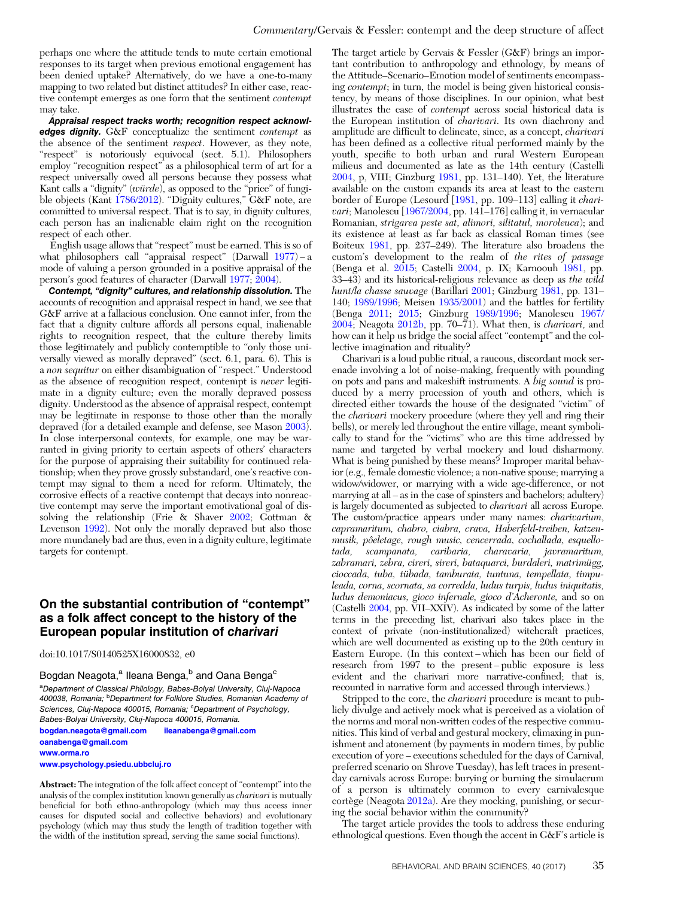perhaps one where the attitude tends to mute certain emotional responses to its target when previous emotional engagement has been denied uptake? Alternatively, do we have a one-to-many mapping to two related but distinct attitudes? In either case, reactive contempt emerges as one form that the sentiment contempt may take.

Appraisal respect tracks worth; recognition respect acknowledges dignity. G&F conceptualize the sentiment contempt as the absence of the sentiment respect. However, as they note, "respect" is notoriously equivocal (sect. 5.1). Philosophers employ "recognition respect" as a philosophical term of art for a respect universally owed all persons because they possess what Kant calls a "dignity" (würde), as opposed to the "price" of fungible objects (Kant [1786/2012\)](#page-56-0). "Dignity cultures," G&F note, are committed to universal respect. That is to say, in dignity cultures, each person has an inalienable claim right on the recognition respect of each other.

English usage allows that "respect" must be earned. This is so of what philosophers call "appraisal respect" (Darwall [1977](#page-53-0)) – a mode of valuing a person grounded in a positive appraisal of the person's good features of character (Darwall [1977](#page-53-0); [2004](#page-53-0)).

Contempt, "dignity" cultures, and relationship dissolution. The accounts of recognition and appraisal respect in hand, we see that G&F arrive at a fallacious conclusion. One cannot infer, from the fact that a dignity culture affords all persons equal, inalienable rights to recognition respect, that the culture thereby limits those legitimately and publicly contemptible to "only those universally viewed as morally depraved" (sect. 6.1, para. 6). This is a non sequitur on either disambiguation of "respect." Understood as the absence of recognition respect, contempt is never legitimate in a dignity culture; even the morally depraved possess dignity. Understood as the absence of appraisal respect, contempt may be legitimate in response to those other than the morally depraved (for a detailed example and defense, see Mason [2003\)](#page-57-0). In close interpersonal contexts, for example, one may be warranted in giving priority to certain aspects of others' characters for the purpose of appraising their suitability for continued relationship; when they prove grossly substandard, one's reactive contempt may signal to them a need for reform. Ultimately, the corrosive effects of a reactive contempt that decays into nonreactive contempt may serve the important emotivational goal of dissolving the relationship (Frie & Shaver [2002;](#page-54-0) Gottman & Levenson [1992](#page-55-0)). Not only the morally depraved but also those more mundanely bad are thus, even in a dignity culture, legitimate targets for contempt.

## On the substantial contribution of "contempt" as a folk affect concept to the history of the European popular institution of charivari

doi:10.1017/S0140525X16000832, e0

Bogdan Neagota,<sup>a</sup> Ileana Benga,<sup>b</sup> and Oana Benga<sup>c</sup>

<sup>a</sup>Department of Classical Philology, Babes-Bolyai University, Cluj-Napoca 400038, Romania; <sup>b</sup>Department for Folklore Studies, Romanian Academy of Sciences, Cluj-Napoca 400015, Romania; <sup>c</sup>Department of Psychology, Babes-Bolyai University, Cluj-Napoca 400015, Romania.

[bogdan.neagota@gmail.com](mailto:bogdan.neagota@gmail.com) [ileanabenga@gmail.com](mailto:ileanabenga@gmail.com) [oanabenga@gmail.com](mailto:oanabenga@gmail.com) [www.orma.ro](http://www.orma.ro)

[www.psychology.psiedu.ubbcluj.ro](http://www.psychology.psiedu.ubbcluj.ro)

Abstract: The integration of the folk affect concept of "contempt" into the analysis of the complex institution known generally as *charivari* is mutually beneficial for both ethno-anthropology (which may thus access inner causes for disputed social and collective behaviors) and evolutionary psychology (which may thus study the length of tradition together with the width of the institution spread, serving the same social functions).

The target article by Gervais & Fessler (G&F) brings an important contribution to anthropology and ethnology, by means of the Attitude–Scenario–Emotion model of sentiments encompassing contempt; in turn, the model is being given historical consistency, by means of those disciplines. In our opinion, what best illustrates the case of contempt across social historical data is the European institution of charivari. Its own diachrony and amplitude are difficult to delineate, since, as a concept, charivari has been defined as a collective ritual performed mainly by the youth, specific to both urban and rural Western European milieus and documented as late as the 14th century (Castelli [2004](#page-52-0), p, VIII; Ginzburg [1981,](#page-54-0) pp. 131–140). Yet, the literature available on the custom expands its area at least to the eastern border of Europe (Lesourd [\[1981](#page-57-0), pp. 109–113] calling it charivari; Manolescu [\[1967/2004,](#page-57-0) pp. 141–176] calling it, in vernacular Romanian, strigarea peste sat, alimori, silitatul, moroleuca); and its existence at least as far back as classical Roman times (see Boiteux [1981,](#page-51-0) pp. 237–249). The literature also broadens the custom's development to the realm of the rites of passage (Benga et al. [2015;](#page-51-0) Castelli [2004](#page-52-0), p. IX; Karnoouh [1981,](#page-56-0) pp.  $33-43$ ) and its historical-religious relevance as deep as the wild hunt/la chasse sauvage (Barillari [2001](#page-51-0); Ginzburg [1981](#page-54-0), pp. 131– 140; [1989/1996;](#page-54-0) Meisen [1935/2001\)](#page-58-0) and the battles for fertility (Benga [2011;](#page-51-0) [2015;](#page-51-0) Ginzburg [1989/1996;](#page-54-0) Manolescu [1967/](#page-57-0) [2004](#page-57-0); Neagota [2012b,](#page-58-0) pp. 70–71). What then, is charivari, and how can it help us bridge the social affect "contempt" and the collective imagination and rituality?

Charivari is a loud public ritual, a raucous, discordant mock serenade involving a lot of noise-making, frequently with pounding on pots and pans and makeshift instruments. A big sound is produced by a merry procession of youth and others, which is directed either towards the house of the designated "victim" of the charivari mockery procedure (where they yell and ring their bells), or merely led throughout the entire village, meant symbolically to stand for the "victims" who are this time addressed by name and targeted by verbal mockery and loud disharmony. What is being punished by these means? Improper marital behavior (e.g., female domestic violence; a non-native spouse; marrying a widow/widower, or marrying with a wide age-difference, or not marrying at all – as in the case of spinsters and bachelors; adultery) is largely documented as subjected to charivari all across Europe. The custom/practice appears under many names: charivarium, capramaritum, chabro, ciabra, crava, Haberfeld-treiben, katzenmusik, pôeletage, rough music, cencerrada, cochallada, esquellotada, scampanata, caribaria, charavaria, javramaritum, zabramari, zebra, cireri, sireri, bataquarci, burdaleri, matrimügg, cioccada, tuba, tübada, tamburata, tuntuna, tempellata, timpuleada, corna, scornata, sa corredda, ludus turpis, ludus iniquitatis, ludus demoniacus, gioco infernale, gioco d'Acheronte, and so on (Castelli [2004](#page-52-0), pp. VII–XXIV). As indicated by some of the latter terms in the preceding list, charivari also takes place in the context of private (non-institutionalized) witchcraft practices, which are well documented as existing up to the 20th century in Eastern Europe. (In this context – which has been our field of research from 1997 to the present – public exposure is less evident and the charivari more narrative-confined; that is, recounted in narrative form and accessed through interviews.)

Stripped to the core, the charivari procedure is meant to publicly divulge and actively mock what is perceived as a violation of the norms and moral non-written codes of the respective communities. This kind of verbal and gestural mockery, climaxing in punishment and atonement (by payments in modern times, by public execution of yore – executions scheduled for the days of Carnival, preferred scenario on Shrove Tuesday), has left traces in presentday carnivals across Europe: burying or burning the simulacrum of a person is ultimately common to every carnivalesque cortège (Neagota [2012a](#page-58-0)). Are they mocking, punishing, or securing the social behavior within the community?

The target article provides the tools to address these enduring ethnological questions. Even though the accent in G&F's article is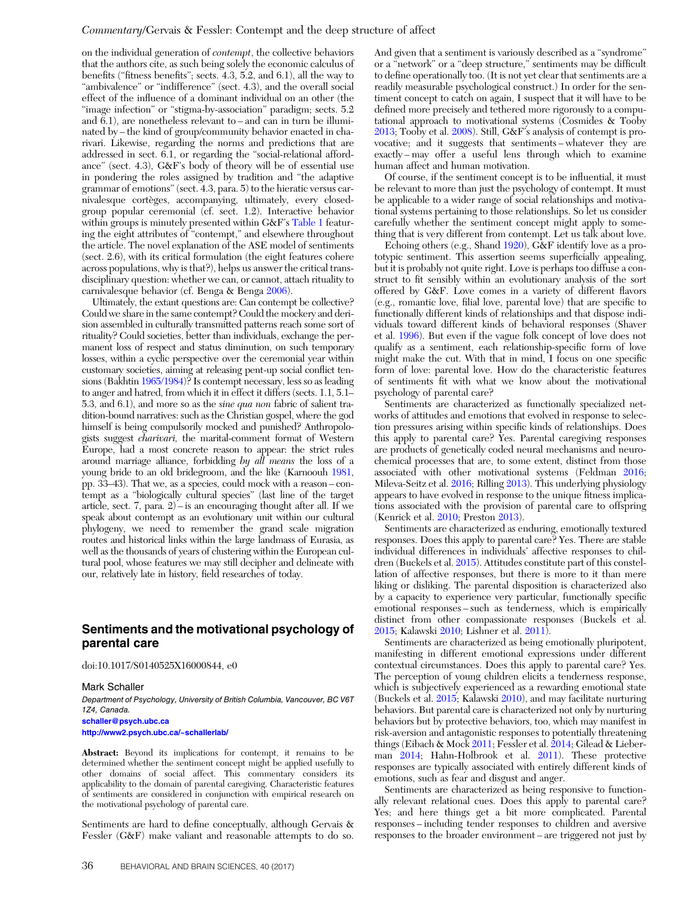on the individual generation of contempt, the collective behaviors that the authors cite, as such being solely the economic calculus of benefits ("fitness benefits"; sects. 4.3, 5.2, and 6.1), all the way to "ambivalence" or "indifference" (sect. 4.3), and the overall social effect of the influence of a dominant individual on an other (the "image infection" or "stigma-by-association" paradigm; sects. 5.2 and 6.1), are nonetheless relevant to – and can in turn be illuminated by – the kind of group/community behavior enacted in charivari. Likewise, regarding the norms and predictions that are addressed in sect. 6.1, or regarding the "social-relational affordance" (sect. 4.3), G&F's body of theory will be of essential use in pondering the roles assigned by tradition and "the adaptive grammar of emotions" (sect. 4.3, para. 5) to the hieratic versus carnivalesque cortèges, accompanying, ultimately, every closedgroup popular ceremonial (cf. sect. 1.2). Interactive behavior within groups is minutely presented within G&F's [Table 1](#page-3-0) featuring the eight attributes of "contempt," and elsewhere throughout the article. The novel explanation of the ASE model of sentiments (sect. 2.6), with its critical formulation (the eight features cohere across populations, why is that?), helps us answer the critical transdisciplinary question: whether we can, or cannot, attach rituality to carnivalesque behavior (cf. Benga & Benga [2006](#page-51-0)).

Ultimately, the extant questions are: Can contempt be collective? Could we share in the same contempt? Could the mockery and derision assembled in culturally transmitted patterns reach some sort of rituality? Could societies, better than individuals, exchange the permanent loss of respect and status diminution, on such temporary losses, within a cyclic perspective over the ceremonial year within customary societies, aiming at releasing pent-up social conflict tensions (Bakhtin [1965/1984\)](#page-51-0)? Is contempt necessary, less so as leading to anger and hatred, from which it in effect it differs (sects. 1.1, 5.1– 5.3, and 6.1), and more so as the sine qua non fabric of salient tradition-bound narratives: such as the Christian gospel, where the god himself is being compulsorily mocked and punished? Anthropologists suggest charivari, the marital-comment format of Western Europe, had a most concrete reason to appear: the strict rules around marriage alliance, forbidding by all means the loss of a young bride to an old bridegroom, and the like (Karnoouh [1981,](#page-56-0) pp. 33–43). That we, as a species, could mock with a reason – contempt as a "biologically cultural species" (last line of the target article, sect. 7, para.  $2)$  – is an encouraging thought after all. If we speak about contempt as an evolutionary unit within our cultural phylogeny, we need to remember the grand scale migration routes and historical links within the large landmass of Eurasia, as well as the thousands of years of clustering within the European cultural pool, whose features we may still decipher and delineate with our, relatively late in history, field researches of today.

## Sentiments and the motivational psychology of parental care

doi:10.1017/S0140525X16000844, e0

#### Mark Schaller

Department of Psychology, University of British Columbia, Vancouver, BC V6T 1Z4, Canada.

[schaller@psych.ubc.ca](mailto:schaller@psych.ubc.ca) <http://www2.psych.ubc.ca/~schallerlab/>

Abstract: Beyond its implications for contempt, it remains to be determined whether the sentiment concept might be applied usefully to other domains of social affect. This commentary considers its applicability to the domain of parental caregiving. Characteristic features of sentiments are considered in conjunction with empirical research on the motivational psychology of parental care.

Sentiments are hard to define conceptually, although Gervais & Fessler (G&F) make valiant and reasonable attempts to do so.

And given that a sentiment is variously described as a "syndrome" or a "network" or a "deep structure," sentiments may be difficult to define operationally too. (It is not yet clear that sentiments are a readily measurable psychological construct.) In order for the sentiment concept to catch on again, I suspect that it will have to be defined more precisely and tethered more rigorously to a computational approach to motivational systems (Cosmides & Tooby [2013](#page-52-0); Tooby et al. [2008\)](#page-61-0). Still, G&F's analysis of contempt is provocative; and it suggests that sentiments – whatever they are exactly – may offer a useful lens through which to examine human affect and human motivation.

Of course, if the sentiment concept is to be influential, it must be relevant to more than just the psychology of contempt. It must be applicable to a wider range of social relationships and motivational systems pertaining to those relationships. So let us consider carefully whether the sentiment concept might apply to something that is very different from contempt. Let us talk about love.

Echoing others (e.g., Shand [1920\)](#page-59-0), G&F identify love as a prototypic sentiment. This assertion seems superficially appealing, but it is probably not quite right. Love is perhaps too diffuse a construct to fit sensibly within an evolutionary analysis of the sort offered by G&F. Love comes in a variety of different flavors (e.g., romantic love, filial love, parental love) that are specific to functionally different kinds of relationships and that dispose individuals toward different kinds of behavioral responses (Shaver et al. [1996\)](#page-59-0). But even if the vague folk concept of love does not qualify as a sentiment, each relationship-specific form of love might make the cut. With that in mind, I focus on one specific form of love: parental love. How do the characteristic features of sentiments fit with what we know about the motivational psychology of parental care?

Sentiments are characterized as functionally specialized networks of attitudes and emotions that evolved in response to selection pressures arising within specific kinds of relationships. Does this apply to parental care? Yes. Parental caregiving responses are products of genetically coded neural mechanisms and neurochemical processes that are, to some extent, distinct from those associated with other motivational systems (Feldman [2016](#page-54-0); Mileva-Seitz et al. [2016](#page-58-0); Rilling [2013\)](#page-59-0). This underlying physiology appears to have evolved in response to the unique fitness implications associated with the provision of parental care to offspring (Kenrick et al. [2010;](#page-56-0) Preston [2013\)](#page-58-0).

Sentiments are characterized as enduring, emotionally textured responses. Does this apply to parental care? Yes. There are stable individual differences in individuals' affective responses to children (Buckels et al. [2015](#page-52-0)). Attitudes constitute part of this constellation of affective responses, but there is more to it than mere liking or disliking. The parental disposition is characterized also by a capacity to experience very particular, functionally specific emotional responses – such as tenderness, which is empirically distinct from other compassionate responses (Buckels et al. [2015](#page-52-0); Kalawski [2010](#page-56-0); Lishner et al. [2011](#page-57-0)).

Sentiments are characterized as being emotionally pluripotent, manifesting in different emotional expressions under different contextual circumstances. Does this apply to parental care? Yes. The perception of young children elicits a tenderness response, which is subjectively experienced as a rewarding emotional state (Buckels et al. [2015;](#page-52-0) Kalawski [2010](#page-56-0)), and may facilitate nurturing behaviors. But parental care is characterized not only by nurturing behaviors but by protective behaviors, too, which may manifest in risk-aversion and antagonistic responses to potentially threatening things (Eibach & Mock [2011](#page-53-0); Fessler et al. [2014;](#page-54-0) Gilead & Lieberman [2014;](#page-54-0) Hahn-Holbrook et al. [2011\)](#page-55-0). These protective responses are typically associated with entirely different kinds of emotions, such as fear and disgust and anger.

Sentiments are characterized as being responsive to functionally relevant relational cues. Does this apply to parental care? Yes; and here things get a bit more complicated. Parental responses – including tender responses to children and aversive responses to the broader environment – are triggered not just by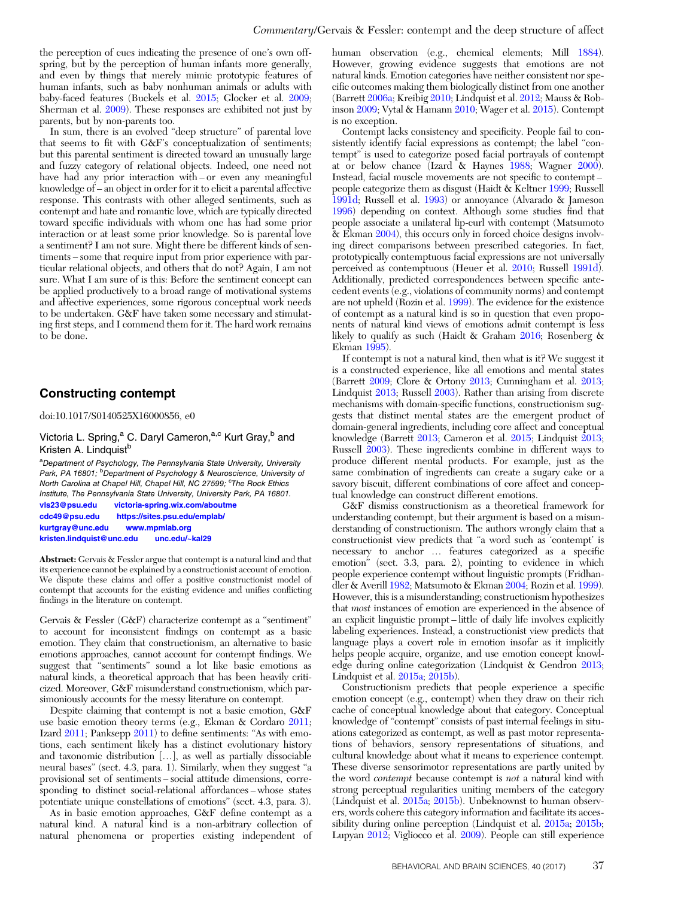the perception of cues indicating the presence of one's own offspring, but by the perception of human infants more generally, and even by things that merely mimic prototypic features of human infants, such as baby nonhuman animals or adults with baby-faced features (Buckels et al. [2015;](#page-52-0) Glocker et al. [2009;](#page-54-0) Sherman et al. [2009\)](#page-60-0). These responses are exhibited not just by parents, but by non-parents too.

In sum, there is an evolved "deep structure" of parental love that seems to fit with G&F's conceptualization of sentiments; but this parental sentiment is directed toward an unusually large and fuzzy category of relational objects. Indeed, one need not have had any prior interaction with – or even any meaningful knowledge of – an object in order for it to elicit a parental affective response. This contrasts with other alleged sentiments, such as contempt and hate and romantic love, which are typically directed toward specific individuals with whom one has had some prior interaction or at least some prior knowledge. So is parental love a sentiment? I am not sure. Might there be different kinds of sentiments – some that require input from prior experience with particular relational objects, and others that do not? Again, I am not sure. What I am sure of is this: Before the sentiment concept can be applied productively to a broad range of motivational systems and affective experiences, some rigorous conceptual work needs to be undertaken. G&F have taken some necessary and stimulating first steps, and I commend them for it. The hard work remains to be done.

## Constructing contempt

doi:10.1017/S0140525X16000856, e0

## Victoria L. Spring,<sup>a</sup> C. Daryl Cameron,<sup>a,c</sup> Kurt Gray,<sup>b</sup> and Kristen A. Lindquist<sup>b</sup>

<sup>a</sup>Department of Psychology, The Pennsylvania State University, University Park, PA 16801; <sup>b</sup>Department of Psychology & Neuroscience, University of North Carolina at Chapel Hill, Chapel Hill, NC 27599; <sup>c</sup>The Rock Ethics Institute, The Pennsylvania State University, University Park, PA 16801. [vls23@psu.edu](mailto:vls23@psu.edu) [victoria-spring.wix.com/aboutme](mailto:victoria-spring.wix.com/aboutme) [cdc49@psu.edu](mailto:cdc49@psu.edu)<https://sites.psu.edu/emplab/> [kurtgray@unc.edu](mailto:kurtgray@unc.edu) [www.mpmlab.org](http://www.mpmlab.org) [kristen.lindquist@unc.edu](mailto:kristen.lindquist@unc.edu)<unc.edu/~kal29>

Abstract: Gervais & Fessler argue that contempt is a natural kind and that its experience cannot be explained by a constructionist account of emotion. We dispute these claims and offer a positive constructionist model of contempt that accounts for the existing evidence and unifies conflicting findings in the literature on contempt.

Gervais & Fessler (G&F) characterize contempt as a "sentiment" to account for inconsistent findings on contempt as a basic emotion. They claim that constructionism, an alternative to basic emotions approaches, cannot account for contempt findings. We suggest that "sentiments" sound a lot like basic emotions as natural kinds, a theoretical approach that has been heavily criticized. Moreover, G&F misunderstand constructionism, which parsimoniously accounts for the messy literature on contempt.

Despite claiming that contempt is not a basic emotion, G&F use basic emotion theory terms (e.g., Ekman & Cordaro [2011;](#page-53-0) Izard [2011;](#page-56-0) Panksepp [2011\)](#page-58-0) to define sentiments: "As with emotions, each sentiment likely has a distinct evolutionary history and taxonomic distribution […], as well as partially dissociable neural bases" (sect. 4.3, para. 1). Similarly, when they suggest "a provisional set of sentiments – social attitude dimensions, corresponding to distinct social-relational affordances – whose states potentiate unique constellations of emotions" (sect. 4.3, para. 3).

As in basic emotion approaches, G&F define contempt as a natural kind. A natural kind is a non-arbitrary collection of natural phenomena or properties existing independent of human observation (e.g., chemical elements; Mill [1884\)](#page-58-0). However, growing evidence suggests that emotions are not natural kinds. Emotion categories have neither consistent nor specific outcomes making them biologically distinct from one another (Barrett [2006a](#page-51-0); Kreibig [2010;](#page-56-0) Lindquist et al. [2012;](#page-57-0) Mauss & Robinson [2009;](#page-57-0) Vytal & Hamann [2010](#page-61-0); Wager et al. [2015](#page-61-0)). Contempt is no exception.

Contempt lacks consistency and specificity. People fail to consistently identify facial expressions as contempt; the label "contempt" is used to categorize posed facial portrayals of contempt at or below chance (Izard & Haynes [1988;](#page-56-0) Wagner [2000\)](#page-61-0). Instead, facial muscle movements are not specific to contempt – people categorize them as disgust (Haidt & Keltner [1999](#page-55-0); Russell [1991d;](#page-59-0) Russell et al. [1993](#page-59-0)) or annoyance (Alvarado & Jameson [1996\)](#page-50-0) depending on context. Although some studies find that people associate a unilateral lip-curl with contempt (Matsumoto & Ekman [2004](#page-57-0)), this occurs only in forced choice designs involving direct comparisons between prescribed categories. In fact, prototypically contemptuous facial expressions are not universally perceived as contemptuous (Heuer et al. [2010;](#page-55-0) Russell [1991d\)](#page-59-0). Additionally, predicted correspondences between specific antecedent events (e.g., violations of community norms) and contempt are not upheld (Rozin et al. [1999](#page-59-0)). The evidence for the existence of contempt as a natural kind is so in question that even proponents of natural kind views of emotions admit contempt is less likely to qualify as such (Haidt & Graham [2016;](#page-55-0) Rosenberg & Ekman [1995](#page-59-0)).

If contempt is not a natural kind, then what is it? We suggest it is a constructed experience, like all emotions and mental states (Barrett [2009;](#page-51-0) Clore & Ortony [2013](#page-52-0); Cunningham et al. [2013;](#page-53-0) Lindquist [2013](#page-57-0); Russell [2003](#page-59-0)). Rather than arising from discrete mechanisms with domain-specific functions, constructionism suggests that distinct mental states are the emergent product of domain-general ingredients, including core affect and conceptual knowledge (Barrett [2013](#page-51-0); Cameron et al. [2015;](#page-52-0) Lindquist [2013;](#page-57-0) Russell [2003](#page-59-0)). These ingredients combine in different ways to produce different mental products. For example, just as the same combination of ingredients can create a sugary cake or a savory biscuit, different combinations of core affect and conceptual knowledge can construct different emotions.

G&F dismiss constructionism as a theoretical framework for understanding contempt, but their argument is based on a misunderstanding of constructionism. The authors wrongly claim that a constructionist view predicts that "a word such as 'contempt' is necessary to anchor … features categorized as a specific emotion" (sect. 3.3, para. 2), pointing to evidence in which people experience contempt without linguistic prompts (Fridhandler & Averill [1982](#page-54-0); Matsumoto & Ekman [2004;](#page-57-0) Rozin et al. [1999\)](#page-59-0). However, this is a misunderstanding; constructionism hypothesizes that most instances of emotion are experienced in the absence of an explicit linguistic prompt – little of daily life involves explicitly labeling experiences. Instead, a constructionist view predicts that language plays a covert role in emotion insofar as it implicitly helps people acquire, organize, and use emotion concept knowledge during online categorization (Lindquist & Gendron [2013;](#page-57-0) Lindquist et al. [2015a](#page-57-0); [2015b\)](#page-57-0).

Constructionism predicts that people experience a specific emotion concept (e.g., contempt) when they draw on their rich cache of conceptual knowledge about that category. Conceptual knowledge of "contempt" consists of past internal feelings in situations categorized as contempt, as well as past motor representations of behaviors, sensory representations of situations, and cultural knowledge about what it means to experience contempt. These diverse sensorimotor representations are partly united by the word *contempt* because contempt is not a natural kind with strong perceptual regularities uniting members of the category (Lindquist et al. [2015a](#page-57-0); [2015b](#page-57-0)). Unbeknownst to human observers, words cohere this category information and facilitate its accessibility during online perception (Lindquist et al. [2015a](#page-57-0); [2015b;](#page-57-0) Lupyan [2012](#page-57-0); Vigliocco et al. [2009](#page-61-0)). People can still experience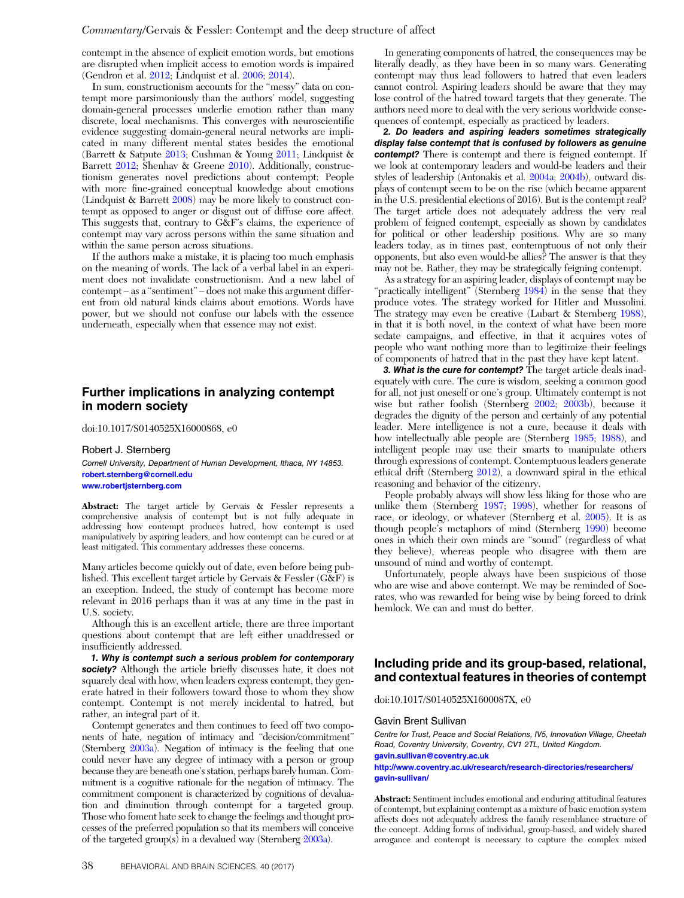contempt in the absence of explicit emotion words, but emotions are disrupted when implicit access to emotion words is impaired (Gendron et al. [2012;](#page-54-0) Lindquist et al. [2006](#page-57-0); [2014](#page-57-0)).

In sum, constructionism accounts for the "messy" data on contempt more parsimoniously than the authors' model, suggesting domain-general processes underlie emotion rather than many discrete, local mechanisms. This converges with neuroscientific evidence suggesting domain-general neural networks are implicated in many different mental states besides the emotional (Barrett & Satpute [2013;](#page-51-0) Cushman & Young [2011;](#page-53-0) Lindquist & Barrett [2012](#page-57-0); Shenhav & Greene [2010\)](#page-60-0). Additionally, constructionism generates novel predictions about contempt: People with more fine-grained conceptual knowledge about emotions (Lindquist & Barrett [2008\)](#page-57-0) may be more likely to construct contempt as opposed to anger or disgust out of diffuse core affect. This suggests that, contrary to G&F's claims, the experience of contempt may vary across persons within the same situation and within the same person across situations.

If the authors make a mistake, it is placing too much emphasis on the meaning of words. The lack of a verbal label in an experiment does not invalidate constructionism. And a new label of contempt – as a "sentiment" – does not make this argument different from old natural kinds claims about emotions. Words have power, but we should not confuse our labels with the essence underneath, especially when that essence may not exist.

## Further implications in analyzing contempt in modern society

doi:10.1017/S0140525X16000868, e0

Robert J. Sternberg Cornell University, Department of Human Development, Ithaca, NY 14853. [robert.sternberg@cornell.edu](mailto:robert.sternberg@cornell.edu) [www.robertjsternberg.com](http://www.robertjsternberg.com)

Abstract: The target article by Gervais & Fessler represents a comprehensive analysis of contempt but is not fully adequate in addressing how contempt produces hatred, how contempt is used manipulatively by aspiring leaders, and how contempt can be cured or at least mitigated. This commentary addresses these concerns.

Many articles become quickly out of date, even before being published. This excellent target article by Gervais & Fessler (G&F) is an exception. Indeed, the study of contempt has become more relevant in 2016 perhaps than it was at any time in the past in U.S. society.

Although this is an excellent article, there are three important questions about contempt that are left either unaddressed or insufficiently addressed.

1. Why is contempt such a serious problem for contemporary **society?** Although the article briefly discusses hate, it does not squarely deal with how, when leaders express contempt, they generate hatred in their followers toward those to whom they show contempt. Contempt is not merely incidental to hatred, but rather, an integral part of it.

Contempt generates and then continues to feed off two components of hate, negation of intimacy and "decision/commitment" (Sternberg [2003a\)](#page-60-0). Negation of intimacy is the feeling that one could never have any degree of intimacy with a person or group because they are beneath one's station, perhaps barely human. Commitment is a cognitive rationale for the negation of intimacy. The commitment component is characterized by cognitions of devaluation and diminution through contempt for a targeted group. Those who foment hate seek to change the feelings and thought processes of the preferred population so that its members will conceive of the targeted group(s) in a devalued way (Sternberg [2003a\)](#page-60-0).

In generating components of hatred, the consequences may be literally deadly, as they have been in so many wars. Generating contempt may thus lead followers to hatred that even leaders cannot control. Aspiring leaders should be aware that they may lose control of the hatred toward targets that they generate. The authors need more to deal with the very serious worldwide consequences of contempt, especially as practiced by leaders.

2. Do leaders and aspiring leaders sometimes strategically display false contempt that is confused by followers as genuine contempt? There is contempt and there is feigned contempt. If we look at contemporary leaders and would-be leaders and their styles of leadership (Antonakis et al. [2004a](#page-51-0); [2004b](#page-51-0)), outward displays of contempt seem to be on the rise (which became apparent in the U.S. presidential elections of 2016). But is the contempt real? The target article does not adequately address the very real problem of feigned contempt, especially as shown by candidates for political or other leadership positions. Why are so many leaders today, as in times past, contemptuous of not only their opponents, but also even would-be allies? The answer is that they may not be. Rather, they may be strategically feigning contempt.

As a strategy for an aspiring leader, displays of contempt may be "practically intelligent" (Sternberg [1984](#page-60-0)) in the sense that they produce votes. The strategy worked for Hitler and Mussolini. The strategy may even be creative (Lubart & Sternberg [1988](#page-57-0)), in that it is both novel, in the context of what have been more sedate campaigns, and effective, in that it acquires votes of people who want nothing more than to legitimize their feelings of components of hatred that in the past they have kept latent.

3. What is the cure for contempt? The target article deals inadequately with cure. The cure is wisdom, seeking a common good for all, not just oneself or one's group. Ultimately contempt is not wise but rather foolish (Sternberg [2002;](#page-60-0) [2003b\)](#page-60-0), because it degrades the dignity of the person and certainly of any potential leader. Mere intelligence is not a cure, because it deals with how intellectually able people are (Sternberg [1985;](#page-60-0) [1988\)](#page-60-0), and intelligent people may use their smarts to manipulate others through expressions of contempt. Contemptuous leaders generate ethical drift (Sternberg [2012\)](#page-60-0), a downward spiral in the ethical reasoning and behavior of the citizenry.

People probably always will show less liking for those who are unlike them (Sternberg [1987;](#page-60-0) [1998\)](#page-60-0), whether for reasons of race, or ideology, or whatever (Sternberg et al. [2005](#page-60-0)). It is as though people's metaphors of mind (Sternberg [1990](#page-60-0)) become ones in which their own minds are "sound" (regardless of what they believe), whereas people who disagree with them are unsound of mind and worthy of contempt.

Unfortunately, people always have been suspicious of those who are wise and above contempt. We may be reminded of Socrates, who was rewarded for being wise by being forced to drink hemlock. We can and must do better.

## Including pride and its group-based, relational, and contextual features in theories of contempt

doi:10.1017/S0140525X1600087X, e0

#### Gavin Brent Sullivan

Centre for Trust, Peace and Social Relations, IV5, Innovation Village, Cheetah Road, Coventry University, Coventry, CV1 2TL, United Kingdom. [gavin.sullivan@coventry.ac.uk](mailto:gavin.sullivan@coventry.ac.uk)

[http://www.coventry.ac.uk/research/research-directories/researchers/](http://www.coventry.ac.uk/research/research-directories/researchers/gavin-sullivan/) [gavin-sullivan/](http://www.coventry.ac.uk/research/research-directories/researchers/gavin-sullivan/)

Abstract: Sentiment includes emotional and enduring attitudinal features of contempt, but explaining contempt as a mixture of basic emotion system affects does not adequately address the family resemblance structure of the concept. Adding forms of individual, group-based, and widely shared arrogance and contempt is necessary to capture the complex mixed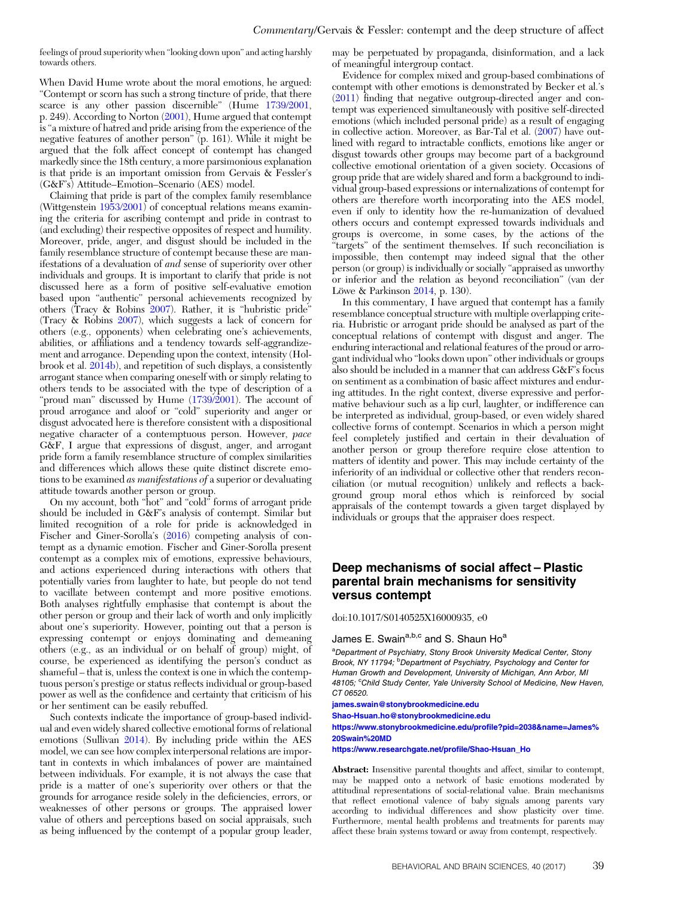feelings of proud superiority when "looking down upon" and acting harshly towards others.

When David Hume wrote about the moral emotions, he argued: "Contempt or scorn has such a strong tincture of pride, that there scarce is any other passion discernible" (Hume [1739/2001,](#page-55-0) p. 249). According to Norton [\(2001](#page-58-0)), Hume argued that contempt is "a mixture of hatred and pride arising from the experience of the negative features of another person" (p. 161). While it might be argued that the folk affect concept of contempt has changed markedly since the 18th century, a more parsimonious explanation is that pride is an important omission from Gervais & Fessler's (G&F's) Attitude–Emotion–Scenario (AES) model.

Claiming that pride is part of the complex family resemblance (Wittgenstein  $1953/2001$ ) of conceptual relations means examining the criteria for ascribing contempt and pride in contrast to (and excluding) their respective opposites of respect and humility. Moreover, pride, anger, and disgust should be included in the family resemblance structure of contempt because these are manifestations of a devaluation of and sense of superiority over other individuals and groups. It is important to clarify that pride is not discussed here as a form of positive self-evaluative emotion based upon "authentic" personal achievements recognized by others (Tracy & Robins [2007](#page-61-0)). Rather, it is "hubristic pride" (Tracy & Robins [2007\)](#page-61-0), which suggests a lack of concern for others (e.g., opponents) when celebrating one's achievements, abilities, or affiliations and a tendency towards self-aggrandizement and arrogance. Depending upon the context, intensity (Holbrook et al. [2014b\)](#page-55-0), and repetition of such displays, a consistently arrogant stance when comparing oneself with or simply relating to others tends to be associated with the type of description of a "proud man" discussed by Hume [\(1739/2001\)](#page-55-0). The account of proud arrogance and aloof or "cold" superiority and anger or disgust advocated here is therefore consistent with a dispositional negative character of a contemptuous person. However, pace G&F, I argue that expressions of disgust, anger, and arrogant pride form a family resemblance structure of complex similarities and differences which allows these quite distinct discrete emotions to be examined as manifestations of a superior or devaluating attitude towards another person or group.

On my account, both "hot" and "cold" forms of arrogant pride should be included in G&F's analysis of contempt. Similar but limited recognition of a role for pride is acknowledged in Fischer and Giner-Sorolla's ([2016\)](#page-54-0) competing analysis of contempt as a dynamic emotion. Fischer and Giner-Sorolla present contempt as a complex mix of emotions, expressive behaviours, and actions experienced during interactions with others that potentially varies from laughter to hate, but people do not tend to vacillate between contempt and more positive emotions. Both analyses rightfully emphasise that contempt is about the other person or group and their lack of worth and only implicitly about one's superiority. However, pointing out that a person is expressing contempt or enjoys dominating and demeaning others (e.g., as an individual or on behalf of group) might, of course, be experienced as identifying the person's conduct as shameful – that is, unless the context is one in which the contemptuous person's prestige or status reflects individual or group-based power as well as the confidence and certainty that criticism of his or her sentiment can be easily rebuffed.

Such contexts indicate the importance of group-based individual and even widely shared collective emotional forms of relational emotions (Sullivan [2014\)](#page-60-0). By including pride within the AES model, we can see how complex interpersonal relations are important in contexts in which imbalances of power are maintained between individuals. For example, it is not always the case that pride is a matter of one's superiority over others or that the grounds for arrogance reside solely in the deficiencies, errors, or weaknesses of other persons or groups. The appraised lower value of others and perceptions based on social appraisals, such as being influenced by the contempt of a popular group leader,

may be perpetuated by propaganda, disinformation, and a lack of meaningful intergroup contact.

Evidence for complex mixed and group-based combinations of contempt with other emotions is demonstrated by Becker et al.'s ([2011\)](#page-51-0) finding that negative outgroup-directed anger and contempt was experienced simultaneously with positive self-directed emotions (which included personal pride) as a result of engaging in collective action. Moreover, as Bar-Tal et al. [\(2007](#page-51-0)) have outlined with regard to intractable conflicts, emotions like anger or disgust towards other groups may become part of a background collective emotional orientation of a given society. Occasions of group pride that are widely shared and form a background to individual group-based expressions or internalizations of contempt for others are therefore worth incorporating into the AES model, even if only to identity how the re-humanization of devalued others occurs and contempt expressed towards individuals and groups is overcome, in some cases, by the actions of the "targets" of the sentiment themselves. If such reconciliation is impossible, then contempt may indeed signal that the other person (or group) is individually or socially "appraised as unworthy or inferior and the relation as beyond reconciliation" (van der Löwe & Parkinson [2014,](#page-61-0) p. 130).

In this commentary, I have argued that contempt has a family resemblance conceptual structure with multiple overlapping criteria. Hubristic or arrogant pride should be analysed as part of the conceptual relations of contempt with disgust and anger. The enduring interactional and relational features of the proud or arrogant individual who "looks down upon" other individuals or groups also should be included in a manner that can address G&F's focus on sentiment as a combination of basic affect mixtures and enduring attitudes. In the right context, diverse expressive and performative behaviour such as a lip curl, laughter, or indifference can be interpreted as individual, group-based, or even widely shared collective forms of contempt. Scenarios in which a person might feel completely justified and certain in their devaluation of another person or group therefore require close attention to matters of identity and power. This may include certainty of the inferiority of an individual or collective other that renders reconciliation (or mutual recognition) unlikely and reflects a background group moral ethos which is reinforced by social appraisals of the contempt towards a given target displayed by individuals or groups that the appraiser does respect.

## Deep mechanisms of social affect – Plastic parental brain mechanisms for sensitivity versus contempt

doi:10.1017/S0140525X16000935, e0

James E. Swain<sup>a,b,c</sup> and S. Shaun Ho<sup>a</sup>

<sup>a</sup>Department of Psychiatry, Stony Brook University Medical Center, Stony Brook, NY 11794; <sup>b</sup>Department of Psychiatry, Psychology and Center for Human Growth and Development, University of Michigan, Ann Arbor, MI 48105; <sup>c</sup>Child Study Center, Yale University School of Medicine, New Haven, CT 06520.

[james.swain@stonybrookmedicine.edu](mailto:james.swain@stonybrookmedicine.edu)

[Shao-Hsuan.ho@stonybrookmedicine.edu](mailto:Shao-Hsuan.ho@stonybrookmedicine.edu)

[https://www.stonybrookmedicine.edu/pro](https://www.stonybrookmedicine.edu/profile?pid=2038&name=James%20Swain%20MD)file?pid=2038&name=James% [20Swain%20MD](https://www.stonybrookmedicine.edu/profile?pid=2038&name=James%20Swain%20MD)

[https://www.researchgate.net/pro](https://www.researchgate.net/profile/Shao-Hsuan_Ho)file/Shao-Hsuan\_Ho

Abstract: Insensitive parental thoughts and affect, similar to contempt, may be mapped onto a network of basic emotions moderated by attitudinal representations of social-relational value. Brain mechanisms that reflect emotional valence of baby signals among parents vary according to individual differences and show plasticity over time. Furthermore, mental health problems and treatments for parents may affect these brain systems toward or away from contempt, respectively.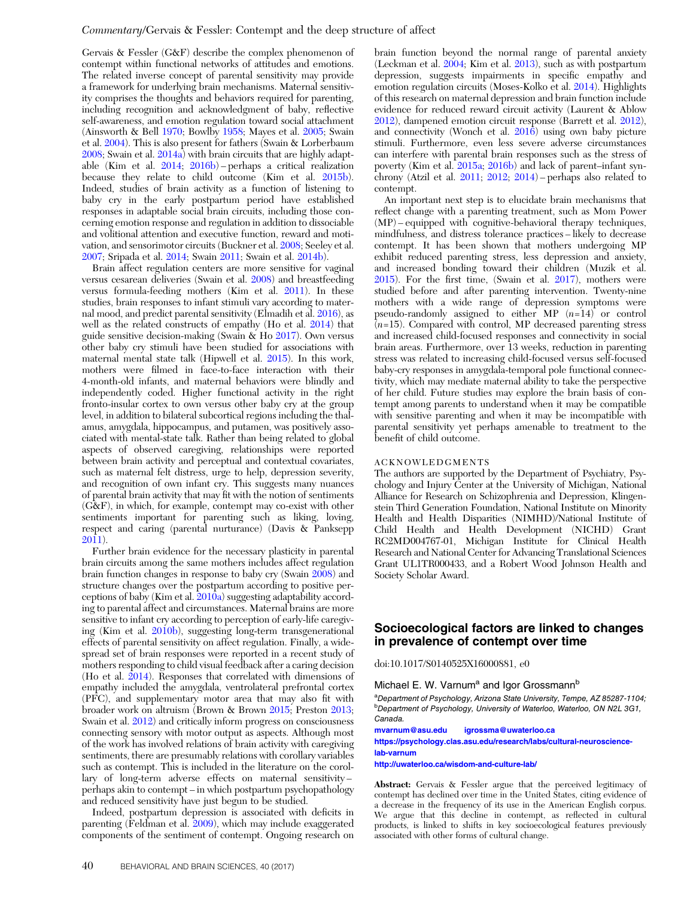Gervais & Fessler (G&F) describe the complex phenomenon of contempt within functional networks of attitudes and emotions. The related inverse concept of parental sensitivity may provide a framework for underlying brain mechanisms. Maternal sensitivity comprises the thoughts and behaviors required for parenting, including recognition and acknowledgment of baby, reflective self-awareness, and emotion regulation toward social attachment (Ainsworth & Bell [1970;](#page-50-0) Bowlby [1958](#page-52-0); Mayes et al. [2005](#page-57-0); Swain et al. [2004](#page-60-0)). This is also present for fathers (Swain & Lorberbaum [2008](#page-60-0); Swain et al. [2014a\)](#page-60-0) with brain circuits that are highly adaptable (Kim et al. [2014](#page-56-0); [2016b](#page-56-0)) – perhaps a critical realization because they relate to child outcome (Kim et al. [2015b](#page-56-0)). Indeed, studies of brain activity as a function of listening to baby cry in the early postpartum period have established responses in adaptable social brain circuits, including those concerning emotion response and regulation in addition to dissociable and volitional attention and executive function, reward and motivation, and sensorimotor circuits (Buckner et al. [2008](#page-52-0); Seeley et al. [2007](#page-59-0); Sripada et al. [2014;](#page-60-0) Swain [2011](#page-60-0); Swain et al. [2014b](#page-60-0)).

Brain affect regulation centers are more sensitive for vaginal versus cesarean deliveries (Swain et al. [2008](#page-60-0)) and breastfeeding versus formula-feeding mothers (Kim et al. [2011\)](#page-56-0). In these studies, brain responses to infant stimuli vary according to maternal mood, and predict parental sensitivity (Elmadih et al. [2016\)](#page-53-0), as well as the related constructs of empathy (Ho et al. [2014\)](#page-55-0) that guide sensitive decision-making (Swain & Ho [2017](#page-60-0)). Own versus other baby cry stimuli have been studied for associations with maternal mental state talk (Hipwell et al. [2015\)](#page-55-0). In this work, mothers were filmed in face-to-face interaction with their 4-month-old infants, and maternal behaviors were blindly and independently coded. Higher functional activity in the right fronto-insular cortex to own versus other baby cry at the group level, in addition to bilateral subcortical regions including the thalamus, amygdala, hippocampus, and putamen, was positively associated with mental-state talk. Rather than being related to global aspects of observed caregiving, relationships were reported between brain activity and perceptual and contextual covariates, such as maternal felt distress, urge to help, depression severity, and recognition of own infant cry. This suggests many nuances of parental brain activity that may fit with the notion of sentiments (G&F), in which, for example, contempt may co-exist with other sentiments important for parenting such as liking, loving, respect and caring (parental nurturance) (Davis & Panksepp [2011](#page-53-0)).

Further brain evidence for the necessary plasticity in parental brain circuits among the same mothers includes affect regulation brain function changes in response to baby cry (Swain [2008](#page-60-0)) and structure changes over the postpartum according to positive perceptions of baby (Kim et al. [2010a](#page-56-0)) suggesting adaptability according to parental affect and circumstances. Maternal brains are more sensitive to infant cry according to perception of early-life caregiving (Kim et al. [2010b\)](#page-56-0), suggesting long-term transgenerational effects of parental sensitivity on affect regulation. Finally, a widespread set of brain responses were reported in a recent study of mothers responding to child visual feedback after a caring decision (Ho et al.  $2014$ ). Responses that correlated with dimensions of empathy included the amygdala, ventrolateral prefrontal cortex (PFC), and supplementary motor area that may also fit with broader work on altruism (Brown & Brown [2015;](#page-52-0) Preston [2013;](#page-58-0) Swain et al. [2012\)](#page-60-0) and critically inform progress on consciousness connecting sensory with motor output as aspects. Although most of the work has involved relations of brain activity with caregiving sentiments, there are presumably relations with corollary variables such as contempt. This is included in the literature on the corollary of long-term adverse effects on maternal sensitivity – perhaps akin to contempt – in which postpartum psychopathology and reduced sensitivity have just begun to be studied.

Indeed, postpartum depression is associated with deficits in parenting (Feldman et al. [2009](#page-54-0)), which may include exaggerated components of the sentiment of contempt. Ongoing research on

brain function beyond the normal range of parental anxiety (Leckman et al. [2004](#page-56-0); Kim et al. [2013\)](#page-56-0), such as with postpartum depression, suggests impairments in specific empathy and emotion regulation circuits (Moses-Kolko et al. [2014](#page-58-0)). Highlights of this research on maternal depression and brain function include evidence for reduced reward circuit activity (Laurent & Ablow [2012](#page-56-0)), dampened emotion circuit response (Barrett et al. [2012](#page-51-0)), and connectivity (Wonch et al. [2016](#page-61-0)) using own baby picture stimuli. Furthermore, even less severe adverse circumstances can interfere with parental brain responses such as the stress of poverty (Kim et al. [2015a](#page-56-0); [2016b](#page-56-0)) and lack of parent–infant synchrony (Atzil et al. [2011;](#page-51-0) [2012;](#page-51-0) [2014\)](#page-51-0) – perhaps also related to contempt.

An important next step is to elucidate brain mechanisms that reflect change with a parenting treatment, such as Mom Power (MP) – equipped with cognitive-behavioral therapy techniques, mindfulness, and distress tolerance practices – likely to decrease contempt. It has been shown that mothers undergoing MP exhibit reduced parenting stress, less depression and anxiety, and increased bonding toward their children (Muzik et al. [2015](#page-58-0)). For the first time, (Swain et al. [2017\)](#page-60-0), mothers were studied before and after parenting intervention. Twenty-nine mothers with a wide range of depression symptoms were pseudo-randomly assigned to either MP  $(n=14)$  or control  $(n=15)$ . Compared with control, MP decreased parenting stress and increased child-focused responses and connectivity in social brain areas. Furthermore, over 13 weeks, reduction in parenting stress was related to increasing child-focused versus self-focused baby-cry responses in amygdala-temporal pole functional connectivity, which may mediate maternal ability to take the perspective of her child. Future studies may explore the brain basis of contempt among parents to understand when it may be compatible with sensitive parenting and when it may be incompatible with parental sensitivity yet perhaps amenable to treatment to the benefit of child outcome.

#### ACKNOWLEDGMENTS

The authors are supported by the Department of Psychiatry, Psychology and Injury Center at the University of Michigan, National Alliance for Research on Schizophrenia and Depression, Klingenstein Third Generation Foundation, National Institute on Minority Health and Health Disparities (NIMHD)/National Institute of Child Health and Health Development (NICHD) Grant RC2MD004767-01, Michigan Institute for Clinical Health Research and National Center for Advancing Translational Sciences Grant UL1TR000433, and a Robert Wood Johnson Health and Society Scholar Award.

## Socioecological factors are linked to changes in prevalence of contempt over time

doi:10.1017/S0140525X16000881, e0

Michael E. W. Varnum<sup>a</sup> and Igor Grossmann<sup>b</sup>

<sup>a</sup>Department of Psychology, Arizona State University, Tempe, AZ 85287-1104; <sup>b</sup>Department of Psychology, University of Waterloo, Waterloo, ON N2L 3G1, Canada.

[mvarnum@asu.edu](mailto:mvarnum@asu.edu) [igrossma@uwaterloo.ca](mailto:igrossma@uwaterloo.ca) [https://psychology.clas.asu.edu/research/labs/cultural-neuroscience](https://psychology.clas.asu.edu/research/labs/cultural-neuroscience-lab-varnum)[lab-varnum](https://psychology.clas.asu.edu/research/labs/cultural-neuroscience-lab-varnum)

<http://uwaterloo.ca/wisdom-and-culture-lab/>

Abstract: Gervais & Fessler argue that the perceived legitimacy of contempt has declined over time in the United States, citing evidence of a decrease in the frequency of its use in the American English corpus. We argue that this decline in contempt, as reflected in cultural products, is linked to shifts in key socioecological features previously associated with other forms of cultural change.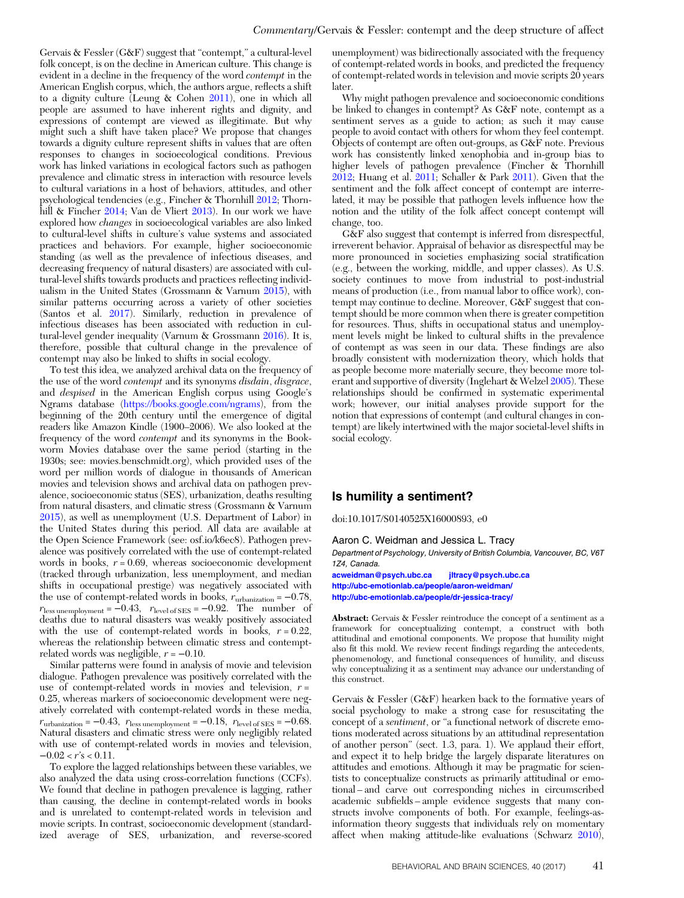Gervais & Fessler (G&F) suggest that "contempt," a cultural-level folk concept, is on the decline in American culture. This change is evident in a decline in the frequency of the word contempt in the American English corpus, which, the authors argue, reflects a shift to a dignity culture (Leung & Cohen [2011\)](#page-57-0), one in which all people are assumed to have inherent rights and dignity, and expressions of contempt are viewed as illegitimate. But why might such a shift have taken place? We propose that changes towards a dignity culture represent shifts in values that are often responses to changes in socioecological conditions. Previous work has linked variations in ecological factors such as pathogen prevalence and climatic stress in interaction with resource levels to cultural variations in a host of behaviors, attitudes, and other psychological tendencies (e.g., Fincher & Thornhill [2012](#page-54-0); Thorn-hill & Fincher [2014](#page-61-0); Van de Vliert [2013](#page-61-0)). In our work we have explored how changes in socioecological variables are also linked to cultural-level shifts in culture's value systems and associated practices and behaviors. For example, higher socioeconomic standing (as well as the prevalence of infectious diseases, and decreasing frequency of natural disasters) are associated with cultural-level shifts towards products and practices reflecting individualism in the United States (Grossmann & Varnum [2015\)](#page-55-0), with similar patterns occurring across a variety of other societies (Santos et al. [2017](#page-59-0)). Similarly, reduction in prevalence of infectious diseases has been associated with reduction in cultural-level gender inequality (Varnum & Grossmann [2016](#page-61-0)). It is, therefore, possible that cultural change in the prevalence of contempt may also be linked to shifts in social ecology.

To test this idea, we analyzed archival data on the frequency of the use of the word contempt and its synonyms disdain, disgrace, and despised in the American English corpus using Google's Ngrams database [\(https://books.google.com/ngrams\)](https://books.google.com/ngrams), from the beginning of the 20th century until the emergence of digital readers like Amazon Kindle (1900–2006). We also looked at the frequency of the word contempt and its synonyms in the Bookworm Movies database over the same period (starting in the 1930s; see: movies.benschmidt.org), which provided uses of the word per million words of dialogue in thousands of American movies and television shows and archival data on pathogen prevalence, socioeconomic status (SES), urbanization, deaths resulting from natural disasters, and climatic stress (Grossmann & Varnum [2015\)](#page-55-0), as well as unemployment (U.S. Department of Labor) in the United States during this period. All data are available at the Open Science Framework (see: osf.io/k6ec8). Pathogen prevalence was positively correlated with the use of contempt-related words in books,  $r = 0.69$ , whereas socioeconomic development (tracked through urbanization, less unemployment, and median shifts in occupational prestige) was negatively associated with the use of contempt-related words in books,  $r_{\text{urbanization}} = -0.78$ ,  $r_{\rm less\,unemptyment} = -0.43$ ,  $r_{\rm level\,of\,SES} = -0.92$ . The number of deaths due to natural disasters was weakly positively associated with the use of contempt-related words in books,  $r = 0.22$ , whereas the relationship between climatic stress and contemptrelated words was negligible,  $r = -0.10$ .

Similar patterns were found in analysis of movie and television dialogue. Pathogen prevalence was positively correlated with the use of contempt-related words in movies and television,  $r =$ 0.25, whereas markers of socioeconomic development were negatively correlated with contempt-related words in these media,  $r_{\text{urbanization}} = -0.43$ ,  $r_{\text{less unemployment}} = -0.18$ ,  $r_{\text{level of SES}} = -0.68$ . Natural disasters and climatic stress were only negligibly related with use of contempt-related words in movies and television,  $-0.02 < r's < 0.11$ .

To explore the lagged relationships between these variables, we also analyzed the data using cross-correlation functions (CCFs). We found that decline in pathogen prevalence is lagging, rather than causing, the decline in contempt-related words in books and is unrelated to contempt-related words in television and movie scripts. In contrast, socioeconomic development (standardized average of SES, urbanization, and reverse-scored

unemployment) was bidirectionally associated with the frequency of contempt-related words in books, and predicted the frequency of contempt-related words in television and movie scripts 20 years later.

Why might pathogen prevalence and socioeconomic conditions be linked to changes in contempt? As G&F note, contempt as a sentiment serves as a guide to action; as such it may cause people to avoid contact with others for whom they feel contempt. Objects of contempt are often out-groups, as G&F note. Previous work has consistently linked xenophobia and in-group bias to higher levels of pathogen prevalence (Fincher & Thornhill [2012;](#page-54-0) Huang et al. [2011](#page-55-0); Schaller & Park [2011](#page-59-0)). Given that the sentiment and the folk affect concept of contempt are interrelated, it may be possible that pathogen levels influence how the notion and the utility of the folk affect concept contempt will change, too.

G&F also suggest that contempt is inferred from disrespectful, irreverent behavior. Appraisal of behavior as disrespectful may be more pronounced in societies emphasizing social stratification (e.g., between the working, middle, and upper classes). As U.S. society continues to move from industrial to post-industrial means of production (i.e., from manual labor to office work), contempt may continue to decline. Moreover, G&F suggest that contempt should be more common when there is greater competition for resources. Thus, shifts in occupational status and unemployment levels might be linked to cultural shifts in the prevalence of contempt as was seen in our data. These findings are also broadly consistent with modernization theory, which holds that as people become more materially secure, they become more tolerant and supportive of diversity (Inglehart & Welzel [2005\)](#page-56-0). These relationships should be confirmed in systematic experimental work; however, our initial analyses provide support for the notion that expressions of contempt (and cultural changes in contempt) are likely intertwined with the major societal-level shifts in social ecology.

### Is humility a sentiment?

doi:10.1017/S0140525X16000893, e0

#### Aaron C. Weidman and Jessica L. Tracy

Department of Psychology, University of British Columbia, Vancouver, BC, V6T 1Z4, Canada.

[acweidman@psych.ubc.ca](mailto:acweidman@psych.ubc.ca) [jltracy@psych.ubc.ca](mailto:jltracy@psych.ubc.ca) <http://ubc-emotionlab.ca/people/aaron-weidman/> <http://ubc-emotionlab.ca/people/dr-jessica-tracy/>

Abstract: Gervais & Fessler reintroduce the concept of a sentiment as a framework for conceptualizing contempt, a construct with both attitudinal and emotional components. We propose that humility might also fit this mold. We review recent findings regarding the antecedents, phenomenology, and functional consequences of humility, and discuss why conceptualizing it as a sentiment may advance our understanding of this construct.

Gervais & Fessler (G&F) hearken back to the formative years of social psychology to make a strong case for resuscitating the concept of a sentiment, or "a functional network of discrete emotions moderated across situations by an attitudinal representation of another person" (sect. 1.3, para. 1). We applaud their effort, and expect it to help bridge the largely disparate literatures on attitudes and emotions. Although it may be pragmatic for scientists to conceptualize constructs as primarily attitudinal or emotional – and carve out corresponding niches in circumscribed academic subfields – ample evidence suggests that many constructs involve components of both. For example, feelings-asinformation theory suggests that individuals rely on momentary affect when making attitude-like evaluations (Schwarz [2010\)](#page-59-0),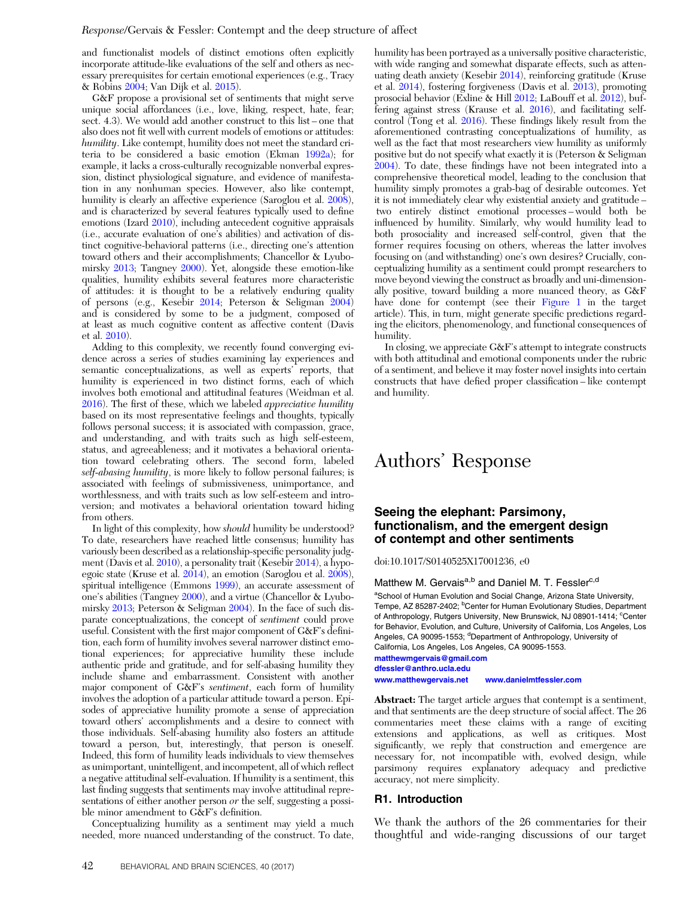and functionalist models of distinct emotions often explicitly incorporate attitude-like evaluations of the self and others as necessary prerequisites for certain emotional experiences (e.g., Tracy & Robins [2004](#page-61-0); Van Dijk et al. [2015\)](#page-61-0).

G&F propose a provisional set of sentiments that might serve unique social affordances (i.e., love, liking, respect, hate, fear; sect. 4.3). We would add another construct to this list – one that also does not fit well with current models of emotions or attitudes: humility. Like contempt, humility does not meet the standard criteria to be considered a basic emotion (Ekman [1992a](#page-53-0)); for example, it lacks a cross-culturally recognizable nonverbal expression, distinct physiological signature, and evidence of manifestation in any nonhuman species. However, also like contempt, humility is clearly an affective experience (Saroglou et al. [2008](#page-59-0)), and is characterized by several features typically used to define emotions (Izard [2010\)](#page-56-0), including antecedent cognitive appraisals (i.e., accurate evaluation of one's abilities) and activation of distinct cognitive-behavioral patterns (i.e., directing one's attention toward others and their accomplishments; Chancellor & Lyubomirsky [2013](#page-52-0); Tangney [2000\)](#page-60-0). Yet, alongside these emotion-like qualities, humility exhibits several features more characteristic of attitudes: it is thought to be a relatively enduring quality of persons (e.g., Kesebir [2014](#page-56-0); Peterson & Seligman [2004](#page-58-0)) and is considered by some to be a judgment, composed of at least as much cognitive content as affective content (Davis et al. [2010](#page-53-0)).

Adding to this complexity, we recently found converging evidence across a series of studies examining lay experiences and semantic conceptualizations, as well as experts' reports, that humility is experienced in two distinct forms, each of which involves both emotional and attitudinal features (Weidman et al. [2016](#page-61-0)). The first of these, which we labeled appreciative humility based on its most representative feelings and thoughts, typically follows personal success; it is associated with compassion, grace, and understanding, and with traits such as high self-esteem, status, and agreeableness; and it motivates a behavioral orientation toward celebrating others. The second form, labeled self-abasing humility, is more likely to follow personal failures; is associated with feelings of submissiveness, unimportance, and worthlessness, and with traits such as low self-esteem and introversion; and motivates a behavioral orientation toward hiding from others.

In light of this complexity, how should humility be understood? To date, researchers have reached little consensus; humility has variously been described as a relationship-specific personality judgment (Davis et al. [2010\)](#page-53-0), a personality trait (Kesebir [2014](#page-56-0)), a hypoegoic state (Kruse et al. [2014](#page-56-0)), an emotion (Saroglou et al. [2008](#page-59-0)), spiritual intelligence (Emmons [1999](#page-53-0)), an accurate assessment of one's abilities (Tangney [2000](#page-60-0)), and a virtue (Chancellor & Lyubomirsky [2013;](#page-52-0) Peterson & Seligman [2004\)](#page-58-0). In the face of such disparate conceptualizations, the concept of sentiment could prove useful. Consistent with the first major component of G&F's definition, each form of humility involves several narrower distinct emotional experiences; for appreciative humility these include authentic pride and gratitude, and for self-abasing humility they include shame and embarrassment. Consistent with another major component of G&F's sentiment, each form of humility involves the adoption of a particular attitude toward a person. Episodes of appreciative humility promote a sense of appreciation toward others' accomplishments and a desire to connect with those individuals. Self-abasing humility also fosters an attitude toward a person, but, interestingly, that person is oneself. Indeed, this form of humility leads individuals to view themselves as unimportant, unintelligent, and incompetent, all of which reflect a negative attitudinal self-evaluation. If humility is a sentiment, this last finding suggests that sentiments may involve attitudinal representations of either another person *or* the self, suggesting a possible minor amendment to G&F's definition.

Conceptualizing humility as a sentiment may yield a much needed, more nuanced understanding of the construct. To date, humility has been portrayed as a universally positive characteristic, with wide ranging and somewhat disparate effects, such as attenuating death anxiety (Kesebir [2014\)](#page-56-0), reinforcing gratitude (Kruse et al. [2014\)](#page-56-0), fostering forgiveness (Davis et al. [2013\)](#page-53-0), promoting prosocial behavior (Exline & Hill [2012;](#page-54-0) LaBouff et al. [2012](#page-56-0)), buffering against stress (Krause et al. [2016](#page-56-0)), and facilitating selfcontrol (Tong et al. [2016\)](#page-61-0). These findings likely result from the aforementioned contrasting conceptualizations of humility, as well as the fact that most researchers view humility as uniformly positive but do not specify what exactly it is (Peterson & Seligman [2004](#page-58-0)). To date, these findings have not been integrated into a comprehensive theoretical model, leading to the conclusion that humility simply promotes a grab-bag of desirable outcomes. Yet it is not immediately clear why existential anxiety and gratitude – two entirely distinct emotional processes – would both be influenced by humility. Similarly, why would humility lead to both prosociality and increased self-control, given that the former requires focusing on others, whereas the latter involves focusing on (and withstanding) one's own desires? Crucially, conceptualizing humility as a sentiment could prompt researchers to move beyond viewing the construct as broadly and uni-dimensionally positive, toward building a more nuanced theory, as G&F have done for contempt (see their [Figure 1](#page-11-0) in the target article). This, in turn, might generate specific predictions regarding the elicitors, phenomenology, and functional consequences of humility.

In closing, we appreciate G&F's attempt to integrate constructs with both attitudinal and emotional components under the rubric of a sentiment, and believe it may foster novel insights into certain constructs that have defied proper classification – like contempt and humility.

## Authors' Response

## Seeing the elephant: Parsimony, functionalism, and the emergent design of contempt and other sentiments

doi:10.1017/S0140525X17001236, e0

Matthew M. Gervais<sup>a,b</sup> and Daniel M. T. Fessler<sup>c,d</sup> aSchool of Human Evolution and Social Change, Arizona State University, Tempe, AZ 85287-2402; <sup>b</sup>Center for Human Evolutionary Studies, Department of Anthropology, Rutgers University, New Brunswick, NJ 08901-1414; Center for Behavior, Evolution, and Culture, University of California, Los Angeles, Los Angeles, CA 90095-1553; <sup>d</sup>Department of Anthropology, University of California, Los Angeles, Los Angeles, CA 90095-1553.

[matthewmgervais@gmail.com](mailto:matthewmgervais@gmail.com) [dfessler@anthro.ucla.edu](mailto:dfessler@anthro.ucla.edu) [www.matthewgervais.net www.danielmtfessler.com](http://www.matthewgervais.net%23www.danielmtfessler.com)

Abstract: The target article argues that contempt is a sentiment, and that sentiments are the deep structure of social affect. The 26 commentaries meet these claims with a range of exciting extensions and applications, as well as critiques. Most significantly, we reply that construction and emergence are necessary for, not incompatible with, evolved design, while parsimony requires explanatory adequacy and predictive accuracy, not mere simplicity.

## R1. Introduction

We thank the authors of the 26 commentaries for their thoughtful and wide-ranging discussions of our target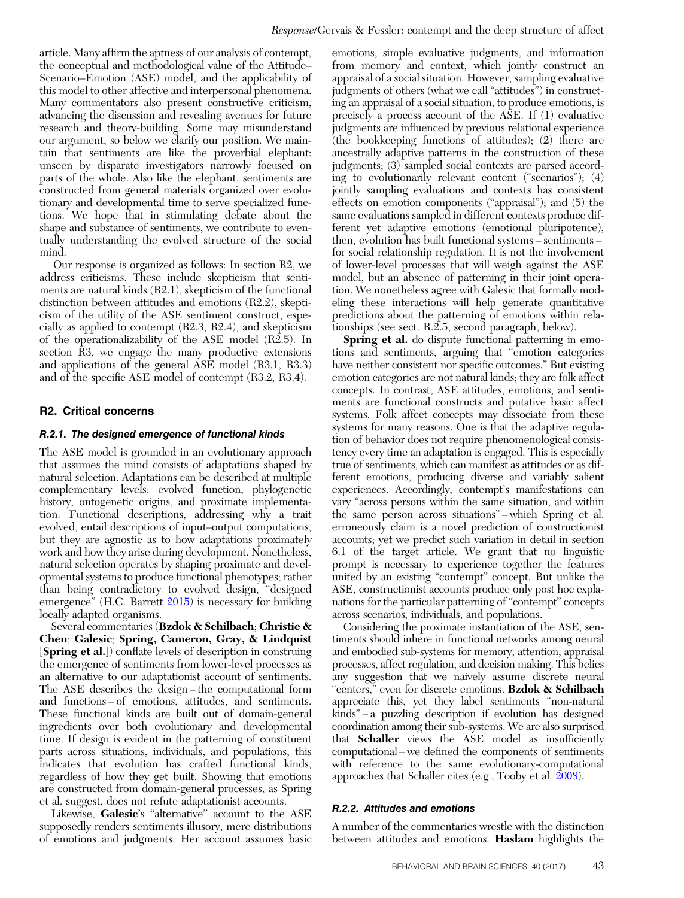article. Many affirm the aptness of our analysis of contempt, the conceptual and methodological value of the Attitude– Scenario–Emotion (ASE) model, and the applicability of this model to other affective and interpersonal phenomena. Many commentators also present constructive criticism, advancing the discussion and revealing avenues for future research and theory-building. Some may misunderstand our argument, so below we clarify our position. We maintain that sentiments are like the proverbial elephant: unseen by disparate investigators narrowly focused on parts of the whole. Also like the elephant, sentiments are constructed from general materials organized over evolutionary and developmental time to serve specialized functions. We hope that in stimulating debate about the shape and substance of sentiments, we contribute to eventually understanding the evolved structure of the social mind.

Our response is organized as follows: In section R2, we address criticisms. These include skepticism that sentiments are natural kinds (R2.1), skepticism of the functional distinction between attitudes and emotions (R2.2), skepticism of the utility of the ASE sentiment construct, especially as applied to contempt (R2.3, R2.4), and skepticism of the operationalizability of the ASE model (R2.5). In section R3, we engage the many productive extensions and applications of the general ASE model (R3.1, R3.3) and of the specific ASE model of contempt (R3.2, R3.4).

## R2. Critical concerns

## R.2.1. The designed emergence of functional kinds

The ASE model is grounded in an evolutionary approach that assumes the mind consists of adaptations shaped by natural selection. Adaptations can be described at multiple complementary levels: evolved function, phylogenetic history, ontogenetic origins, and proximate implementation. Functional descriptions, addressing why a trait evolved, entail descriptions of input–output computations, but they are agnostic as to how adaptations proximately work and how they arise during development. Nonetheless, natural selection operates by shaping proximate and developmental systems to produce functional phenotypes; rather than being contradictory to evolved design, "designed emergence" (H.C. Barrett [2015](#page-51-0)) is necessary for building locally adapted organisms.

Several commentaries (Bzdok & Schilbach; Christie & Chen; Galesic; Spring, Cameron, Gray, & Lindquist [Spring et al.]) conflate levels of description in construing the emergence of sentiments from lower-level processes as an alternative to our adaptationist account of sentiments. The ASE describes the design – the computational form and functions – of emotions, attitudes, and sentiments. These functional kinds are built out of domain-general ingredients over both evolutionary and developmental time. If design is evident in the patterning of constituent parts across situations, individuals, and populations, this indicates that evolution has crafted functional kinds, regardless of how they get built. Showing that emotions are constructed from domain-general processes, as Spring et al. suggest, does not refute adaptationist accounts.

Likewise, Galesic's "alternative" account to the ASE supposedly renders sentiments illusory, mere distributions of emotions and judgments. Her account assumes basic

emotions, simple evaluative judgments, and information from memory and context, which jointly construct an appraisal of a social situation. However, sampling evaluative judgments of others (what we call "attitudes") in constructing an appraisal of a social situation, to produce emotions, is precisely a process account of the ASE. If (1) evaluative judgments are influenced by previous relational experience (the bookkeeping functions of attitudes); (2) there are ancestrally adaptive patterns in the construction of these judgments; (3) sampled social contexts are parsed according to evolutionarily relevant content ("scenarios"); (4) jointly sampling evaluations and contexts has consistent effects on emotion components ("appraisal"); and (5) the same evaluations sampled in different contexts produce different yet adaptive emotions (emotional pluripotence), then, evolution has built functional systems – sentiments – for social relationship regulation. It is not the involvement of lower-level processes that will weigh against the ASE model, but an absence of patterning in their joint operation. We nonetheless agree with Galesic that formally modeling these interactions will help generate quantitative predictions about the patterning of emotions within relationships (see sect. R.2.5, second paragraph, below).

**Spring et al.** do dispute functional patterning in emotions and sentiments, arguing that "emotion categories have neither consistent nor specific outcomes." But existing emotion categories are not natural kinds; they are folk affect concepts. In contrast, ASE attitudes, emotions, and sentiments are functional constructs and putative basic affect systems. Folk affect concepts may dissociate from these systems for many reasons. One is that the adaptive regulation of behavior does not require phenomenological consistency every time an adaptation is engaged. This is especially true of sentiments, which can manifest as attitudes or as different emotions, producing diverse and variably salient experiences. Accordingly, contempt's manifestations can vary "across persons within the same situation, and within the same person across situations" – which Spring et al. erroneously claim is a novel prediction of constructionist accounts; yet we predict such variation in detail in section 6.1 of the target article. We grant that no linguistic prompt is necessary to experience together the features united by an existing "contempt" concept. But unlike the ASE, constructionist accounts produce only post hoc explanations for the particular patterning of "contempt" concepts across scenarios, individuals, and populations.

Considering the proximate instantiation of the ASE, sentiments should inhere in functional networks among neural and embodied sub-systems for memory, attention, appraisal processes, affect regulation, and decision making. This belies any suggestion that we naively assume discrete neural "centers," even for discrete emotions. Bzdok & Schilbach appreciate this, yet they label sentiments "non-natural kinds" – a puzzling description if evolution has designed coordination among their sub-systems. We are also surprised that Schaller views the ASE model as insufficiently computational – we defined the components of sentiments with reference to the same evolutionary-computational approaches that Schaller cites (e.g., Tooby et al. [2008\)](#page-61-0).

#### R.2.2. Attitudes and emotions

A number of the commentaries wrestle with the distinction between attitudes and emotions. Haslam highlights the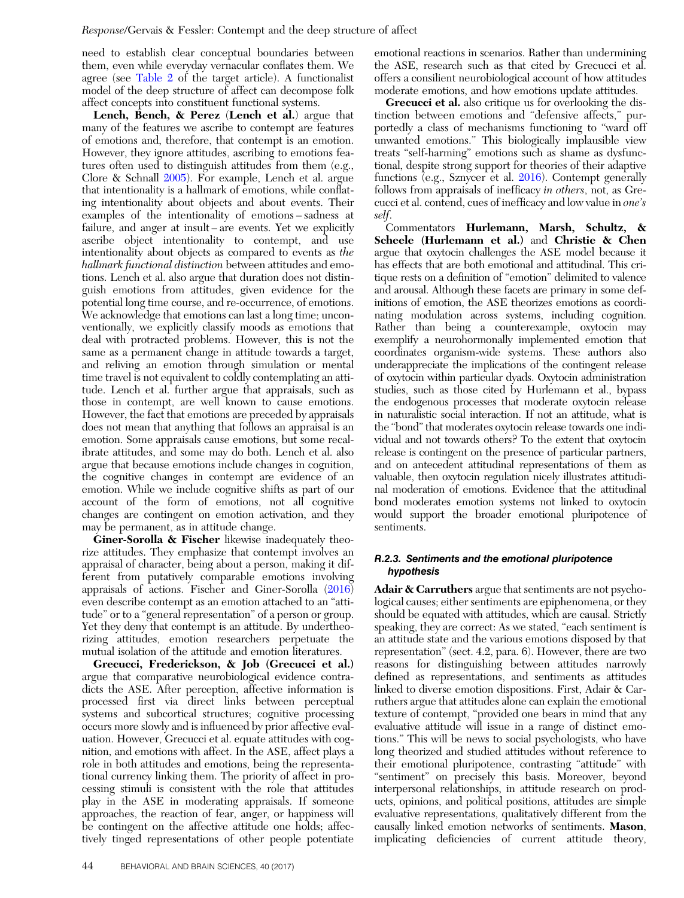need to establish clear conceptual boundaries between them, even while everyday vernacular conflates them. We agree (see [Table 2](#page-7-0) of the target article). A functionalist model of the deep structure of affect can decompose folk affect concepts into constituent functional systems.

Lench, Bench, & Perez (Lench et al.) argue that many of the features we ascribe to contempt are features of emotions and, therefore, that contempt is an emotion. However, they ignore attitudes, ascribing to emotions features often used to distinguish attitudes from them (e.g., Clore & Schnall [2005](#page-52-0)). For example, Lench et al. argue that intentionality is a hallmark of emotions, while conflating intentionality about objects and about events. Their examples of the intentionality of emotions – sadness at failure, and anger at insult – are events. Yet we explicitly ascribe object intentionality to contempt, and use intentionality about objects as compared to events as the hallmark functional distinction between attitudes and emotions. Lench et al. also argue that duration does not distinguish emotions from attitudes, given evidence for the potential long time course, and re-occurrence, of emotions. We acknowledge that emotions can last a long time; unconventionally, we explicitly classify moods as emotions that deal with protracted problems. However, this is not the same as a permanent change in attitude towards a target, and reliving an emotion through simulation or mental time travel is not equivalent to coldly contemplating an attitude. Lench et al. further argue that appraisals, such as those in contempt, are well known to cause emotions. However, the fact that emotions are preceded by appraisals does not mean that anything that follows an appraisal is an emotion. Some appraisals cause emotions, but some recalibrate attitudes, and some may do both. Lench et al. also argue that because emotions include changes in cognition, the cognitive changes in contempt are evidence of an emotion. While we include cognitive shifts as part of our account of the form of emotions, not all cognitive changes are contingent on emotion activation, and they may be permanent, as in attitude change.

Giner-Sorolla & Fischer likewise inadequately theorize attitudes. They emphasize that contempt involves an appraisal of character, being about a person, making it different from putatively comparable emotions involving appraisals of actions. Fischer and Giner-Sorolla [\(2016](#page-54-0)) even describe contempt as an emotion attached to an "attitude" or to a "general representation" of a person or group. Yet they deny that contempt is an attitude. By undertheorizing attitudes, emotion researchers perpetuate the mutual isolation of the attitude and emotion literatures.

Grecucci, Frederickson, & Job (Grecucci et al.) argue that comparative neurobiological evidence contradicts the ASE. After perception, affective information is processed first via direct links between perceptual systems and subcortical structures; cognitive processing occurs more slowly and is influenced by prior affective evaluation. However, Grecucci et al. equate attitudes with cognition, and emotions with affect. In the ASE, affect plays a role in both attitudes and emotions, being the representational currency linking them. The priority of affect in processing stimuli is consistent with the role that attitudes play in the ASE in moderating appraisals. If someone approaches, the reaction of fear, anger, or happiness will be contingent on the affective attitude one holds; affectively tinged representations of other people potentiate

emotional reactions in scenarios. Rather than undermining the ASE, research such as that cited by Grecucci et al. offers a consilient neurobiological account of how attitudes moderate emotions, and how emotions update attitudes.

Grecucci et al. also critique us for overlooking the distinction between emotions and "defensive affects," purportedly a class of mechanisms functioning to "ward off unwanted emotions." This biologically implausible view treats "self-harming" emotions such as shame as dysfunctional, despite strong support for theories of their adaptive functions (e.g., Sznycer et al. [2016\)](#page-60-0). Contempt generally follows from appraisals of inefficacy in others, not, as Grecucci et al. contend, cues of inefficacy and low value in one's self.

Commentators Hurlemann, Marsh, Schultz, & Scheele (Hurlemann et al.) and Christie & Chen argue that oxytocin challenges the ASE model because it has effects that are both emotional and attitudinal. This critique rests on a definition of "emotion" delimited to valence and arousal. Although these facets are primary in some definitions of emotion, the ASE theorizes emotions as coordinating modulation across systems, including cognition. Rather than being a counterexample, oxytocin may exemplify a neurohormonally implemented emotion that coordinates organism-wide systems. These authors also underappreciate the implications of the contingent release of oxytocin within particular dyads. Oxytocin administration studies, such as those cited by Hurlemann et al., bypass the endogenous processes that moderate oxytocin release in naturalistic social interaction. If not an attitude, what is the "bond" that moderates oxytocin release towards one individual and not towards others? To the extent that oxytocin release is contingent on the presence of particular partners, and on antecedent attitudinal representations of them as valuable, then oxytocin regulation nicely illustrates attitudinal moderation of emotions. Evidence that the attitudinal bond moderates emotion systems not linked to oxytocin would support the broader emotional pluripotence of sentiments.

## R.2.3. Sentiments and the emotional pluripotence hypothesis

Adair & Carruthers argue that sentiments are not psychological causes; either sentiments are epiphenomena, or they should be equated with attitudes, which are causal. Strictly speaking, they are correct: As we stated, "each sentiment is an attitude state and the various emotions disposed by that representation" (sect. 4.2, para. 6). However, there are two reasons for distinguishing between attitudes narrowly defined as representations, and sentiments as attitudes linked to diverse emotion dispositions. First, Adair & Carruthers argue that attitudes alone can explain the emotional texture of contempt, "provided one bears in mind that any evaluative attitude will issue in a range of distinct emotions." This will be news to social psychologists, who have long theorized and studied attitudes without reference to their emotional pluripotence, contrasting "attitude" with "sentiment" on precisely this basis. Moreover, beyond interpersonal relationships, in attitude research on products, opinions, and political positions, attitudes are simple evaluative representations, qualitatively different from the causally linked emotion networks of sentiments. Mason, implicating deficiencies of current attitude theory,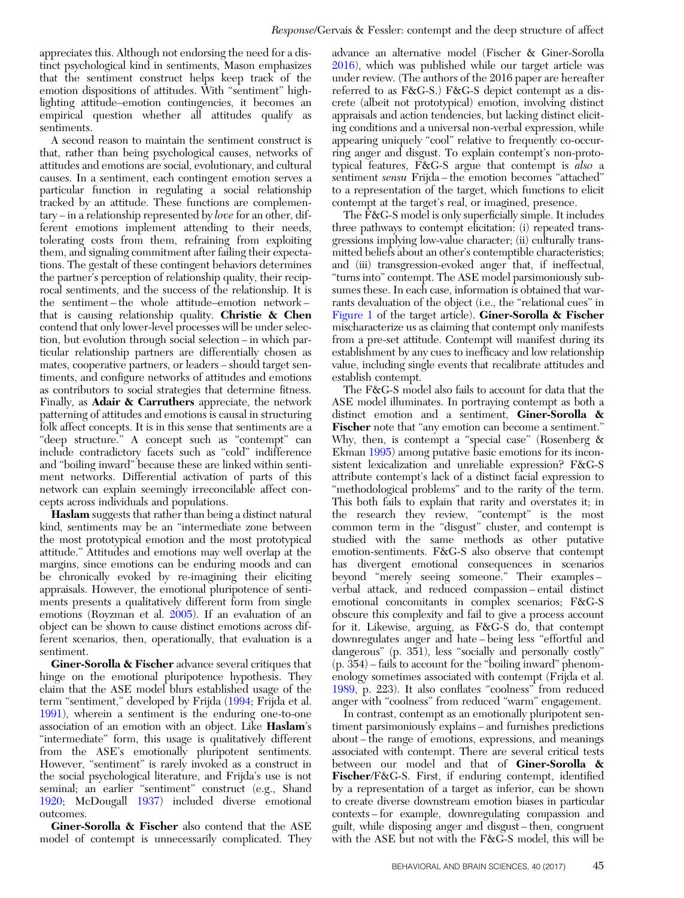appreciates this. Although not endorsing the need for a distinct psychological kind in sentiments, Mason emphasizes that the sentiment construct helps keep track of the emotion dispositions of attitudes. With "sentiment" highlighting attitude–emotion contingencies, it becomes an empirical question whether all attitudes qualify as sentiments.

A second reason to maintain the sentiment construct is that, rather than being psychological causes, networks of attitudes and emotions are social, evolutionary, and cultural causes. In a sentiment, each contingent emotion serves a particular function in regulating a social relationship tracked by an attitude. These functions are complementary – in a relationship represented by love for an other, different emotions implement attending to their needs, tolerating costs from them, refraining from exploiting them, and signaling commitment after failing their expectations. The gestalt of these contingent behaviors determines the partner's perception of relationship quality, their reciprocal sentiments, and the success of the relationship. It is the sentiment – the whole attitude–emotion network – that is causing relationship quality. Christie  $\&$  Chen contend that only lower-level processes will be under selection, but evolution through social selection – in which particular relationship partners are differentially chosen as mates, cooperative partners, or leaders – should target sentiments, and configure networks of attitudes and emotions as contributors to social strategies that determine fitness. Finally, as **Adair & Carruthers** appreciate, the network patterning of attitudes and emotions is causal in structuring folk affect concepts. It is in this sense that sentiments are a "deep structure." A concept such as "contempt" can include contradictory facets such as "cold" indifference and "boiling inward" because these are linked within sentiment networks. Differential activation of parts of this network can explain seemingly irreconcilable affect concepts across individuals and populations.

Haslam suggests that rather than being a distinct natural kind, sentiments may be an "intermediate zone between the most prototypical emotion and the most prototypical attitude." Attitudes and emotions may well overlap at the margins, since emotions can be enduring moods and can be chronically evoked by re-imagining their eliciting appraisals. However, the emotional pluripotence of sentiments presents a qualitatively different form from single emotions (Royzman et al. [2005\)](#page-59-0). If an evaluation of an object can be shown to cause distinct emotions across different scenarios, then, operationally, that evaluation is a sentiment.

Giner-Sorolla & Fischer advance several critiques that hinge on the emotional pluripotence hypothesis. They claim that the ASE model blurs established usage of the term "sentiment," developed by Frijda [\(1994](#page-54-0); Frijda et al. [1991\)](#page-54-0), wherein a sentiment is the enduring one-to-one association of an emotion with an object. Like Haslam's "intermediate" form, this usage is qualitatively different from the ASE's emotionally pluripotent sentiments. However, "sentiment" is rarely invoked as a construct in the social psychological literature, and Frijda's use is not seminal; an earlier "sentiment" construct (e.g., Shand [1920;](#page-59-0) McDougall [1937\)](#page-57-0) included diverse emotional outcomes.

Giner-Sorolla & Fischer also contend that the ASE model of contempt is unnecessarily complicated. They advance an alternative model (Fischer & Giner-Sorolla [2016](#page-54-0)), which was published while our target article was under review. (The authors of the 2016 paper are hereafter referred to as F&G-S.) F&G-S depict contempt as a discrete (albeit not prototypical) emotion, involving distinct appraisals and action tendencies, but lacking distinct eliciting conditions and a universal non-verbal expression, while appearing uniquely "cool" relative to frequently co-occurring anger and disgust. To explain contempt's non-prototypical features, F&G-S argue that contempt is also a sentiment sensu Frijda – the emotion becomes "attached" to a representation of the target, which functions to elicit contempt at the target's real, or imagined, presence.

The F&G-S model is only superficially simple. It includes three pathways to contempt elicitation: (i) repeated transgressions implying low-value character; (ii) culturally transmitted beliefs about an other's contemptible characteristics; and (iii) transgression-evoked anger that, if ineffectual, "turns into" contempt. The ASE model parsimoniously subsumes these. In each case, information is obtained that warrants devaluation of the object (i.e., the "relational cues" in [Figure 1](#page-11-0) of the target article). Giner-Sorolla & Fischer mischaracterize us as claiming that contempt only manifests from a pre-set attitude. Contempt will manifest during its establishment by any cues to inefficacy and low relationship value, including single events that recalibrate attitudes and establish contempt.

The F&G-S model also fails to account for data that the ASE model illuminates. In portraying contempt as both a distinct emotion and a sentiment, Giner-Sorolla & **Fischer** note that "any emotion can become a sentiment." Why, then, is contempt a "special case" (Rosenberg & Ekman [1995](#page-59-0)) among putative basic emotions for its inconsistent lexicalization and unreliable expression? F&G-S attribute contempt's lack of a distinct facial expression to "methodological problems" and to the rarity of the term. This both fails to explain that rarity and overstates it; in the research they review, "contempt" is the most common term in the "disgust" cluster, and contempt is studied with the same methods as other putative emotion-sentiments. F&G-S also observe that contempt has divergent emotional consequences in scenarios beyond "merely seeing someone." Their examples – verbal attack, and reduced compassion – entail distinct emotional concomitants in complex scenarios; F&G-S obscure this complexity and fail to give a process account for it. Likewise, arguing, as F&G-S do, that contempt downregulates anger and hate – being less "effortful and dangerous" (p. 351), less "socially and personally costly" (p. 354) – fails to account for the "boiling inward" phenomenology sometimes associated with contempt (Frijda et al. [1989](#page-54-0), p. 223). It also conflates "coolness" from reduced anger with "coolness" from reduced "warm" engagement.

In contrast, contempt as an emotionally pluripotent sentiment parsimoniously explains – and furnishes predictions about – the range of emotions, expressions, and meanings associated with contempt. There are several critical tests between our model and that of Giner-Sorolla & Fischer/F&G-S. First, if enduring contempt, identified by a representation of a target as inferior, can be shown to create diverse downstream emotion biases in particular contexts – for example, downregulating compassion and guilt, while disposing anger and disgust – then, congruent with the ASE but not with the F&G-S model, this will be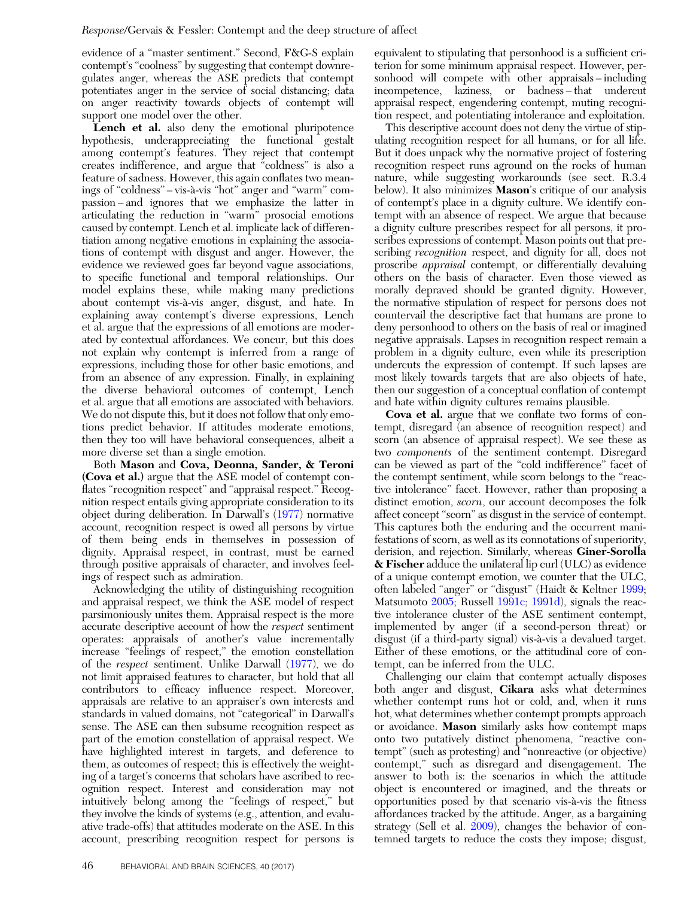evidence of a "master sentiment." Second, F&G-S explain contempt's "coolness" by suggesting that contempt downregulates anger, whereas the ASE predicts that contempt potentiates anger in the service of social distancing; data on anger reactivity towards objects of contempt will support one model over the other.

Lench et al. also deny the emotional pluripotence hypothesis, underappreciating the functional gestalt among contempt's features. They reject that contempt creates indifference, and argue that "coldness" is also a feature of sadness. However, this again conflates two meanings of "coldness" – vis-à-vis "hot" anger and "warm" compassion – and ignores that we emphasize the latter in articulating the reduction in "warm" prosocial emotions caused by contempt. Lench et al. implicate lack of differentiation among negative emotions in explaining the associations of contempt with disgust and anger. However, the evidence we reviewed goes far beyond vague associations, to specific functional and temporal relationships. Our model explains these, while making many predictions about contempt vis-à-vis anger, disgust, and hate. In explaining away contempt's diverse expressions, Lench et al. argue that the expressions of all emotions are moderated by contextual affordances. We concur, but this does not explain why contempt is inferred from a range of expressions, including those for other basic emotions, and from an absence of any expression. Finally, in explaining the diverse behavioral outcomes of contempt, Lench et al. argue that all emotions are associated with behaviors. We do not dispute this, but it does not follow that only emotions predict behavior. If attitudes moderate emotions, then they too will have behavioral consequences, albeit a more diverse set than a single emotion.

Both Mason and Cova, Deonna, Sander, & Teroni (Cova et al.) argue that the ASE model of contempt conflates "recognition respect" and "appraisal respect." Recognition respect entails giving appropriate consideration to its object during deliberation. In Darwall's [\(1977](#page-53-0)) normative account, recognition respect is owed all persons by virtue of them being ends in themselves in possession of dignity. Appraisal respect, in contrast, must be earned through positive appraisals of character, and involves feelings of respect such as admiration.

Acknowledging the utility of distinguishing recognition and appraisal respect, we think the ASE model of respect parsimoniously unites them. Appraisal respect is the more accurate descriptive account of how the *respect* sentiment operates: appraisals of another's value incrementally increase "feelings of respect," the emotion constellation of the respect sentiment. Unlike Darwall ([1977\)](#page-53-0), we do not limit appraised features to character, but hold that all contributors to efficacy influence respect. Moreover, appraisals are relative to an appraiser's own interests and standards in valued domains, not "categorical" in Darwall's sense. The ASE can then subsume recognition respect as part of the emotion constellation of appraisal respect. We have highlighted interest in targets, and deference to them, as outcomes of respect; this is effectively the weighting of a target's concerns that scholars have ascribed to recognition respect. Interest and consideration may not intuitively belong among the "feelings of respect," but they involve the kinds of systems (e.g., attention, and evaluative trade-offs) that attitudes moderate on the ASE. In this account, prescribing recognition respect for persons is equivalent to stipulating that personhood is a sufficient criterion for some minimum appraisal respect. However, personhood will compete with other appraisals – including incompetence, laziness, or badness – that undercut appraisal respect, engendering contempt, muting recognition respect, and potentiating intolerance and exploitation.

This descriptive account does not deny the virtue of stipulating recognition respect for all humans, or for all life. But it does unpack why the normative project of fostering recognition respect runs aground on the rocks of human nature, while suggesting workarounds (see sect. R.3.4 below). It also minimizes **Mason**'s critique of our analysis of contempt's place in a dignity culture. We identify contempt with an absence of respect. We argue that because a dignity culture prescribes respect for all persons, it proscribes expressions of contempt. Mason points out that prescribing *recognition* respect, and dignity for all, does not proscribe appraisal contempt, or differentially devaluing others on the basis of character. Even those viewed as morally depraved should be granted dignity. However, the normative stipulation of respect for persons does not countervail the descriptive fact that humans are prone to deny personhood to others on the basis of real or imagined negative appraisals. Lapses in recognition respect remain a problem in a dignity culture, even while its prescription undercuts the expression of contempt. If such lapses are most likely towards targets that are also objects of hate, then our suggestion of a conceptual conflation of contempt and hate within dignity cultures remains plausible.

Cova et al. argue that we conflate two forms of contempt, disregard (an absence of recognition respect) and scorn (an absence of appraisal respect). We see these as two components of the sentiment contempt. Disregard can be viewed as part of the "cold indifference" facet of the contempt sentiment, while scorn belongs to the "reactive intolerance" facet. However, rather than proposing a distinct emotion, *scorn*, our account decomposes the folk affect concept "scorn" as disgust in the service of contempt. This captures both the enduring and the occurrent manifestations of scorn, as well as its connotations of superiority, derision, and rejection. Similarly, whereas Giner-Sorolla & Fischer adduce the unilateral lip curl (ULC) as evidence of a unique contempt emotion, we counter that the ULC, often labeled "anger" or "disgust" (Haidt & Keltner [1999;](#page-55-0) Matsumoto [2005](#page-57-0); Russell [1991c](#page-59-0); [1991d](#page-59-0)), signals the reactive intolerance cluster of the ASE sentiment contempt, implemented by anger (if a second-person threat) or disgust (if a third-party signal) vis-à-vis a devalued target. Either of these emotions, or the attitudinal core of contempt, can be inferred from the ULC.

Challenging our claim that contempt actually disposes both anger and disgust, **Cikara** asks what determines whether contempt runs hot or cold, and, when it runs hot, what determines whether contempt prompts approach or avoidance. Mason similarly asks how contempt maps onto two putatively distinct phenomena, "reactive contempt" (such as protesting) and "nonreactive (or objective) contempt," such as disregard and disengagement. The answer to both is: the scenarios in which the attitude object is encountered or imagined, and the threats or opportunities posed by that scenario vis-à-vis the fitness affordances tracked by the attitude. Anger, as a bargaining strategy (Sell et al. [2009](#page-59-0)), changes the behavior of contemned targets to reduce the costs they impose; disgust,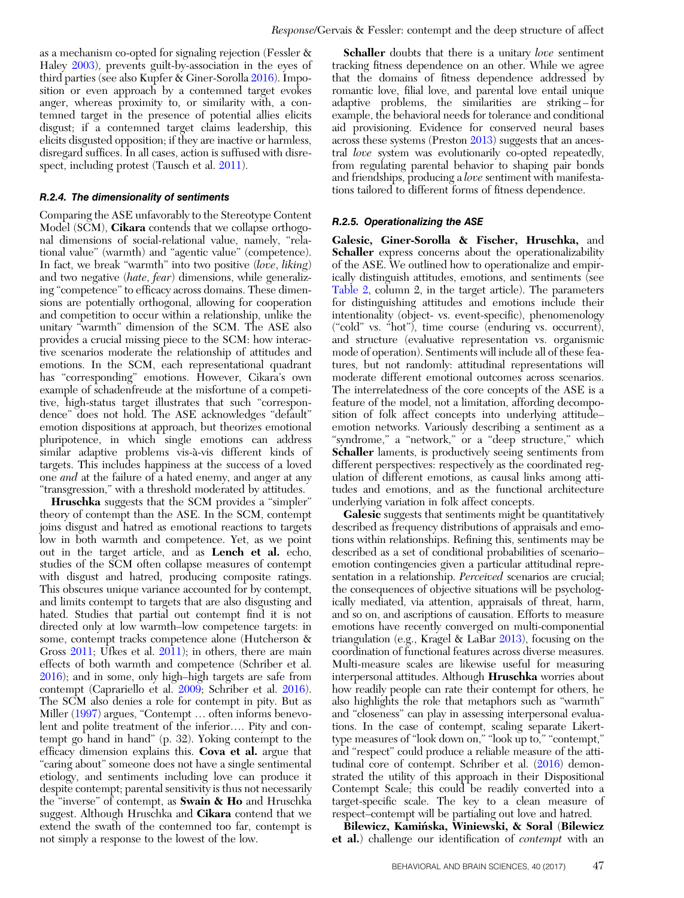as a mechanism co-opted for signaling rejection (Fessler & Haley [2003](#page-54-0)), prevents guilt-by-association in the eyes of third parties (see also Kupfer & Giner-Sorolla [2016\)](#page-56-0). Imposition or even approach by a contemned target evokes anger, whereas proximity to, or similarity with, a contemned target in the presence of potential allies elicits disgust; if a contemned target claims leadership, this elicits disgusted opposition; if they are inactive or harmless, disregard suffices. In all cases, action is suffused with disre-spect, including protest (Tausch et al. [2011](#page-61-0)).

#### R.2.4. The dimensionality of sentiments

Comparing the ASE unfavorably to the Stereotype Content Model (SCM), **Cikara** contends that we collapse orthogonal dimensions of social-relational value, namely, "relational value" (warmth) and "agentic value" (competence). In fact, we break "warmth" into two positive (love, liking) and two negative (hate, fear) dimensions, while generalizing "competence" to efficacy across domains. These dimensions are potentially orthogonal, allowing for cooperation and competition to occur within a relationship, unlike the unitary "warmth" dimension of the SCM. The ASE also provides a crucial missing piece to the SCM: how interactive scenarios moderate the relationship of attitudes and emotions. In the SCM, each representational quadrant has "corresponding" emotions. However, Cikara's own example of schadenfreude at the misfortune of a competitive, high-status target illustrates that such "correspondence" does not hold. The ASE acknowledges "default" emotion dispositions at approach, but theorizes emotional pluripotence, in which single emotions can address similar adaptive problems vis-à-vis different kinds of targets. This includes happiness at the success of a loved one and at the failure of a hated enemy, and anger at any "transgression," with a threshold moderated by attitudes.

Hruschka suggests that the SCM provides a "simpler" theory of contempt than the ASE. In the SCM, contempt joins disgust and hatred as emotional reactions to targets low in both warmth and competence. Yet, as we point out in the target article, and as Lench et al. echo, studies of the SCM often collapse measures of contempt with disgust and hatred, producing composite ratings. This obscures unique variance accounted for by contempt, and limits contempt to targets that are also disgusting and hated. Studies that partial out contempt find it is not directed only at low warmth–low competence targets: in some, contempt tracks competence alone (Hutcherson & Gross [2011](#page-61-0); Ufkes et al. 2011); in others, there are main effects of both warmth and competence (Schriber et al. [2016\)](#page-59-0); and in some, only high–high targets are safe from contempt (Caprariello et al. [2009](#page-52-0); Schriber et al. [2016](#page-59-0)). The SCM also denies a role for contempt in pity. But as Miller ([1997\)](#page-58-0) argues, "Contempt … often informs benevolent and polite treatment of the inferior…. Pity and contempt go hand in hand" (p. 32). Yoking contempt to the efficacy dimension explains this. Cova et al. argue that "caring about" someone does not have a single sentimental etiology, and sentiments including love can produce it despite contempt; parental sensitivity is thus not necessarily the "inverse" of contempt, as **Swain & Ho** and Hruschka suggest. Although Hruschka and **Cikara** contend that we extend the swath of the contemned too far, contempt is not simply a response to the lowest of the low.

**Schaller** doubts that there is a unitary *love* sentiment tracking fitness dependence on an other. While we agree that the domains of fitness dependence addressed by romantic love, filial love, and parental love entail unique adaptive problems, the similarities are striking – for example, the behavioral needs for tolerance and conditional aid provisioning. Evidence for conserved neural bases across these systems (Preston [2013\)](#page-58-0) suggests that an ancestral love system was evolutionarily co-opted repeatedly, from regulating parental behavior to shaping pair bonds and friendships, producing a *love* sentiment with manifestations tailored to different forms of fitness dependence.

#### R.2.5. Operationalizing the ASE

Galesic, Giner-Sorolla & Fischer, Hruschka, and Schaller express concerns about the operationalizability of the ASE. We outlined how to operationalize and empirically distinguish attitudes, emotions, and sentiments (see [Table 2,](#page-7-0) column 2, in the target article). The parameters for distinguishing attitudes and emotions include their intentionality (object- vs. event-specific), phenomenology ("cold" vs. "hot"), time course (enduring vs. occurrent), and structure (evaluative representation vs. organismic mode of operation). Sentiments will include all of these features, but not randomly: attitudinal representations will moderate different emotional outcomes across scenarios. The interrelatedness of the core concepts of the ASE is a feature of the model, not a limitation, affording decomposition of folk affect concepts into underlying attitude– emotion networks. Variously describing a sentiment as a "syndrome," a "network," or a "deep structure," which Schaller laments, is productively seeing sentiments from different perspectives: respectively as the coordinated regulation of different emotions, as causal links among attitudes and emotions, and as the functional architecture underlying variation in folk affect concepts.

Galesic suggests that sentiments might be quantitatively described as frequency distributions of appraisals and emotions within relationships. Refining this, sentiments may be described as a set of conditional probabilities of scenario– emotion contingencies given a particular attitudinal representation in a relationship. *Perceived* scenarios are crucial; the consequences of objective situations will be psychologically mediated, via attention, appraisals of threat, harm, and so on, and ascriptions of causation. Efforts to measure emotions have recently converged on multi-componential triangulation (e.g., Kragel & LaBar [2013](#page-56-0)), focusing on the coordination of functional features across diverse measures. Multi-measure scales are likewise useful for measuring interpersonal attitudes. Although Hruschka worries about how readily people can rate their contempt for others, he also highlights the role that metaphors such as "warmth" and "closeness" can play in assessing interpersonal evaluations. In the case of contempt, scaling separate Likerttype measures of "look down on," "look up to," "contempt," and "respect" could produce a reliable measure of the attitudinal core of contempt. Schriber et al. [\(2016\)](#page-59-0) demonstrated the utility of this approach in their Dispositional Contempt Scale; this could be readily converted into a target-specific scale. The key to a clean measure of respect–contempt will be partialing out love and hatred.

Bilewicz, Kamińska, Winiewski, & Soral (Bilewicz et al.) challenge our identification of contempt with an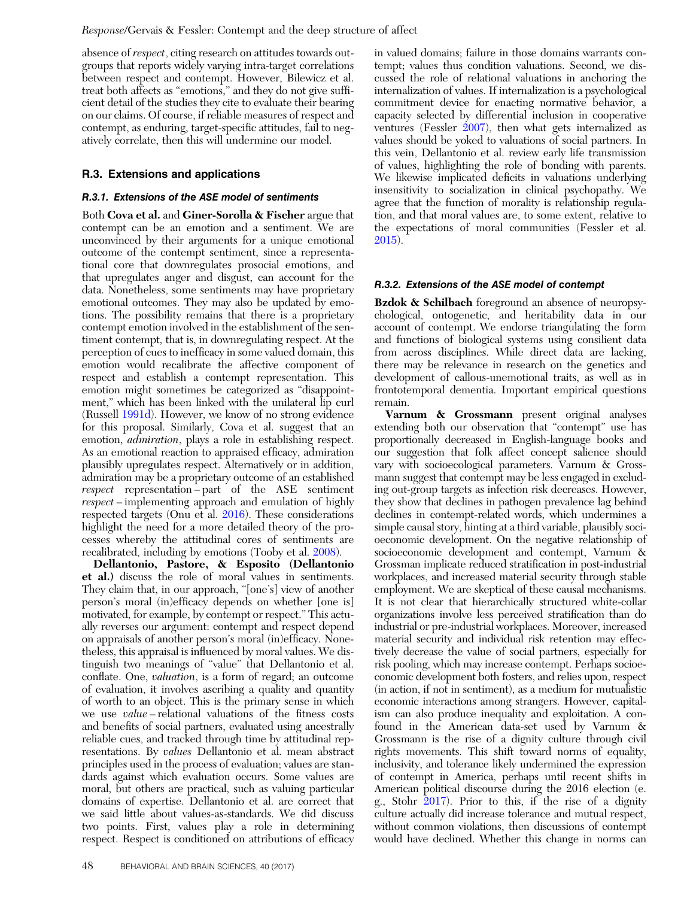absence of respect, citing research on attitudes towards outgroups that reports widely varying intra-target correlations between respect and contempt. However, Bilewicz et al. treat both affects as "emotions," and they do not give sufficient detail of the studies they cite to evaluate their bearing on our claims. Of course, if reliable measures of respect and contempt, as enduring, target-specific attitudes, fail to negatively correlate, then this will undermine our model.

## R.3. Extensions and applications

### R.3.1. Extensions of the ASE model of sentiments

Both Cova et al. and Giner-Sorolla & Fischer argue that contempt can be an emotion and a sentiment. We are unconvinced by their arguments for a unique emotional outcome of the contempt sentiment, since a representational core that downregulates prosocial emotions, and that upregulates anger and disgust, can account for the data. Nonetheless, some sentiments may have proprietary emotional outcomes. They may also be updated by emotions. The possibility remains that there is a proprietary contempt emotion involved in the establishment of the sentiment contempt, that is, in downregulating respect. At the perception of cues to inefficacy in some valued domain, this emotion would recalibrate the affective component of respect and establish a contempt representation. This emotion might sometimes be categorized as "disappointment," which has been linked with the unilateral lip curl (Russell [1991d\)](#page-59-0). However, we know of no strong evidence for this proposal. Similarly, Cova et al. suggest that an emotion, *admiration*, plays a role in establishing respect. As an emotional reaction to appraised efficacy, admiration plausibly upregulates respect. Alternatively or in addition, admiration may be a proprietary outcome of an established respect representation – part of the ASE sentiment respect – implementing approach and emulation of highly respected targets (Onu et al. [2016](#page-58-0)). These considerations highlight the need for a more detailed theory of the processes whereby the attitudinal cores of sentiments are recalibrated, including by emotions (Tooby et al. [2008](#page-61-0)).

Dellantonio, Pastore, & Esposito (Dellantonio et al.) discuss the role of moral values in sentiments. They claim that, in our approach, "[one's] view of another person's moral (in)efficacy depends on whether [one is] motivated, for example, by contempt or respect." This actually reverses our argument: contempt and respect depend on appraisals of another person's moral (in)efficacy. Nonetheless, this appraisal is influenced by moral values. We distinguish two meanings of "value" that Dellantonio et al. conflate. One, valuation, is a form of regard; an outcome of evaluation, it involves ascribing a quality and quantity of worth to an object. This is the primary sense in which we use *value* – relational valuations of the fitness costs and benefits of social partners, evaluated using ancestrally reliable cues, and tracked through time by attitudinal representations. By values Dellantonio et al. mean abstract principles used in the process of evaluation; values are standards against which evaluation occurs. Some values are moral, but others are practical, such as valuing particular domains of expertise. Dellantonio et al. are correct that we said little about values-as-standards. We did discuss two points. First, values play a role in determining respect. Respect is conditioned on attributions of efficacy

in valued domains; failure in those domains warrants contempt; values thus condition valuations. Second, we discussed the role of relational valuations in anchoring the internalization of values. If internalization is a psychological commitment device for enacting normative behavior, a capacity selected by differential inclusion in cooperative ventures (Fessler [2007](#page-54-0)), then what gets internalized as values should be yoked to valuations of social partners. In this vein, Dellantonio et al. review early life transmission of values, highlighting the role of bonding with parents. We likewise implicated deficits in valuations underlying insensitivity to socialization in clinical psychopathy. We agree that the function of morality is relationship regulation, and that moral values are, to some extent, relative to the expectations of moral communities (Fessler et al. [2015](#page-54-0)).

#### R.3.2. Extensions of the ASE model of contempt

**Bzdok & Schilbach** foreground an absence of neuropsychological, ontogenetic, and heritability data in our account of contempt. We endorse triangulating the form and functions of biological systems using consilient data from across disciplines. While direct data are lacking, there may be relevance in research on the genetics and development of callous-unemotional traits, as well as in frontotemporal dementia. Important empirical questions remain.

Varnum & Grossmann present original analyses extending both our observation that "contempt" use has proportionally decreased in English-language books and our suggestion that folk affect concept salience should vary with socioecological parameters. Varnum & Grossmann suggest that contempt may be less engaged in excluding out-group targets as infection risk decreases. However, they show that declines in pathogen prevalence lag behind declines in contempt-related words, which undermines a simple causal story, hinting at a third variable, plausibly socioeconomic development. On the negative relationship of socioeconomic development and contempt, Varnum & Grossman implicate reduced stratification in post-industrial workplaces, and increased material security through stable employment. We are skeptical of these causal mechanisms. It is not clear that hierarchically structured white-collar organizations involve less perceived stratification than do industrial or pre-industrial workplaces. Moreover, increased material security and individual risk retention may effectively decrease the value of social partners, especially for risk pooling, which may increase contempt. Perhaps socioeconomic development both fosters, and relies upon, respect (in action, if not in sentiment), as a medium for mutualistic economic interactions among strangers. However, capitalism can also produce inequality and exploitation. A confound in the American data-set used by Varnum & Grossmann is the rise of a dignity culture through civil rights movements. This shift toward norms of equality, inclusivity, and tolerance likely undermined the expression of contempt in America, perhaps until recent shifts in American political discourse during the 2016 election (e. g., Stohr [2017\)](#page-60-0). Prior to this, if the rise of a dignity culture actually did increase tolerance and mutual respect, without common violations, then discussions of contempt would have declined. Whether this change in norms can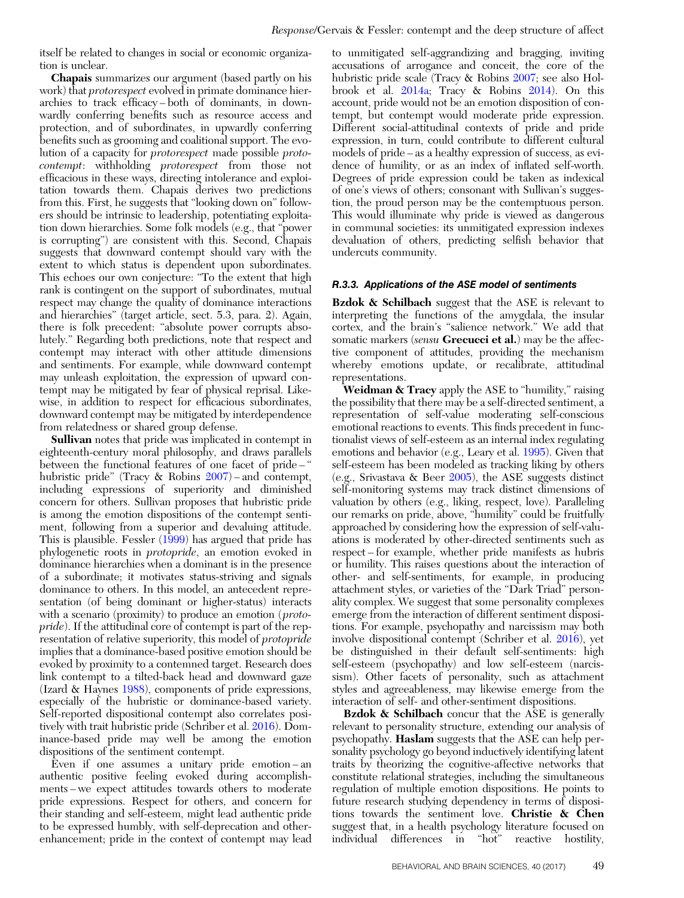itself be related to changes in social or economic organization is unclear.

Chapais summarizes our argument (based partly on his work) that *protorespect* evolved in primate dominance hierarchies to track efficacy – both of dominants, in downwardly conferring benefits such as resource access and protection, and of subordinates, in upwardly conferring benefits such as grooming and coalitional support. The evolution of a capacity for protorespect made possible protocontempt: withholding protorespect from those not efficacious in these ways, directing intolerance and exploitation towards them. Chapais derives two predictions from this. First, he suggests that "looking down on" followers should be intrinsic to leadership, potentiating exploitation down hierarchies. Some folk models (e.g., that "power is corrupting") are consistent with this. Second, Chapais suggests that downward contempt should vary with the extent to which status is dependent upon subordinates. This echoes our own conjecture: "To the extent that high rank is contingent on the support of subordinates, mutual respect may change the quality of dominance interactions and hierarchies" (target article, sect. 5.3, para. 2). Again, there is folk precedent: "absolute power corrupts absolutely." Regarding both predictions, note that respect and contempt may interact with other attitude dimensions and sentiments. For example, while downward contempt may unleash exploitation, the expression of upward contempt may be mitigated by fear of physical reprisal. Likewise, in addition to respect for efficacious subordinates, downward contempt may be mitigated by interdependence from relatedness or shared group defense.

Sullivan notes that pride was implicated in contempt in eighteenth-century moral philosophy, and draws parallels between the functional features of one facet of pride – " hubristic pride" (Tracy & Robins [2007](#page-61-0)) – and contempt, including expressions of superiority and diminished concern for others. Sullivan proposes that hubristic pride is among the emotion dispositions of the contempt sentiment, following from a superior and devaluing attitude. This is plausible. Fessler [\(1999](#page-54-0)) has argued that pride has phylogenetic roots in protopride, an emotion evoked in dominance hierarchies when a dominant is in the presence of a subordinate; it motivates status-striving and signals dominance to others. In this model, an antecedent representation (of being dominant or higher-status) interacts with a scenario (proximity) to produce an emotion (*proto*pride). If the attitudinal core of contempt is part of the representation of relative superiority, this model of protopride implies that a dominance-based positive emotion should be evoked by proximity to a contemned target. Research does link contempt to a tilted-back head and downward gaze (Izard & Haynes [1988\)](#page-56-0), components of pride expressions, especially of the hubristic or dominance-based variety. Self-reported dispositional contempt also correlates positively with trait hubristic pride (Schriber et al. [2016](#page-59-0)). Dominance-based pride may well be among the emotion dispositions of the sentiment contempt.

Even if one assumes a unitary pride emotion – an authentic positive feeling evoked during accomplishments – we expect attitudes towards others to moderate pride expressions. Respect for others, and concern for their standing and self-esteem, might lead authentic pride to be expressed humbly, with self-deprecation and otherenhancement; pride in the context of contempt may lead

to unmitigated self-aggrandizing and bragging, inviting accusations of arrogance and conceit, the core of the hubristic pride scale (Tracy & Robins [2007;](#page-61-0) see also Holbrook et al. [2014a](#page-55-0); Tracy & Robins [2014\)](#page-61-0). On this account, pride would not be an emotion disposition of contempt, but contempt would moderate pride expression. Different social-attitudinal contexts of pride and pride expression, in turn, could contribute to different cultural models of pride – as a healthy expression of success, as evidence of humility, or as an index of inflated self-worth. Degrees of pride expression could be taken as indexical of one's views of others; consonant with Sullivan's suggestion, the proud person may be the contemptuous person. This would illuminate why pride is viewed as dangerous in communal societies: its unmitigated expression indexes devaluation of others, predicting selfish behavior that undercuts community.

## R.3.3. Applications of the ASE model of sentiments

**Bzdok & Schilbach** suggest that the ASE is relevant to interpreting the functions of the amygdala, the insular cortex, and the brain's "salience network." We add that somatic markers (sensu **Grecucci et al.**) may be the affective component of attitudes, providing the mechanism whereby emotions update, or recalibrate, attitudinal representations.

**Weidman & Tracy** apply the ASE to "humility," raising the possibility that there may be a self-directed sentiment, a representation of self-value moderating self-conscious emotional reactions to events. This finds precedent in functionalist views of self-esteem as an internal index regulating emotions and behavior (e.g., Leary et al. [1995](#page-56-0)). Given that self-esteem has been modeled as tracking liking by others (e.g., Srivastava & Beer [2005](#page-60-0)), the ASE suggests distinct self-monitoring systems may track distinct dimensions of valuation by others (e.g., liking, respect, love). Paralleling our remarks on pride, above, "humility" could be fruitfully approached by considering how the expression of self-valuations is moderated by other-directed sentiments such as respect – for example, whether pride manifests as hubris or humility. This raises questions about the interaction of other- and self-sentiments, for example, in producing attachment styles, or varieties of the "Dark Triad" personality complex. We suggest that some personality complexes emerge from the interaction of different sentiment dispositions. For example, psychopathy and narcissism may both involve dispositional contempt (Schriber et al. [2016](#page-59-0)), yet be distinguished in their default self-sentiments: high self-esteem (psychopathy) and low self-esteem (narcissism). Other facets of personality, such as attachment styles and agreeableness, may likewise emerge from the interaction of self- and other-sentiment dispositions.

**Bzdok & Schilbach** concur that the ASE is generally relevant to personality structure, extending our analysis of psychopathy. Haslam suggests that the ASE can help personality psychology go beyond inductively identifying latent traits by theorizing the cognitive-affective networks that constitute relational strategies, including the simultaneous regulation of multiple emotion dispositions. He points to future research studying dependency in terms of dispositions towards the sentiment love. Christie & Chen suggest that, in a health psychology literature focused on individual differences in "hot" reactive hostility,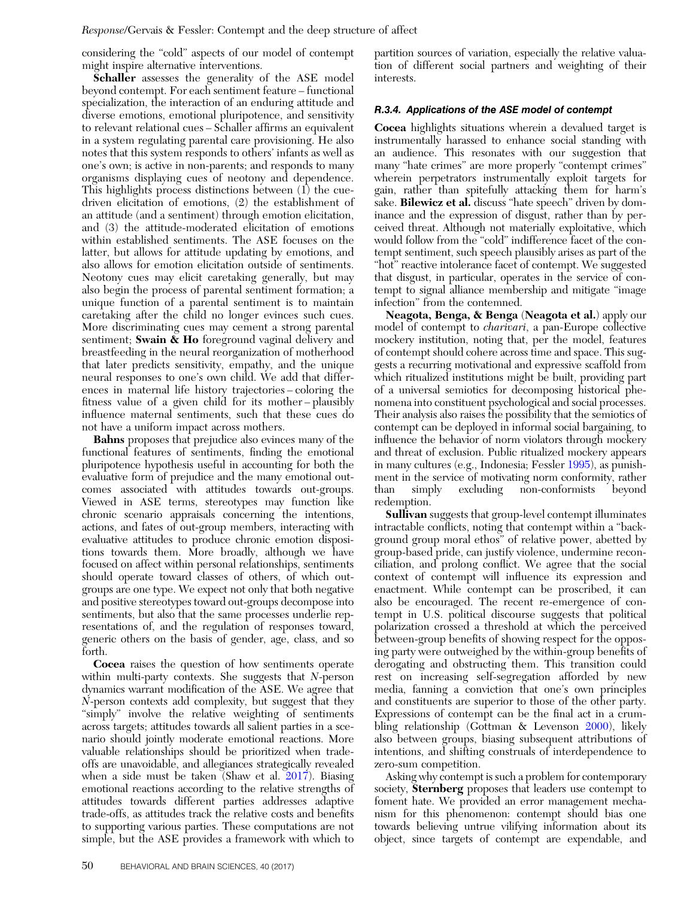considering the "cold" aspects of our model of contempt might inspire alternative interventions.

**Schaller** assesses the generality of the ASE model beyond contempt. For each sentiment feature – functional specialization, the interaction of an enduring attitude and diverse emotions, emotional pluripotence, and sensitivity to relevant relational cues – Schaller affirms an equivalent in a system regulating parental care provisioning. He also notes that this system responds to others' infants as well as one's own; is active in non-parents; and responds to many organisms displaying cues of neotony and dependence. This highlights process distinctions between (1) the cuedriven elicitation of emotions, (2) the establishment of an attitude (and a sentiment) through emotion elicitation, and (3) the attitude-moderated elicitation of emotions within established sentiments. The ASE focuses on the latter, but allows for attitude updating by emotions, and also allows for emotion elicitation outside of sentiments. Neotony cues may elicit caretaking generally, but may also begin the process of parental sentiment formation; a unique function of a parental sentiment is to maintain caretaking after the child no longer evinces such cues. More discriminating cues may cement a strong parental sentiment; **Swain & Ho** foreground vaginal delivery and breastfeeding in the neural reorganization of motherhood that later predicts sensitivity, empathy, and the unique neural responses to one's own child. We add that differences in maternal life history trajectories – coloring the fitness value of a given child for its mother – plausibly influence maternal sentiments, such that these cues do not have a uniform impact across mothers.

Bahns proposes that prejudice also evinces many of the functional features of sentiments, finding the emotional pluripotence hypothesis useful in accounting for both the evaluative form of prejudice and the many emotional outcomes associated with attitudes towards out-groups. Viewed in ASE terms, stereotypes may function like chronic scenario appraisals concerning the intentions, actions, and fates of out-group members, interacting with evaluative attitudes to produce chronic emotion dispositions towards them. More broadly, although we have focused on affect within personal relationships, sentiments should operate toward classes of others, of which outgroups are one type. We expect not only that both negative and positive stereotypes toward out-groups decompose into sentiments, but also that the same processes underlie representations of, and the regulation of responses toward, generic others on the basis of gender, age, class, and so forth.

Cocea raises the question of how sentiments operate within multi-party contexts. She suggests that N-person dynamics warrant modification of the ASE. We agree that N-person contexts add complexity, but suggest that they "simply" involve the relative weighting of sentiments across targets; attitudes towards all salient parties in a scenario should jointly moderate emotional reactions. More valuable relationships should be prioritized when tradeoffs are unavoidable, and allegiances strategically revealed when a side must be taken (Shaw et al. [2017](#page-60-0)). Biasing emotional reactions according to the relative strengths of attitudes towards different parties addresses adaptive trade-offs, as attitudes track the relative costs and benefits to supporting various parties. These computations are not simple, but the ASE provides a framework with which to

partition sources of variation, especially the relative valuation of different social partners and weighting of their interests.

## R.3.4. Applications of the ASE model of contempt

Cocea highlights situations wherein a devalued target is instrumentally harassed to enhance social standing with an audience. This resonates with our suggestion that many "hate crimes" are more properly "contempt crimes" wherein perpetrators instrumentally exploit targets for gain, rather than spitefully attacking them for harm's sake. **Bilewicz et al.** discuss "hate speech" driven by dominance and the expression of disgust, rather than by perceived threat. Although not materially exploitative, which would follow from the "cold" indifference facet of the contempt sentiment, such speech plausibly arises as part of the "hot" reactive intolerance facet of contempt. We suggested that disgust, in particular, operates in the service of contempt to signal alliance membership and mitigate "image infection" from the contemned.

Neagota, Benga, & Benga (Neagota et al.) apply our model of contempt to charivari, a pan-Europe collective mockery institution, noting that, per the model, features of contempt should cohere across time and space. This suggests a recurring motivational and expressive scaffold from which ritualized institutions might be built, providing part of a universal semiotics for decomposing historical phenomena into constituent psychological and social processes. Their analysis also raises the possibility that the semiotics of contempt can be deployed in informal social bargaining, to influence the behavior of norm violators through mockery and threat of exclusion. Public ritualized mockery appears in many cultures (e.g., Indonesia; Fessler [1995\)](#page-54-0), as punishment in the service of motivating norm conformity, rather than simply excluding non-conformists beyond redemption.

Sullivan suggests that group-level contempt illuminates intractable conflicts, noting that contempt within a "background group moral ethos" of relative power, abetted by group-based pride, can justify violence, undermine reconciliation, and prolong conflict. We agree that the social context of contempt will influence its expression and enactment. While contempt can be proscribed, it can also be encouraged. The recent re-emergence of contempt in U.S. political discourse suggests that political polarization crossed a threshold at which the perceived between-group benefits of showing respect for the opposing party were outweighed by the within-group benefits of derogating and obstructing them. This transition could rest on increasing self-segregation afforded by new media, fanning a conviction that one's own principles and constituents are superior to those of the other party. Expressions of contempt can be the final act in a crumbling relationship (Gottman & Levenson [2000\)](#page-55-0), likely also between groups, biasing subsequent attributions of intentions, and shifting construals of interdependence to zero-sum competition.

Asking why contempt is such a problem for contemporary society, **Sternberg** proposes that leaders use contempt to foment hate. We provided an error management mechanism for this phenomenon: contempt should bias one towards believing untrue vilifying information about its object, since targets of contempt are expendable, and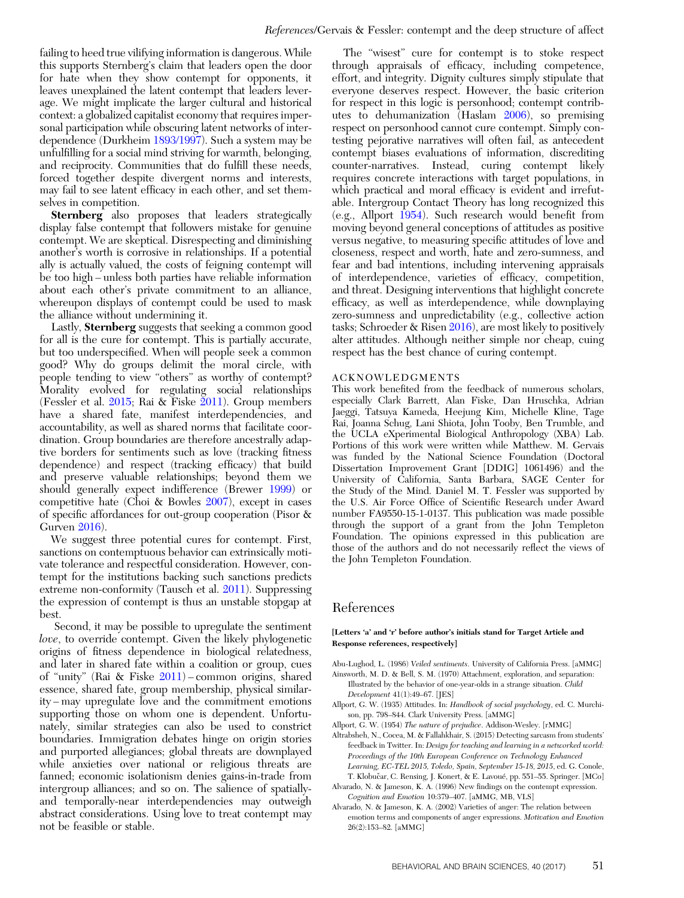<span id="page-50-0"></span>failing to heed true vilifying information is dangerous. While this supports Sternberg's claim that leaders open the door for hate when they show contempt for opponents, it leaves unexplained the latent contempt that leaders leverage. We might implicate the larger cultural and historical context: a globalized capitalist economy that requires impersonal participation while obscuring latent networks of interdependence (Durkheim [1893/1997\)](#page-53-0). Such a system may be unfulfilling for a social mind striving for warmth, belonging, and reciprocity. Communities that do fulfill these needs, forced together despite divergent norms and interests, may fail to see latent efficacy in each other, and set themselves in competition.

**Sternberg** also proposes that leaders strategically display false contempt that followers mistake for genuine contempt. We are skeptical. Disrespecting and diminishing another's worth is corrosive in relationships. If a potential ally is actually valued, the costs of feigning contempt will be too high – unless both parties have reliable information about each other's private commitment to an alliance, whereupon displays of contempt could be used to mask the alliance without undermining it.

Lastly, Sternberg suggests that seeking a common good for all is the cure for contempt. This is partially accurate, but too underspecified. When will people seek a common good? Why do groups delimit the moral circle, with people tending to view "others" as worthy of contempt? Morality evolved for regulating social relationships (Fessler et al. [2015](#page-54-0); Rai & Fiske [2011\)](#page-59-0). Group members have a shared fate, manifest interdependencies, and accountability, as well as shared norms that facilitate coordination. Group boundaries are therefore ancestrally adaptive borders for sentiments such as love (tracking fitness dependence) and respect (tracking efficacy) that build and preserve valuable relationships; beyond them we should generally expect indifference (Brewer [1999](#page-52-0)) or competitive hate (Choi  $\&$  Bowles [2007\)](#page-52-0), except in cases of specific affordances for out-group cooperation (Pisor & Gurven [2016\)](#page-58-0).

We suggest three potential cures for contempt. First, sanctions on contemptuous behavior can extrinsically motivate tolerance and respectful consideration. However, contempt for the institutions backing such sanctions predicts extreme non-conformity (Tausch et al. [2011\)](#page-61-0). Suppressing the expression of contempt is thus an unstable stopgap at best.

Second, it may be possible to upregulate the sentiment love, to override contempt. Given the likely phylogenetic origins of fitness dependence in biological relatedness, and later in shared fate within a coalition or group, cues of "unity" (Rai & Fiske [2011\)](#page-59-0) – common origins, shared essence, shared fate, group membership, physical similarity – may upregulate love and the commitment emotions supporting those on whom one is dependent. Unfortunately, similar strategies can also be used to constrict boundaries. Immigration debates hinge on origin stories and purported allegiances; global threats are downplayed while anxieties over national or religious threats are fanned; economic isolationism denies gains-in-trade from intergroup alliances; and so on. The salience of spatiallyand temporally-near interdependencies may outweigh abstract considerations. Using love to treat contempt may not be feasible or stable.

The "wisest" cure for contempt is to stoke respect through appraisals of efficacy, including competence, effort, and integrity. Dignity cultures simply stipulate that everyone deserves respect. However, the basic criterion for respect in this logic is personhood; contempt contributes to dehumanization (Haslam [2006\)](#page-55-0), so premising respect on personhood cannot cure contempt. Simply contesting pejorative narratives will often fail, as antecedent contempt biases evaluations of information, discrediting counter-narratives. Instead, curing contempt likely requires concrete interactions with target populations, in which practical and moral efficacy is evident and irrefutable. Intergroup Contact Theory has long recognized this (e.g., Allport 1954). Such research would benefit from moving beyond general conceptions of attitudes as positive versus negative, to measuring specific attitudes of love and closeness, respect and worth, hate and zero-sumness, and fear and bad intentions, including intervening appraisals of interdependence, varieties of efficacy, competition, and threat. Designing interventions that highlight concrete efficacy, as well as interdependence, while downplaying zero-sumness and unpredictability (e.g., collective action tasks; Schroeder & Risen [2016](#page-59-0)), are most likely to positively alter attitudes. Although neither simple nor cheap, cuing respect has the best chance of curing contempt.

#### ACKNOWLEDGMENTS

This work benefited from the feedback of numerous scholars, especially Clark Barrett, Alan Fiske, Dan Hruschka, Adrian Jaeggi, Tatsuya Kameda, Heejung Kim, Michelle Kline, Tage Rai, Joanna Schug, Lani Shiota, John Tooby, Ben Trumble, and the UCLA eXperimental Biological Anthropology (XBA) Lab. Portions of this work were written while Matthew. M. Gervais was funded by the National Science Foundation (Doctoral Dissertation Improvement Grant [DDIG] 1061496) and the University of California, Santa Barbara, SAGE Center for the Study of the Mind. Daniel M. T. Fessler was supported by the U.S. Air Force Office of Scientific Research under Award number FA9550-15-1-0137. This publication was made possible through the support of a grant from the John Templeton Foundation. The opinions expressed in this publication are those of the authors and do not necessarily reflect the views of the John Templeton Foundation.

## References

#### [Letters 'a' and 'r' before author's initials stand for Target Article and Response references, respectively]

Abu-Lughod, L. (1986) Veiled sentiments. University of California Press. [aMMG] Ainsworth, M. D. & Bell, S. M. (1970) Attachment, exploration, and separation:

- Illustrated by the behavior of one-year-olds in a strange situation. Child Development 41(1):49–67. [JES]
- Allport, G. W. (1935) Attitudes. In: Handbook of social psychology, ed. C. Murchison, pp. 798–844. Clark University Press. [aMMG]
- Allport, G. W. (1954) The nature of prejudice. Addison-Wesley. [rMMG]
- Altrabsheh, N., Cocea, M. & Fallahkhair, S. (2015) Detecting sarcasm from students' feedback in Twitter. In: Design for teaching and learning in a networked world: Proceedings of the 10th European Conference on Technology Enhanced Learning, EC-TEL 2015, Toledo, Spain, September 15-18, 2015, ed. G. Conole,
- T. Klobučar, C. Rensing, J. Konert, & E. Lavoué, pp. 551–55. Springer. [MCo] Alvarado, N. & Jameson, K. A. (1996) New findings on the contempt expression. Cognition and Emotion 10:379–407. [aMMG, MB, VLS]
- Alvarado, N. & Jameson, K. A. (2002) Varieties of anger: The relation between emotion terms and components of anger expressions. Motivation and Emotion 26(2):153–82. [aMMG]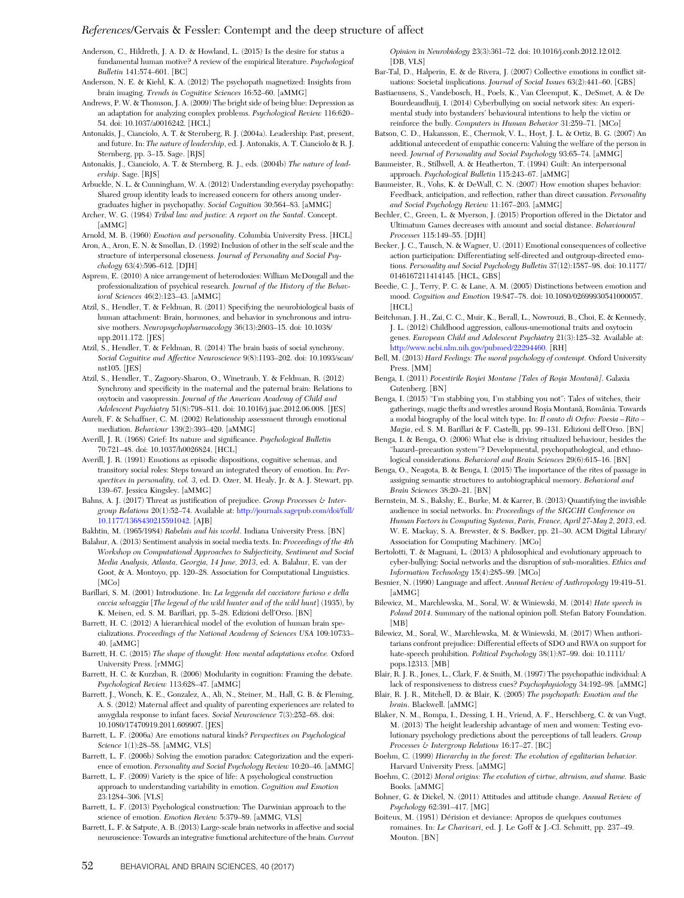## <span id="page-51-0"></span>References/Gervais & Fessler: Contempt and the deep structure of affect

- Anderson, C., Hildreth, J. A. D. & Howland, L. (2015) Is the desire for status a fundamental human motive? A review of the empirical literature. Psychological Bulletin 141:574–601. [BC]
- Anderson, N. E. & Kiehl, K. A. (2012) The psychopath magnetized: Insights from brain imaging. Trends in Cognitive Sciences 16:52–60. [aMMG]
- Andrews, P. W. & Thomson, J. A. (2009) The bright side of being blue: Depression as an adaptation for analyzing complex problems. Psychological Review 116:620– 54. doi: 10.1037/a0016242. [HCL]
- Antonakis, J., Cianciolo, A. T. & Sternberg, R. J. (2004a). Leadership: Past, present, and future. In: The nature of leadership, ed. J. Antonakis, A. T. Cianciolo & R. J. Sternberg, pp. 3–15. Sage. [RJS]
- Antonakis, J., Cianciolo, A. T. & Sternberg, R. J., eds. (2004b) The nature of leadership. Sage. [RJS]
- Arbuckle, N. L. & Cunningham, W. A. (2012) Understanding everyday psychopathy: Shared group identity leads to increased concern for others among undergraduates higher in psychopathy. Social Cognition 30:564–83. [aMMG]
- Archer, W. G. (1984) Tribal law and justice: A report on the Santal. Concept. [aMMG]
- Arnold, M. B. (1960) Emotion and personality. Columbia University Press. [HCL]
- Aron, A., Aron, E. N. & Smollan, D. (1992) Inclusion of other in the self scale and the structure of interpersonal closeness. Journal of Personality and Social Psychology 63(4):596–612. [DJH]
- Asprem, E. (2010) A nice arrangement of heterodoxies: William McDougall and the professionalization of psychical research. Journal of the History of the Behavioral Sciences 46(2):123–43. [aMMG]
- Atzil, S., Hendler, T. & Feldman, R. (2011) Specifying the neurobiological basis of human attachment: Brain, hormones, and behavior in synchronous and intrusive mothers. Neuropsychopharmacology 36(13):2603–15. doi: 10.1038/ npp.2011.172. [JES]
- Atzil, S., Hendler, T. & Feldman, R. (2014) The brain basis of social synchrony. Social Cognitive and Affective Neuroscience 9(8):1193–202. doi: 10.1093/scan/ nst105. [JES]
- Atzil, S., Hendler, T., Zagoory-Sharon, O., Winetraub, Y. & Feldman, R. (2012) Synchrony and specificity in the maternal and the paternal brain: Relations to oxytocin and vasopressin. Journal of the American Academy of Child and Adolescent Psychiatry 51(8):798–811. doi: 10.1016/j.jaac.2012.06.008. [JES]
- Aureli, F. & Schaffner, C. M. (2002) Relationship assessment through emotional mediation. Behaviour 139(2):393–420. [aMMG]
- Averill, J. R. (1968) Grief: Its nature and significance. Psychological Bulletin 70:721–48. doi: 10.1037/h0026824. [HCL]
- Averill, J. R. (1991) Emotions as episodic dispositions, cognitive schemas, and transitory social roles: Steps toward an integrated theory of emotion. In: Perspectives in personality, vol. 3, ed. D. Ozer, M. Healy, Jr. & A. J. Stewart, pp. 139–67. Jessica Kingsley. [aMMG]
- Bahns, A. J. (2017) Threat as justification of prejudice. Group Processes  $\&$  Intergroup Relations 20(1):52–74. Available at: [http://journals.sagepub.com/doi/full/](http://journals.sagepub.com/doi/full/10.1177/1368430215591042) [10.1177/1368430215591042](http://journals.sagepub.com/doi/full/10.1177/1368430215591042). [AJB]
- Bakhtin, M. (1965/1984) Rabelais and his world. Indiana University Press. [BN]
- Balahur, A. (2013) Sentiment analysis in social media texts. In: Proceedings of the 4th Workshop on Computational Approaches to Subjectivity, Sentiment and Social Media Analysis, Atlanta, Georgia, 14 June, 2013, ed. A. Balahur, E. van der Goot, & A. Montoyo, pp. 120–28. Association for Computational Linguistics. [MCo]
- Barillari, S. M. (2001) Introduzione. In: La leggenda del cacciatore furioso e della caccia selvaggia [The legend of the wild hunter and of the wild hunt] (1935), by K. Meisen, ed. S. M. Barillari, pp. 5–28. Edizioni dell'Orso. [BN]
- Barrett, H. C. (2012) A hierarchical model of the evolution of human brain specializations. Proceedings of the National Academy of Sciences USA 109:10733– 40. [aMMG]
- Barrett, H. C. (2015) The shape of thought: How mental adaptations evolve. Oxford University Press. [rMMG]
- Barrett, H. C. & Kurzban, R. (2006) Modularity in cognition: Framing the debate. Psychological Review 113:628–47. [aMMG]
- Barrett, J., Wonch, K. E., Gonzalez, A., Ali, N., Steiner, M., Hall, G. B. & Fleming, A. S. (2012) Maternal affect and quality of parenting experiences are related to amygdala response to infant faces. Social Neuroscience 7(3):252–68. doi: 10.1080/17470919.2011.609907. [JES]
- Barrett, L. F. (2006a) Are emotions natural kinds? Perspectives on Psychological Science 1(1):28–58. [aMMG, VLS]
- Barrett, L. F. (2006b) Solving the emotion paradox: Categorization and the experience of emotion. Personality and Social Psychology Review 10:20–46. [aMMG]
- Barrett, L. F. (2009) Variety is the spice of life: A psychological construction approach to understanding variability in emotion. Cognition and Emotion 23:1284–306. [VLS]
- Barrett, L. F. (2013) Psychological construction: The Darwinian approach to the science of emotion. Emotion Review 5:379–89. [aMMG, VLS]
- Barrett, L. F. & Satpute, A. B. (2013) Large-scale brain networks in affective and social neuroscience: Towards an integrative functional architecture of the brain. Current

Opinion in Neurobiology 23(3):361–72. doi: 10.1016/j.conb.2012.12.012. [DB, VLS]

- Bar-Tal, D., Halperin, E. & de Rivera, J. (2007) Collective emotions in conflict situations: Societal implications. Journal of Social Issues 63(2):441–60. [GBS]
- Bastiaensens, S., Vandebosch, H., Poels, K., Van Cleemput, K., DeSmet, A. & De Bourdeaudhuij, I. (2014) Cyberbullying on social network sites: An experimental study into bystanders' behavioural intentions to help the victim or reinforce the bully. Computers in Human Behavior 31:259–71. [MCo]
- Batson, C. D., Hakansson, E., Chermok, V. L., Hoyt, J. L. & Ortiz, B. G. (2007) An additional antecedent of empathic concern: Valuing the welfare of the person in need. Journal of Personality and Social Psychology 93:65–74. [aMMG]
- Baumeister, R., Stillwell, A. & Heatherton, T. (1994) Guilt: An interpersonal approach. Psychological Bulletin 115:243–67. [aMMG]
- Baumeister, R., Vohs, K. & DeWall, C. N. (2007) How emotion shapes behavior: Feedback, anticipation, and reflection, rather than direct causation. Personality and Social Psychology Review 11:167–203. [aMMG]
- Bechler, C., Green, L. & Myerson, J. (2015) Proportion offered in the Dictator and Ultimatum Games decreases with amount and social distance. Behavioural Processes 115:149–55. [DJH]
- Becker, J. C., Tausch, N. & Wagner, U. (2011) Emotional consequences of collective action participation: Differentiating self-directed and outgroup-directed emotions. Personality and Social Psychology Bulletin 37(12):1587–98. doi: 10.1177/ 0146167211414145. [HCL, GBS]
- Beedie, C. J., Terry, P. C. & Lane, A. M. (2005) Distinctions between emotion and mood. Cognition and Emotion 19:847–78. doi: 10.1080/02699930541000057. [HCL]
- Beitchman, J. H., Zai, C. C., Muir, K., Berall, L., Nowrouzi, B., Choi, E. & Kennedy, J. L. (2012) Childhood aggression, callous-unemotional traits and oxytocin genes. European Child and Adolescent Psychiatry 21(3):125–32. Available at: <http://www.ncbi.nlm.nih.gov/pubmed/22294460>. [RH]
- Bell, M. (2013) Hard Feelings: The moral psychology of contempt. Oxford University Press. [MM]
- Benga, I. (2011) Povestirile Roșiei Montane [Tales of Roșia Montană]. Galaxia Gutenberg. [BN]
- Benga, I. (2015) "I'm stabbing you, I'm stabbing you not": Tales of witches, their gatherings, magic thefts and wrestles around Rosia Montană, România. Towards a modal biography of the local witch type. In: Il canto di Orfeo: Poesia – Rito – Magia, ed. S. M. Barillari & F. Castelli, pp. 99–131. Edizioni dell'Orso. [BN]
- Benga, I. & Benga, O. (2006) What else is driving ritualized behaviour, besides the "hazard–precaution system"? Developmental, psychopathological, and ethnological considerations. Behavioral and Brain Sciences 29(6):615–16. [BN]
- Benga, O., Neagota, B. & Benga, I. (2015) The importance of the rites of passage in assigning semantic structures to autobiographical memory. Behavioral and Brain Sciences 38:20–21. [BN]
- Bernstein, M. S., Bakshy, E., Burke, M. & Karrer, B. (2013) Quantifying the invisible audience in social networks. In: Proceedings of the SIGCHI Conference on Human Factors in Computing Systems, Paris, France, April 27-May 2, 2013, ed. W. E. Mackay, S. A. Brewster, & S. Bødker, pp. 21–30. ACM Digital Library/ Association for Computing Machinery. [MCo]
- Bertolotti, T. & Magnani, L. (2013) A philosophical and evolutionary approach to cyber-bullying: Social networks and the disruption of sub-moralities. Ethics and Information Technology 15(4):285–99. [MCo]
- Besnier, N. (1990) Language and affect. Annual Review of Anthropology 19:419–51. [aMMG]
- Bilewicz, M., Marchlewska, M., Soral, W. & Winiewski, M. (2014) Hate speech in Poland 2014. Summary of the national opinion poll. Stefan Batory Foundation. [MB]
- Bilewicz, M., Soral, W., Marchlewska, M. & Winiewski, M. (2017) When authoritarians confront prejudice: Differential effects of SDO and RWA on support for hate-speech prohibition. Political Psychology 38(1):87–99. doi: 10.1111/ pops.12313. [MB]
- Blair, R. J. R., Jones, L., Clark, F. & Smith, M. (1997) The psychopathic individual: A lack of responsiveness to distress cues? Psychophysiology 34:192–98. [aMMG]
- Blair, R. J. R., Mitchell, D. & Blair, K. (2005) The psychopath: Emotion and the brain. Blackwell. [aMMG]
- Blaker, N. M., Rompa, I., Dessing, I. H., Vriend, A. F., Herschberg, C. & van Vugt, M. (2013) The height leadership advantage of men and women: Testing evolutionary psychology predictions about the perceptions of tall leaders. Group Processes & Intergroup Relations 16:17–27. [BC]
- Boehm, C. (1999) Hierarchy in the forest: The evolution of egalitarian behavior. Harvard University Press. [aMMG]
- Boehm, C. (2012) Moral origins: The evolution of virtue, altruism, and shame. Basic Books. [aMMG]
- Bohner, G. & Dickel, N. (2011) Attitudes and attitude change. Annual Review of Psychology 62:391–417. [MG]
- Boiteux, M. (1981) Dérision et deviance: Apropos de quelques coutumes romaines. In: Le Charivari, ed. J. Le Goff & J.-Cl. Schmitt, pp. 237–49. Mouton. [BN]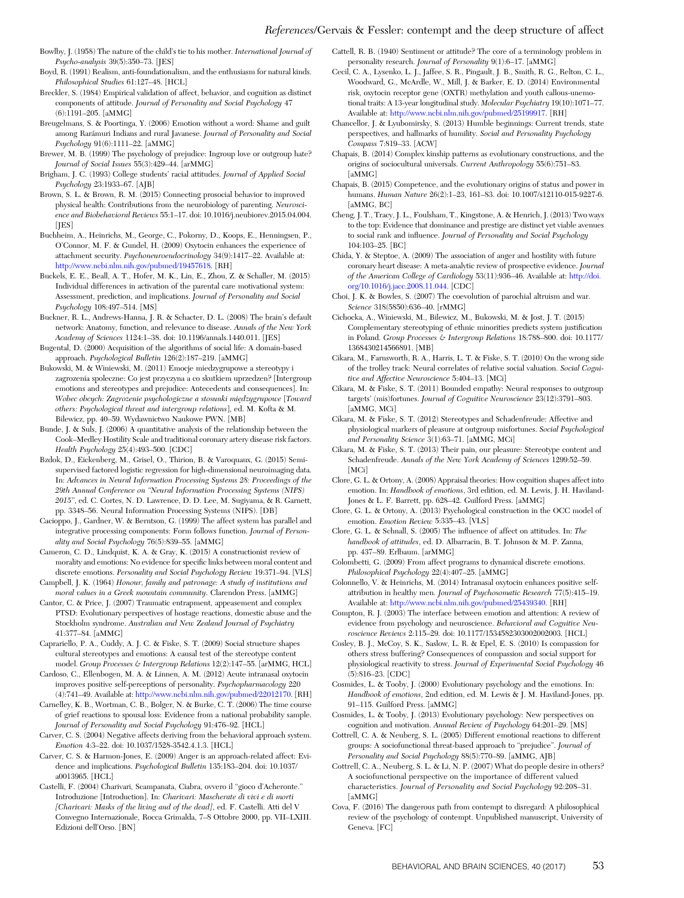- <span id="page-52-0"></span>Bowlby, J. (1958) The nature of the child's tie to his mother. International Journal of Psycho-analysis 39(5):350–73. [JES]
- Boyd, R. (1991) Realism, anti-foundationalism, and the enthusiasm for natural kinds. Philosophical Studies 61:127–48. [HCL]
- Breckler, S. (1984) Empirical validation of affect, behavior, and cognition as distinct components of attitude. Journal of Personality and Social Psychology 47 (6):1191–205. [aMMG]
- Breugelmans, S. & Poortinga, Y. (2006) Emotion without a word: Shame and guilt among Rarámuri Indians and rural Javanese. Journal of Personality and Social Psychology 91(6):1111–22. [aMMG]
- Brewer, M. B. (1999) The psychology of prejudice: Ingroup love or outgroup hate? Journal of Social Issues 55(3):429–44. [arMMG]
- Brigham, J. C. (1993) College students' racial attitudes. Journal of Applied Social Psychology 23:1933–67. [AJB]
- Brown, S. L. & Brown, R. M. (2015) Connecting prosocial behavior to improved physical health: Contributions from the neurobiology of parenting. Neuroscience and Biobehavioral Reviews 55:1–17. doi: 10.1016/j.neubiorev.2015.04.004. [IES]
- Buchheim, A., Heinrichs, M., George, C., Pokorny, D., Koops, E., Henningsen, P., O'Connor, M. F. & Gundel, H. (2009) Oxytocin enhances the experience of attachment security. Psychoneuroendocrinology 34(9):1417–22. Available at: [http://www.ncbi.nlm.nih.gov/pubmed/19457618.](http://www.ncbi.nlm.nih.gov/pubmed/19457618) [RH]
- Buckels, E. E., Beall, A. T., Hofer, M. K., Lin, E., Zhou, Z. & Schaller, M. (2015) Individual differences in activation of the parental care motivational system: Assessment, prediction, and implications. Journal of Personality and Social Psychology 108:497–514. [MS]
- Buckner, R. L., Andrews-Hanna, J. R. & Schacter, D. L. (2008) The brain's default network: Anatomy, function, and relevance to disease. Annals of the New York Academy of Sciences 1124:1–38. doi: 10.1196/annals.1440.011. [JES]
- Bugental, D. (2000) Acquisition of the algorithms of social life: A domain-based approach. Psychological Bulletin 126(2):187–219. [aMMG]
- Bukowski, M. & Winiewski, M. (2011) Emocje miedzygrupowe a stereotypy i zagrozenia spoleczne: Co jest przyczyna a co skutkiem uprzedzen? [Intergroup emotions and stereotypes and prejudice: Antecedents and consequences]. In: Wobec obcych: Zagrozenie psychologiczne a stosunki miedzygrupowe [Toward] others: Psychological threat and intergroup relations], ed. M. Kofta & M. Bilewicz, pp. 40–59. Wydawnictwo Naukowe PWN. [MB]
- Bunde, J. & Suls, J. (2006) A quantitative analysis of the relationship between the Cook–Medley Hostility Scale and traditional coronary artery disease risk factors. Health Psychology 25(4):493–500. [CDC]
- Bzdok, D., Eickenberg, M., Grisel, O., Thirion, B. & Varoquaux, G. (2015) Semisupervised factored logistic regression for high-dimensional neuroimaging data. In: Advances in Neural Information Processing Systems 28: Proceedings of the 29th Annual Conference on "Neural Information Processing Systems (NIPS) 2015", ed. C. Cortes, N. D. Lawrence, D. D. Lee, M. Sugiyama, & R. Garnett, pp. 3348–56. Neural Information Processing Systems (NIPS). [DB]
- Cacioppo, J., Gardner, W. & Berntson, G. (1999) The affect system has parallel and integrative processing components: Form follows function. Journal of Personality and Social Psychology 76(5):839–55. [aMMG]
- Cameron, C. D., Lindquist, K. A. & Gray, K. (2015) A constructionist review of morality and emotions: No evidence for specific links between moral content and discrete emotions. Personality and Social Psychology Review 19:371–94. [VLS]
- Campbell, J. K. (1964) Honour, family and patronage: A study of institutions and moral values in a Greek mountain community. Clarendon Press. [aMMG]
- Cantor, C. & Price, J. (2007) Traumatic entrapment, appeasement and complex PTSD: Evolutionary perspectives of hostage reactions, domestic abuse and the Stockholm syndrome. Australian and New Zealand Journal of Psychiatry 41:377–84. [aMMG]
- Caprariello, P. A., Cuddy, A. J. C. & Fiske, S. T. (2009) Social structure shapes cultural stereotypes and emotions: A causal test of the stereotype content model. Group Processes & Intergroup Relations 12(2):147–55. [arMMG, HCL]
- Cardoso, C., Ellenbogen, M. A. & Linnen, A. M. (2012) Acute intranasal oxytocin improves positive self-perceptions of personality. Psychopharmacology 220 (4):741–49. Available at: [http://www.ncbi.nlm.nih.gov/pubmed/22012170.](http://www.ncbi.nlm.nih.gov/pubmed/22012170) [RH]
- Carnelley, K. B., Wortman, C. B., Bolger, N. & Burke, C. T. (2006) The time course of grief reactions to spousal loss: Evidence from a national probability sample. Journal of Personality and Social Psychology 91:476–92. [HCL]
- Carver, C. S. (2004) Negative affects deriving from the behavioral approach system. Emotion 4:3–22. doi: 10.1037/1528-3542.4.1.3. [HCL]
- Carver, C. S. & Harmon-Jones, E. (2009) Anger is an approach-related affect: Evidence and implications. Psychological Bulletin 135:183–204. doi: 10.1037/ a0013965. [HCL]
- Castelli, F. (2004) Charivari, Scampanata, Ciabra, ovvero il "gioco d'Acheronte." Introduzione [Introduction]. In: Charivari: Mascherate di vivi e di morti [Charivari: Masks of the living and of the dead], ed. F. Castelli. Atti del V Convegno Internazionale, Rocca Grimalda, 7–8 Ottobre 2000, pp. VII–LXIII. Edizioni dell'Orso. [BN]
- Cattell, R. B. (1940) Sentiment or attitude? The core of a terminology problem in personality research. Journal of Personality 9(1):6–17. [aMMG]
- Cecil, C. A., Lysenko, L. J., Jaffee, S. R., Pingault, J. B., Smith, R. G., Relton, C. L., Woodward, G., McArdle, W., Mill, J. & Barker, E. D. (2014) Environmental risk, oxytocin receptor gene (OXTR) methylation and youth callous-unemotional traits: A 13-year longitudinal study. Molecular Psychiatry 19(10):1071–77. Available at: <http://www.ncbi.nlm.nih.gov/pubmed/25199917>. [RH]
- Chancellor, J. & Lyubomirsky, S. (2013) Humble beginnings: Current trends, state perspectives, and hallmarks of humility. Social and Personality Psychology Compass 7:819–33. [ACW]
- Chapais, B. (2014) Complex kinship patterns as evolutionary constructions, and the origins of sociocultural universals. Current Anthropology 55(6):751–83. [aMMG]
- Chapais, B. (2015) Competence, and the evolutionary origins of status and power in humans. Human Nature 26(2):1–23, 161–83. doi: 10.1007/s12110-015-9227-6. [aMMG, BC]
- Cheng, J. T., Tracy, J. L., Foulsham, T., Kingstone, A. & Henrich, J. (2013) Two ways to the top: Evidence that dominance and prestige are distinct yet viable avenues to social rank and influence. Journal of Personality and Social Psychology 104:103–25. [BC]
- Chida, Y. & Steptoe, A. (2009) The association of anger and hostility with future coronary heart disease: A meta-analytic review of prospective evidence. Journal of the American College of Cardiology 53(11):936–46. Available at: [http://doi.](http://doi.org/10.1016/j.jacc.2008.11.044) [org/10.1016/j.jacc.2008.11.044](http://doi.org/10.1016/j.jacc.2008.11.044). [CDC]
- Choi, J. K. & Bowles, S. (2007) The coevolution of parochial altruism and war. Science 318(5850):636–40. [rMMG]
- Cichocka, A., Winiewski, M., Bilewicz, M., Bukowski, M. & Jost, J. T. (2015) Complementary stereotyping of ethnic minorities predicts system justification in Poland. Group Processes & Intergroup Relations 18:788–800. doi: 10.1177/ 1368430214566891. [MB]
- Cikara, M., Farnsworth, R. A., Harris, L. T. & Fiske, S. T. (2010) On the wrong side of the trolley track: Neural correlates of relative social valuation. Social Cognitive and Affective Neuroscience 5:404–13. [MCi]
- Cikara, M. & Fiske, S. T. (2011) Bounded empathy: Neural responses to outgroup targets' (mis)fortunes. Journal of Cognitive Neuroscience 23(12):3791–803. [aMMG, MCi]
- Cikara, M. & Fiske, S. T. (2012) Stereotypes and Schadenfreude: Affective and physiological markers of pleasure at outgroup misfortunes. Social Psychological and Personality Science 3(1):63–71. [aMMG, MCi]
- Cikara, M. & Fiske, S. T. (2013) Their pain, our pleasure: Stereotype content and Schadenfreude. Annals of the New York Academy of Sciences 1299:52–59. [MCi]
- Clore, G. L. & Ortony, A. (2008) Appraisal theories: How cognition shapes affect into emotion. In: Handbook of emotions, 3rd edition, ed. M. Lewis, J. H. Haviland-Jones & L. F. Barrett, pp. 628–42. Guilford Press. [aMMG]
- Clore, G. L. & Ortony, A. (2013) Psychological construction in the OCC model of emotion. Emotion Review 5:335–43. [VLS]
- Clore, G. L. & Schnall, S. (2005) The influence of affect on attitudes. In: The handbook of attitudes, ed. D. Albarracin, B. T. Johnson & M. P. Zanna, pp. 437–89. Erlbaum. [arMMG]
- Colombetti, G. (2009) From affect programs to dynamical discrete emotions. Philosophical Psychology 22(4):407–25. [aMMG]
- Colonnello, V. & Heinrichs, M. (2014) Intranasal oxytocin enhances positive selfattribution in healthy men. Journal of Psychosomatic Research 77(5):415–19. Available at: <http://www.ncbi.nlm.nih.gov/pubmed/25439340>. [RH]
- Compton, R. J. (2003) The interface between emotion and attention: A review of evidence from psychology and neuroscience. Behavioral and Cognitive Neuroscience Reviews 2:115–29. doi: 10.1177/1534582303002002003. [HCL]
- Cosley, B. J., McCoy, S. K., Saslow, L. R. & Epel, E. S. (2010) Is compassion for others stress buffering? Consequences of compassion and social support for physiological reactivity to stress. Journal of Experimental Social Psychology 46 (5):816–23. [CDC]
- Cosmides, L. & Tooby, J. (2000) Evolutionary psychology and the emotions. In: Handbook of emotions, 2nd edition, ed. M. Lewis & J. M. Haviland-Jones, pp. 91–115. Guilford Press. [aMMG]
- Cosmides, L. & Tooby, J. (2013) Evolutionary psychology: New perspectives on cognition and motivation. Annual Review of Psychology 64:201–29. [MS]
- Cottrell, C. A. & Neuberg, S. L. (2005) Different emotional reactions to different groups: A sociofunctional threat-based approach to "prejudice". Journal of Personality and Social Psychology 88(5):770–89. [aMMG, AJB]
- Cottrell, C. A., Neuberg, S. L. & Li, N. P. (2007) What do people desire in others? A sociofunctional perspective on the importance of different valued characteristics. Journal of Personality and Social Psychology 92:208–31. [aMMG]
- Cova, F. (2016) The dangerous path from contempt to disregard: A philosophical review of the psychology of contempt. Unpublished manuscript, University of Geneva. [FC]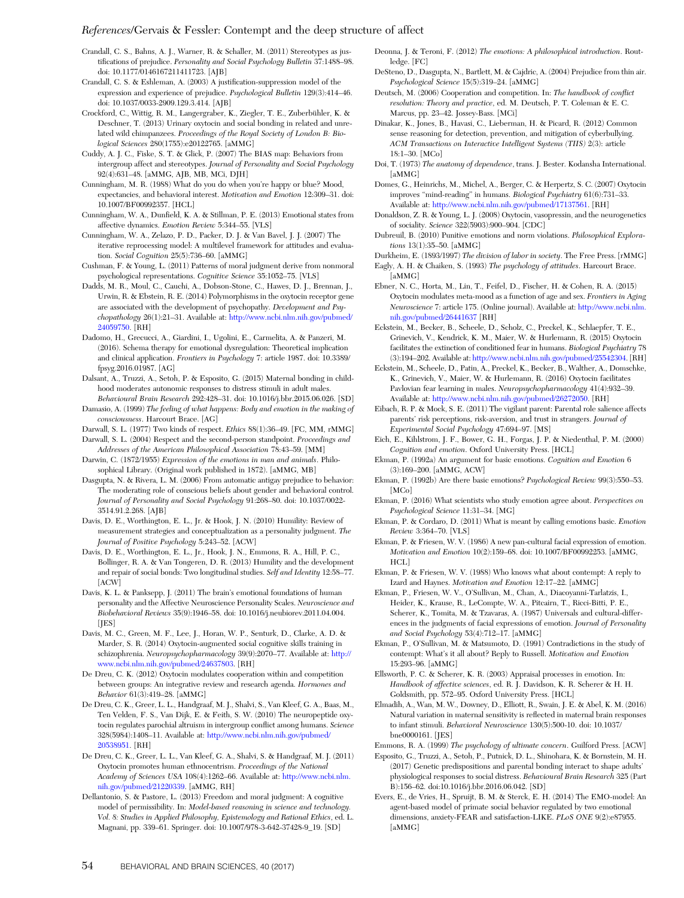## <span id="page-53-0"></span>References/Gervais & Fessler: Contempt and the deep structure of affect

- Crandall, C. S., Bahns, A. J., Warner, R. & Schaller, M. (2011) Stereotypes as justifications of prejudice. Personality and Social Psychology Bulletin 37:1488–98. doi: 10.1177/0146167211411723. [AJB]
- Crandall, C. S. & Eshleman, A. (2003) A justification-suppression model of the expression and experience of prejudice. Psychological Bulletin 129(3):414–46. doi: 10.1037/0033-2909.129.3.414. [AJB]
- Crockford, C., Wittig, R. M., Langergraber, K., Ziegler, T. E., Zuberbühler, K. & Deschner, T. (2013) Urinary oxytocin and social bonding in related and unrelated wild chimpanzees. Proceedings of the Royal Society of London B: Biological Sciences 280(1755):e20122765. [aMMG]
- Cuddy, A. J. C., Fiske, S. T. & Glick, P. (2007) The BIAS map: Behaviors from intergroup affect and stereotypes. Journal of Personality and Social Psychology 92(4):631–48. [aMMG, AJB, MB, MCi, DJH]
- Cunningham, M. R. (1988) What do you do when you're happy or blue? Mood, expectancies, and behavioral interest. Motivation and Emotion 12:309–31. doi: 10.1007/BF00992357. [HCL]
- Cunningham, W. A., Dunfield, K. A. & Stillman, P. E. (2013) Emotional states from affective dynamics. Emotion Review 5:344–55. [VLS]
- Cunningham, W. A., Zelazo, P. D., Packer, D. J. & Van Bavel, J. J. (2007) The iterative reprocessing model: A multilevel framework for attitudes and evaluation. Social Cognition 25(5):736–60. [aMMG]
- Cushman, F. & Young, L. (2011) Patterns of moral judgment derive from nonmoral psychological representations. Cognitive Science 35:1052–75. [VLS]
- Dadds, M. R., Moul, C., Cauchi, A., Dobson-Stone, C., Hawes, D. J., Brennan, J., Urwin, R. & Ebstein, R. E. (2014) Polymorphisms in the oxytocin receptor gene are associated with the development of psychopathy. Development and Psychopathology 26(1):21–31. Available at: [http://www.ncbi.nlm.nih.gov/pubmed/](http://www.ncbi.nlm.nih.gov/pubmed/24059750) [24059750](http://www.ncbi.nlm.nih.gov/pubmed/24059750). [RH]
- Dadomo, H., Grecucci, A., Giardini, I., Ugolini, E., Carmelita, A. & Panzeri, M. (2016). Schema therapy for emotional dysregulation: Theoretical implication and clinical application. Frontiers in Psychology 7: article 1987. doi: 10.3389/ fpsyg.2016.01987. [AG]
- Dalsant, A., Truzzi, A., Setoh, P. & Esposito, G. (2015) Maternal bonding in childhood moderates autonomic responses to distress stimuli in adult males. Behavioural Brain Research 292:428–31. doi: 10.1016/j.bbr.2015.06.026. [SD]
- Damasio, A. (1999) The feeling of what happens: Body and emotion in the making of consciousness. Harcourt Brace. [AG]
- Darwall, S. L. (1977) Two kinds of respect. Ethics 88(1):36–49. [FC, MM, rMMG]
- Darwall, S. L. (2004) Respect and the second-person standpoint. Proceedings and Addresses of the American Philosophical Association 78:43–59. [MM]
- Darwin, C. (1872/1955) Expression of the emotions in man and animals. Philosophical Library. (Original work published in 1872). [aMMG, MB]
- Dasgupta, N. & Rivera, L. M. (2006) From automatic antigay prejudice to behavior: The moderating role of conscious beliefs about gender and behavioral control. Journal of Personality and Social Psychology 91:268–80. doi: 10.1037/0022- 3514.91.2.268. [AJB]
- Davis, D. E., Worthington, E. L., Jr. & Hook, J. N. (2010) Humility: Review of measurement strategies and conceptualization as a personality judgment. The Journal of Positive Psychology 5:243–52. [ACW]
- Davis, D. E., Worthington, E. L., Jr., Hook, J. N., Emmons, R. A., Hill, P. C., Bollinger, R. A. & Van Tongeren, D. R. (2013) Humility and the development and repair of social bonds: Two longitudinal studies. Self and Identity 12:58–77. [ACW]
- Davis, K. L. & Panksepp, J. (2011) The brain's emotional foundations of human personality and the Affective Neuroscience Personality Scales. Neuroscience and Biobehavioral Reviews 35(9):1946–58. doi: 10.1016/j.neubiorev.2011.04.004. [IES]
- Davis, M. C., Green, M. F., Lee, J., Horan, W. P., Senturk, D., Clarke, A. D. & Marder, S. R. (2014) Oxytocin-augmented social cognitive skills training in schizophrenia. Neuropsychopharmacology 39(9):2070–77. Available at: [http://](http://www.ncbi.nlm.nih.gov/pubmed/24637803) [www.ncbi.nlm.nih.gov/pubmed/24637803.](http://www.ncbi.nlm.nih.gov/pubmed/24637803) [RH]
- De Dreu, C. K. (2012) Oxytocin modulates cooperation within and competition between groups: An integrative review and research agenda. Hormones and Behavior 61(3):419–28. [aMMG]
- De Dreu, C. K., Greer, L. L., Handgraaf, M. J., Shalvi, S., Van Kleef, G. A., Baas, M., Ten Velden, F. S., Van Dijk, E. & Feith, S. W. (2010) The neuropeptide oxytocin regulates parochial altruism in intergroup conflict among humans. Science 328(5984):1408–11. Available at: [http://www.ncbi.nlm.nih.gov/pubmed/](http://www.ncbi.nlm.nih.gov/pubmed/20538951) [20538951](http://www.ncbi.nlm.nih.gov/pubmed/20538951). [RH]
- De Dreu, C. K., Greer, L. L., Van Kleef, G. A., Shalvi, S. & Handgraaf, M. J. (2011) Oxytocin promotes human ethnocentrism. Proceedings of the National Academy of Sciences USA 108(4):1262–66. Available at: [http://www.ncbi.nlm.](http://www.ncbi.nlm.nih.gov/pubmed/21220339) [nih.gov/pubmed/21220339.](http://www.ncbi.nlm.nih.gov/pubmed/21220339) [aMMG, RH]
- Dellantonio, S. & Pastore, L. (2013) Freedom and moral judgment: A cognitive model of permissibility. In: Model-based reasoning in science and technology. Vol. 8: Studies in Applied Philosophy, Epistemology and Rational Ethics, ed. L. Magnani, pp. 339–61. Springer. doi: 10.1007/978-3-642-37428-9\_19. [SD]
- Deonna, J. & Teroni, F. (2012) The emotions: A philosophical introduction. Routledge. [FC]
- DeSteno, D., Dasgupta, N., Bartlett, M. & Cajdric, A. (2004) Prejudice from thin air. Psychological Science 15(5):319–24. [aMMG]
- Deutsch, M. (2006) Cooperation and competition. In: The handbook of conflict resolution: Theory and practice, ed. M. Deutsch, P. T. Coleman & E. C. Marcus, pp. 23–42. Jossey-Bass. [MCi]
- Dinakar, K., Jones, B., Havasi, C., Lieberman, H. & Picard, R. (2012) Common sense reasoning for detection, prevention, and mitigation of cyberbullying. ACM Transactions on Interactive Intelligent Systems (TIIS) 2(3): article 18:1–30. [MCo]
- Doi, T. (1973) The anatomy of dependence, trans. J. Bester. Kodansha International. [aMMG]
- Domes, G., Heinrichs, M., Michel, A., Berger, C. & Herpertz, S. C. (2007) Oxytocin improves "mind-reading" in humans. Biological Psychiatry 61(6):731–33. Available at: [http://www.ncbi.nlm.nih.gov/pubmed/17137561.](http://www.ncbi.nlm.nih.gov/pubmed/17137561) [RH]
- Donaldson, Z. R. & Young, L. J. (2008) Oxytocin, vasopressin, and the neurogenetics of sociality. Science 322(5903):900–904. [CDC]
- Dubreuil, B. (2010) Punitive emotions and norm violations. Philosophical Explorations 13(1):35–50. [aMMG]
- Durkheim, E. (1893/1997) The division of labor in society. The Free Press. [rMMG] Eagly, A. H. & Chaiken, S. (1993) The psychology of attitudes. Harcourt Brace.
- [aMMG] Ebner, N. C., Horta, M., Lin, T., Feifel, D., Fischer, H. & Cohen, R. A. (2015) Oxytocin modulates meta-mood as a function of age and sex. Frontiers in  $A\sigma$ ing Neuroscience 7: article 175. (Online journal). Available at: [http://www.ncbi.nlm.](http://www.ncbi.nlm.nih.gov/pubmed/26441637) [nih.gov/pubmed/26441637](http://www.ncbi.nlm.nih.gov/pubmed/26441637) [RH]
- Eckstein, M., Becker, B., Scheele, D., Scholz, C., Preckel, K., Schlaepfer, T. E., Grinevich, V., Kendrick, K. M., Maier, W. & Hurlemann, R. (2015) Oxytocin facilitates the extinction of conditioned fear in humans. Biological Psychiatry 78 (3):194–202. Available at: <http://www.ncbi.nlm.nih.gov/pubmed/25542304>. [RH]
- Eckstein, M., Scheele, D., Patin, A., Preckel, K., Becker, B., Walther, A., Domschke, K., Grinevich, V., Maier, W. & Hurlemann, R. (2016) Oxytocin facilitates Pavlovian fear learning in males. Neuropsychopharmacology 41(4):932–39. Available at: [http://www.ncbi.nlm.nih.gov/pubmed/26272050.](http://www.ncbi.nlm.nih.gov/pubmed/26272050) [RH]
- Eibach, R. P. & Mock, S. E. (2011) The vigilant parent: Parental role salience affects parents' risk perceptions, risk-aversion, and trust in strangers. Journal of Experimental Social Psychology 47:694–97. [MS]
- Eich, E., Kihlstrom, J. F., Bower, G. H., Forgas, J. P. & Niedenthal, P. M. (2000) Cognition and emotion. Oxford University Press. [HCL]
- Ekman, P. (1992a) An argument for basic emotions. Cognition and Emotion 6 (3):169–200. [aMMG, ACW]
- Ekman, P. (1992b) Are there basic emotions? Psychological Review 99(3):550–53. [MCo]
- Ekman, P. (2016) What scientists who study emotion agree about. Perspectives on Psychological Science 11:31–34. [MG]
- Ekman, P. & Cordaro, D. (2011) What is meant by calling emotions basic. Emotion Review 3:364–70. [VLS]
- Ekman, P. & Friesen, W. V. (1986) A new pan-cultural facial expression of emotion. Motivation and Emotion 10(2):159–68. doi: 10.1007/BF00992253. [aMMG, HCL]
- Ekman, P. & Friesen, W. V. (1988) Who knows what about contempt: A reply to Izard and Haynes. Motivation and Emotion 12:17–22. [aMMG]
- Ekman, P., Friesen, W. V., O'Sullivan, M., Chan, A., Diacoyanni-Tarlatzis, I., Heider, K., Krause, R., LeCompte, W. A., Pitcairn, T., Ricci-Bitti, P. E., Scherer, K., Tomita, M. & Tzavaras, A. (1987) Universals and cultural-differences in the judgments of facial expressions of emotion. Journal of Personality and Social Psychology 53(4):712–17. [aMMG]
- Ekman, P., O'Sullivan, M. & Matsumoto, D. (1991) Contradictions in the study of contempt: What's it all about? Reply to Russell. Motivation and Emotion 15:293–96. [aMMG]
- Ellsworth, P. C. & Scherer, K. R. (2003) Appraisal processes in emotion. In: Handbook of affective sciences, ed. R. J. Davidson, K. R. Scherer & H. H. Goldsmith, pp. 572–95. Oxford University Press. [HCL]
- Elmadih, A., Wan, M. W., Downey, D., Elliott, R., Swain, J. E. & Abel, K. M. (2016) Natural variation in maternal sensitivity is reflected in maternal brain responses to infant stimuli. Behavioral Neuroscience 130(5):500-10. doi: 10.1037/ bne0000161. [JES]
- Emmons, R. A. (1999) The psychology of ultimate concern. Guilford Press. [ACW]
- Esposito, G., Truzzi, A., Setoh, P., Putnick, D. L., Shinohara, K. & Bornstein, M. H. (2017) Genetic predispositions and parental bonding interact to shape adults' physiological responses to social distress. Behavioural Brain Research 325 (Part B):156–62. doi:10.1016/j.bbr.2016.06.042. [SD]
- Evers, E., de Vries, H., Spruijt, B. M. & Sterck, E. H. (2014) The EMO-model: An agent-based model of primate social behavior regulated by two emotional dimensions, anxiety-FEAR and satisfaction-LIKE. PLoS ONE 9(2):e87955. [aMMG]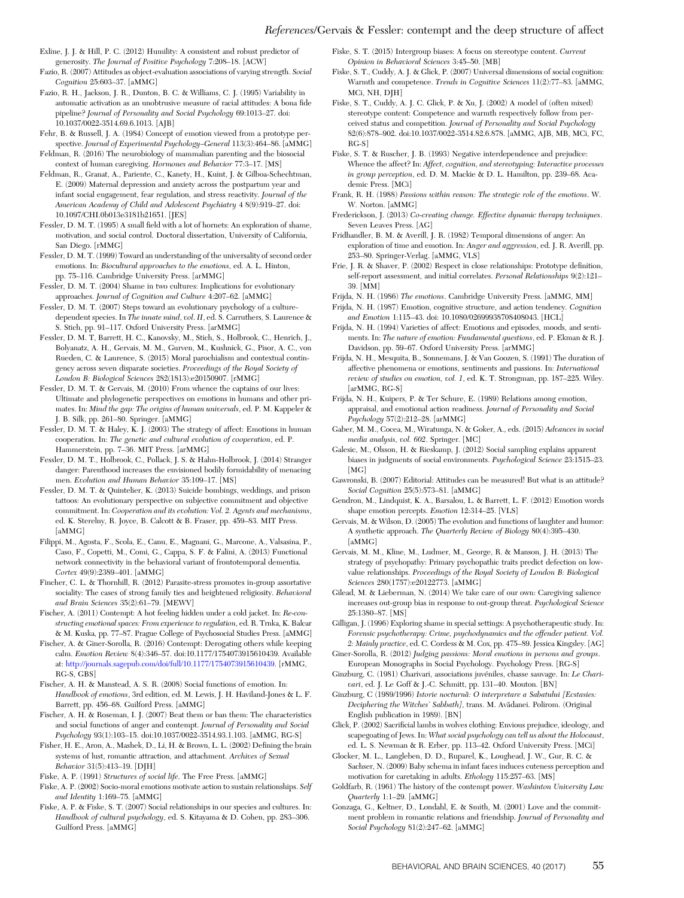## References/Gervais & Fessler: contempt and the deep structure of affect

- <span id="page-54-0"></span>Exline, J. J. & Hill, P. C. (2012) Humility: A consistent and robust predictor of generosity. The Journal of Positive Psychology 7:208–18. [ACW]
- Fazio, R. (2007) Attitudes as object-evaluation associations of varying strength. Social Cognition 25:603–37. [aMMG]
- Fazio, R. H., Jackson, J. R., Dunton, B. C. & Williams, C. J. (1995) Variability in automatic activation as an unobtrusive measure of racial attitudes: A bona fide pipeline? Journal of Personality and Social Psychology 69:1013–27. doi: 10.1037/0022-3514.69.6.1013. [AJB]
- Fehr, B. & Russell, J. A. (1984) Concept of emotion viewed from a prototype perspective. Journal of Experimental Psychology–General 113(3):464–86. [aMMG]
- Feldman, R. (2016) The neurobiology of mammalian parenting and the biosocial context of human caregiving. Hormones and Behavior 77:3–17. [MS]
- Feldman, R., Granat, A., Pariente, C., Kanety, H., Kuint, J. & Gilboa-Schechtman, E. (2009) Maternal depression and anxiety across the postpartum year and infant social engagement, fear regulation, and stress reactivity. Journal of the American Academy of Child and Adolescent Psychiatry 4 8(9):919–27. doi: 10.1097/CHI.0b013e3181b21651. [JES]
- Fessler, D. M. T. (1995) A small field with a lot of hornets: An exploration of shame, motivation, and social control. Doctoral dissertation, University of California, San Diego. [rMMG]
- Fessler, D. M. T. (1999) Toward an understanding of the universality of second order emotions. In: Biocultural approaches to the emotions, ed. A. L. Hinton, pp. 75–116. Cambridge University Press. [arMMG]
- Fessler, D. M. T. (2004) Shame in two cultures: Implications for evolutionary approaches. Journal of Cognition and Culture 4:207–62. [aMMG]
- Fessler, D. M. T. (2007) Steps toward an evolutionary psychology of a culturedependent species. In The innate mind, vol. II, ed. S. Carruthers, S. Laurence & S. Stich, pp. 91–117. Oxford University Press. [arMMG]
- Fessler, D. M. T, Barrett, H. C., Kanovsky, M., Stich, S., Holbrook, C., Henrich, J., Bolyanatz, A. H., Gervais, M. M., Gurven, M., Kushnick, G., Pisor, A. C., von Rueden, C. & Laurence, S. (2015) Moral parochialism and contextual contingency across seven disparate societies. Proceedings of the Royal Society of London B: Biological Sciences 282(1813):e20150907. [rMMG]
- Fessler, D. M. T. & Gervais, M. (2010) From whence the captains of our lives: Ultimate and phylogenetic perspectives on emotions in humans and other primates. In: Mind the gap: The origins of human universals, ed. P. M. Kappeler & J. B. Silk, pp. 261–80. Springer. [aMMG]
- Fessler, D. M. T. & Haley, K. J. (2003) The strategy of affect: Emotions in human cooperation. In: The genetic and cultural evolution of cooperation, ed. P. Hammerstein, pp. 7–36. MIT Press. [arMMG]
- Fessler, D. M. T., Holbrook, C., Pollack, J. S. & Hahn-Holbrook, J. (2014) Stranger danger: Parenthood increases the envisioned bodily formidability of menacing men. Evolution and Human Behavior 35:109–17. [MS]
- Fessler, D. M. T. & Quintelier, K. (2013) Suicide bombings, weddings, and prison tattoos: An evolutionary perspective on subjective commitment and objective commitment. In: Cooperation and its evolution: Vol. 2. Agents and mechanisms, ed. K. Sterelny, R. Joyce, B. Calcott & B. Fraser, pp. 459–83. MIT Press. [aMMG]
- Filippi, M., Agosta, F., Scola, E., Canu, E., Magnani, G., Marcone, A., Valsasina, P., Caso, F., Copetti, M., Comi, G., Cappa, S. F. & Falini, A. (2013) Functional network connectivity in the behavioral variant of frontotemporal dementia. Cortex 49(9):2389–401. [aMMG]
- Fincher, C. L. & Thornhill, R. (2012) Parasite-stress promotes in-group assortative sociality: The cases of strong family ties and heightened religiosity. Behavioral and Brain Sciences 35(2):61–79. [MEWV]
- Fischer, A. (2011) Contempt: A hot feeling hidden under a cold jacket. In: Re-constructing emotional spaces: From experience to regulation, ed. R. Trnka, K. Balcar & M. Kuska, pp. 77–87. Prague College of Psychosocial Studies Press. [aMMG]
- Fischer, A. & Giner-Sorolla, R. (2016) Contempt: Derogating others while keeping calm. Emotion Review 8(4):346–57. doi:10.1177/1754073915610439. Available at: <http://journals.sagepub.com/doi/full/10.1177/1754073915610439>. [rMMG, RG-S, GBS]
- Fischer, A. H. & Manstead, A. S. R. (2008) Social functions of emotion. In: Handbook of emotions, 3rd edition, ed. M. Lewis, J. H. Haviland-Jones & L. F. Barrett, pp. 456–68. Guilford Press. [aMMG]
- Fischer, A. H. & Roseman, I. J. (2007) Beat them or ban them: The characteristics and social functions of anger and contempt. Journal of Personality and Social Psychology 93(1):103–15. doi:10.1037/0022-3514.93.1.103. [aMMG, RG-S]
- Fisher, H. E., Aron, A., Mashek, D., Li, H. & Brown, L. L. (2002) Defining the brain systems of lust, romantic attraction, and attachment. Archives of Sexual Behavior 31(5):413–19. [DJH]
- Fiske, A. P. (1991) Structures of social life. The Free Press. [aMMG]
- Fiske, A. P. (2002) Socio-moral emotions motivate action to sustain relationships. Self and Identity 1:169–75. [aMMG]
- Fiske, A. P. & Fiske, S. T. (2007) Social relationships in our species and cultures. In: Handbook of cultural psychology, ed. S. Kitayama & D. Cohen, pp. 283–306. Guilford Press. [aMMG]

Fiske, S. T. (2015) Intergroup biases: A focus on stereotype content. Current Opinion in Behavioral Sciences 3:45–50. [MB]

- Fiske, S. T., Cuddy, A. J. & Glick, P. (2007) Universal dimensions of social cognition: Warmth and competence. Trends in Cognitive Sciences 11(2):77–83. [aMMG, MCi, NH, DJH]
- Fiske, S. T., Cuddy, A. J. C. Glick, P. & Xu, J. (2002) A model of (often mixed) stereotype content: Competence and warmth respectively follow from perceived status and competition. Journal of Personality and Social Psychology 82(6):878–902. doi:10.1037/0022-3514.82.6.878. [aMMG, AJB, MB, MCi, FC, RG-S]
- Fiske, S. T. & Ruscher, J. B. (1993) Negative interdependence and prejudice: Whence the affect? In: Affect, cognition, and stereotyping: Interactive processes in group perception, ed. D. M. Mackie & D. L. Hamilton, pp. 239–68. Academic Press. [MCi]
- Frank, R. H. (1988) Passions within reason: The strategic role of the emotions. W. W. Norton. [aMMG]
- Frederickson, J. (2013) Co-creating change. Effective dynamic therapy techniques. Seven Leaves Press. [AG]
- Fridhandler, B. M. & Averill, J. R. (1982) Temporal dimensions of anger: An exploration of time and emotion. In: Anger and aggression, ed. J. R. Averill, pp. 253–80. Springer-Verlag. [aMMG, VLS]
- Frie, J. R. & Shaver, P. (2002) Respect in close relationships: Prototype definition, self-report assessment, and initial correlates. Personal Relationships 9(2):121– 39. [MM]
- Frijda, N. H. (1986) The emotions. Cambridge University Press. [aMMG, MM]
- Frijda, N. H. (1987) Emotion, cognitive structure, and action tendency. Cognition and Emotion 1:115–43. doi: 10.1080/02699938708408043. [HCL]
- Frijda, N. H. (1994) Varieties of affect: Emotions and episodes, moods, and sentiments. In: The nature of emotion: Fundamental questions, ed. P. Ekman & R. J. Davidson, pp. 59–67. Oxford University Press. [arMMG]
- Frijda, N. H., Mesquita, B., Sonnemans, J. & Van Goozen, S. (1991) The duration of affective phenomena or emotions, sentiments and passions. In: International review of studies on emotion, vol. 1, ed. K. T. Strongman, pp. 187–225. Wiley. [arMMG, RG-S]
- Frijda, N. H., Kuipers, P. & Ter Schure, E. (1989) Relations among emotion, appraisal, and emotional action readiness. Journal of Personality and Social Psychology 57(2):212–28. [arMMG]
- Gaber, M. M., Cocea, M., Wiratunga, N. & Goker, A., eds. (2015) Advances in social media analysis, vol. 602. Springer. [MC]
- Galesic, M., Olsson, H. & Rieskamp, J. (2012) Social sampling explains apparent biases in judgments of social environments. Psychological Science 23:1515–23. [MG]
- Gawronski, B. (2007) Editorial: Attitudes can be measured! But what is an attitude? Social Cognition 25(5):573–81. [aMMG]
- Gendron, M., Lindquist, K. A., Barsalou, L. & Barrett, L. F. (2012) Emotion words shape emotion percepts. Emotion 12:314–25. [VLS]
- Gervais, M. & Wilson, D. (2005) The evolution and functions of laughter and humor: A synthetic approach. The Quarterly Review of Biology 80(4):395–430. [aMMG]
- Gervais, M. M., Kline, M., Ludmer, M., George, R. & Manson, J. H. (2013) The strategy of psychopathy: Primary psychopathic traits predict defection on lowvalue relationships. Proceedings of the Royal Society of London B: Biological Sciences 280(1757):e20122773. [aMMG]
- Gilead, M. & Lieberman, N. (2014) We take care of our own: Caregiving salience increases out-group bias in response to out-group threat. Psychological Science 25:1380–87. [MS]
- Gilligan, J. (1996) Exploring shame in special settings: A psychotherapeutic study. In: Forensic psychotherapy: Crime, psychodynamics and the offender patient. Vol. 2: Mainly practice, ed. C. Cordess & M. Cox, pp. 475–89. Jessica Kingsley. [AG]

Giner-Sorolla, R. (2012) Judging passions: Moral emotions in persons and groups. European Monographs in Social Psychology. Psychology Press. [RG-S]

- Ginzburg, C. (1981) Charivari, associations juvéniles, chasse sauvage. In: Le Charivari, ed. J. Le Goff & J.-C. Schmitt, pp. 131–40. Mouton. [BN]
- Ginzburg, C (1989/1996) Istorie nocturnă: O interpretare a Sabatului [Ecstasies: Deciphering the Witches' Sabbath], trans. M. Avădanei. Polirom. (Original English publication in 1989). [BN]
- Glick, P. (2002) Sacrificial lambs in wolves clothing: Envious prejudice, ideology, and scapegoating of Jews. In: What social psychology can tell us about the Holocaust, ed. L. S. Newman & R. Erber, pp. 113–42. Oxford University Press. [MCi]
- Glocker, M. L., Langleben, D. D., Ruparel, K., Loughead, J. W., Gur, R. C. & Sachser, N. (2009) Baby schema in infant faces induces cuteness perception and motivation for caretaking in adults. Ethology 115:257–63. [MS]
- Goldfarb, R. (1961) The history of the contempt power. Washinton University Law Quarterly 1:1–29. [aMMG]
- Gonzaga, G., Keltner, D., Londahl, E. & Smith, M. (2001) Love and the commitment problem in romantic relations and friendship. Journal of Personality and Social Psychology 81(2):247–62. [aMMG]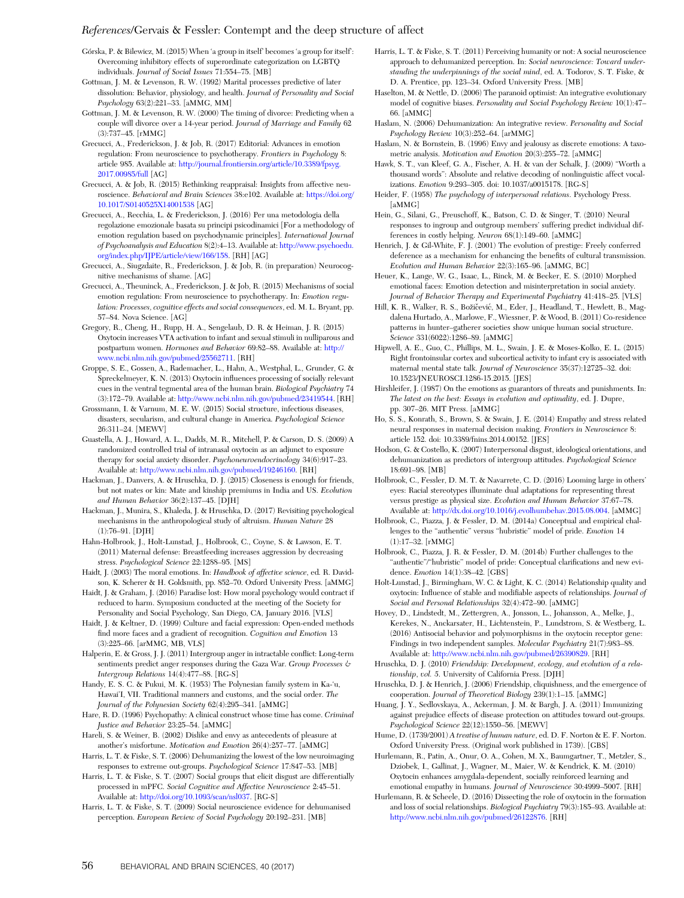## <span id="page-55-0"></span>References/Gervais & Fessler: Contempt and the deep structure of affect

- Górska, P. & Bilewicz, M. (2015) When 'a group in itself' becomes 'a group for itself': Overcoming inhibitory effects of superordinate categorization on LGBTQ individuals. Journal of Social Issues 71:554–75. [MB]
- Gottman, J. M. & Levenson, R. W. (1992) Marital processes predictive of later dissolution: Behavior, physiology, and health. Journal of Personality and Social Psychology 63(2):221–33. [aMMG, MM]
- Gottman, J. M. & Levenson, R. W. (2000) The timing of divorce: Predicting when a couple will divorce over a 14-year period. Journal of Marriage and Family 62 (3):737–45. [rMMG]
- Grecucci, A., Frederickson, J. & Job, R. (2017) Editorial: Advances in emotion regulation: From neuroscience to psychotherapy. Frontiers in Psychology 8: article 985. Available at: [http://journal.frontiersin.org/article/10.3389/fpsyg.](http://journal.frontiersin.org/article/10.3389/fpsyg.2017.00985/full) [2017.00985/full](http://journal.frontiersin.org/article/10.3389/fpsyg.2017.00985/full) [AG]
- Grecucci, A. & Job, R. (2015) Rethinking reappraisal: Insights from affective neuroscience. Behavioral and Brain Sciences 38:e102. Available at: [https://doi.org/](https://doi.org/10.1017/S0140525X14001538) [10.1017/S0140525X14001538](https://doi.org/10.1017/S0140525X14001538) [AG]
- Grecucci, A., Recchia, L. & Frederickson, J. (2016) Per una metodologia della regolazione emozionale basata su principi psicodinamici [For a methodology of emotion regulation based on psychodynamic principles]. International Journal of Psychoanalysis and Education 8(2):4–13. Available at: [http://www.psychoedu.](http://www.psychoedu.org/index.php/IJPE/article/view/166/158) [org/index.php/IJPE/article/view/166/158](http://www.psychoedu.org/index.php/IJPE/article/view/166/158). [RH] [AG]
- Grecucci, A., Siugzdaite, R., Frederickson, J. & Job, R. (in preparation) Neurocognitive mechanisms of shame. [AG]
- Grecucci, A., Theuninck, A., Frederickson, J. & Job, R. (2015) Mechanisms of social emotion regulation: From neuroscience to psychotherapy. In: Emotion regulation: Processes, cognitive effects and social consequences, ed. M. L. Bryant, pp. 57–84. Nova Science. [AG]
- Gregory, R., Cheng, H., Rupp, H. A., Sengelaub, D. R. & Heiman, J. R. (2015) Oxytocin increases VTA activation to infant and sexual stimuli in nulliparous and postpartum women. Hormones and Behavior 69:82–88. Available at: [http://](http://www.ncbi.nlm.nih.gov/pubmed/25562711) [www.ncbi.nlm.nih.gov/pubmed/25562711.](http://www.ncbi.nlm.nih.gov/pubmed/25562711) [RH]
- Groppe, S. E., Gossen, A., Rademacher, L., Hahn, A., Westphal, L., Grunder, G. & Spreckelmeyer, K. N. (2013) Oxytocin influences processing of socially relevant cues in the ventral tegmental area of the human brain. Biological Psychiatry 74 (3):172–79. Available at: [http://www.ncbi.nlm.nih.gov/pubmed/23419544.](http://www.ncbi.nlm.nih.gov/pubmed/23419544) [RH]
- Grossmann, I. & Varnum, M. E. W. (2015) Social structure, infectious diseases, disasters, secularism, and cultural change in America. Psychological Science 26:311–24. [MEWV]
- Guastella, A. J., Howard, A. L., Dadds, M. R., Mitchell, P. & Carson, D. S. (2009) A randomized controlled trial of intranasal oxytocin as an adjunct to exposure therapy for social anxiety disorder. Psychoneuroendocrinology 34(6):917-23. Available at: [http://www.ncbi.nlm.nih.gov/pubmed/19246160.](http://www.ncbi.nlm.nih.gov/pubmed/19246160) [RH]
- Hackman, J., Danvers, A. & Hruschka, D. J. (2015) Closeness is enough for friends, but not mates or kin: Mate and kinship premiums in India and US. Evolution and Human Behavior 36(2):137–45. [DJH]
- Hackman, J., Munira, S., Khaleda, J. & Hruschka, D. (2017) Revisiting psychological mechanisms in the anthropological study of altruism. Human Nature 28 (1):76–91. [DJH]
- Hahn-Holbrook, J., Holt-Lunstad, J., Holbrook, C., Coyne, S. & Lawson, E. T. (2011) Maternal defense: Breastfeeding increases aggression by decreasing stress. Psychological Science 22:1288–95. [MS]
- Haidt, J. (2003) The moral emotions. In: Handbook of affective science, ed. R. Davidson, K. Scherer & H. Goldsmith, pp. 852–70. Oxford University Press. [aMMG]
- Haidt, J. & Graham, J. (2016) Paradise lost: How moral psychology would contract if reduced to harm. Symposium conducted at the meeting of the Society for Personality and Social Psychology, San Diego, CA, January 2016. [VLS]
- Haidt, J. & Keltner, D. (1999) Culture and facial expression: Open-ended methods find more faces and a gradient of recognition. Cognition and Emotion 13 (3):225–66. [arMMG, MB, VLS]
- Halperin, E. & Gross, J. J. (2011) Intergroup anger in intractable conflict: Long-term sentiments predict anger responses during the Gaza War. Group Processes  $\phi$ Intergroup Relations 14(4):477–88. [RG-S]
- Handy, E. S. C. & Pukui, M. K. (1953) The Polynesian family system in Ka-'u, Hawai'I, VII. Traditional manners and customs, and the social order. The Journal of the Polynesian Society 62(4):295–341. [aMMG]
- Hare, R. D. (1996) Psychopathy: A clinical construct whose time has come. Criminal Justice and Behavior 23:25–54. [aMMG]
- Hareli, S. & Weiner, B. (2002) Dislike and envy as antecedents of pleasure at another's misfortune. Motivation and Emotion 26(4):257–77. [aMMG]
- Harris, L. T. & Fiske, S. T. (2006) Dehumanizing the lowest of the low neuroimaging responses to extreme out-groups. Psychological Science 17:847–53. [MB]
- Harris, L. T. & Fiske, S. T. (2007) Social groups that elicit disgust are differentially processed in mPFC. Social Cognitive and Affective Neuroscience 2:45–51. Available at: [http://doi.org/10.1093/scan/nsl037.](http://doi.org/10.1093/scan/nsl037) [RG-S]
- Harris, L. T. & Fiske, S. T. (2009) Social neuroscience evidence for dehumanised perception. European Review of Social Psychology 20:192–231. [MB]
- Harris, L. T. & Fiske, S. T. (2011) Perceiving humanity or not: A social neuroscience approach to dehumanized perception. In: Social neuroscience: Toward understanding the underpinnings of the social mind, ed. A. Todorov, S. T. Fiske, & D. A. Prentice, pp. 123–34. Oxford University Press. [MB]
- Haselton, M. & Nettle, D. (2006) The paranoid optimist: An integrative evolutionary model of cognitive biases. Personality and Social Psychology Review 10(1):47– 66. [aMMG]
- Haslam, N. (2006) Dehumanization: An integrative review. Personality and Social Psychology Review 10(3):252–64. [arMMG]
- Haslam, N. & Bornstein, B. (1996) Envy and jealousy as discrete emotions: A taxometric analysis. Motivation and Emotion 20(3):255–72. [aMMG]
- Hawk, S. T., van Kleef, G. A., Fischer, A. H. & van der Schalk, J. (2009) "Worth a thousand words": Absolute and relative decoding of nonlinguistic affect vocalizations. Emotion 9:293–305. doi: 10.1037/a0015178. [RG-S]
- Heider, F. (1958) The psychology of interpersonal relations. Psychology Press. [aMMG]
- Hein, G., Silani, G., Preuschoff, K., Batson, C. D. & Singer, T. (2010) Neural responses to ingroup and outgroup members' suffering predict individual differences in costly helping. Neuron 68(1):149–60. [aMMG]
- Henrich, J. & Gil-White, F. J. (2001) The evolution of prestige: Freely conferred deference as a mechanism for enhancing the benefits of cultural transmission. Evolution and Human Behavior 22(3):165–96. [aMMG, BC]
- Heuer, K., Lange, W. G., Isaac, L., Rinck, M. & Becker, E. S. (2010) Morphed emotional faces: Emotion detection and misinterpretation in social anxiety. Journal of Behavior Therapy and Experimental Psychiatry 41:418-25. [VLS]
- Hill, K. R., Walker, R. S., Božičević, M., Eder, J., Headland, T., Hewlett, B., Magdalena Hurtado, A., Marlowe, F., Wiessner, P. & Wood, B. (2011) Co-residence patterns in hunter–gatherer societies show unique human social structure. Science 331(6022):1286–89. [aMMG]
- Hipwell, A. E., Guo, C., Phillips, M. L., Swain, J. E. & Moses-Kolko, E. L. (2015) Right frontoinsular cortex and subcortical activity to infant cry is associated with maternal mental state talk. Journal of Neuroscience 35(37):12725–32. doi: 10.1523/JNEUROSCI.1286-15.2015. [JES]
- Hirshleifer, J. (1987) On the emotions as guarantors of threats and punishments. In: The latest on the best: Essays in evolution and optimality, ed. J. Dupre, pp. 307–26. MIT Press. [aMMG]
- Ho, S. S., Konrath, S., Brown, S. & Swain, J. E. (2014) Empathy and stress related neural responses in maternal decision making. Frontiers in Neuroscience 8: article 152. doi: 10.3389/fnins.2014.00152. [JES]
- Hodson, G. & Costello, K. (2007) Interpersonal disgust, ideological orientations, and dehumanization as predictors of intergroup attitudes. Psychological Science 18:691–98. [MB]
- Holbrook, C., Fessler, D. M. T. & Navarrete, C. D. (2016) Looming large in others' eyes: Racial stereotypes illuminate dual adaptations for representing threat versus prestige as physical size. Evolution and Human Behavior 37:67–78. Available at: <http://dx.doi.org/10.1016/j.evolhumbehav.2015.08.004>. [aMMG]
- Holbrook, C., Piazza, J. & Fessler, D. M. (2014a) Conceptual and empirical challenges to the "authentic" versus "hubristic" model of pride. Emotion 14 (1):17–32. [rMMG]
- Holbrook, C., Piazza, J. R. & Fessler, D. M. (2014b) Further challenges to the "authentic"/"hubristic" model of pride: Conceptual clarifications and new evidence. Emotion 14(1):38–42. [GBS]
- Holt-Lunstad, J., Birmingham, W. C. & Light, K. C. (2014) Relationship quality and oxytocin: Influence of stable and modifiable aspects of relationships. Journal of Social and Personal Relationships 32(4):472–90. [aMMG]
- Hovey, D., Lindstedt, M., Zettergren, A., Jonsson, L., Johansson, A., Melke, J., Kerekes, N., Anckarsater, H., Lichtenstein, P., Lundstrom, S. & Westberg, L. (2016) Antisocial behavior and polymorphisms in the oxytocin receptor gene: Findings in two independent samples. Molecular Psychiatry 21(7):983–88. Available at: [http://www.ncbi.nlm.nih.gov/pubmed/26390829.](http://www.ncbi.nlm.nih.gov/pubmed/26390829) [RH]
- Hruschka, D. J. (2010) Friendship: Development, ecology, and evolution of a relationship, vol. 5. University of California Press. [DJH]
- Hruschka, D. J. & Henrich, J. (2006) Friendship, cliquishness, and the emergence of cooperation. Journal of Theoretical Biology 239(1):1–15. [aMMG]
- Huang, J. Y., Sedlovskaya, A., Ackerman, J. M. & Bargh, J. A. (2011) Immunizing against prejudice effects of disease protection on attitudes toward out-groups. Psychological Science 22(12):1550–56. [MEWV]
- Hume, D. (1739/2001) A treatise of human nature, ed. D. F. Norton & E. F. Norton. Oxford University Press. (Original work published in 1739). [GBS]
- Hurlemann, R., Patin, A., Onur, O. A., Cohen, M. X., Baumgartner, T., Metzler, S., Dziobek, I., Gallinat, J., Wagner, M., Maier, W. & Kendrick, K. M. (2010) Oxytocin enhances amygdala-dependent, socially reinforced learning and emotional empathy in humans. Journal of Neuroscience 30:4999–5007. [RH]
- Hurlemann, R. & Scheele, D. (2016) Dissecting the role of oxytocin in the formation and loss of social relationships. Biological Psychiatry 79(3):185–93. Available at: <http://www.ncbi.nlm.nih.gov/pubmed/26122876>. [RH]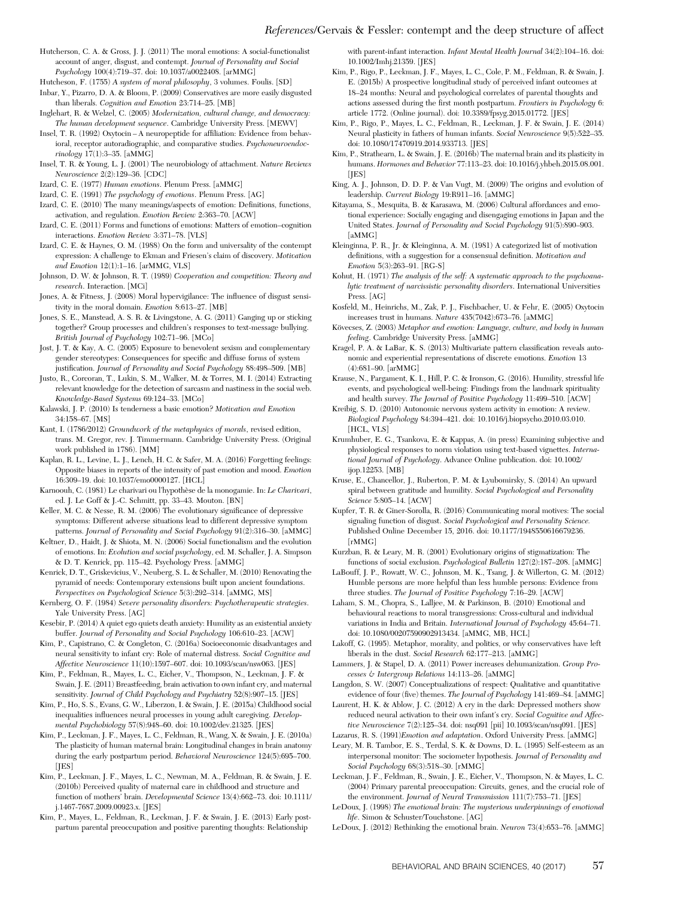## References/Gervais & Fessler: contempt and the deep structure of affect

- <span id="page-56-0"></span>Hutcherson, C. A. & Gross, J. J. (2011) The moral emotions: A social-functionalist account of anger, disgust, and contempt. Journal of Personality and Social Psychology 100(4):719–37. doi: 10.1037/a0022408. [arMMG]
- Hutcheson, F. (1755) A system of moral philosophy, 3 volumes. Foulis. [SD] Inbar, Y., Pizarro, D. A. & Bloom, P. (2009) Conservatives are more easily disgusted
- than liberals. Cognition and Emotion 23:714–25. [MB]
- Inglehart, R. & Welzel, C. (2005) Modernization, cultural change, and democracy: The human development sequence. Cambridge University Press. [MEWV]
- Insel, T. R. (1992) Oxytocin A neuropeptide for affiliation: Evidence from behavioral, receptor autoradiographic, and comparative studies. Psychoneuroendocrinology 17(1):3–35. [aMMG]
- Insel, T. R. & Young, L. J. (2001) The neurobiology of attachment. Nature Reviews Neuroscience 2(2):129–36. [CDC]
- Izard, C. E. (1977) Human emotions. Plenum Press. [aMMG]
- Izard, C. E. (1991) The psychology of emotions. Plenum Press. [AG]
- Izard, C. E. (2010) The many meanings/aspects of emotion: Definitions, functions, activation, and regulation. Emotion Review 2:363–70. [ACW]
- Izard, C. E. (2011) Forms and functions of emotions: Matters of emotion–cognition interactions. Emotion Review 3:371–78. [VLS]
- Izard, C. E. & Haynes, O. M. (1988) On the form and universality of the contempt expression: A challenge to Ekman and Friesen's claim of discovery. Motivation and Emotion 12(1):1–16. [arMMG, VLS]
- Johnson, D. W. & Johnson, R. T. (1989) Cooperation and competition: Theory and research. Interaction. [MCi]
- Jones, A. & Fitness, J. (2008) Moral hypervigilance: The influence of disgust sensitivity in the moral domain. Emotion 8:613–27. [MB]
- Jones, S. E., Manstead, A. S. R. & Livingstone, A. G. (2011) Ganging up or sticking together? Group processes and children's responses to text-message bullying. British Journal of Psychology 102:71–96. [MCo]
- Jost, J. T. & Kay, A. C. (2005) Exposure to benevolent sexism and complementary gender stereotypes: Consequences for specific and diffuse forms of system justification. Journal of Personality and Social Psychology 88:498-509. [MB]
- Justo, R., Corcoran, T., Lukin, S. M., Walker, M. & Torres, M. I. (2014) Extracting relevant knowledge for the detection of sarcasm and nastiness in the social web. Knowledge-Based Sustems 69:124-33. [MCo]
- Kalawski, J. P. (2010) Is tenderness a basic emotion? Motivation and Emotion 34:158–67. [MS]
- Kant, I. (1786/2012) Groundwork of the metaphysics of morals, revised edition, trans. M. Gregor, rev. J. Timmermann. Cambridge University Press. (Original work published in 1786). [MM]
- Kaplan, R. L., Levine, L. J., Lench, H. C. & Safer, M. A. (2016) Forgetting feelings: Opposite biases in reports of the intensity of past emotion and mood. Emotion 16:309–19. doi: 10.1037/emo0000127. [HCL]
- Karnoouh, C. (1981) Le charivari ou l'hypothèse de la monogamie. In: Le Charivari, ed. J. Le Goff & J.-C. Schmitt, pp. 33–43. Mouton. [BN]
- Keller, M. C. & Nesse, R. M. (2006) The evolutionary significance of depressive symptoms: Different adverse situations lead to different depressive symptom patterns. Journal of Personality and Social Psychology 91(2):316–30. [aMMG]
- Keltner, D., Haidt, J. & Shiota, M. N. (2006) Social functionalism and the evolution of emotions. In: Evolution and social psychology, ed. M. Schaller, J. A. Simpson & D. T. Kenrick, pp. 115–42. Psychology Press. [aMMG]
- Kenrick, D. T., Griskevicius, V., Neuberg, S. L. & Schaller, M. (2010) Renovating the pyramid of needs: Contemporary extensions built upon ancient foundations. Perspectives on Psychological Science 5(3):292–314. [aMMG, MS]
- Kernberg, O. F. (1984) Severe personality disorders: Psychotherapeutic strategies. Yale University Press. [AG]
- Kesebir, P. (2014) A quiet ego quiets death anxiety: Humility as an existential anxiety buffer. Journal of Personality and Social Psychology 106:610–23. [ACW]
- Kim, P., Capistrano, C. & Congleton, C. (2016a) Socioeconomic disadvantages and neural sensitivity to infant cry: Role of maternal distress. Social Cognitive and Affective Neuroscience 11(10):1597–607. doi: 10.1093/scan/nsw063. [JES]
- Kim, P., Feldman, R., Mayes, L. C., Eicher, V., Thompson, N., Leckman, J. F. & Swain, J. E. (2011) Breastfeeding, brain activation to own infant cry, and maternal sensitivity. Journal of Child Psychology and Psychiatry 52(8):907–15. [JES]
- Kim, P., Ho, S. S., Evans, G. W., Liberzon, I. & Swain, J. E. (2015a) Childhood social inequalities influences neural processes in young adult caregiving. Developmental Psychobiology 57(8):948–60. doi: 10.1002/dev.21325. [JES]
- Kim, P., Leckman, J. F., Mayes, L. C., Feldman, R., Wang, X. & Swain, J. E. (2010a) The plasticity of human maternal brain: Longitudinal changes in brain anatomy during the early postpartum period. Behavioral Neuroscience 124(5):695–700. [IES]
- Kim, P., Leckman, J. F., Mayes, L. C., Newman, M. A., Feldman, R. & Swain, J. E. (2010b) Perceived quality of maternal care in childhood and structure and function of mothers' brain. Developmental Science 13(4):662–73. doi: 10.1111/ j.1467-7687.2009.00923.x. [JES]
- Kim, P., Mayes, L., Feldman, R., Leckman, J. F. & Swain, J. E. (2013) Early postpartum parental preoccupation and positive parenting thoughts: Relationship

with parent-infant interaction. Infant Mental Health Journal 34(2):104–16. doi: 10.1002/Imhj.21359. [JES]

- Kim, P., Rigo, P., Leckman, J. F., Mayes, L. C., Cole, P. M., Feldman, R. & Swain, J. E. (2015b) A prospective longitudinal study of perceived infant outcomes at 18–24 months: Neural and psychological correlates of parental thoughts and actions assessed during the first month postpartum. Frontiers in Psychology 6: article 1772. (Online journal). doi: 10.3389/fpsyg.2015.01772. [JES]
- Kim, P., Rigo, P., Mayes, L. C., Feldman, R., Leckman, J. F. & Swain, J. E. (2014) Neural plasticity in fathers of human infants. Social Neuroscience 9(5):522–35. doi: 10.1080/17470919.2014.933713. [JES]
- Kim, P., Strathearn, L. & Swain, J. E. (2016b) The maternal brain and its plasticity in humans. Hormones and Behavior 77:113–23. doi: 10.1016/j.yhbeh.2015.08.001.  $[**IES**]$
- King, A. J., Johnson, D. D. P. & Van Vugt, M. (2009) The origins and evolution of leadership. Current Biology 19:R911–16. [aMMG]
- Kitayama, S., Mesquita, B. & Karasawa, M. (2006) Cultural affordances and emotional experience: Socially engaging and disengaging emotions in Japan and the United States. Journal of Personality and Social Psychology 91(5):890–903. [aMMG]
- Kleinginna, P. R., Jr. & Kleinginna, A. M. (1981) A categorized list of motivation definitions, with a suggestion for a consensual definition. Motivation and Emotion 5(3):263–91. [RG-S]
- Kohut, H. (1971) The analysis of the self: A systematic approach to the psychoanalytic treatment of narcissistic personality disorders. International Universities Press. [AG]
- Kosfeld, M., Heinrichs, M., Zak, P. J., Fischbacher, U. & Fehr, E. (2005) Oxytocin increases trust in humans. Nature 435(7042):673–76. [aMMG]
- Kövecses, Z. (2003) Metaphor and emotion: Language, culture, and body in human feeling. Cambridge University Press. [aMMG]
- Kragel, P. A. & LaBar, K. S. (2013) Multivariate pattern classification reveals autonomic and experiential representations of discrete emotions. Emotion 13 (4):681–90. [arMMG]
- Krause, N., Pargament, K. I., Hill, P. C. & Ironson, G. (2016). Humility, stressful life events, and psychological well-being: Findings from the landmark spirituality and health survey. The Journal of Positive Psychology 11:499–510. [ACW]
- Kreibig, S. D. (2010) Autonomic nervous system activity in emotion: A review. Biological Psychology 84:394–421. doi: 10.1016/j.biopsycho.2010.03.010. [HCL, VLS]
- Krumhuber, E. G., Tsankova, E. & Kappas, A. (in press) Examining subjective and physiological responses to norm violation using text-based vignettes. International Journal of Psychology. Advance Online publication. doi: 10.1002/ ijop.12253. [MB]
- Kruse, E., Chancellor, J., Ruberton, P. M. & Lyubomirsky, S. (2014) An upward spiral between gratitude and humility. Social Psychological and Personality Science 5:805–14. [ACW]
- Kupfer, T. R. & Giner-Sorolla, R. (2016) Communicating moral motives: The social signaling function of disgust. Social Psychological and Personality Science. Published Online December 15, 2016. doi: 10.1177/1948550616679236. [rMMG]
- Kurzban, R. & Leary, M. R. (2001) Evolutionary origins of stigmatization: The functions of social exclusion. Psychological Bulletin 127(2):187–208. [aMMG]
- LaBouff, J. P., Rowatt, W. C., Johnson, M. K., Tsang, J. & Willerton, G. M. (2012) Humble persons are more helpful than less humble persons: Evidence from three studies. The Journal of Positive Psychology 7:16–29. [ACW]
- Laham, S. M., Chopra, S., Lalljee, M. & Parkinson, B. (2010) Emotional and behavioural reactions to moral transgressions: Cross-cultural and individual variations in India and Britain. International Journal of Psychology 45:64–71. doi: 10.1080/00207590902913434. [aMMG, MB, HCL]

Lakoff, G. (1995). Metaphor, morality, and politics, or why conservatives have left liberals in the dust. Social Research 62:177–213. [aMMG]

- Lammers, J. & Stapel, D. A. (2011) Power increases dehumanization. Group Processes & Intergroup Relations 14:113–26. [aMMG]
- Langdon, S. W. (2007) Conceptualizations of respect: Qualitative and quantitative evidence of four (five) themes. The Journal of Psychology 141:469–84. [aMMG]
- Laurent, H. K. & Ablow, J. C. (2012) A cry in the dark: Depressed mothers show reduced neural activation to their own infant's cry. Social Cognitive and Affective Neuroscience 7(2):125–34. doi: nsq091 [pii] 10.1093/scan/nsq091. [JES]
- Lazarus, R. S. (1991)Emotion and adaptation. Oxford University Press. [aMMG] Leary, M. R. Tambor, E. S., Terdal, S. K. & Downs, D. L. (1995) Self-esteem as an
- interpersonal monitor: The sociometer hypothesis. Journal of Personality and Social Psychology 68(3):518–30. [rMMG]
- Leckman, J. F., Feldman, R., Swain, J. E., Eicher, V., Thompson, N. & Mayes, L. C. (2004) Primary parental preoccupation: Circuits, genes, and the crucial role of the environment. Journal of Neural Transmission 111(7):753-71. [JES]
- LeDoux, J. (1998) The emotional brain: The mysterious underpinnings of emotional life. Simon & Schuster/Touchstone. [AG]
- LeDoux, J. (2012) Rethinking the emotional brain. Neuron 73(4):653–76. [aMMG]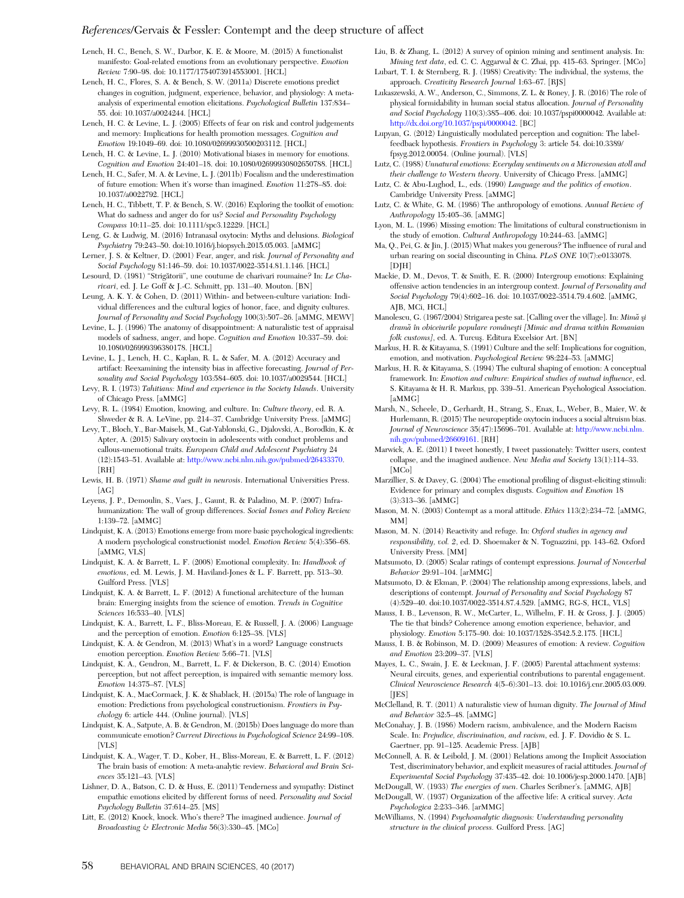## <span id="page-57-0"></span>References/Gervais & Fessler: Contempt and the deep structure of affect

- Lench, H. C., Bench, S. W., Darbor, K. E. & Moore, M. (2015) A functionalist manifesto: Goal-related emotions from an evolutionary perspective. Emotion Review 7:90–98. doi: 10.1177/1754073914553001. [HCL]
- Lench, H. C., Flores, S. A. & Bench, S. W. (2011a) Discrete emotions predict changes in cognition, judgment, experience, behavior, and physiology: A metaanalysis of experimental emotion elicitations. Psychological Bulletin 137:834– 55. doi: 10.1037/a0024244. [HCL]
- Lench, H. C. & Levine, L. J. (2005) Effects of fear on risk and control judgements and memory: Implications for health promotion messages. Cognition and Emotion 19:1049–69. doi: 10.1080/02699930500203112. [HCL]
- Lench, H. C. & Levine, L. J. (2010) Motivational biases in memory for emotions. Cognition and Emotion 24:401–18. doi: 10.1080/02699930802650788. [HCL]
- Lench, H. C., Safer, M. A. & Levine, L. J. (2011b) Focalism and the underestimation of future emotion: When it's worse than imagined. Emotion 11:278–85. doi: 10.1037/a0022792. [HCL]
- Lench, H. C., Tibbett, T. P. & Bench, S. W. (2016) Exploring the toolkit of emotion: What do sadness and anger do for us? Social and Personality Psychology Compass 10:11–25. doi: 10.1111/spc3.12229. [HCL]
- Leng, G. & Ludwig, M. (2016) Intranasal oxytocin: Myths and delusions. Biological Psychiatry 79:243–50. doi:10.1016/j.biopsych.2015.05.003. [aMMG]
- Lerner, J. S. & Keltner, D. (2001) Fear, anger, and risk. Journal of Personality and Social Psychology 81:146–59. doi: 10.1037/0022-3514.81.1.146. [HCL]
- Lesourd, D. (1981) "Strigătorii", une coutume de charivari roumaine? In: Le Charivari, ed. J. Le Goff & J.-C. Schmitt, pp. 131–40. Mouton. [BN]
- Leung, A. K. Y. & Cohen, D. (2011) Within- and between-culture variation: Individual differences and the cultural logics of honor, face, and dignity cultures. Journal of Personality and Social Psychology 100(3):507–26. [aMMG, MEWV]
- Levine, L. J. (1996) The anatomy of disappointment: A naturalistic test of appraisal models of sadness, anger, and hope. Cognition and Emotion 10:337–59. doi: 10.1080/026999396380178. [HCL]
- Levine, L. J., Lench, H. C., Kaplan, R. L. & Safer, M. A. (2012) Accuracy and artifact: Reexamining the intensity bias in affective forecasting. Journal of Personality and Social Psychology 103:584–605. doi: 10.1037/a0029544. [HCL]
- Levy, R. I. (1973) Tahitians: Mind and experience in the Society Islands. University of Chicago Press. [aMMG]
- Levy, R. L. (1984) Emotion, knowing, and culture. In: Culture theory, ed. R. A. Shweder & R. A. LeVine, pp. 214–37. Cambridge University Press. [aMMG]
- Levy, T., Bloch, Y., Bar-Maisels, M., Gat-Yablonski, G., Djalovski, A., Borodkin, K. & Apter, A. (2015) Salivary oxytocin in adolescents with conduct problems and callous-unemotional traits. European Child and Adolescent Psychiatry 24 (12):1543–51. Available at: <http://www.ncbi.nlm.nih.gov/pubmed/26433370>. [RH]
- Lewis, H. B. (1971) Shame and guilt in neurosis. International Universities Press.  $[AG]$
- Leyens, J. P., Demoulin, S., Vaes, J., Gaunt, R. & Paladino, M. P. (2007) Infrahumanization: The wall of group differences. Social Issues and Policy Review 1:139–72. [aMMG]
- Lindquist, K. A. (2013) Emotions emerge from more basic psychological ingredients: A modern psychological constructionist model. Emotion Review 5(4):356–68. [aMMG, VLS]
- Lindquist, K. A. & Barrett, L. F. (2008) Emotional complexity. In: Handbook of emotions, ed. M. Lewis, J. M. Haviland-Jones & L. F. Barrett, pp. 513–30. Guilford Press. [VLS]
- Lindquist, K. A. & Barrett, L. F. (2012) A functional architecture of the human brain: Emerging insights from the science of emotion. Trends in Cognitive Sciences 16:533–40. [VLS]
- Lindquist, K. A., Barrett, L. F., Bliss-Moreau, E. & Russell, J. A. (2006) Language and the perception of emotion. Emotion 6:125–38. [VLS]
- Lindquist, K. A. & Gendron, M. (2013) What's in a word? Language constructs emotion perception. Emotion Review 5:66–71. [VLS]
- Lindquist, K. A., Gendron, M., Barrett, L. F. & Dickerson, B. C. (2014) Emotion perception, but not affect perception, is impaired with semantic memory loss. Emotion 14:375–87. [VLS]
- Lindquist, K. A., MacCormack, J. K. & Shablack, H. (2015a) The role of language in emotion: Predictions from psychological constructionism. Frontiers in Psychology 6: article 444. (Online journal). [VLS]
- Lindquist, K. A., Satpute, A. B. & Gendron, M. (2015b) Does language do more than communicate emotion? Current Directions in Psychological Science 24:99–108. [VLS]
- Lindquist, K. A., Wager, T. D., Kober, H., Bliss-Moreau, E. & Barrett, L. F. (2012) The brain basis of emotion: A meta-analytic review. Behavioral and Brain Sciences 35:121–43. [VLS]
- Lishner, D. A., Batson, C. D. & Huss, E. (2011) Tenderness and sympathy: Distinct empathic emotions elicited by different forms of need. Personality and Social Psychology Bulletin 37:614–25. [MS]
- Litt, E. (2012) Knock, knock. Who's there? The imagined audience. Journal of Broadcasting & Electronic Media 56(3):330–45. [MCo]
- Liu, B. & Zhang, L. (2012) A survey of opinion mining and sentiment analysis. In: Mining text data, ed. C. C. Aggarwal & C. Zhai, pp. 415–63. Springer. [MCo]
- Lubart, T. I. & Sternberg, R. J. (1988) Creativity: The individual, the systems, the approach. Creativity Research Journal 1:63–67. [RJS]
- Lukaszewski, A. W., Anderson, C., Simmons, Z. L. & Roney, J. R. (2016) The role of physical formidability in human social status allocation. Journal of Personality and Social Psychology 110(3):385–406. doi: 10.1037/pspi0000042. Available at: [http://dx.doi.org/10.1037/pspi/0000042.](http://dx.doi.org/10.1037/pspi/0000042) [BC]
- Lupyan, G. (2012) Linguistically modulated perception and cognition: The labelfeedback hypothesis. Frontiers in Psychology 3: article 54. doi:10.3389/ fpsyg.2012.00054. (Online journal). [VLS]
- Lutz, C. (1988) Unnatural emotions: Everyday sentiments on a Micronesian atoll and their challenge to Western theory. University of Chicago Press. [aMMG]
- Lutz, C. & Abu-Lughod, L., eds. (1990) Language and the politics of emotion. Cambridge University Press. [aMMG]
- Lutz, C. & White, G. M. (1986) The anthropology of emotions. Annual Review of Anthropology 15:405–36. [aMMG]
- Lyon, M. L. (1996) Missing emotion: The limitations of cultural constructionism in the study of emotion. Cultural Anthropology 10:244–63. [aMMG]
- Ma, Q., Pei, G. & Jin, J. (2015) What makes you generous? The influence of rural and urban rearing on social discounting in China. PLoS ONE 10(7):e0133078. [DIH]
- Mackie, D. M., Devos, T. & Smith, E. R. (2000) Intergroup emotions: Explaining offensive action tendencies in an intergroup context.  $Journal$  of  $Personality$   $and$ Social Psychology 79(4):602–16. doi: 10.1037/0022-3514.79.4.602. [aMMG, AJB, MCi, HCL]
- Manolescu, G. (1967/2004) Strigarea peste sat. [Calling over the village]. In: Mimă și dramă în obiceiurile populare românești [Mimic and drama within Romanian folk customs], ed. A. Turcus. Editura Excelsior Art. [BN] ̧
- Markus, H. R. & Kitayama, S. (1991) Culture and the self: Implications for cognition, emotion, and motivation. Psychological Review 98:224–53. [aMMG]
- Markus, H. R. & Kitayama, S. (1994) The cultural shaping of emotion: A conceptual framework. In: Emotion and culture: Empirical studies of mutual influence, ed. S. Kitayama & H. R. Markus, pp. 339–51. American Psychological Association. [aMMG]
- Marsh, N., Scheele, D., Gerhardt, H., Strang, S., Enax, L., Weber, B., Maier, W. & Hurlemann, R. (2015) The neuropeptide oxytocin induces a social altruism bias. Journal of Neuroscience 35(47):15696–701. Available at: [http://www.ncbi.nlm.](http://www.ncbi.nlm.nih.gov/pubmed/26609161) [nih.gov/pubmed/26609161.](http://www.ncbi.nlm.nih.gov/pubmed/26609161) [RH]
- Marwick, A. E. (2011) I tweet honestly, I tweet passionately: Twitter users, context collapse, and the imagined audience. New Media and Society 13(1):114–33. [MCo]
- Marzillier, S. & Davey, G. (2004) The emotional profiling of disgust-eliciting stimuli: Evidence for primary and complex disgusts. Cognition and Emotion 18 (3):313–36. [aMMG]
- Mason, M. N. (2003) Contempt as a moral attitude. Ethics 113(2):234–72. [aMMG, MM]
- Mason, M. N. (2014) Reactivity and refuge. In: Oxford studies in agency and responsibility, vol. 2, ed. D. Shoemaker & N. Tognazzini, pp. 143–62. Oxford University Press. [MM]
- Matsumoto, D. (2005) Scalar ratings of contempt expressions. Journal of Nonverbal Behavior 29:91–104. [arMMG]
- Matsumoto, D. & Ekman, P. (2004) The relationship among expressions, labels, and descriptions of contempt. Journal of Personality and Social Psychology 87 (4):529–40. doi:10.1037/0022-3514.87.4.529. [aMMG, RG-S, HCL, VLS]
- Mauss, I. B., Levenson, R. W., McCarter, L., Wilhelm, F. H. & Gross, J. J. (2005) The tie that binds? Coherence among emotion experience, behavior, and physiology. Emotion 5:175–90. doi: 10.1037/1528-3542.5.2.175. [HCL]
- Mauss, I. B. & Robinson, M. D. (2009) Measures of emotion: A review. Cognition and Emotion 23:209–37. [VLS]
- Mayes, L. C., Swain, J. E. & Leckman, J. F. (2005) Parental attachment systems: Neural circuits, genes, and experiential contributions to parental engagement. Clinical Neuroscience Research 4(5–6):301–13. doi: 10.1016/j.cnr.2005.03.009. [JES]
- McClelland, R. T. (2011) A naturalistic view of human dignity. The Journal of Mind and Behavior 32:5–48. [aMMG]
- McConahay, J. B. (1986) Modern racism, ambivalence, and the Modern Racism Scale. In: Prejudice, discrimination, and racism, ed. J. F. Dovidio & S. L. Gaertner, pp. 91–125. Academic Press. [AJB]
- McConnell, A. R. & Leibold, J. M. (2001) Relations among the Implicit Association Test, discriminatory behavior, and explicit measures of racial attitudes. Journal of Experimental Social Psychology 37:435–42. doi: 10.1006/jesp.2000.1470. [AJB]
- McDougall, W. (1933) The energies of men. Charles Scribner's. [aMMG, AJB]
- McDougall, W. (1937) Organization of the affective life: A critical survey. Acta Psychologica 2:233–346. [arMMG]
- McWilliams, N. (1994) Psychoanalytic diagnosis: Understanding personality structure in the clinical process. Guilford Press. [AG]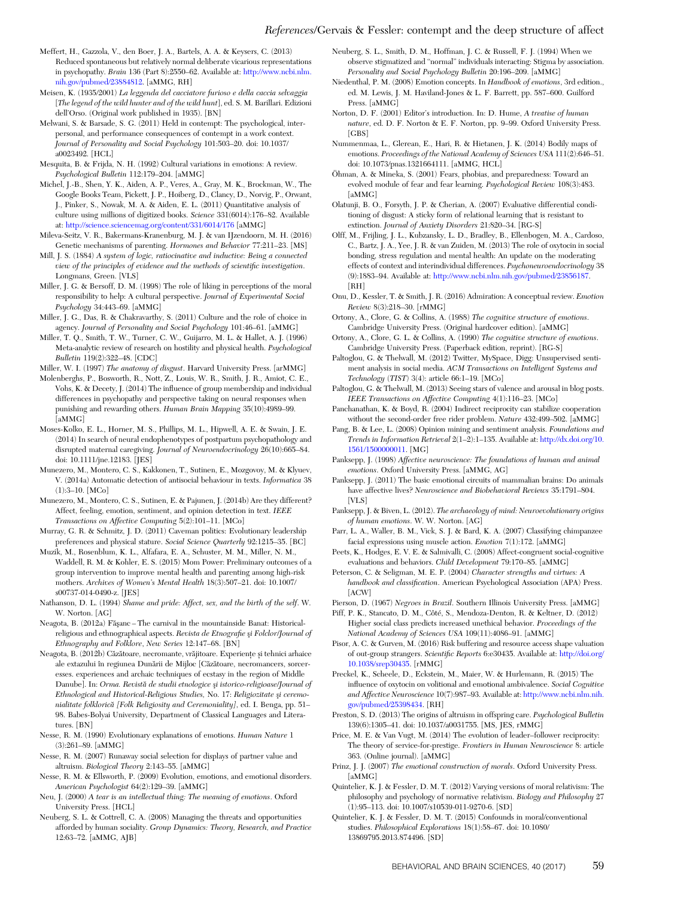- <span id="page-58-0"></span>Meffert, H., Gazzola, V., den Boer, J. A., Bartels, A. A. & Keysers, C. (2013) Reduced spontaneous but relatively normal deliberate vicarious representations in psychopathy. Brain 136 (Part 8):2550–62. Available at: [http://www.ncbi.nlm.](http://www.ncbi.nlm.nih.gov/pubmed/23884812) [nih.gov/pubmed/23884812.](http://www.ncbi.nlm.nih.gov/pubmed/23884812) [aMMG, RH]
- Meisen, K. (1935/2001) La leggenda del cacciatore furioso e della caccia selvaggia [The legend of the wild hunter and of the wild hunt], ed. S. M. Barillari. Edizioni dell'Orso. (Original work published in 1935). [BN]
- Melwani, S. & Barsade, S. G. (2011) Held in contempt: The psychological, interpersonal, and performance consequences of contempt in a work context. Journal of Personality and Social Psychology 101:503–20. doi: 10.1037/ a0023492. [HCL]
- Mesquita, B. & Frijda, N. H. (1992) Cultural variations in emotions: A review. Psychological Bulletin 112:179–204. [aMMG]
- Michel, J.-B., Shen, Y. K., Aiden, A. P., Veres, A., Gray, M. K., Brockman, W., The Google Books Team, Pickett, J. P., Hoiberg, D., Clancy, D., Norvig, P., Orwant, J., Pinker, S., Nowak, M. A. & Aiden, E. L. (2011) Quantitative analysis of culture using millions of digitized books. Science 331(6014):176–82. Available at: <http://science.sciencemag.org/content/331/6014/176> [aMMG]
- Mileva-Seitz, V. R., Bakermans-Kranenburg, M. J. & van IJzendoorn, M. H. (2016) Genetic mechanisms of parenting. Hormones and Behavior 77:211–23. [MS]
- Mill, J. S. (1884) A system of logic, ratiocinative and inductive: Being a connected view of the principles of evidence and the methods of scientific investigation. Longmans, Green. [VLS]
- Miller, J. G. & Bersoff, D. M. (1998) The role of liking in perceptions of the moral responsibility to help: A cultural perspective. Journal of Experimental Social Psychology 34:443–69. [aMMG]
- Miller, J. G., Das, R. & Chakravarthy, S. (2011) Culture and the role of choice in agency. Journal of Personality and Social Psychology 101:46–61. [aMMG]
- Miller, T. Q., Smith, T. W., Turner, C. W., Guijarro, M. L. & Hallet, A. J. (1996) Meta-analytic review of research on hostility and physical health. Psychological Bulletin 119(2):322–48. [CDC]
- Miller, W. I. (1997) The anatomy of disgust. Harvard University Press. [arMMG]
- Molenberghs, P., Bosworth, R., Nott, Z., Louis, W. R., Smith, J. R., Amiot, C. E., Vohs, K. & Decety, J. (2014) The influence of group membership and individual differences in psychopathy and perspective taking on neural responses when punishing and rewarding others. Human Brain Mapping 35(10):4989–99. [aMMG]
- Moses-Kolko, E. L., Horner, M. S., Phillips, M. L., Hipwell, A. E. & Swain, J. E. (2014) In search of neural endophenotypes of postpartum psychopathology and disrupted maternal caregiving. Journal of Neuroendocrinology 26(10):665–84. doi: 10.1111/jne.12183. [JES]
- Munezero, M., Montero, C. S., Kakkonen, T., Sutinen, E., Mozgovoy, M. & Klyuev, V. (2014a) Automatic detection of antisocial behaviour in texts. Informatica 38 (1):3–10. [MCo]
- Munezero, M., Montero, C. S., Sutinen, E. & Pajunen, J. (2014b) Are they different? Affect, feeling, emotion, sentiment, and opinion detection in text. IEEE Transactions on Affective Computing 5(2):101–11. [MCo]
- Murray, G. R. & Schmitz, J. D. (2011) Caveman politics: Evolutionary leadership preferences and physical stature. Social Science Quarterly 92:1215–35. [BC]
- Muzik, M., Rosenblum, K. L., Alfafara, E. A., Schuster, M. M., Miller, N. M., Waddell, R. M. & Kohler, E. S. (2015) Mom Power: Preliminary outcomes of a group intervention to improve mental health and parenting among high-risk mothers. Archives of Women's Mental Health 18(3):507–21. doi: 10.1007/ s00737-014-0490-z. [JES]
- Nathanson, D. L. (1994) Shame and pride: Affect, sex, and the birth of the self. W. W. Norton. [AG]
- Neagota, B. (2012a) Făşanc The carnival in the mountainside Banat: Historicalreligious and ethnographical aspects. Revista de Etnografie și Folclor/Journal of Ethnography and Folklore, New Series 12:147–68. [BN]
- Neagota, B. (2012b) Căzătoare, necromante, vrăjitoare. Experiențe și tehnici arhaice ale extazului în regiunea Dunării de Mijloc [Căzătoare, necromancers, sorceresses. experiences and archaic techniques of ecstasy in the region of Middle Danube]. In: Orma. Revistă de studii etnologice și istorico-religioase/Journal of Ethnological and Historical-Religious Studies, No. 17: Religiozitate și ceremonialitate folklorică [Folk Religiosity and Ceremoniality], ed. I. Benga, pp. 51-98. Babes-Bolyai University, Department of Classical Languages and Literatures. [BN]
- Nesse, R. M. (1990) Evolutionary explanations of emotions. Human Nature 1 (3):261–89. [aMMG]
- Nesse, R. M. (2007) Runaway social selection for displays of partner value and altruism. Biological Theory 2:143–55. [aMMG]
- Nesse, R. M. & Ellsworth, P. (2009) Evolution, emotions, and emotional disorders. American Psychologist 64(2):129–39. [aMMG]
- Neu, J. (2000) A tear is an intellectual thing: The meaning of emotions. Oxford University Press. [HCL]
- Neuberg, S. L. & Cottrell, C. A. (2008) Managing the threats and opportunities afforded by human sociality. Group Dynamics: Theory, Research, and Practice 12:63–72. [aMMG, AJB]
- Neuberg, S. L., Smith, D. M., Hoffman, J. C. & Russell, F. J. (1994) When we observe stigmatized and "normal" individuals interacting: Stigma by association. Personality and Social Psychology Bulletin 20:196–209. [aMMG]
- Niedenthal, P. M. (2008) Emotion concepts. In Handbook of emotions, 3rd edition., ed. M. Lewis, J. M. Haviland-Jones & L. F. Barrett, pp. 587–600. Guilford Press. [aMMG]
- Norton, D. F. (2001) Editor's introduction. In: D. Hume, A treatise of human nature, ed. D. F. Norton & E. F. Norton, pp. 9–99. Oxford University Press. [GBS]
- Nummenmaa, L., Glerean, E., Hari, R. & Hietanen, J. K. (2014) Bodily maps of emotions. Proceedings of the National Academy of Sciences USA 111(2):646–51. doi: 10.1073/pnas.1321664111. [aMMG, HCL]
- Öhman, A. & Mineka, S. (2001) Fears, phobias, and preparedness: Toward an evolved module of fear and fear learning. Psychological Review 108(3):483. [aMMG]
- Olatunji, B. O., Forsyth, J. P. & Cherian, A. (2007) Evaluative differential conditioning of disgust: A sticky form of relational learning that is resistant to extinction. Journal of Anxiety Disorders 21:820–34. [RG-S]
- Olff, M., Frijling, J. L., Kubzansky, L. D., Bradley, B., Ellenbogen, M. A., Cardoso, C., Bartz, J. A., Yee, J. R. & van Zuiden, M. (2013) The role of oxytocin in social bonding, stress regulation and mental health: An update on the moderating effects of context and interindividual differences. Psychoneuroendocrinology 38 (9):1883–94. Available at: <http://www.ncbi.nlm.nih.gov/pubmed/23856187>. [RH]
- Onu, D., Kessler, T. & Smith, J. R. (2016) Admiration: A conceptual review. Emotion Review 8(3):218–30. [rMMG]
- Ortony, A., Clore, G. & Collins, A. (1988) The cognitive structure of emotions. Cambridge University Press. (Original hardcover edition). [aMMG]
- Ortony, A., Clore, G. L. & Collins, A. (1990) The cognitive structure of emotions. Cambridge University Press. (Paperback edition, reprint). [RG-S]
- Paltoglou, G. & Thelwall, M. (2012) Twitter, MySpace, Digg: Unsupervised sentiment analysis in social media. ACM Transactions on Intelligent Systems and Technology (TIST) 3(4): article 66:1–19. [MCo]
- Paltoglou, G. & Thelwall, M. (2013) Seeing stars of valence and arousal in blog posts. IEEE Transactions on Affective Computing 4(1):116–23. [MCo]
- Panchanathan, K. & Boyd, R. (2004) Indirect reciprocity can stabilize cooperation without the second-order free rider problem. Nature 432:499–502. [aMMG]
- Pang, B. & Lee, L. (2008) Opinion mining and sentiment analysis. Foundations and Trends in Information Retrieval 2(1–2):1–135. Available at: [http://dx.doi.org/10.](http://dx.doi.org/10.1561/1500000011) [1561/1500000011.](http://dx.doi.org/10.1561/1500000011) [MG]
- Panksepp, J. (1998) Affective neuroscience: The foundations of human and animal emotions. Oxford University Press. [aMMG, AG]
- Panksepp, J. (2011) The basic emotional circuits of mammalian brains: Do animals have affective lives? Neuroscience and Biobehavioral Reviews 35:1791–804. [VLS]
- Panksepp, J. & Biven, L. (2012). The archaeology of mind: Neuroevolutionary origins of human emotions. W. W. Norton. [AG]
- Parr, L. A., Waller, B. M., Vick, S. J. & Bard, K. A. (2007) Classifying chimpanzee facial expressions using muscle action. Emotion 7(1):172. [aMMG]
- Peets, K., Hodges, E. V. E. & Salmivalli, C. (2008) Affect-congruent social-cognitive evaluations and behaviors. Child Development 79:170–85. [aMMG]
- Peterson, C. & Seligman, M. E. P. (2004) Character strengths and virtues: A handbook and classification. American Psychological Association (APA) Press. [ACW]
- Pierson, D. (1967) Negroes in Brazil. Southern Illinois University Press. [aMMG]
- Piff, P. K., Stancato, D. M., Côté, S., Mendoza-Denton, R. & Keltner, D. (2012) Higher social class predicts increased unethical behavior. Proceedings of the National Academy of Sciences USA 109(11):4086–91. [aMMG]
- Pisor, A. C. & Gurven, M. (2016) Risk buffering and resource access shape valuation of out-group strangers. Scientific Reports 6:e30435. Available at: [http://doi.org/](http://doi.org/10.1038/srep30435) [10.1038/srep30435](http://doi.org/10.1038/srep30435). [rMMG]
- Preckel, K., Scheele, D., Eckstein, M., Maier, W. & Hurlemann, R. (2015) The influence of oxytocin on volitional and emotional ambivalence. Social Cognitive and Affective Neuroscience 10(7):987–93. Available at: [http://www.ncbi.nlm.nih.](http://www.ncbi.nlm.nih.gov/pubmed/25398434) [gov/pubmed/25398434.](http://www.ncbi.nlm.nih.gov/pubmed/25398434) [RH]
- Preston, S. D. (2013) The origins of altruism in offspring care. Psychological Bulletin 139(6):1305–41. doi: 10.1037/a0031755. [MS, JES, rMMG]
- Price, M. E. & Van Vugt, M. (2014) The evolution of leader–follower reciprocity: The theory of service-for-prestige. Frontiers in Human Neuroscience 8: article 363. (Online journal). [aMMG]
- Prinz, J. J. (2007) The emotional construction of morals. Oxford University Press. [aMMG]
- Quintelier, K. J. & Fessler, D. M. T. (2012) Varying versions of moral relativism: The philosophy and psychology of normative relativism. Biology and Philosophy 27 (1):95–113. doi: 10.1007/s10539-011-9270-6. [SD]
- Quintelier, K. J. & Fessler, D. M. T. (2015) Confounds in moral/conventional studies. Philosophical Explorations 18(1):58–67. doi: 10.1080/ 13869795.2013.874496. [SD]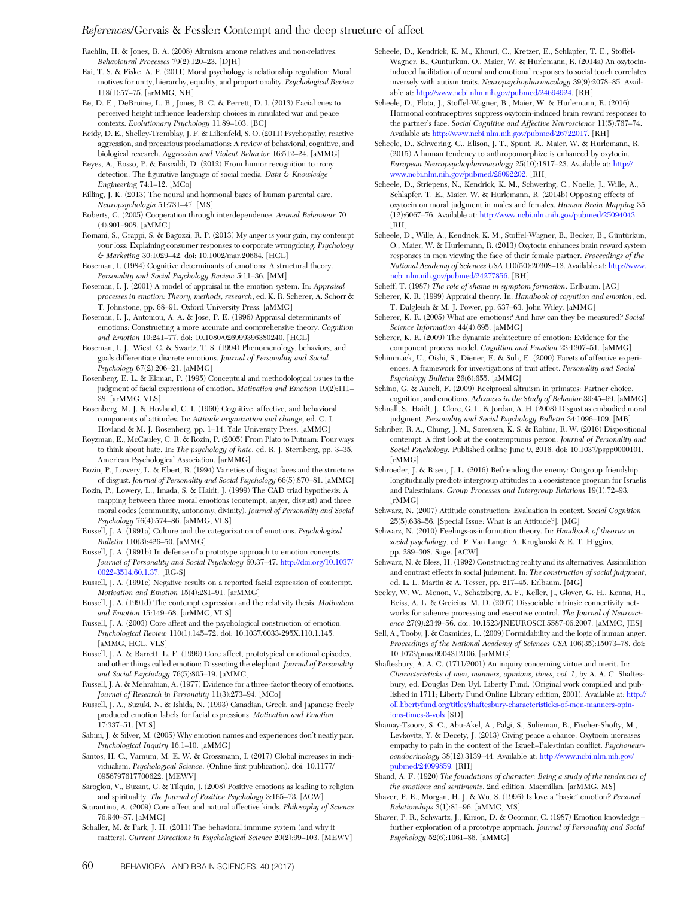## <span id="page-59-0"></span>References/Gervais & Fessler: Contempt and the deep structure of affect

Rachlin, H. & Jones, B. A. (2008) Altruism among relatives and non-relatives. Behavioural Processes 79(2):120–23. [DJH]

Rai, T. S. & Fiske, A. P. (2011) Moral psychology is relationship regulation: Moral motives for unity, hierarchy, equality, and proportionality. Psychological Review 118(1):57–75. [arMMG, NH]

Re, D. E., DeBruine, L. B., Jones, B. C. & Perrett, D. I. (2013) Facial cues to perceived height influence leadership choices in simulated war and peace contexts. Evolutionary Psychology 11:89–103. [BC]

- Reidy, D. E., Shelley-Tremblay, J. F. & Lilienfeld, S. O. (2011) Psychopathy, reactive aggression, and precarious proclamations: A review of behavioral, cognitive, and biological research. Aggression and Violent Behavior 16:512–24. [aMMG]
- Reyes, A., Rosso, P. & Buscaldi, D. (2012) From humor recognition to irony detection: The figurative language of social media. Data  $\stackrel{.}{\diamond}$  Knowledge Engineering 74:1–12. [MCo]
- Rilling, J. K. (2013) The neural and hormonal bases of human parental care. Neuropsychologia 51:731–47. [MS]
- Roberts, G. (2005) Cooperation through interdependence. Animal Behaviour 70 (4):901–908. [aMMG]
- Romani, S., Grappi, S. & Bagozzi, R. P. (2013) My anger is your gain, my contempt your loss: Explaining consumer responses to corporate wrongdoing. Psychology & Marketing 30:1029–42. doi: 10.1002/mar.20664. [HCL]
- Roseman, I. (1984) Cognitive determinants of emotions: A structural theory. Personality and Social Psychology Review 5:11–36. [MM]

Roseman, I. J. (2001) A model of appraisal in the emotion system. In: Appraisal processes in emotion: Theory, methods, research, ed. K. R. Scherer, A. Schorr & T. Johnstone, pp. 68–91. Oxford University Press. [aMMG]

Roseman, I. J., Antoniou, A. A. & Jose, P. E. (1996) Appraisal determinants of emotions: Constructing a more accurate and comprehensive theory. Cognition and Emotion 10:241–77. doi: 10.1080/026999396380240. [HCL]

Roseman, I. J., Wiest, C. & Swartz, T. S. (1994) Phenomenology, behaviors, and goals differentiate discrete emotions. Journal of Personality and Social Psychology 67(2):206–21. [aMMG]

- Rosenberg, E. L. & Ekman, P. (1995) Conceptual and methodological issues in the judgment of facial expressions of emotion. Motivation and Emotion 19(2):111-38. [arMMG, VLS]
- Rosenberg, M. J. & Hovland, C. I. (1960) Cognitive, affective, and behavioral components of attitudes. In: Attitude organization and change, ed. C. I. Hovland & M. J. Rosenberg, pp. 1–14. Yale University Press. [aMMG]
- Royzman, E., McCauley, C. R. & Rozin, P. (2005) From Plato to Putnam: Four ways to think about hate. In: The psychology of hate, ed. R. J. Sternberg, pp. 3–35. American Psychological Association. [arMMG]
- Rozin, P., Lowery, L. & Ebert, R. (1994) Varieties of disgust faces and the structure of disgust. Journal of Personality and Social Psychology 66(5):870–81. [aMMG]
- Rozin, P., Lowery, L., Imada, S. & Haidt, J. (1999) The CAD triad hypothesis: A mapping between three moral emotions (contempt, anger, disgust) and three moral codes (community, autonomy, divinity). Journal of Personality and Social Psychology 76(4):574–86. [aMMG, VLS]
- Russell, J. A. (1991a) Culture and the categorization of emotions. Psychological Bulletin 110(3):426–50. [aMMG]
- Russell, J. A. (1991b) In defense of a prototype approach to emotion concepts. Journal of Personality and Social Psychology 60:37–47. [http://doi.org/10.1037/](http://doi.org/10.1037/0022-3514.60.1.37) [0022-3514.60.1.37](http://doi.org/10.1037/0022-3514.60.1.37). [RG-S]
- Russell, J. A. (1991c) Negative results on a reported facial expression of contempt. Motivation and Emotion 15(4):281–91. [arMMG]
- Russell, J. A. (1991d) The contempt expression and the relativity thesis. Motivation and Emotion 15:149–68. [arMMG, VLS]
- Russell, J. A. (2003) Core affect and the psychological construction of emotion. Psychological Review 110(1):145–72. doi: 10.1037/0033-295X.110.1.145. [aMMG, HCL, VLS]
- Russell, J. A. & Barrett, L. F. (1999) Core affect, prototypical emotional episodes, and other things called emotion: Dissecting the elephant. Journal of Personality and Social Psychology 76(5):805–19. [aMMG]
- Russell, J. A. & Mehrabian, A. (1977) Evidence for a three-factor theory of emotions. Journal of Research in Personality 11(3):273–94. [MCo]
- Russell, J. A., Suzuki, N. & Ishida, N. (1993) Canadian, Greek, and Japanese freely produced emotion labels for facial expressions. Motivation and Emotion 17:337–51. [VLS]
- Sabini, J. & Silver, M. (2005) Why emotion names and experiences don't neatly pair. Psychological Inquiry 16:1–10. [aMMG]
- Santos, H. C., Varnum, M. E. W. & Grossmann, I. (2017) Global increases in individualism. Psychological Science. (Online first publication). doi: 10.1177/ 0956797617700622. [MEWV]
- Saroglou, V., Buxant, C. & Tilquin, J. (2008) Positive emotions as leading to religion and spirituality. The Journal of Positive Psychology 3:165–73. [ACW]
- Scarantino, A. (2009) Core affect and natural affective kinds. Philosophy of Science 76:940–57. [aMMG]
- Schaller, M. & Park, J. H. (2011) The behavioral immune system (and why it matters). Current Directions in Psychological Science 20(2):99–103. [MEWV]
- Scheele, D., Kendrick, K. M., Khouri, C., Kretzer, E., Schlapfer, T. E., Stoffel-Wagner, B., Gunturkun, O., Maier, W. & Hurlemann, R. (2014a) An oxytocininduced facilitation of neural and emotional responses to social touch correlates inversely with autism traits. Neuropsychopharmacology 39(9):2078–85. Available at: <http://www.ncbi.nlm.nih.gov/pubmed/24694924>. [RH]
- Scheele, D., Plota, J., Stoffel-Wagner, B., Maier, W. & Hurlemann, R. (2016) Hormonal contraceptives suppress oxytocin-induced brain reward responses to the partner's face. Social Cognitive and Affective Neuroscience 11(5):767–74. Available at: [http://www.ncbi.nlm.nih.gov/pubmed/26722017.](http://www.ncbi.nlm.nih.gov/pubmed/26722017) [RH]
- Scheele, D., Schwering, C., Elison, J. T., Spunt, R., Maier, W. & Hurlemann, R. (2015) A human tendency to anthropomorphize is enhanced by oxytocin. European Neuropsychopharmacology 25(10):1817–23. Available at: [http://](http://www.ncbi.nlm.nih.gov/pubmed/26092202) [www.ncbi.nlm.nih.gov/pubmed/26092202.](http://www.ncbi.nlm.nih.gov/pubmed/26092202) [RH]
- Scheele, D., Striepens, N., Kendrick, K. M., Schwering, C., Noelle, J., Wille, A., Schlapfer, T. E., Maier, W. & Hurlemann, R. (2014b) Opposing effects of oxytocin on moral judgment in males and females. Human Brain Mapping 35 (12):6067–76. Available at: <http://www.ncbi.nlm.nih.gov/pubmed/25094043>. [RH]
- Scheele, D., Wille, A., Kendrick, K. M., Stoffel-Wagner, B., Becker, B., Güntürkün, O., Maier, W. & Hurlemann, R. (2013) Oxytocin enhances brain reward system responses in men viewing the face of their female partner. Proceedings of the National Academy of Sciences USA 110(50):20308–13. Available at: [http://www.](http://www.ncbi.nlm.nih.gov/pubmed/24277856) [ncbi.nlm.nih.gov/pubmed/24277856.](http://www.ncbi.nlm.nih.gov/pubmed/24277856) [RH]
- Scheff, T. (1987) The role of shame in symptom formation. Erlbaum. [AG]
- Scherer, K. R. (1999) Appraisal theory. In: Handbook of cognition and emotion, ed. T. Dalgleish & M. J. Power, pp. 637–63. John Wiley. [aMMG]
- Scherer, K. R. (2005) What are emotions? And how can they be measured? Social Science Information 44(4):695. [aMMG]
- Scherer, K. R. (2009) The dynamic architecture of emotion: Evidence for the component process model. Cognition and Emotion 23:1307–51. [aMMG]
- Schimmack, U., Oishi, S., Diener, E. & Suh, E. (2000) Facets of affective experiences: A framework for investigations of trait affect. Personality and Social Psychology Bulletin 26(6):655. [aMMG]
- Schino, G. & Aureli, F. (2009) Reciprocal altruism in primates: Partner choice, cognition, and emotions. Advances in the Study of Behavior 39:45–69. [aMMG]
- Schnall, S., Haidt, J., Clore, G. L. & Jordan, A. H. (2008) Disgust as embodied moral judgment. Personality and Social Psychology Bulletin 34:1096–109. [MB]
- Schriber, R. A., Chung, J. M., Sorensen, K. S. & Robins, R. W. (2016) Dispositional contempt: A first look at the contemptuous person. Journal of Personality and Social Psychology. Published online June 9, 2016. doi: 10.1037/pspp0000101. [rMMG]
- Schroeder, J. & Risen, J. L. (2016) Befriending the enemy: Outgroup friendship longitudinally predicts intergroup attitudes in a coexistence program for Israelis and Palestinians. Group Processes and Intergroup Relations 19(1):72–93. [rMMG]
- Schwarz, N. (2007) Attitude construction: Evaluation in context. Social Cognition 25(5):638–56. [Special Issue: What is an Attitude?]. [MG]
- Schwarz, N. (2010) Feelings-as-information theory. In: Handbook of theories in social psychology, ed. P. Van Lange, A. Kruglanski & E. T. Higgins, pp. 289–308. Sage. [ACW]
- Schwarz, N. & Bless, H. (1992) Constructing reality and its alternatives: Assimilation and contrast effects in social judgment. In: The construction of social judgment, ed. L. L. Martin & A. Tesser, pp. 217–45. Erlbaum. [MG]
- Seeley, W. W., Menon, V., Schatzberg, A. F., Keller, J., Glover, G. H., Kenna, H., Reiss, A. L. & Greicius, M. D. (2007) Dissociable intrinsic connectivity networks for salience processing and executive control. The Journal of Neuroscience 27(9):2349–56. doi: 10.1523/JNEUROSCI.5587-06.2007. [aMMG, JES]
- Sell, A., Tooby, J. & Cosmides, L. (2009) Formidability and the logic of human anger. Proceedings of the National Academy of Sciences USA 106(35):15073–78. doi: 10.1073/pnas.0904312106. [arMMG]
- Shaftesbury, A. A. C. (1711/2001) An inquiry concerning virtue and merit. In: Characteristicks of men, manners, opinions, times, vol. 1, by A. A. C. Shaftesbury, ed. Douglas Den Uyl. Liberty Fund. (Original work compiled and published in 1711; Liberty Fund Online Library edition, 2001). Available at: [http://](http://oll.libertyfund.org/titles/shaftesbury-characteristicks-of-men-manners-opinions-times-3-vols) [oll.libertyfund.org/titles/shaftesbury-characteristicks-of-men-manners-opin](http://oll.libertyfund.org/titles/shaftesbury-characteristicks-of-men-manners-opinions-times-3-vols)[ions-times-3-vols](http://oll.libertyfund.org/titles/shaftesbury-characteristicks-of-men-manners-opinions-times-3-vols) [SD]
- Shamay-Tsoory, S. G., Abu-Akel, A., Palgi, S., Sulieman, R., Fischer-Shofty, M., Levkovitz, Y. & Decety, J. (2013) Giving peace a chance: Oxytocin increases empathy to pain in the context of the Israeli–Palestinian conflict. Psychoneuroendocrinology 38(12):3139–44. Available at: [http://www.ncbi.nlm.nih.gov/](http://www.ncbi.nlm.nih.gov/pubmed/24099859) [pubmed/24099859](http://www.ncbi.nlm.nih.gov/pubmed/24099859). [RH]
- Shand, A. F. (1920) The foundations of character: Being a study of the tendencies of the emotions and sentiments, 2nd edition. Macmillan. [arMMG, MS]
- Shaver, P. R., Morgan, H. J. & Wu, S. (1996) Is love a "basic" emotion? Personal Relationships 3(1):81–96. [aMMG, MS]
- Shaver, P. R., Schwartz, J., Kirson, D. & Oconnor, C. (1987) Emotion knowledge further exploration of a prototype approach. Journal of Personality and Social Psychology 52(6):1061–86. [aMMG]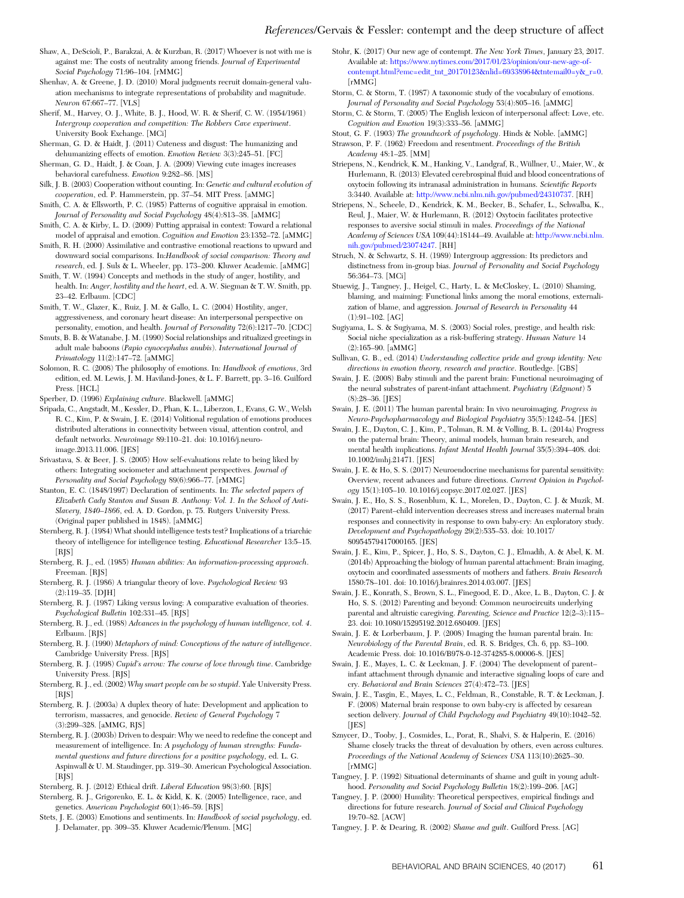## References/Gervais & Fessler: contempt and the deep structure of affect

- <span id="page-60-0"></span>Shaw, A., DeScioli, P., Barakzai, A. & Kurzban, R. (2017) Whoever is not with me is against me: The costs of neutrality among friends. Journal of Experimental Social Psychology 71:96–104. [rMMG]
- Shenhav, A. & Greene, J. D. (2010) Moral judgments recruit domain-general valuation mechanisms to integrate representations of probability and magnitude. Neuron 67:667–77. [VLS]
- Sherif, M., Harvey, O. J., White, B. J., Hood, W. R. & Sherif, C. W. (1954/1961) Intergroup cooperation and competition: The Robbers Cave experiment. University Book Exchange. [MCi]
- Sherman, G. D. & Haidt, J. (2011) Cuteness and disgust: The humanizing and dehumanizing effects of emotion. Emotion Review 3(3):245–51. [FC]
- Sherman, G. D., Haidt, J. & Coan, J. A. (2009) Viewing cute images increases behavioral carefulness. Emotion 9:282–86. [MS]
- Silk, J. B. (2003) Cooperation without counting. In: Genetic and cultural evolution of cooperation, ed. P. Hammerstein, pp. 37–54. MIT Press. [aMMG]
- Smith, C. A. & Ellsworth, P. C. (1985) Patterns of cognitive appraisal in emotion. Journal of Personality and Social Psychology 48(4):813–38. [aMMG]
- Smith, C. A. & Kirby, L. D. (2009) Putting appraisal in context: Toward a relational model of appraisal and emotion. Cognition and Emotion 23:1352–72. [aMMG]
- Smith, R. H. (2000) Assimilative and contrastive emotional reactions to upward and downward social comparisons. In:Handbook of social comparison: Theory and research, ed. J. Suls & L. Wheeler, pp. 173–200. Kluwer Academic. [aMMG]
- Smith, T. W. (1994) Concepts and methods in the study of anger, hostility, and health. In: Anger, hostility and the heart, ed. A. W. Siegman & T. W. Smith, pp. 23–42. Erlbaum. [CDC]
- Smith, T. W., Glazer, K., Ruiz, J. M. & Gallo, L. C. (2004) Hostility, anger, aggressiveness, and coronary heart disease: An interpersonal perspective on personality, emotion, and health. Journal of Personality 72(6):1217–70. [CDC]
- Smuts, B. B. & Watanabe, J. M. (1990) Social relationships and ritualized greetings in adult male baboons (Papio cynocephalus anubis). International Journal of Primatology 11(2):147–72. [aMMG]
- Solomon, R. C. (2008) The philosophy of emotions. In: Handbook of emotions, 3rd edition, ed. M. Lewis, J. M. Haviland-Jones, & L. F. Barrett, pp. 3–16. Guilford Press. [HCL]
- Sperber, D. (1996) Explaining culture. Blackwell. [aMMG]
- Sripada, C., Angstadt, M., Kessler, D., Phan, K. L., Liberzon, I., Evans, G. W., Welsh R. C., Kim, P. & Swain, J. E. (2014) Volitional regulation of emotions produces distributed alterations in connectivity between visual, attention control, and default networks. Neuroimage 89:110–21. doi: 10.1016/j.neuroimage.2013.11.006. [JES]
- Srivastava, S. & Beer, J. S. (2005) How self-evaluations relate to being liked by others: Integrating sociometer and attachment perspectives. Journal of Personality and Social Psychology 89(6):966–77. [rMMG]
- Stanton, E. C. (1848/1997) Declaration of sentiments. In: The selected papers of Elizabeth Cady Stanton and Susan B. Anthony: Vol. 1. In the School of Anti-Slavery, 1840–1866, ed. A. D. Gordon, p. 75. Rutgers University Press. (Original paper published in 1848). [aMMG]
- Sternberg, R. J. (1984) What should intelligence tests test? Implications of a triarchic theory of intelligence for intelligence testing. Educational Researcher 13:5–15. [RIS]
- Sternberg, R. J., ed. (1985) Human abilities: An information-processing approach. Freeman. [RJS]
- Sternberg, R. J. (1986) A triangular theory of love. Psychological Review 93 (2):119–35. [DJH]
- Sternberg, R. J. (1987) Liking versus loving: A comparative evaluation of theories. Psychological Bulletin 102:331–45. [RJS]
- Sternberg, R. J., ed. (1988) Advances in the psychology of human intelligence, vol. 4. Erlbaum. [RJS]
- Sternberg, R. J. (1990) Metaphors of mind: Conceptions of the nature of intelligence. Cambridge University Press. [RJS]
- Sternberg, R. J. (1998) Cupid's arrow: The course of love through time. Cambridge University Press. [RJS]
- Sternberg, R. J., ed. (2002) Why smart people can be so stupid. Yale University Press.  $[R]$
- Sternberg, R. J. (2003a) A duplex theory of hate: Development and application to terrorism, massacres, and genocide. Review of General Psychology 7 (3):299–328. [aMMG, RJS]
- Sternberg, R. J. (2003b) Driven to despair: Why we need to redefine the concept and measurement of intelligence. In: A psychology of human strengths: Fundamental questions and future directions for a positive psychology, ed. L. G. Aspinwall & U. M. Staudinger, pp. 319–30. American Psychological Association. [RIS]
- Sternberg, R. J. (2012) Ethical drift. Liberal Education 98(3):60. [RJS]
- Sternberg, R. J., Grigorenko, E. L. & Kidd, K. K. (2005) Intelligence, race, and genetics. American Psychologist 60(1):46–59. [RJS]
- Stets, J. E. (2003) Emotions and sentiments. In: Handbook of social psychology, ed. J. Delamater, pp. 309–35. Kluwer Academic/Plenum. [MG]
- Stohr, K. (2017) Our new age of contempt. The New York Times, January 23, 2017. Available at: [https://www.nytimes.com/2017/01/23/opinion/our-new-age-of](https://www.nytimes.com/2017/01/23/opinion/our-new-age-of-contempt.html?emc=edit_tnt_20170123&nlid=69338964&tntemail0=y&_r=0)[contempt.html?emc=edit\\_tnt\\_20170123&nlid=69338964&tntemail0=y&\\_r=0](https://www.nytimes.com/2017/01/23/opinion/our-new-age-of-contempt.html?emc=edit_tnt_20170123&nlid=69338964&tntemail0=y&_r=0). [rMMG]
- Storm, C. & Storm, T. (1987) A taxonomic study of the vocabulary of emotions. Journal of Personality and Social Psychology 53(4):805–16. [aMMG]
- Storm, C. & Storm, T. (2005) The English lexicon of interpersonal affect: Love, etc. Cognition and Emotion 19(3):333–56. [aMMG]
- Stout, G. F. (1903) The groundwork of psychology. Hinds & Noble. [aMMG] Strawson, P. F. (1962) Freedom and resentment. Proceedings of the British
- Academy 48:1–25. [MM] Striepens, N., Kendrick, K. M., Hanking, V., Landgraf, R., Wüllner, U., Maier, W., & Hurlemann, R. (2013) Elevated cerebrospinal fluid and blood concentrations of oxytocin following its intranasal administration in humans. Scientific Reports 3:3440. Available at: <http://www.ncbi.nlm.nih.gov/pubmed/24310737>. [RH]
- Striepens, N., Scheele, D., Kendrick, K. M., Becker, B., Schafer, L., Schwalba, K., Reul, J., Maier, W. & Hurlemann, R. (2012) Oxytocin facilitates protective responses to aversive social stimuli in males. Proceedings of the National Academy of Sciences USA 109(44):18144–49. Available at: [http://www.ncbi.nlm.](http://www.ncbi.nlm.nih.gov/pubmed/23074247) [nih.gov/pubmed/23074247.](http://www.ncbi.nlm.nih.gov/pubmed/23074247) [RH]
- Struch, N. & Schwartz, S. H. (1989) Intergroup aggression: Its predictors and distinctness from in-group bias. Journal of Personality and Social Psychology 56:364–73. [MCi]
- Stuewig, J., Tangney, J., Heigel, C., Harty, L. & McCloskey, L. (2010) Shaming, blaming, and maiming: Functional links among the moral emotions, externalization of blame, and aggression. Journal of Research in Personality 44 (1):91–102. [AG]
- Sugiyama, L. S. & Sugiyama, M. S. (2003) Social roles, prestige, and health risk: Social niche specialization as a risk-buffering strategy. Human Nature 14 (2):165–90. [aMMG]
- Sullivan, G. B., ed. (2014) Understanding collective pride and group identity: New directions in emotion theory, research and practice. Routledge. [GBS]
- Swain, J. E. (2008) Baby stimuli and the parent brain: Functional neuroimaging of the neural substrates of parent-infant attachment. Psychiatry (Edgmont) 5 (8):28–36. [JES]
- Swain, J. E. (2011) The human parental brain: In vivo neuroimaging. Progress in Neuro-Psychopharmacology and Biological Psychiatry 35(5):1242–54. [JES]
- Swain, J. E., Dayton, C. J., Kim, P., Tolman, R. M. & Volling, B. L. (2014a) Progress on the paternal brain: Theory, animal models, human brain research, and mental health implications. Infant Mental Health Journal 35(5):394–408. doi: 10.1002/imhj.21471. [JES]
- Swain, J. E. & Ho, S. S. (2017) Neuroendocrine mechanisms for parental sensitivity: Overview, recent advances and future directions. Current Opinion in Psychology 15(1):105–10. 10.1016/j.copsyc.2017.02.027. [JES]
- Swain, J. E., Ho, S. S., Rosenblum, K. L., Morelen, D., Dayton, C. J. & Muzik, M. (2017) Parent–child intervention decreases stress and increases maternal brain responses and connectivity in response to own baby-cry: An exploratory study. Development and Psychopathology 29(2):535–53. doi: 10.1017/ 80954579417000165. [JES]
- Swain, J. E., Kim, P., Spicer, J., Ho, S. S., Dayton, C. J., Elmadih, A. & Abel, K. M. (2014b) Approaching the biology of human parental attachment: Brain imaging, oxytocin and coordinated assessments of mothers and fathers. Brain Research 1580:78–101. doi: 10.1016/j.brainres.2014.03.007. [JES]
- Swain, J. E., Konrath, S., Brown, S. L., Finegood, E. D., Akce, L. B., Dayton, C. J. & Ho, S. S. (2012) Parenting and beyond: Common neurocircuits underlying parental and altruistic caregiving. Parenting, Science and Practice 12(2–3):115– 23. doi: 10.1080/15295192.2012.680409. [JES]
- Swain, J. E. & Lorberbaum, J. P. (2008) Imaging the human parental brain. In: Neurobiology of the Parental Brain, ed. R. S. Bridges, Ch. 6, pp. 83–100. Academic Press. doi: 10.1016/B978-0-12-374285-8.00006-8. [JES]
- Swain, J. E., Mayes, L. C. & Leckman, J. F. (2004) The development of parent– infant attachment through dynamic and interactive signaling loops of care and cry. Behavioral and Brain Sciences 27(4):472–73. [JES]
- Swain, J. E., Tasgin, E., Mayes, L. C., Feldman, R., Constable, R. T. & Leckman, J. F. (2008) Maternal brain response to own baby-cry is affected by cesarean section delivery. Journal of Child Psychology and Psychiatry 49(10):1042–52.  $[**IES**]$
- Sznycer, D., Tooby, J., Cosmides, L., Porat, R., Shalvi, S. & Halperin, E. (2016) Shame closely tracks the threat of devaluation by others, even across cultures. Proceedings of the National Academy of Sciences USA 113(10):2625–30. [rMMG]
- Tangney, J. P. (1992) Situational determinants of shame and guilt in young adulthood. Personality and Social Psychology Bulletin 18(2):199–206. [AG]
- Tangney, J. P. (2000) Humility: Theoretical perspectives, empirical findings and directions for future research. Journal of Social and Clinical Psychology 19:70–82. [ACW]
- Tangney, J. P. & Dearing, R. (2002) Shame and guilt. Guilford Press. [AG]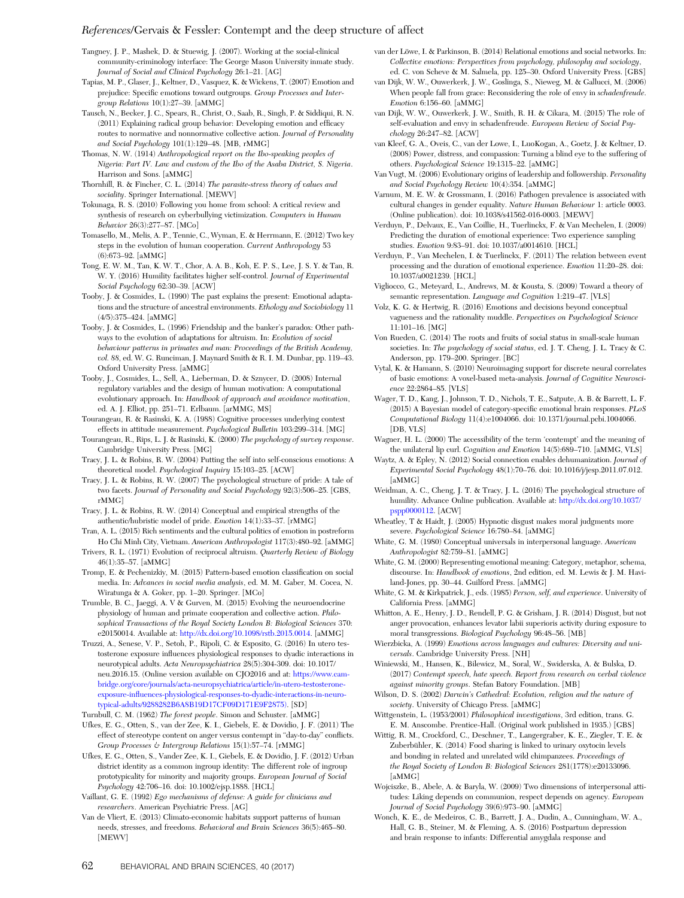## <span id="page-61-0"></span>References/Gervais & Fessler: Contempt and the deep structure of affect

- Tangney, J. P., Mashek, D. & Stuewig, J. (2007). Working at the social-clinical community-criminology interface: The George Mason University inmate study. Journal of Social and Clinical Psychology 26:1–21. [AG]
- Tapias, M. P., Glaser, J., Keltner, D., Vasquez, K. & Wickens, T. (2007) Emotion and prejudice: Specific emotions toward outgroups. Group Processes and Intergroup Relations 10(1):27–39. [aMMG]
- Tausch, N., Becker, J. C., Spears, R., Christ, O., Saab, R., Singh, P. & Siddiqui, R. N. (2011) Explaining radical group behavior: Developing emotion and efficacy routes to normative and nonnormative collective action. Journal of Personality and Social Psychology 101(1):129–48. [MB, rMMG]
- Thomas, N. W. (1914) Anthropological report on the Ibo-speaking peoples of Nigeria: Part IV. Law and custom of the Ibo of the Asaba District, S. Nigeria. Harrison and Sons. [aMMG]
- Thornhill, R. & Fincher, C. L. (2014) The parasite-stress theory of values and sociality. Springer International. [MEWV]
- Tokunaga, R. S. (2010) Following you home from school: A critical review and synthesis of research on cyberbullying victimization. Computers in Human Behavior 26(3):277–87. [MCo]
- Tomasello, M., Melis, A. P., Tennie, C., Wyman, E. & Herrmann, E. (2012) Two key steps in the evolution of human cooperation. Current Anthropology 53 (6):673–92. [aMMG]
- Tong, E. W. M., Tan, K. W. T., Chor, A. A. B., Koh, E. P. S., Lee, J. S. Y. & Tan, R. W. Y. (2016) Humility facilitates higher self-control. Journal of Experimental Social Psychology 62:30–39. [ACW]
- Tooby, J. & Cosmides, L. (1990) The past explains the present: Emotional adaptations and the structure of ancestral environments. Ethology and Sociobiology 11 (4/5):375–424. [aMMG]
- Tooby, J. & Cosmides, L. (1996) Friendship and the banker's paradox: Other pathways to the evolution of adaptations for altruism. In: Evolution of social behaviour patterns in primates and man: Proceedings of the British Academy, vol. 88, ed. W. G. Runciman, J. Maynard Smith & R. I. M. Dunbar, pp. 119-43. Oxford University Press. [aMMG]
- Tooby, J., Cosmides, L., Sell, A., Lieberman, D. & Sznycer, D. (2008) Internal regulatory variables and the design of human motivation: A computational evolutionary approach. In: Handbook of approach and avoidance motivation, ed. A. J. Elliot, pp. 251–71. Erlbaum. [arMMG, MS]
- Tourangeau, R. & Rasinski, K. A. (1988) Cognitive processes underlying context effects in attitude measurement. Psychological Bulletin 103:299–314. [MG]
- Tourangeau, R., Rips, L. J. & Rasinski, K. (2000) The psychology of survey response. Cambridge University Press. [MG]
- Tracy, J. L. & Robins, R. W. (2004) Putting the self into self-conscious emotions: A theoretical model. Psychological Inquiry 15:103–25. [ACW]
- Tracy, J. L. & Robins, R. W. (2007) The psychological structure of pride: A tale of two facets. Journal of Personality and Social Psychology 92(3):506–25. [GBS, rMMG]
- Tracy, J. L. & Robins, R. W. (2014) Conceptual and empirical strengths of the authentic/hubristic model of pride. Emotion 14(1):33–37. [rMMG]
- Tran, A. L. (2015) Rich sentiments and the cultural politics of emotion in postreform Ho Chi Minh City, Vietnam. American Anthropologist 117(3):480–92. [aMMG]
- Trivers, R. L. (1971) Evolution of reciprocal altruism. Quarterly Review of Biology 46(1):35–57. [aMMG]
- Tromp, E. & Pechenizkiy, M. (2015) Pattern-based emotion classification on social media. In: Advances in social media analysis, ed. M. M. Gaber, M. Cocea, N. Wiratunga & A. Goker, pp. 1–20. Springer. [MCo]
- Trumble, B. C., Jaeggi, A. V & Gurven, M. (2015) Evolving the neuroendocrine physiology of human and primate cooperation and collective action. Philosophical Transactions of the Royal Society London B: Biological Sciences 370: e20150014. Available at: [http://dx.doi.org/10.1098/rstb.2015.0014.](http://dx.doi.org/10.1098/rstb.2015.0014) [aMMG]
- Truzzi, A., Senese, V. P., Setoh, P., Ripoli, C. & Esposito, G. (2016) In utero testosterone exposure influences physiological responses to dyadic interactions in neurotypical adults. Acta Neuropsychiatrica 28(5):304-309. doi: 10.1017/ neu.2016.15. (Online version available on CJO2016 and at: [https://www.cam](https://www.cambridge.org/core/journals/acta-neuropsychiatrica/article/in-utero-testosterone-exposure-influences-physiological-responses-to-dyadic-interactions-in-neurotypical-adults/9288282B6A8B19D17CF09D171E9F2875))[bridge.org/core/journals/acta-neuropsychiatrica/article/in-utero-testosterone](https://www.cambridge.org/core/journals/acta-neuropsychiatrica/article/in-utero-testosterone-exposure-influences-physiological-responses-to-dyadic-interactions-in-neurotypical-adults/9288282B6A8B19D17CF09D171E9F2875))exposure-infl[uences-physiological-responses-to-dyadic-interactions-in-neuro](https://www.cambridge.org/core/journals/acta-neuropsychiatrica/article/in-utero-testosterone-exposure-influences-physiological-responses-to-dyadic-interactions-in-neurotypical-adults/9288282B6A8B19D17CF09D171E9F2875))[typical-adults/9288282B6A8B19D17CF09D171E9F2875\)](https://www.cambridge.org/core/journals/acta-neuropsychiatrica/article/in-utero-testosterone-exposure-influences-physiological-responses-to-dyadic-interactions-in-neurotypical-adults/9288282B6A8B19D17CF09D171E9F2875)). [SD]
- Turnbull, C. M. (1962) The forest people. Simon and Schuster. [aMMG]
- Ufkes, E. G., Otten, S., van der Zee, K. I., Giebels, E. & Dovidio, J. F. (2011) The effect of stereotype content on anger versus contempt in "day-to-day" conflicts. Group Processes & Intergroup Relations 15(1):57–74. [rMMG]
- Ufkes, E. G., Otten, S., Vander Zee, K. I., Giebels, E. & Dovidio, J. F. (2012) Urban district identity as a common ingroup identity: The different role of ingroup prototypicality for minority and majority groups. European Journal of Social Psychology 42:706–16. doi: 10.1002/ejsp.1888. [HCL]
- Vaillant, G. E. (1992) Ego mechanisms of defense: A guide for clinicians and researchers. American Psychiatric Press. [AG]
- Van de Vliert, E. (2013) Climato-economic habitats support patterns of human needs, stresses, and freedoms. Behavioral and Brain Sciences 36(5):465–80. [MEWV]
- van der Löwe, I. & Parkinson, B. (2014) Relational emotions and social networks. In: Collective emotions: Perspectives from psychology, philosophy and sociology, ed. C. von Scheve & M. Salmela, pp. 125–30. Oxford University Press. [GBS]
- van Dijk, W. W., Ouwerkerk, J. W., Goslinga, S., Nieweg, M. & Gallucci, M. (2006) When people fall from grace: Reconsidering the role of envy in schadenfreude. Emotion 6:156–60. [aMMG]
- van Dijk, W. W., Ouwerkerk, J. W., Smith, R. H. & Cikara, M. (2015) The role of self-evaluation and envy in schadenfreude. European Review of Social Psychology 26:247–82. [ACW]
- van Kleef, G. A., Oveis, C., van der Lowe, I., LuoKogan, A., Goetz, J. & Keltner, D. (2008) Power, distress, and compassion: Turning a blind eye to the suffering of others. Psychological Science 19:1315–22. [aMMG]
- Van Vugt, M. (2006) Evolutionary origins of leadership and followership. Personality and Social Psychology Review 10(4):354. [aMMG]
- Varnum, M. E. W. & Grossmann, I. (2016) Pathogen prevalence is associated with cultural changes in gender equality. Nature Human Behaviour 1: article 0003. (Online publication). doi: 10.1038/s41562-016-0003. [MEWV]
- Verduyn, P., Delvaux, E., Van Coillie, H., Tuerlinckx, F. & Van Mechelen, I. (2009) Predicting the duration of emotional experience: Two experience sampling studies. Emotion 9:83–91. doi: 10.1037/a0014610. [HCL]
- Verduyn, P., Van Mechelen, I. & Tuerlinckx, F. (2011) The relation between event processing and the duration of emotional experience. Emotion 11:20–28. doi: 10.1037/a0021239. [HCL]
- Vigliocco, G., Meteyard, L., Andrews, M. & Kousta, S. (2009) Toward a theory of semantic representation. Language and Cognition 1:219-47. [VLS]
- Volz, K. G. & Hertwig, R. (2016) Emotions and decisions beyond conceptual vagueness and the rationality muddle. Perspectives on Psychological Science 11:101–16. [MG]
- Von Rueden, C. (2014) The roots and fruits of social status in small-scale human societies. In: The psychology of social status, ed. J. T. Cheng, J. L. Tracy & C. Anderson, pp. 179–200. Springer. [BC]
- Vytal, K. & Hamann, S. (2010) Neuroimaging support for discrete neural correlates of basic emotions: A voxel-based meta-analysis. Journal of Cognitive Neuroscience 22:2864–85. [VLS]
- Wager, T. D., Kang, J., Johnson, T. D., Nichols, T. E., Satpute, A. B. & Barrett, L. F. (2015) A Bayesian model of category-specific emotional brain responses. PLoS Computational Biology 11(4):e1004066. doi: 10.1371/journal.pcbi.1004066. [DB, VLS]
- Wagner, H. L. (2000) The accessibility of the term 'contempt' and the meaning of the unilateral lip curl. Cognition and Emotion 14(5):689–710. [aMMG, VLS]
- Waytz, A. & Epley, N. (2012) Social connection enables dehumanization. Journal of Experimental Social Psychology 48(1):70–76. doi: 10.1016/j/jesp.2011.07.012. [aMMG]
- Weidman, A. C., Cheng, J. T. & Tracy, J. L. (2016) The psychological structure of humility. Advance Online publication. Available at: [http://dx.doi.org/10.1037/](http://dx.doi.org/10.1037/pspp0000112) [pspp0000112.](http://dx.doi.org/10.1037/pspp0000112) [ACW]
- Wheatley, T & Haidt, J. (2005) Hypnotic disgust makes moral judgments more severe. Psychological Science 16:780–84. [aMMG]
- White, G. M. (1980) Conceptual universals in interpersonal language. American Anthropologist 82:759–81. [aMMG]
- White, G. M. (2000) Representing emotional meaning: Category, metaphor, schema, discourse. In: Handbook of emotions, 2nd edition, ed. M. Lewis & J. M. Haviland-Jones, pp. 30–44. Guilford Press. [aMMG]
- White, G. M. & Kirkpatrick, J., eds. (1985) Person, self, and experience. University of California Press. [aMMG]
- Whitton, A. E., Henry, J. D., Rendell, P. G. & Grisham, J. R. (2014) Disgust, but not anger provocation, enhances levator labii superioris activity during exposure to moral transgressions. Biological Psychology 96:48–56. [MB]
- Wierzbicka, A. (1999) Emotions across languages and cultures: Diversity and universals. Cambridge University Press. [NH]
- Winiewski, M., Hansen, K., Bilewicz, M., Soral, W., Swiderska, A. & Bulska, D. (2017) Contempt speech, hate speech. Report from research on verbal violence against minority groups. Stefan Batory Foundation. [MB]
- Wilson, D. S. (2002) Darwin's Cathedral: Evolution, religion and the nature of society. University of Chicago Press. [aMMG]
- Wittgenstein, L. (1953/2001) Philosophical investigations, 3rd edition, trans. G. E. M. Anscombe. Prentice-Hall. (Original work published in 1935.) [GBS]
- Wittig, R. M., Crockford, C., Deschner, T., Langergraber, K. E., Ziegler, T. E. & Zuberbühler, K. (2014) Food sharing is linked to urinary oxytocin levels and bonding in related and unrelated wild chimpanzees. Proceedings of the Royal Society of London B: Biological Sciences 281(1778):e20133096. [aMMG]
- Wojciszke, B., Abele, A. & Baryla, W. (2009) Two dimensions of interpersonal attitudes: Liking depends on communion, respect depends on agency. European Journal of Social Psychology 39(6):973–90. [aMMG]
- Wonch, K. E., de Medeiros, C. B., Barrett, J. A., Dudin, A., Cunningham, W. A., Hall, G. B., Steiner, M. & Fleming, A. S. (2016) Postpartum depression and brain response to infants: Differential amygdala response and